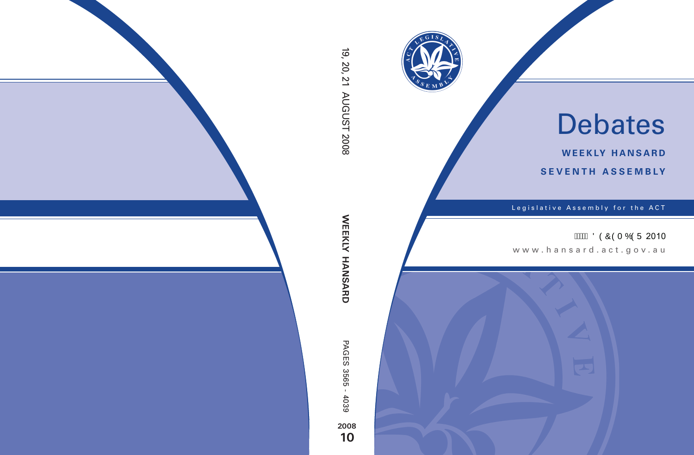

# Debates

**weekly hansard seventh asseMBly**

Legislative Assembly for the ACT

**AMA ÖÒÔÒT ÓÒÜ 2010** 

www.hansard.act.gov.au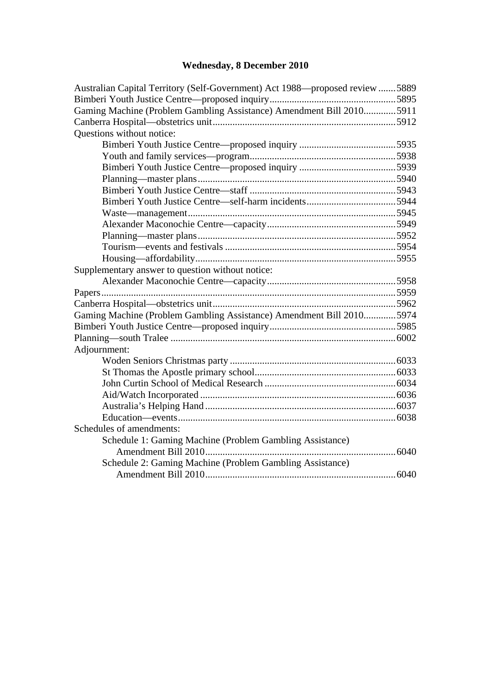## **[Wednesday, 8 December 2010](#page-2-0)**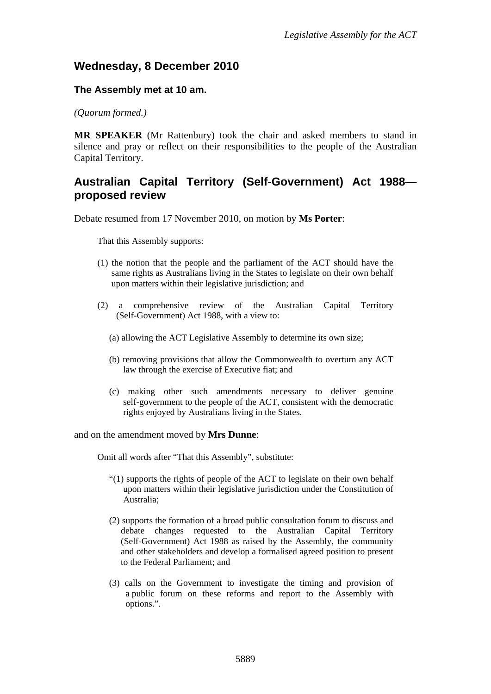### <span id="page-2-0"></span>**Wednesday, 8 December 2010**

#### **The Assembly met at 10 am.**

*(Quorum formed.)*

**MR SPEAKER** (Mr Rattenbury) took the chair and asked members to stand in silence and pray or reflect on their responsibilities to the people of the Australian Capital Territory.

## <span id="page-2-1"></span>**Australian Capital Territory (Self-Government) Act 1988 proposed review**

Debate resumed from 17 November 2010, on motion by **Ms Porter**:

That this Assembly supports:

- (1) the notion that the people and the parliament of the ACT should have the same rights as Australians living in the States to legislate on their own behalf upon matters within their legislative jurisdiction; and
- (2) a comprehensive review of the Australian Capital Territory (Self-Government) Act 1988, with a view to:
	- (a) allowing the ACT Legislative Assembly to determine its own size;
	- (b) removing provisions that allow the Commonwealth to overturn any ACT law through the exercise of Executive fiat; and
	- (c) making other such amendments necessary to deliver genuine self-government to the people of the ACT, consistent with the democratic rights enjoyed by Australians living in the States.

and on the amendment moved by **Mrs Dunne**:

Omit all words after "That this Assembly", substitute:

- "(1) supports the rights of people of the ACT to legislate on their own behalf upon matters within their legislative jurisdiction under the Constitution of Australia;
- (2) supports the formation of a broad public consultation forum to discuss and debate changes requested to the Australian Capital Territory (Self*-*Government) Act 1988 as raised by the Assembly, the community and other stakeholders and develop a formalised agreed position to present to the Federal Parliament; and
- (3) calls on the Government to investigate the timing and provision of a public forum on these reforms and report to the Assembly with options.".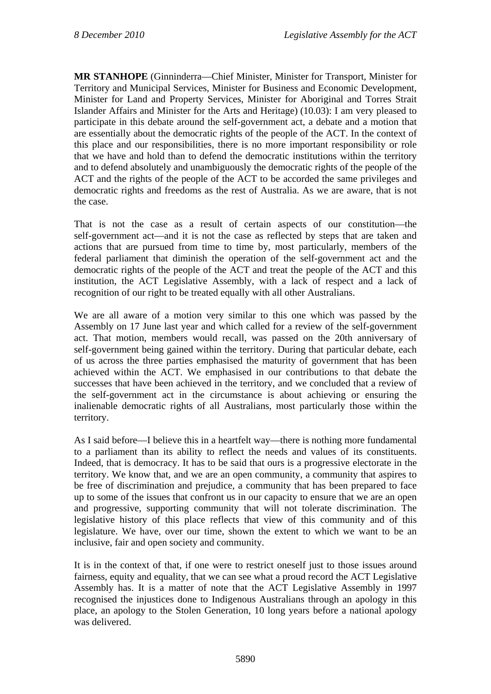**MR STANHOPE** (Ginninderra—Chief Minister, Minister for Transport, Minister for Territory and Municipal Services, Minister for Business and Economic Development, Minister for Land and Property Services, Minister for Aboriginal and Torres Strait Islander Affairs and Minister for the Arts and Heritage) (10.03): I am very pleased to participate in this debate around the self-government act, a debate and a motion that are essentially about the democratic rights of the people of the ACT. In the context of this place and our responsibilities, there is no more important responsibility or role that we have and hold than to defend the democratic institutions within the territory and to defend absolutely and unambiguously the democratic rights of the people of the ACT and the rights of the people of the ACT to be accorded the same privileges and democratic rights and freedoms as the rest of Australia. As we are aware, that is not the case.

That is not the case as a result of certain aspects of our constitution—the self-government act—and it is not the case as reflected by steps that are taken and actions that are pursued from time to time by, most particularly, members of the federal parliament that diminish the operation of the self-government act and the democratic rights of the people of the ACT and treat the people of the ACT and this institution, the ACT Legislative Assembly, with a lack of respect and a lack of recognition of our right to be treated equally with all other Australians.

We are all aware of a motion very similar to this one which was passed by the Assembly on 17 June last year and which called for a review of the self-government act. That motion, members would recall, was passed on the 20th anniversary of self-government being gained within the territory. During that particular debate, each of us across the three parties emphasised the maturity of government that has been achieved within the ACT. We emphasised in our contributions to that debate the successes that have been achieved in the territory, and we concluded that a review of the self-government act in the circumstance is about achieving or ensuring the inalienable democratic rights of all Australians, most particularly those within the territory.

As I said before—I believe this in a heartfelt way—there is nothing more fundamental to a parliament than its ability to reflect the needs and values of its constituents. Indeed, that is democracy. It has to be said that ours is a progressive electorate in the territory. We know that, and we are an open community, a community that aspires to be free of discrimination and prejudice, a community that has been prepared to face up to some of the issues that confront us in our capacity to ensure that we are an open and progressive, supporting community that will not tolerate discrimination. The legislative history of this place reflects that view of this community and of this legislature. We have, over our time, shown the extent to which we want to be an inclusive, fair and open society and community.

It is in the context of that, if one were to restrict oneself just to those issues around fairness, equity and equality, that we can see what a proud record the ACT Legislative Assembly has. It is a matter of note that the ACT Legislative Assembly in 1997 recognised the injustices done to Indigenous Australians through an apology in this place, an apology to the Stolen Generation, 10 long years before a national apology was delivered.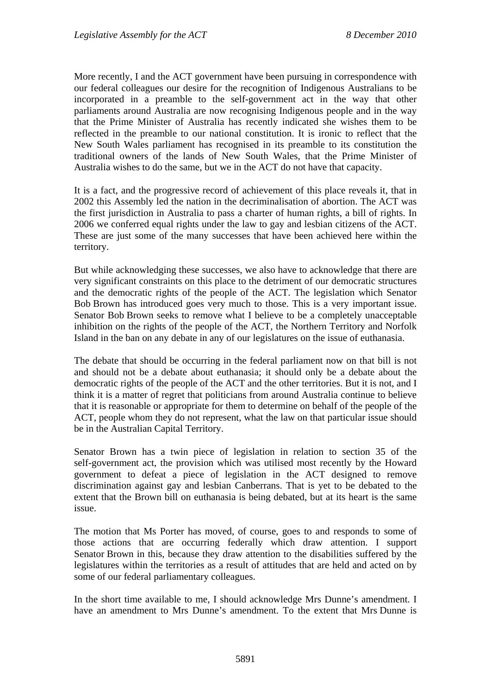More recently, I and the ACT government have been pursuing in correspondence with our federal colleagues our desire for the recognition of Indigenous Australians to be incorporated in a preamble to the self-government act in the way that other parliaments around Australia are now recognising Indigenous people and in the way that the Prime Minister of Australia has recently indicated she wishes them to be reflected in the preamble to our national constitution. It is ironic to reflect that the New South Wales parliament has recognised in its preamble to its constitution the traditional owners of the lands of New South Wales, that the Prime Minister of Australia wishes to do the same, but we in the ACT do not have that capacity.

It is a fact, and the progressive record of achievement of this place reveals it, that in 2002 this Assembly led the nation in the decriminalisation of abortion. The ACT was the first jurisdiction in Australia to pass a charter of human rights, a bill of rights. In 2006 we conferred equal rights under the law to gay and lesbian citizens of the ACT. These are just some of the many successes that have been achieved here within the territory.

But while acknowledging these successes, we also have to acknowledge that there are very significant constraints on this place to the detriment of our democratic structures and the democratic rights of the people of the ACT. The legislation which Senator Bob Brown has introduced goes very much to those. This is a very important issue. Senator Bob Brown seeks to remove what I believe to be a completely unacceptable inhibition on the rights of the people of the ACT, the Northern Territory and Norfolk Island in the ban on any debate in any of our legislatures on the issue of euthanasia.

The debate that should be occurring in the federal parliament now on that bill is not and should not be a debate about euthanasia; it should only be a debate about the democratic rights of the people of the ACT and the other territories. But it is not, and I think it is a matter of regret that politicians from around Australia continue to believe that it is reasonable or appropriate for them to determine on behalf of the people of the ACT, people whom they do not represent, what the law on that particular issue should be in the Australian Capital Territory.

Senator Brown has a twin piece of legislation in relation to section 35 of the self-government act, the provision which was utilised most recently by the Howard government to defeat a piece of legislation in the ACT designed to remove discrimination against gay and lesbian Canberrans. That is yet to be debated to the extent that the Brown bill on euthanasia is being debated, but at its heart is the same issue.

The motion that Ms Porter has moved, of course, goes to and responds to some of those actions that are occurring federally which draw attention. I support Senator Brown in this, because they draw attention to the disabilities suffered by the legislatures within the territories as a result of attitudes that are held and acted on by some of our federal parliamentary colleagues.

In the short time available to me, I should acknowledge Mrs Dunne's amendment. I have an amendment to Mrs Dunne's amendment. To the extent that Mrs Dunne is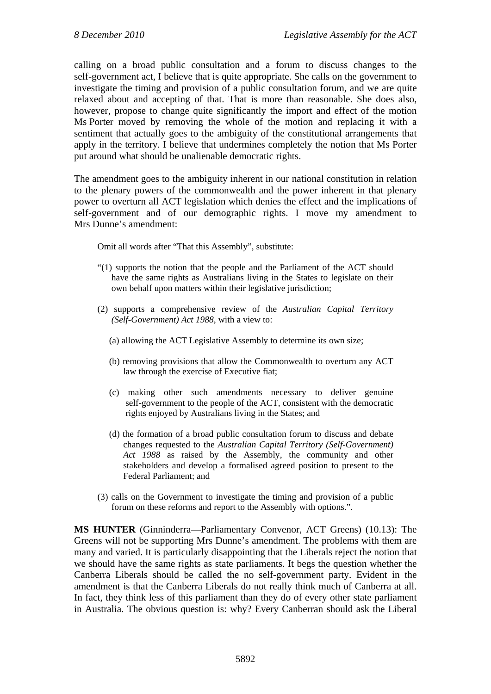calling on a broad public consultation and a forum to discuss changes to the self-government act, I believe that is quite appropriate. She calls on the government to investigate the timing and provision of a public consultation forum, and we are quite relaxed about and accepting of that. That is more than reasonable. She does also, however, propose to change quite significantly the import and effect of the motion Ms Porter moved by removing the whole of the motion and replacing it with a sentiment that actually goes to the ambiguity of the constitutional arrangements that apply in the territory. I believe that undermines completely the notion that Ms Porter put around what should be unalienable democratic rights.

The amendment goes to the ambiguity inherent in our national constitution in relation to the plenary powers of the commonwealth and the power inherent in that plenary power to overturn all ACT legislation which denies the effect and the implications of self-government and of our demographic rights. I move my amendment to Mrs Dunne's amendment:

Omit all words after "That this Assembly", substitute:

- "(1) supports the notion that the people and the Parliament of the ACT should have the same rights as Australians living in the States to legislate on their own behalf upon matters within their legislative jurisdiction;
- (2) supports a comprehensive review of the *Australian Capital Territory (Self-Government) Act 1988*, with a view to:
	- (a) allowing the ACT Legislative Assembly to determine its own size;
	- (b) removing provisions that allow the Commonwealth to overturn any ACT law through the exercise of Executive fiat;
	- (c) making other such amendments necessary to deliver genuine self-government to the people of the ACT, consistent with the democratic rights enjoyed by Australians living in the States; and
	- (d) the formation of a broad public consultation forum to discuss and debate changes requested to the *Australian Capital Territory (Self-Government) Act 1988* as raised by the Assembly, the community and other stakeholders and develop a formalised agreed position to present to the Federal Parliament; and
- (3) calls on the Government to investigate the timing and provision of a public forum on these reforms and report to the Assembly with options.".

**MS HUNTER** (Ginninderra—Parliamentary Convenor, ACT Greens) (10.13): The Greens will not be supporting Mrs Dunne's amendment. The problems with them are many and varied. It is particularly disappointing that the Liberals reject the notion that we should have the same rights as state parliaments. It begs the question whether the Canberra Liberals should be called the no self-government party. Evident in the amendment is that the Canberra Liberals do not really think much of Canberra at all. In fact, they think less of this parliament than they do of every other state parliament in Australia. The obvious question is: why? Every Canberran should ask the Liberal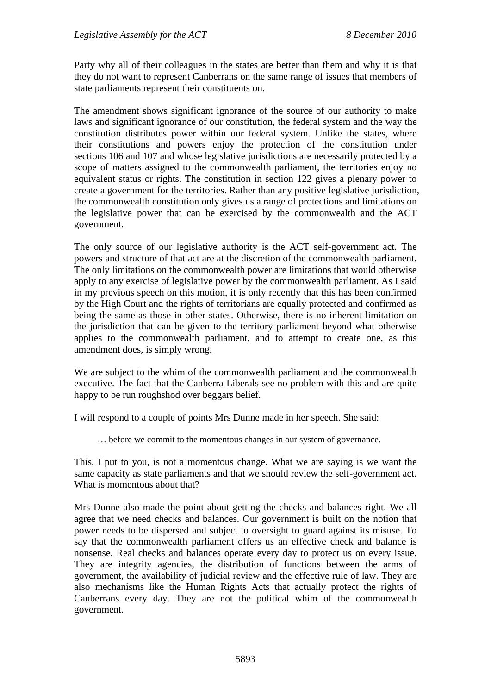Party why all of their colleagues in the states are better than them and why it is that they do not want to represent Canberrans on the same range of issues that members of state parliaments represent their constituents on.

The amendment shows significant ignorance of the source of our authority to make laws and significant ignorance of our constitution, the federal system and the way the constitution distributes power within our federal system. Unlike the states, where their constitutions and powers enjoy the protection of the constitution under sections 106 and 107 and whose legislative jurisdictions are necessarily protected by a scope of matters assigned to the commonwealth parliament, the territories enjoy no equivalent status or rights. The constitution in section 122 gives a plenary power to create a government for the territories. Rather than any positive legislative jurisdiction, the commonwealth constitution only gives us a range of protections and limitations on the legislative power that can be exercised by the commonwealth and the ACT government.

The only source of our legislative authority is the ACT self-government act. The powers and structure of that act are at the discretion of the commonwealth parliament. The only limitations on the commonwealth power are limitations that would otherwise apply to any exercise of legislative power by the commonwealth parliament. As I said in my previous speech on this motion, it is only recently that this has been confirmed by the High Court and the rights of territorians are equally protected and confirmed as being the same as those in other states. Otherwise, there is no inherent limitation on the jurisdiction that can be given to the territory parliament beyond what otherwise applies to the commonwealth parliament, and to attempt to create one, as this amendment does, is simply wrong.

We are subject to the whim of the commonwealth parliament and the commonwealth executive. The fact that the Canberra Liberals see no problem with this and are quite happy to be run roughshod over beggars belief.

I will respond to a couple of points Mrs Dunne made in her speech. She said:

… before we commit to the momentous changes in our system of governance.

This, I put to you, is not a momentous change. What we are saying is we want the same capacity as state parliaments and that we should review the self-government act. What is momentous about that?

Mrs Dunne also made the point about getting the checks and balances right. We all agree that we need checks and balances. Our government is built on the notion that power needs to be dispersed and subject to oversight to guard against its misuse. To say that the commonwealth parliament offers us an effective check and balance is nonsense. Real checks and balances operate every day to protect us on every issue. They are integrity agencies, the distribution of functions between the arms of government, the availability of judicial review and the effective rule of law. They are also mechanisms like the Human Rights Acts that actually protect the rights of Canberrans every day. They are not the political whim of the commonwealth government.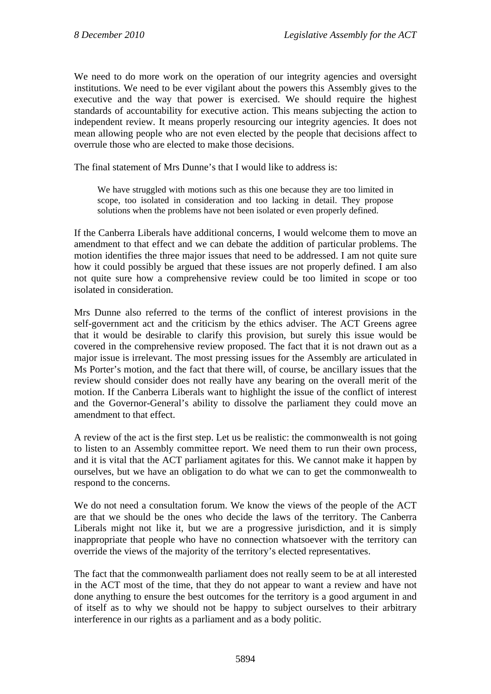We need to do more work on the operation of our integrity agencies and oversight institutions. We need to be ever vigilant about the powers this Assembly gives to the executive and the way that power is exercised. We should require the highest standards of accountability for executive action. This means subjecting the action to independent review. It means properly resourcing our integrity agencies. It does not mean allowing people who are not even elected by the people that decisions affect to overrule those who are elected to make those decisions.

The final statement of Mrs Dunne's that I would like to address is:

We have struggled with motions such as this one because they are too limited in scope, too isolated in consideration and too lacking in detail. They propose solutions when the problems have not been isolated or even properly defined.

If the Canberra Liberals have additional concerns, I would welcome them to move an amendment to that effect and we can debate the addition of particular problems. The motion identifies the three major issues that need to be addressed. I am not quite sure how it could possibly be argued that these issues are not properly defined. I am also not quite sure how a comprehensive review could be too limited in scope or too isolated in consideration.

Mrs Dunne also referred to the terms of the conflict of interest provisions in the self-government act and the criticism by the ethics adviser. The ACT Greens agree that it would be desirable to clarify this provision, but surely this issue would be covered in the comprehensive review proposed. The fact that it is not drawn out as a major issue is irrelevant. The most pressing issues for the Assembly are articulated in Ms Porter's motion, and the fact that there will, of course, be ancillary issues that the review should consider does not really have any bearing on the overall merit of the motion. If the Canberra Liberals want to highlight the issue of the conflict of interest and the Governor-General's ability to dissolve the parliament they could move an amendment to that effect.

A review of the act is the first step. Let us be realistic: the commonwealth is not going to listen to an Assembly committee report. We need them to run their own process, and it is vital that the ACT parliament agitates for this. We cannot make it happen by ourselves, but we have an obligation to do what we can to get the commonwealth to respond to the concerns.

We do not need a consultation forum. We know the views of the people of the ACT are that we should be the ones who decide the laws of the territory. The Canberra Liberals might not like it, but we are a progressive jurisdiction, and it is simply inappropriate that people who have no connection whatsoever with the territory can override the views of the majority of the territory's elected representatives.

The fact that the commonwealth parliament does not really seem to be at all interested in the ACT most of the time, that they do not appear to want a review and have not done anything to ensure the best outcomes for the territory is a good argument in and of itself as to why we should not be happy to subject ourselves to their arbitrary interference in our rights as a parliament and as a body politic.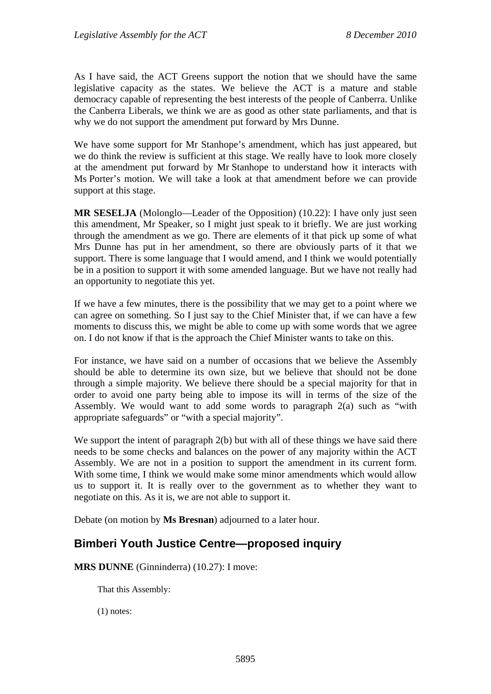As I have said, the ACT Greens support the notion that we should have the same legislative capacity as the states. We believe the ACT is a mature and stable democracy capable of representing the best interests of the people of Canberra. Unlike the Canberra Liberals, we think we are as good as other state parliaments, and that is why we do not support the amendment put forward by Mrs Dunne.

We have some support for Mr Stanhope's amendment, which has just appeared, but we do think the review is sufficient at this stage. We really have to look more closely at the amendment put forward by Mr Stanhope to understand how it interacts with Ms Porter's motion. We will take a look at that amendment before we can provide support at this stage.

**MR SESELJA** (Molonglo—Leader of the Opposition) (10.22): I have only just seen this amendment, Mr Speaker, so I might just speak to it briefly. We are just working through the amendment as we go. There are elements of it that pick up some of what Mrs Dunne has put in her amendment, so there are obviously parts of it that we support. There is some language that I would amend, and I think we would potentially be in a position to support it with some amended language. But we have not really had an opportunity to negotiate this yet.

If we have a few minutes, there is the possibility that we may get to a point where we can agree on something. So I just say to the Chief Minister that, if we can have a few moments to discuss this, we might be able to come up with some words that we agree on. I do not know if that is the approach the Chief Minister wants to take on this.

For instance, we have said on a number of occasions that we believe the Assembly should be able to determine its own size, but we believe that should not be done through a simple majority. We believe there should be a special majority for that in order to avoid one party being able to impose its will in terms of the size of the Assembly. We would want to add some words to paragraph 2(a) such as "with appropriate safeguards" or "with a special majority".

We support the intent of paragraph 2(b) but with all of these things we have said there needs to be some checks and balances on the power of any majority within the ACT Assembly. We are not in a position to support the amendment in its current form. With some time, I think we would make some minor amendments which would allow us to support it. It is really over to the government as to whether they want to negotiate on this. As it is, we are not able to support it.

Debate (on motion by **Ms Bresnan**) adjourned to a later hour.

## <span id="page-8-0"></span>**Bimberi Youth Justice Centre—proposed inquiry**

**MRS DUNNE** (Ginninderra) (10.27): I move:

That this Assembly:

(1) notes: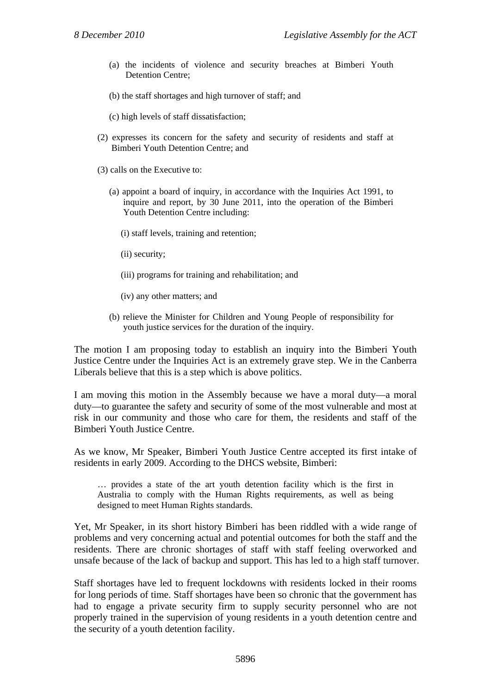- (a) the incidents of violence and security breaches at Bimberi Youth Detention Centre;
- (b) the staff shortages and high turnover of staff; and
- (c) high levels of staff dissatisfaction;
- (2) expresses its concern for the safety and security of residents and staff at Bimberi Youth Detention Centre; and
- (3) calls on the Executive to:
	- (a) appoint a board of inquiry, in accordance with the Inquiries Act 1991, to inquire and report, by 30 June 2011, into the operation of the Bimberi Youth Detention Centre including:
		- (i) staff levels, training and retention;
		- (ii) security;
		- (iii) programs for training and rehabilitation; and
		- (iv) any other matters; and
	- (b) relieve the Minister for Children and Young People of responsibility for youth justice services for the duration of the inquiry.

The motion I am proposing today to establish an inquiry into the Bimberi Youth Justice Centre under the Inquiries Act is an extremely grave step. We in the Canberra Liberals believe that this is a step which is above politics.

I am moving this motion in the Assembly because we have a moral duty—a moral duty—to guarantee the safety and security of some of the most vulnerable and most at risk in our community and those who care for them, the residents and staff of the Bimberi Youth Justice Centre.

As we know, Mr Speaker, Bimberi Youth Justice Centre accepted its first intake of residents in early 2009. According to the DHCS website, Bimberi:

… provides a state of the art youth detention facility which is the first in Australia to comply with the Human Rights requirements, as well as being designed to meet Human Rights standards.

Yet, Mr Speaker, in its short history Bimberi has been riddled with a wide range of problems and very concerning actual and potential outcomes for both the staff and the residents. There are chronic shortages of staff with staff feeling overworked and unsafe because of the lack of backup and support. This has led to a high staff turnover.

Staff shortages have led to frequent lockdowns with residents locked in their rooms for long periods of time. Staff shortages have been so chronic that the government has had to engage a private security firm to supply security personnel who are not properly trained in the supervision of young residents in a youth detention centre and the security of a youth detention facility.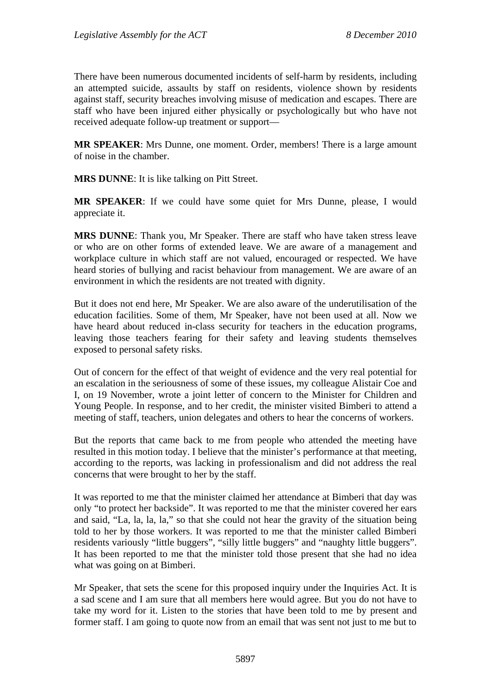There have been numerous documented incidents of self-harm by residents, including an attempted suicide, assaults by staff on residents, violence shown by residents against staff, security breaches involving misuse of medication and escapes. There are staff who have been injured either physically or psychologically but who have not received adequate follow-up treatment or support—

**MR SPEAKER**: Mrs Dunne, one moment. Order, members! There is a large amount of noise in the chamber.

**MRS DUNNE**: It is like talking on Pitt Street.

**MR SPEAKER**: If we could have some quiet for Mrs Dunne, please, I would appreciate it.

**MRS DUNNE**: Thank you, Mr Speaker. There are staff who have taken stress leave or who are on other forms of extended leave. We are aware of a management and workplace culture in which staff are not valued, encouraged or respected. We have heard stories of bullying and racist behaviour from management. We are aware of an environment in which the residents are not treated with dignity.

But it does not end here, Mr Speaker. We are also aware of the underutilisation of the education facilities. Some of them, Mr Speaker, have not been used at all. Now we have heard about reduced in-class security for teachers in the education programs, leaving those teachers fearing for their safety and leaving students themselves exposed to personal safety risks.

Out of concern for the effect of that weight of evidence and the very real potential for an escalation in the seriousness of some of these issues, my colleague Alistair Coe and I, on 19 November, wrote a joint letter of concern to the Minister for Children and Young People. In response, and to her credit, the minister visited Bimberi to attend a meeting of staff, teachers, union delegates and others to hear the concerns of workers.

But the reports that came back to me from people who attended the meeting have resulted in this motion today. I believe that the minister's performance at that meeting, according to the reports, was lacking in professionalism and did not address the real concerns that were brought to her by the staff.

It was reported to me that the minister claimed her attendance at Bimberi that day was only "to protect her backside". It was reported to me that the minister covered her ears and said, "La, la, la, la," so that she could not hear the gravity of the situation being told to her by those workers. It was reported to me that the minister called Bimberi residents variously "little buggers", "silly little buggers" and "naughty little buggers". It has been reported to me that the minister told those present that she had no idea what was going on at Bimberi.

Mr Speaker, that sets the scene for this proposed inquiry under the Inquiries Act. It is a sad scene and I am sure that all members here would agree. But you do not have to take my word for it. Listen to the stories that have been told to me by present and former staff. I am going to quote now from an email that was sent not just to me but to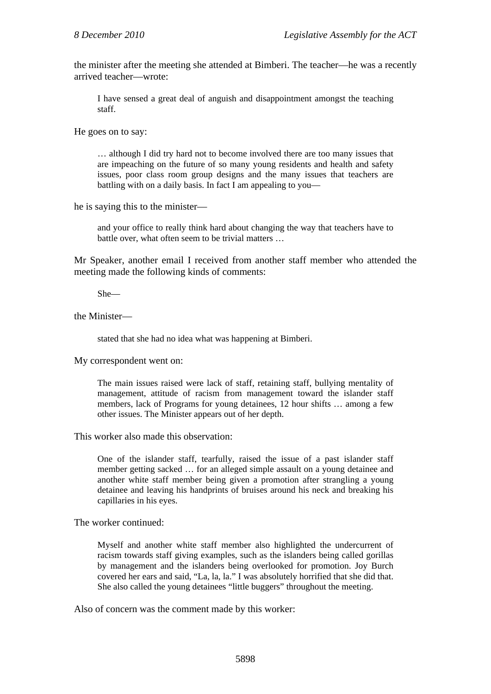the minister after the meeting she attended at Bimberi. The teacher—he was a recently arrived teacher—wrote:

I have sensed a great deal of anguish and disappointment amongst the teaching staff.

He goes on to say:

… although I did try hard not to become involved there are too many issues that are impeaching on the future of so many young residents and health and safety issues, poor class room group designs and the many issues that teachers are battling with on a daily basis. In fact I am appealing to you—

he is saying this to the minister—

and your office to really think hard about changing the way that teachers have to battle over, what often seem to be trivial matters …

Mr Speaker, another email I received from another staff member who attended the meeting made the following kinds of comments:

She—

the Minister—

stated that she had no idea what was happening at Bimberi.

My correspondent went on:

The main issues raised were lack of staff, retaining staff, bullying mentality of management, attitude of racism from management toward the islander staff members, lack of Programs for young detainees, 12 hour shifts … among a few other issues. The Minister appears out of her depth.

This worker also made this observation:

One of the islander staff, tearfully, raised the issue of a past islander staff member getting sacked … for an alleged simple assault on a young detainee and another white staff member being given a promotion after strangling a young detainee and leaving his handprints of bruises around his neck and breaking his capillaries in his eyes.

The worker continued:

Myself and another white staff member also highlighted the undercurrent of racism towards staff giving examples, such as the islanders being called gorillas by management and the islanders being overlooked for promotion. Joy Burch covered her ears and said, "La, la, la." I was absolutely horrified that she did that. She also called the young detainees "little buggers" throughout the meeting.

Also of concern was the comment made by this worker: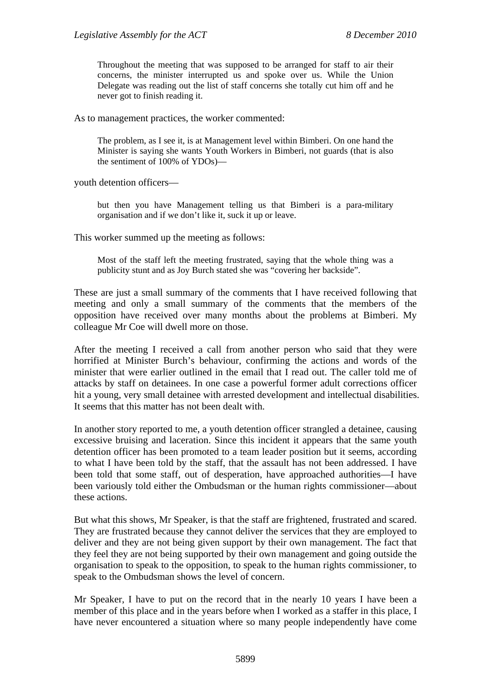Throughout the meeting that was supposed to be arranged for staff to air their concerns, the minister interrupted us and spoke over us. While the Union Delegate was reading out the list of staff concerns she totally cut him off and he never got to finish reading it.

As to management practices, the worker commented:

The problem, as I see it, is at Management level within Bimberi. On one hand the Minister is saying she wants Youth Workers in Bimberi, not guards (that is also the sentiment of 100% of YDOs)—

youth detention officers—

but then you have Management telling us that Bimberi is a para-military organisation and if we don't like it, suck it up or leave.

This worker summed up the meeting as follows:

Most of the staff left the meeting frustrated, saying that the whole thing was a publicity stunt and as Joy Burch stated she was "covering her backside".

These are just a small summary of the comments that I have received following that meeting and only a small summary of the comments that the members of the opposition have received over many months about the problems at Bimberi. My colleague Mr Coe will dwell more on those.

After the meeting I received a call from another person who said that they were horrified at Minister Burch's behaviour, confirming the actions and words of the minister that were earlier outlined in the email that I read out. The caller told me of attacks by staff on detainees. In one case a powerful former adult corrections officer hit a young, very small detainee with arrested development and intellectual disabilities. It seems that this matter has not been dealt with.

In another story reported to me, a youth detention officer strangled a detainee, causing excessive bruising and laceration. Since this incident it appears that the same youth detention officer has been promoted to a team leader position but it seems, according to what I have been told by the staff, that the assault has not been addressed. I have been told that some staff, out of desperation, have approached authorities—I have been variously told either the Ombudsman or the human rights commissioner—about these actions.

But what this shows, Mr Speaker, is that the staff are frightened, frustrated and scared. They are frustrated because they cannot deliver the services that they are employed to deliver and they are not being given support by their own management. The fact that they feel they are not being supported by their own management and going outside the organisation to speak to the opposition, to speak to the human rights commissioner, to speak to the Ombudsman shows the level of concern.

Mr Speaker, I have to put on the record that in the nearly 10 years I have been a member of this place and in the years before when I worked as a staffer in this place, I have never encountered a situation where so many people independently have come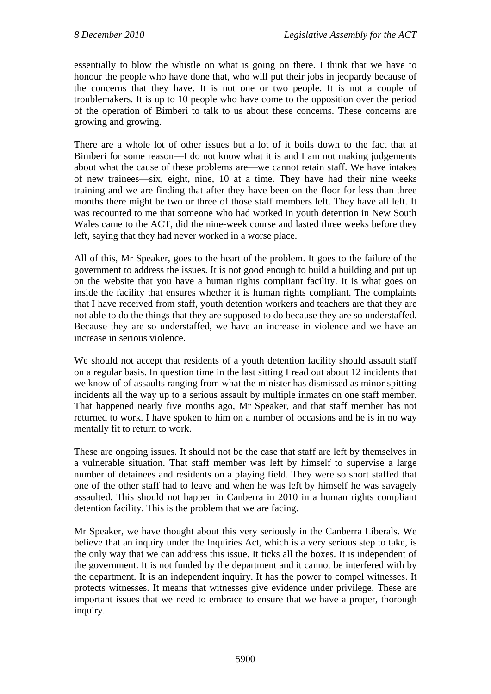essentially to blow the whistle on what is going on there. I think that we have to honour the people who have done that, who will put their jobs in jeopardy because of the concerns that they have. It is not one or two people. It is not a couple of troublemakers. It is up to 10 people who have come to the opposition over the period of the operation of Bimberi to talk to us about these concerns. These concerns are growing and growing.

There are a whole lot of other issues but a lot of it boils down to the fact that at Bimberi for some reason—I do not know what it is and I am not making judgements about what the cause of these problems are—we cannot retain staff. We have intakes of new trainees—six, eight, nine, 10 at a time. They have had their nine weeks training and we are finding that after they have been on the floor for less than three months there might be two or three of those staff members left. They have all left. It was recounted to me that someone who had worked in youth detention in New South Wales came to the ACT, did the nine-week course and lasted three weeks before they left, saying that they had never worked in a worse place.

All of this, Mr Speaker, goes to the heart of the problem. It goes to the failure of the government to address the issues. It is not good enough to build a building and put up on the website that you have a human rights compliant facility. It is what goes on inside the facility that ensures whether it is human rights compliant. The complaints that I have received from staff, youth detention workers and teachers are that they are not able to do the things that they are supposed to do because they are so understaffed. Because they are so understaffed, we have an increase in violence and we have an increase in serious violence.

We should not accept that residents of a youth detention facility should assault staff on a regular basis. In question time in the last sitting I read out about 12 incidents that we know of of assaults ranging from what the minister has dismissed as minor spitting incidents all the way up to a serious assault by multiple inmates on one staff member. That happened nearly five months ago, Mr Speaker, and that staff member has not returned to work. I have spoken to him on a number of occasions and he is in no way mentally fit to return to work.

These are ongoing issues. It should not be the case that staff are left by themselves in a vulnerable situation. That staff member was left by himself to supervise a large number of detainees and residents on a playing field. They were so short staffed that one of the other staff had to leave and when he was left by himself he was savagely assaulted. This should not happen in Canberra in 2010 in a human rights compliant detention facility. This is the problem that we are facing.

Mr Speaker, we have thought about this very seriously in the Canberra Liberals. We believe that an inquiry under the Inquiries Act, which is a very serious step to take, is the only way that we can address this issue. It ticks all the boxes. It is independent of the government. It is not funded by the department and it cannot be interfered with by the department. It is an independent inquiry. It has the power to compel witnesses. It protects witnesses. It means that witnesses give evidence under privilege. These are important issues that we need to embrace to ensure that we have a proper, thorough inquiry.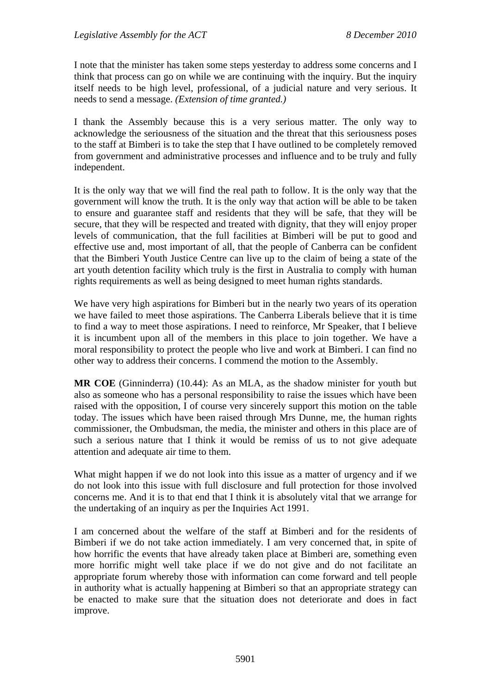I note that the minister has taken some steps yesterday to address some concerns and I think that process can go on while we are continuing with the inquiry. But the inquiry itself needs to be high level, professional, of a judicial nature and very serious. It needs to send a message. *(Extension of time granted.)*

I thank the Assembly because this is a very serious matter. The only way to acknowledge the seriousness of the situation and the threat that this seriousness poses to the staff at Bimberi is to take the step that I have outlined to be completely removed from government and administrative processes and influence and to be truly and fully independent.

It is the only way that we will find the real path to follow. It is the only way that the government will know the truth. It is the only way that action will be able to be taken to ensure and guarantee staff and residents that they will be safe, that they will be secure, that they will be respected and treated with dignity, that they will enjoy proper levels of communication, that the full facilities at Bimberi will be put to good and effective use and, most important of all, that the people of Canberra can be confident that the Bimberi Youth Justice Centre can live up to the claim of being a state of the art youth detention facility which truly is the first in Australia to comply with human rights requirements as well as being designed to meet human rights standards.

We have very high aspirations for Bimberi but in the nearly two years of its operation we have failed to meet those aspirations. The Canberra Liberals believe that it is time to find a way to meet those aspirations. I need to reinforce, Mr Speaker, that I believe it is incumbent upon all of the members in this place to join together. We have a moral responsibility to protect the people who live and work at Bimberi. I can find no other way to address their concerns. I commend the motion to the Assembly.

**MR COE** (Ginninderra) (10.44): As an MLA, as the shadow minister for youth but also as someone who has a personal responsibility to raise the issues which have been raised with the opposition, I of course very sincerely support this motion on the table today. The issues which have been raised through Mrs Dunne, me, the human rights commissioner, the Ombudsman, the media, the minister and others in this place are of such a serious nature that I think it would be remiss of us to not give adequate attention and adequate air time to them.

What might happen if we do not look into this issue as a matter of urgency and if we do not look into this issue with full disclosure and full protection for those involved concerns me. And it is to that end that I think it is absolutely vital that we arrange for the undertaking of an inquiry as per the Inquiries Act 1991.

I am concerned about the welfare of the staff at Bimberi and for the residents of Bimberi if we do not take action immediately. I am very concerned that, in spite of how horrific the events that have already taken place at Bimberi are, something even more horrific might well take place if we do not give and do not facilitate an appropriate forum whereby those with information can come forward and tell people in authority what is actually happening at Bimberi so that an appropriate strategy can be enacted to make sure that the situation does not deteriorate and does in fact improve.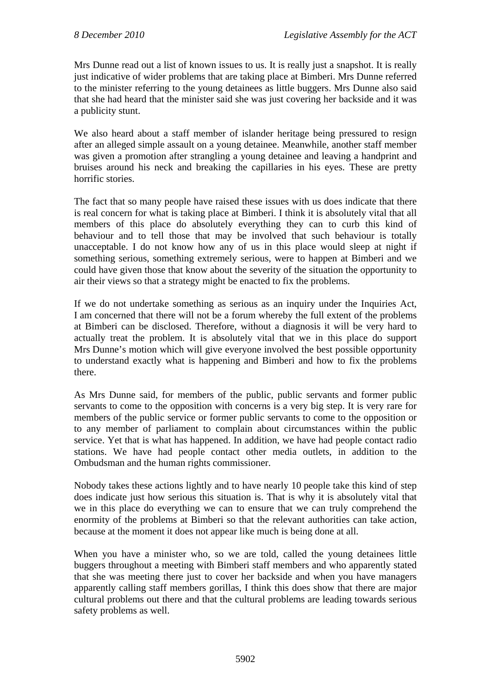Mrs Dunne read out a list of known issues to us. It is really just a snapshot. It is really just indicative of wider problems that are taking place at Bimberi. Mrs Dunne referred to the minister referring to the young detainees as little buggers. Mrs Dunne also said that she had heard that the minister said she was just covering her backside and it was a publicity stunt.

We also heard about a staff member of islander heritage being pressured to resign after an alleged simple assault on a young detainee. Meanwhile, another staff member was given a promotion after strangling a young detainee and leaving a handprint and bruises around his neck and breaking the capillaries in his eyes. These are pretty horrific stories.

The fact that so many people have raised these issues with us does indicate that there is real concern for what is taking place at Bimberi. I think it is absolutely vital that all members of this place do absolutely everything they can to curb this kind of behaviour and to tell those that may be involved that such behaviour is totally unacceptable. I do not know how any of us in this place would sleep at night if something serious, something extremely serious, were to happen at Bimberi and we could have given those that know about the severity of the situation the opportunity to air their views so that a strategy might be enacted to fix the problems.

If we do not undertake something as serious as an inquiry under the Inquiries Act, I am concerned that there will not be a forum whereby the full extent of the problems at Bimberi can be disclosed. Therefore, without a diagnosis it will be very hard to actually treat the problem. It is absolutely vital that we in this place do support Mrs Dunne's motion which will give everyone involved the best possible opportunity to understand exactly what is happening and Bimberi and how to fix the problems there.

As Mrs Dunne said, for members of the public, public servants and former public servants to come to the opposition with concerns is a very big step. It is very rare for members of the public service or former public servants to come to the opposition or to any member of parliament to complain about circumstances within the public service. Yet that is what has happened. In addition, we have had people contact radio stations. We have had people contact other media outlets, in addition to the Ombudsman and the human rights commissioner.

Nobody takes these actions lightly and to have nearly 10 people take this kind of step does indicate just how serious this situation is. That is why it is absolutely vital that we in this place do everything we can to ensure that we can truly comprehend the enormity of the problems at Bimberi so that the relevant authorities can take action, because at the moment it does not appear like much is being done at all.

When you have a minister who, so we are told, called the young detainees little buggers throughout a meeting with Bimberi staff members and who apparently stated that she was meeting there just to cover her backside and when you have managers apparently calling staff members gorillas, I think this does show that there are major cultural problems out there and that the cultural problems are leading towards serious safety problems as well.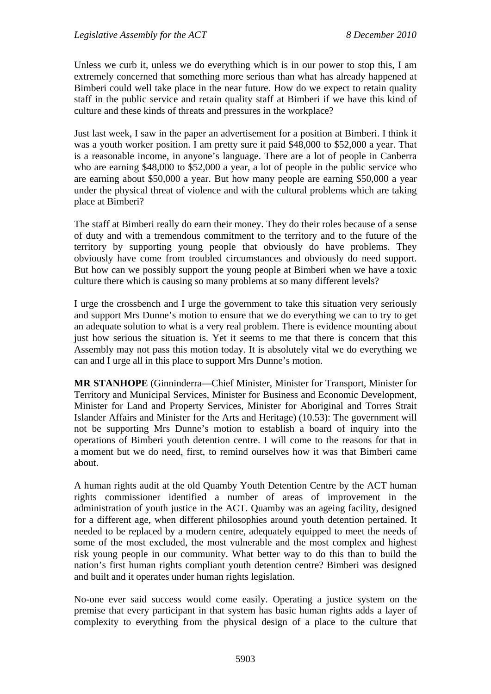Unless we curb it, unless we do everything which is in our power to stop this, I am extremely concerned that something more serious than what has already happened at Bimberi could well take place in the near future. How do we expect to retain quality staff in the public service and retain quality staff at Bimberi if we have this kind of culture and these kinds of threats and pressures in the workplace?

Just last week, I saw in the paper an advertisement for a position at Bimberi. I think it was a youth worker position. I am pretty sure it paid \$48,000 to \$52,000 a year. That is a reasonable income, in anyone's language. There are a lot of people in Canberra who are earning \$48,000 to \$52,000 a year, a lot of people in the public service who are earning about \$50,000 a year. But how many people are earning \$50,000 a year under the physical threat of violence and with the cultural problems which are taking place at Bimberi?

The staff at Bimberi really do earn their money. They do their roles because of a sense of duty and with a tremendous commitment to the territory and to the future of the territory by supporting young people that obviously do have problems. They obviously have come from troubled circumstances and obviously do need support. But how can we possibly support the young people at Bimberi when we have a toxic culture there which is causing so many problems at so many different levels?

I urge the crossbench and I urge the government to take this situation very seriously and support Mrs Dunne's motion to ensure that we do everything we can to try to get an adequate solution to what is a very real problem. There is evidence mounting about just how serious the situation is. Yet it seems to me that there is concern that this Assembly may not pass this motion today. It is absolutely vital we do everything we can and I urge all in this place to support Mrs Dunne's motion.

**MR STANHOPE** (Ginninderra—Chief Minister, Minister for Transport, Minister for Territory and Municipal Services, Minister for Business and Economic Development, Minister for Land and Property Services, Minister for Aboriginal and Torres Strait Islander Affairs and Minister for the Arts and Heritage) (10.53): The government will not be supporting Mrs Dunne's motion to establish a board of inquiry into the operations of Bimberi youth detention centre. I will come to the reasons for that in a moment but we do need, first, to remind ourselves how it was that Bimberi came about.

A human rights audit at the old Quamby Youth Detention Centre by the ACT human rights commissioner identified a number of areas of improvement in the administration of youth justice in the ACT. Quamby was an ageing facility, designed for a different age, when different philosophies around youth detention pertained. It needed to be replaced by a modern centre, adequately equipped to meet the needs of some of the most excluded, the most vulnerable and the most complex and highest risk young people in our community. What better way to do this than to build the nation's first human rights compliant youth detention centre? Bimberi was designed and built and it operates under human rights legislation.

No-one ever said success would come easily. Operating a justice system on the premise that every participant in that system has basic human rights adds a layer of complexity to everything from the physical design of a place to the culture that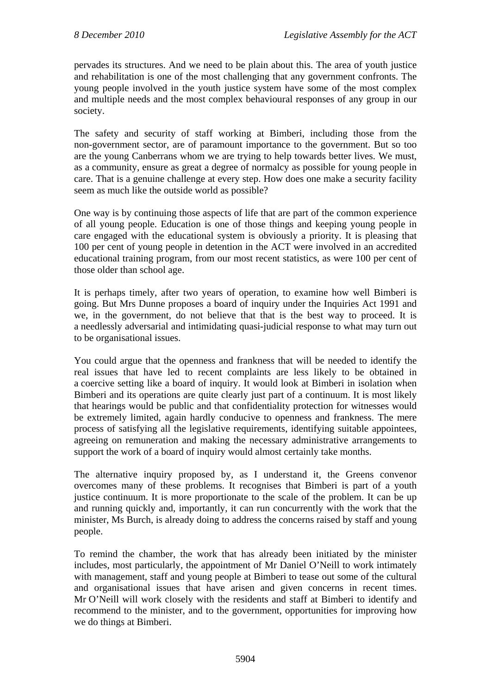pervades its structures. And we need to be plain about this. The area of youth justice and rehabilitation is one of the most challenging that any government confronts. The young people involved in the youth justice system have some of the most complex and multiple needs and the most complex behavioural responses of any group in our society.

The safety and security of staff working at Bimberi, including those from the non-government sector, are of paramount importance to the government. But so too are the young Canberrans whom we are trying to help towards better lives. We must, as a community, ensure as great a degree of normalcy as possible for young people in care. That is a genuine challenge at every step. How does one make a security facility seem as much like the outside world as possible?

One way is by continuing those aspects of life that are part of the common experience of all young people. Education is one of those things and keeping young people in care engaged with the educational system is obviously a priority. It is pleasing that 100 per cent of young people in detention in the ACT were involved in an accredited educational training program, from our most recent statistics, as were 100 per cent of those older than school age.

It is perhaps timely, after two years of operation, to examine how well Bimberi is going. But Mrs Dunne proposes a board of inquiry under the Inquiries Act 1991 and we, in the government, do not believe that that is the best way to proceed. It is a needlessly adversarial and intimidating quasi-judicial response to what may turn out to be organisational issues.

You could argue that the openness and frankness that will be needed to identify the real issues that have led to recent complaints are less likely to be obtained in a coercive setting like a board of inquiry. It would look at Bimberi in isolation when Bimberi and its operations are quite clearly just part of a continuum. It is most likely that hearings would be public and that confidentiality protection for witnesses would be extremely limited, again hardly conducive to openness and frankness. The mere process of satisfying all the legislative requirements, identifying suitable appointees, agreeing on remuneration and making the necessary administrative arrangements to support the work of a board of inquiry would almost certainly take months.

The alternative inquiry proposed by, as I understand it, the Greens convenor overcomes many of these problems. It recognises that Bimberi is part of a youth justice continuum. It is more proportionate to the scale of the problem. It can be up and running quickly and, importantly, it can run concurrently with the work that the minister, Ms Burch, is already doing to address the concerns raised by staff and young people.

To remind the chamber, the work that has already been initiated by the minister includes, most particularly, the appointment of Mr Daniel O'Neill to work intimately with management, staff and young people at Bimberi to tease out some of the cultural and organisational issues that have arisen and given concerns in recent times. Mr O'Neill will work closely with the residents and staff at Bimberi to identify and recommend to the minister, and to the government, opportunities for improving how we do things at Bimberi.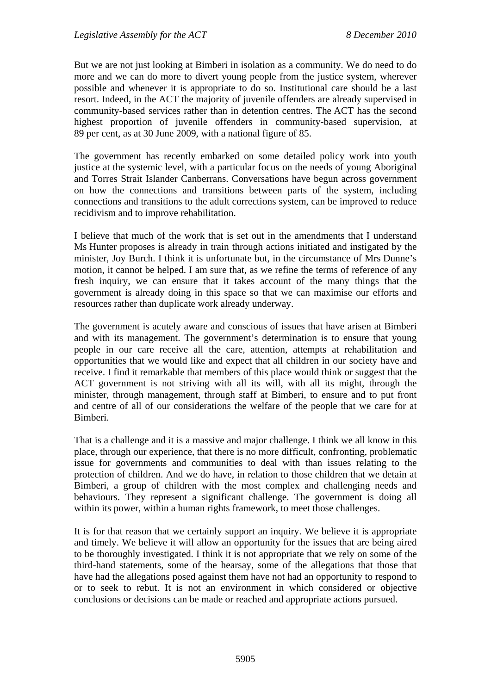But we are not just looking at Bimberi in isolation as a community. We do need to do more and we can do more to divert young people from the justice system, wherever possible and whenever it is appropriate to do so. Institutional care should be a last resort. Indeed, in the ACT the majority of juvenile offenders are already supervised in community-based services rather than in detention centres. The ACT has the second highest proportion of juvenile offenders in community-based supervision, at 89 per cent, as at 30 June 2009, with a national figure of 85.

The government has recently embarked on some detailed policy work into youth justice at the systemic level, with a particular focus on the needs of young Aboriginal and Torres Strait Islander Canberrans. Conversations have begun across government on how the connections and transitions between parts of the system, including connections and transitions to the adult corrections system, can be improved to reduce recidivism and to improve rehabilitation.

I believe that much of the work that is set out in the amendments that I understand Ms Hunter proposes is already in train through actions initiated and instigated by the minister, Joy Burch. I think it is unfortunate but, in the circumstance of Mrs Dunne's motion, it cannot be helped. I am sure that, as we refine the terms of reference of any fresh inquiry, we can ensure that it takes account of the many things that the government is already doing in this space so that we can maximise our efforts and resources rather than duplicate work already underway.

The government is acutely aware and conscious of issues that have arisen at Bimberi and with its management. The government's determination is to ensure that young people in our care receive all the care, attention, attempts at rehabilitation and opportunities that we would like and expect that all children in our society have and receive. I find it remarkable that members of this place would think or suggest that the ACT government is not striving with all its will, with all its might, through the minister, through management, through staff at Bimberi, to ensure and to put front and centre of all of our considerations the welfare of the people that we care for at Bimberi.

That is a challenge and it is a massive and major challenge. I think we all know in this place, through our experience, that there is no more difficult, confronting, problematic issue for governments and communities to deal with than issues relating to the protection of children. And we do have, in relation to those children that we detain at Bimberi, a group of children with the most complex and challenging needs and behaviours. They represent a significant challenge. The government is doing all within its power, within a human rights framework, to meet those challenges.

It is for that reason that we certainly support an inquiry. We believe it is appropriate and timely. We believe it will allow an opportunity for the issues that are being aired to be thoroughly investigated. I think it is not appropriate that we rely on some of the third-hand statements, some of the hearsay, some of the allegations that those that have had the allegations posed against them have not had an opportunity to respond to or to seek to rebut. It is not an environment in which considered or objective conclusions or decisions can be made or reached and appropriate actions pursued.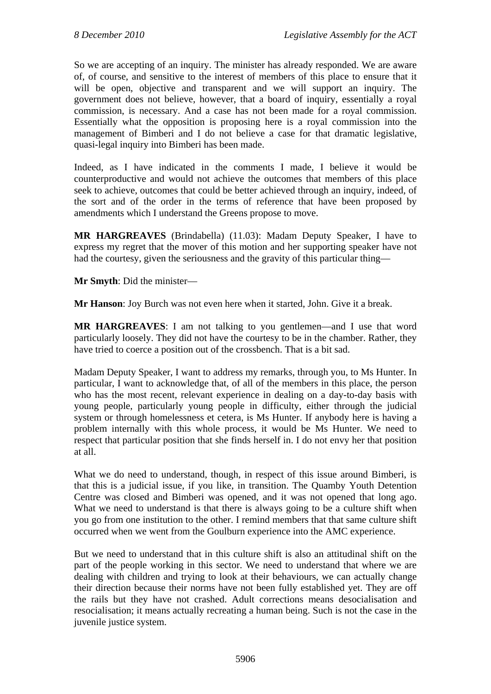So we are accepting of an inquiry. The minister has already responded. We are aware of, of course, and sensitive to the interest of members of this place to ensure that it will be open, objective and transparent and we will support an inquiry. The government does not believe, however, that a board of inquiry, essentially a royal commission, is necessary. And a case has not been made for a royal commission. Essentially what the opposition is proposing here is a royal commission into the management of Bimberi and I do not believe a case for that dramatic legislative, quasi-legal inquiry into Bimberi has been made.

Indeed, as I have indicated in the comments I made, I believe it would be counterproductive and would not achieve the outcomes that members of this place seek to achieve, outcomes that could be better achieved through an inquiry, indeed, of the sort and of the order in the terms of reference that have been proposed by amendments which I understand the Greens propose to move.

**MR HARGREAVES** (Brindabella) (11.03): Madam Deputy Speaker, I have to express my regret that the mover of this motion and her supporting speaker have not had the courtesy, given the seriousness and the gravity of this particular thing—

**Mr Smyth**: Did the minister—

**Mr Hanson**: Joy Burch was not even here when it started, John. Give it a break.

**MR HARGREAVES**: I am not talking to you gentlemen—and I use that word particularly loosely. They did not have the courtesy to be in the chamber. Rather, they have tried to coerce a position out of the crossbench. That is a bit sad.

Madam Deputy Speaker, I want to address my remarks, through you, to Ms Hunter. In particular, I want to acknowledge that, of all of the members in this place, the person who has the most recent, relevant experience in dealing on a day-to-day basis with young people, particularly young people in difficulty, either through the judicial system or through homelessness et cetera, is Ms Hunter. If anybody here is having a problem internally with this whole process, it would be Ms Hunter. We need to respect that particular position that she finds herself in. I do not envy her that position at all.

What we do need to understand, though, in respect of this issue around Bimberi, is that this is a judicial issue, if you like, in transition. The Quamby Youth Detention Centre was closed and Bimberi was opened, and it was not opened that long ago. What we need to understand is that there is always going to be a culture shift when you go from one institution to the other. I remind members that that same culture shift occurred when we went from the Goulburn experience into the AMC experience.

But we need to understand that in this culture shift is also an attitudinal shift on the part of the people working in this sector. We need to understand that where we are dealing with children and trying to look at their behaviours, we can actually change their direction because their norms have not been fully established yet. They are off the rails but they have not crashed. Adult corrections means desocialisation and resocialisation; it means actually recreating a human being. Such is not the case in the juvenile justice system.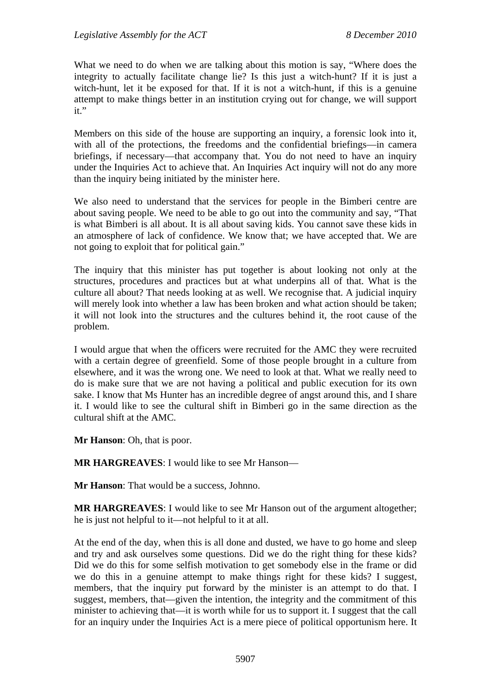What we need to do when we are talking about this motion is say, "Where does the integrity to actually facilitate change lie? Is this just a witch-hunt? If it is just a witch-hunt, let it be exposed for that. If it is not a witch-hunt, if this is a genuine attempt to make things better in an institution crying out for change, we will support it."

Members on this side of the house are supporting an inquiry, a forensic look into it, with all of the protections, the freedoms and the confidential briefings—in camera briefings, if necessary—that accompany that. You do not need to have an inquiry under the Inquiries Act to achieve that. An Inquiries Act inquiry will not do any more than the inquiry being initiated by the minister here.

We also need to understand that the services for people in the Bimberi centre are about saving people. We need to be able to go out into the community and say, "That is what Bimberi is all about. It is all about saving kids. You cannot save these kids in an atmosphere of lack of confidence. We know that; we have accepted that. We are not going to exploit that for political gain."

The inquiry that this minister has put together is about looking not only at the structures, procedures and practices but at what underpins all of that. What is the culture all about? That needs looking at as well. We recognise that. A judicial inquiry will merely look into whether a law has been broken and what action should be taken; it will not look into the structures and the cultures behind it, the root cause of the problem.

I would argue that when the officers were recruited for the AMC they were recruited with a certain degree of greenfield. Some of those people brought in a culture from elsewhere, and it was the wrong one. We need to look at that. What we really need to do is make sure that we are not having a political and public execution for its own sake. I know that Ms Hunter has an incredible degree of angst around this, and I share it. I would like to see the cultural shift in Bimberi go in the same direction as the cultural shift at the AMC.

**Mr Hanson**: Oh, that is poor.

**MR HARGREAVES**: I would like to see Mr Hanson—

**Mr Hanson**: That would be a success, Johnno.

**MR HARGREAVES**: I would like to see Mr Hanson out of the argument altogether; he is just not helpful to it—not helpful to it at all.

At the end of the day, when this is all done and dusted, we have to go home and sleep and try and ask ourselves some questions. Did we do the right thing for these kids? Did we do this for some selfish motivation to get somebody else in the frame or did we do this in a genuine attempt to make things right for these kids? I suggest, members, that the inquiry put forward by the minister is an attempt to do that. I suggest, members, that—given the intention, the integrity and the commitment of this minister to achieving that—it is worth while for us to support it. I suggest that the call for an inquiry under the Inquiries Act is a mere piece of political opportunism here. It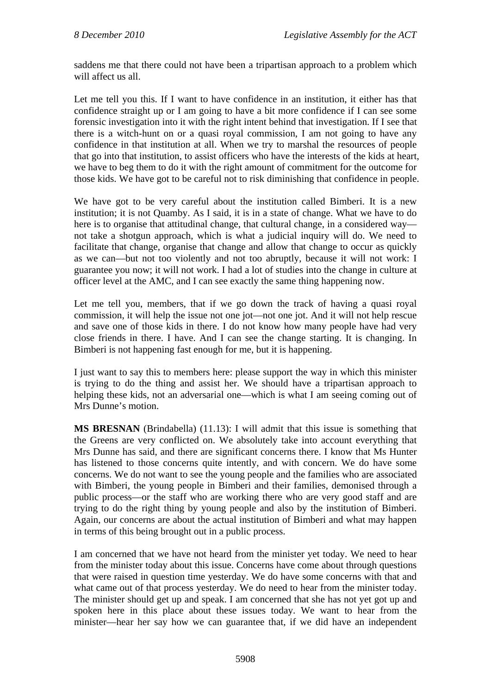saddens me that there could not have been a tripartisan approach to a problem which will affect us all.

Let me tell you this. If I want to have confidence in an institution, it either has that confidence straight up or I am going to have a bit more confidence if I can see some forensic investigation into it with the right intent behind that investigation. If I see that there is a witch-hunt on or a quasi royal commission, I am not going to have any confidence in that institution at all. When we try to marshal the resources of people that go into that institution, to assist officers who have the interests of the kids at heart, we have to beg them to do it with the right amount of commitment for the outcome for those kids. We have got to be careful not to risk diminishing that confidence in people.

We have got to be very careful about the institution called Bimberi. It is a new institution; it is not Quamby. As I said, it is in a state of change. What we have to do here is to organise that attitudinal change, that cultural change, in a considered way not take a shotgun approach, which is what a judicial inquiry will do. We need to facilitate that change, organise that change and allow that change to occur as quickly as we can—but not too violently and not too abruptly, because it will not work: I guarantee you now; it will not work. I had a lot of studies into the change in culture at officer level at the AMC, and I can see exactly the same thing happening now.

Let me tell you, members, that if we go down the track of having a quasi royal commission, it will help the issue not one jot—not one jot. And it will not help rescue and save one of those kids in there. I do not know how many people have had very close friends in there. I have. And I can see the change starting. It is changing. In Bimberi is not happening fast enough for me, but it is happening.

I just want to say this to members here: please support the way in which this minister is trying to do the thing and assist her. We should have a tripartisan approach to helping these kids, not an adversarial one—which is what I am seeing coming out of Mrs Dunne's motion.

**MS BRESNAN** (Brindabella) (11.13): I will admit that this issue is something that the Greens are very conflicted on. We absolutely take into account everything that Mrs Dunne has said, and there are significant concerns there. I know that Ms Hunter has listened to those concerns quite intently, and with concern. We do have some concerns. We do not want to see the young people and the families who are associated with Bimberi, the young people in Bimberi and their families, demonised through a public process—or the staff who are working there who are very good staff and are trying to do the right thing by young people and also by the institution of Bimberi. Again, our concerns are about the actual institution of Bimberi and what may happen in terms of this being brought out in a public process.

I am concerned that we have not heard from the minister yet today. We need to hear from the minister today about this issue. Concerns have come about through questions that were raised in question time yesterday. We do have some concerns with that and what came out of that process yesterday. We do need to hear from the minister today. The minister should get up and speak. I am concerned that she has not yet got up and spoken here in this place about these issues today. We want to hear from the minister—hear her say how we can guarantee that, if we did have an independent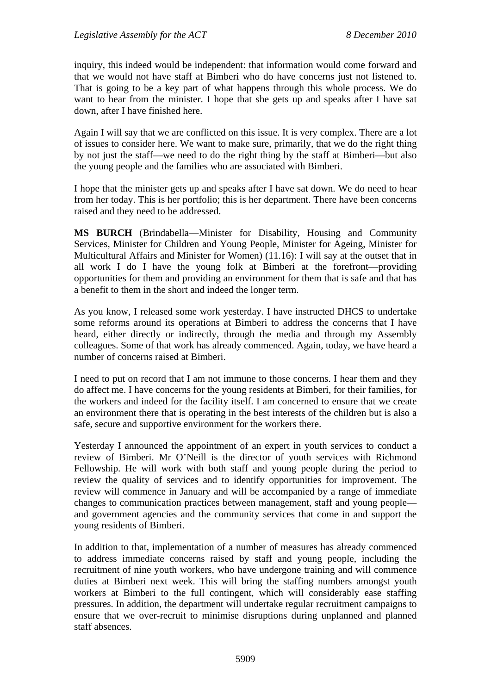inquiry, this indeed would be independent: that information would come forward and that we would not have staff at Bimberi who do have concerns just not listened to. That is going to be a key part of what happens through this whole process. We do want to hear from the minister. I hope that she gets up and speaks after I have sat down, after I have finished here.

Again I will say that we are conflicted on this issue. It is very complex. There are a lot of issues to consider here. We want to make sure, primarily, that we do the right thing by not just the staff—we need to do the right thing by the staff at Bimberi—but also the young people and the families who are associated with Bimberi.

I hope that the minister gets up and speaks after I have sat down. We do need to hear from her today. This is her portfolio; this is her department. There have been concerns raised and they need to be addressed.

**MS BURCH** (Brindabella—Minister for Disability, Housing and Community Services, Minister for Children and Young People, Minister for Ageing, Minister for Multicultural Affairs and Minister for Women) (11.16): I will say at the outset that in all work I do I have the young folk at Bimberi at the forefront—providing opportunities for them and providing an environment for them that is safe and that has a benefit to them in the short and indeed the longer term.

As you know, I released some work yesterday. I have instructed DHCS to undertake some reforms around its operations at Bimberi to address the concerns that I have heard, either directly or indirectly, through the media and through my Assembly colleagues. Some of that work has already commenced. Again, today, we have heard a number of concerns raised at Bimberi.

I need to put on record that I am not immune to those concerns. I hear them and they do affect me. I have concerns for the young residents at Bimberi, for their families, for the workers and indeed for the facility itself. I am concerned to ensure that we create an environment there that is operating in the best interests of the children but is also a safe, secure and supportive environment for the workers there.

Yesterday I announced the appointment of an expert in youth services to conduct a review of Bimberi. Mr O'Neill is the director of youth services with Richmond Fellowship. He will work with both staff and young people during the period to review the quality of services and to identify opportunities for improvement. The review will commence in January and will be accompanied by a range of immediate changes to communication practices between management, staff and young people and government agencies and the community services that come in and support the young residents of Bimberi.

In addition to that, implementation of a number of measures has already commenced to address immediate concerns raised by staff and young people, including the recruitment of nine youth workers, who have undergone training and will commence duties at Bimberi next week. This will bring the staffing numbers amongst youth workers at Bimberi to the full contingent, which will considerably ease staffing pressures. In addition, the department will undertake regular recruitment campaigns to ensure that we over-recruit to minimise disruptions during unplanned and planned staff absences.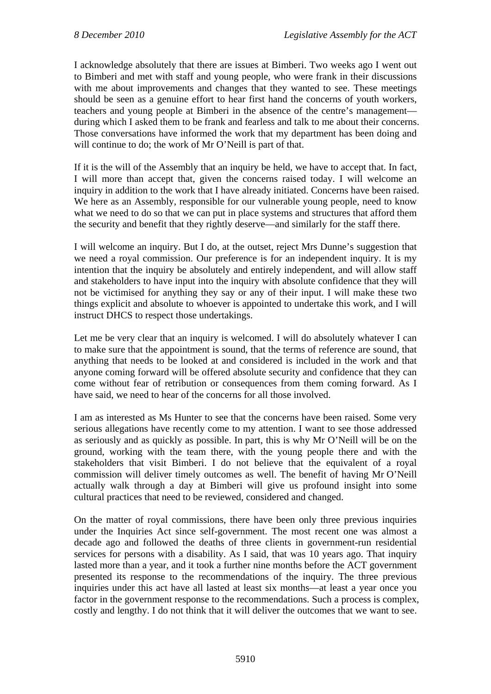I acknowledge absolutely that there are issues at Bimberi. Two weeks ago I went out to Bimberi and met with staff and young people, who were frank in their discussions with me about improvements and changes that they wanted to see. These meetings should be seen as a genuine effort to hear first hand the concerns of youth workers, teachers and young people at Bimberi in the absence of the centre's management during which I asked them to be frank and fearless and talk to me about their concerns. Those conversations have informed the work that my department has been doing and will continue to do; the work of Mr O'Neill is part of that.

If it is the will of the Assembly that an inquiry be held, we have to accept that. In fact, I will more than accept that, given the concerns raised today. I will welcome an inquiry in addition to the work that I have already initiated. Concerns have been raised. We here as an Assembly, responsible for our vulnerable young people, need to know what we need to do so that we can put in place systems and structures that afford them the security and benefit that they rightly deserve—and similarly for the staff there.

I will welcome an inquiry. But I do, at the outset, reject Mrs Dunne's suggestion that we need a royal commission. Our preference is for an independent inquiry. It is my intention that the inquiry be absolutely and entirely independent, and will allow staff and stakeholders to have input into the inquiry with absolute confidence that they will not be victimised for anything they say or any of their input. I will make these two things explicit and absolute to whoever is appointed to undertake this work, and I will instruct DHCS to respect those undertakings.

Let me be very clear that an inquiry is welcomed. I will do absolutely whatever I can to make sure that the appointment is sound, that the terms of reference are sound, that anything that needs to be looked at and considered is included in the work and that anyone coming forward will be offered absolute security and confidence that they can come without fear of retribution or consequences from them coming forward. As I have said, we need to hear of the concerns for all those involved.

I am as interested as Ms Hunter to see that the concerns have been raised. Some very serious allegations have recently come to my attention. I want to see those addressed as seriously and as quickly as possible. In part, this is why Mr O'Neill will be on the ground, working with the team there, with the young people there and with the stakeholders that visit Bimberi. I do not believe that the equivalent of a royal commission will deliver timely outcomes as well. The benefit of having Mr O'Neill actually walk through a day at Bimberi will give us profound insight into some cultural practices that need to be reviewed, considered and changed.

On the matter of royal commissions, there have been only three previous inquiries under the Inquiries Act since self-government. The most recent one was almost a decade ago and followed the deaths of three clients in government-run residential services for persons with a disability. As I said, that was 10 years ago. That inquiry lasted more than a year, and it took a further nine months before the ACT government presented its response to the recommendations of the inquiry. The three previous inquiries under this act have all lasted at least six months—at least a year once you factor in the government response to the recommendations. Such a process is complex, costly and lengthy. I do not think that it will deliver the outcomes that we want to see.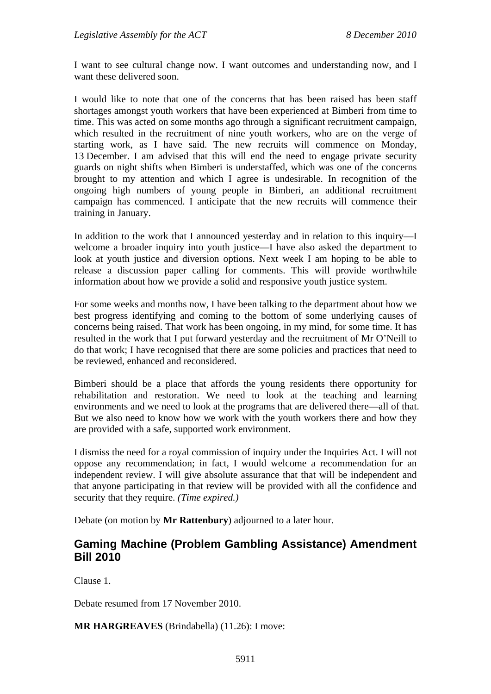I want to see cultural change now. I want outcomes and understanding now, and I want these delivered soon.

I would like to note that one of the concerns that has been raised has been staff shortages amongst youth workers that have been experienced at Bimberi from time to time. This was acted on some months ago through a significant recruitment campaign, which resulted in the recruitment of nine youth workers, who are on the verge of starting work, as I have said. The new recruits will commence on Monday, 13 December. I am advised that this will end the need to engage private security guards on night shifts when Bimberi is understaffed, which was one of the concerns brought to my attention and which I agree is undesirable. In recognition of the ongoing high numbers of young people in Bimberi, an additional recruitment campaign has commenced. I anticipate that the new recruits will commence their training in January.

In addition to the work that I announced yesterday and in relation to this inquiry—I welcome a broader inquiry into youth justice—I have also asked the department to look at youth justice and diversion options. Next week I am hoping to be able to release a discussion paper calling for comments. This will provide worthwhile information about how we provide a solid and responsive youth justice system.

For some weeks and months now, I have been talking to the department about how we best progress identifying and coming to the bottom of some underlying causes of concerns being raised. That work has been ongoing, in my mind, for some time. It has resulted in the work that I put forward yesterday and the recruitment of Mr O'Neill to do that work; I have recognised that there are some policies and practices that need to be reviewed, enhanced and reconsidered.

Bimberi should be a place that affords the young residents there opportunity for rehabilitation and restoration. We need to look at the teaching and learning environments and we need to look at the programs that are delivered there—all of that. But we also need to know how we work with the youth workers there and how they are provided with a safe, supported work environment.

I dismiss the need for a royal commission of inquiry under the Inquiries Act. I will not oppose any recommendation; in fact, I would welcome a recommendation for an independent review. I will give absolute assurance that that will be independent and that anyone participating in that review will be provided with all the confidence and security that they require. *(Time expired.)*

Debate (on motion by **Mr Rattenbury**) adjourned to a later hour.

#### <span id="page-24-0"></span>**Gaming Machine (Problem Gambling Assistance) Amendment Bill 2010**

Clause 1.

Debate resumed from 17 November 2010.

**MR HARGREAVES** (Brindabella) (11.26): I move: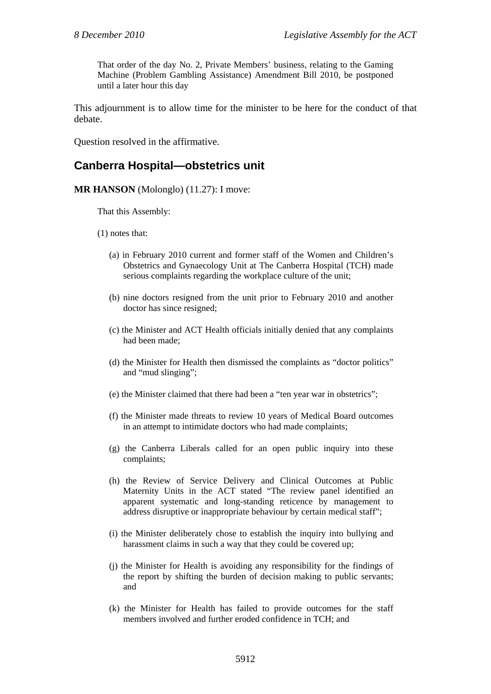That order of the day No. 2, Private Members' business, relating to the Gaming Machine (Problem Gambling Assistance) Amendment Bill 2010, be postponed until a later hour this day

This adjournment is to allow time for the minister to be here for the conduct of that debate.

Question resolved in the affirmative.

#### <span id="page-25-0"></span>**Canberra Hospital—obstetrics unit**

**MR HANSON** (Molonglo) (11.27): I move:

That this Assembly:

- (1) notes that:
	- (a) in February 2010 current and former staff of the Women and Children's Obstetrics and Gynaecology Unit at The Canberra Hospital (TCH) made serious complaints regarding the workplace culture of the unit;
	- (b) nine doctors resigned from the unit prior to February 2010 and another doctor has since resigned;
	- (c) the Minister and ACT Health officials initially denied that any complaints had been made;
	- (d) the Minister for Health then dismissed the complaints as "doctor politics" and "mud slinging";
	- (e) the Minister claimed that there had been a "ten year war in obstetrics";
	- (f) the Minister made threats to review 10 years of Medical Board outcomes in an attempt to intimidate doctors who had made complaints;
	- (g) the Canberra Liberals called for an open public inquiry into these complaints;
	- (h) the Review of Service Delivery and Clinical Outcomes at Public Maternity Units in the ACT stated "The review panel identified an apparent systematic and long-standing reticence by management to address disruptive or inappropriate behaviour by certain medical staff";
	- (i) the Minister deliberately chose to establish the inquiry into bullying and harassment claims in such a way that they could be covered up;
	- (j) the Minister for Health is avoiding any responsibility for the findings of the report by shifting the burden of decision making to public servants; and
	- (k) the Minister for Health has failed to provide outcomes for the staff members involved and further eroded confidence in TCH; and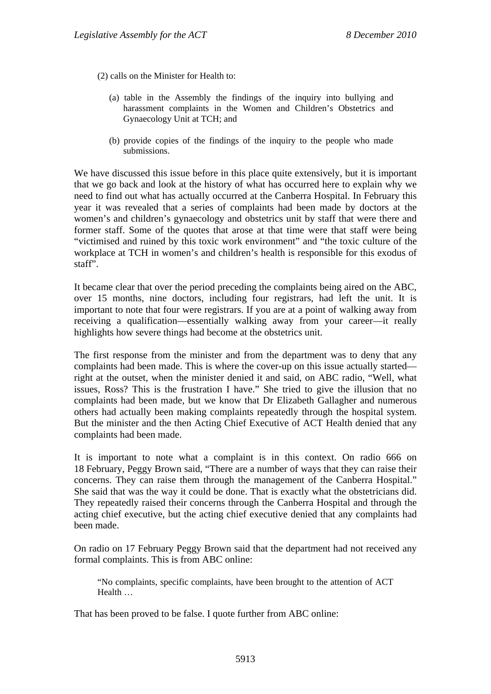(2) calls on the Minister for Health to:

- (a) table in the Assembly the findings of the inquiry into bullying and harassment complaints in the Women and Children's Obstetrics and Gynaecology Unit at TCH; and
- (b) provide copies of the findings of the inquiry to the people who made submissions.

We have discussed this issue before in this place quite extensively, but it is important that we go back and look at the history of what has occurred here to explain why we need to find out what has actually occurred at the Canberra Hospital. In February this year it was revealed that a series of complaints had been made by doctors at the women's and children's gynaecology and obstetrics unit by staff that were there and former staff. Some of the quotes that arose at that time were that staff were being "victimised and ruined by this toxic work environment" and "the toxic culture of the workplace at TCH in women's and children's health is responsible for this exodus of staff".

It became clear that over the period preceding the complaints being aired on the ABC, over 15 months, nine doctors, including four registrars, had left the unit. It is important to note that four were registrars. If you are at a point of walking away from receiving a qualification—essentially walking away from your career—it really highlights how severe things had become at the obstetrics unit.

The first response from the minister and from the department was to deny that any complaints had been made. This is where the cover-up on this issue actually started right at the outset, when the minister denied it and said, on ABC radio, "Well, what issues, Ross? This is the frustration I have." She tried to give the illusion that no complaints had been made, but we know that Dr Elizabeth Gallagher and numerous others had actually been making complaints repeatedly through the hospital system. But the minister and the then Acting Chief Executive of ACT Health denied that any complaints had been made.

It is important to note what a complaint is in this context. On radio 666 on 18 February, Peggy Brown said, "There are a number of ways that they can raise their concerns. They can raise them through the management of the Canberra Hospital." She said that was the way it could be done. That is exactly what the obstetricians did. They repeatedly raised their concerns through the Canberra Hospital and through the acting chief executive, but the acting chief executive denied that any complaints had been made.

On radio on 17 February Peggy Brown said that the department had not received any formal complaints. This is from ABC online:

"No complaints, specific complaints, have been brought to the attention of ACT Health …

That has been proved to be false. I quote further from ABC online: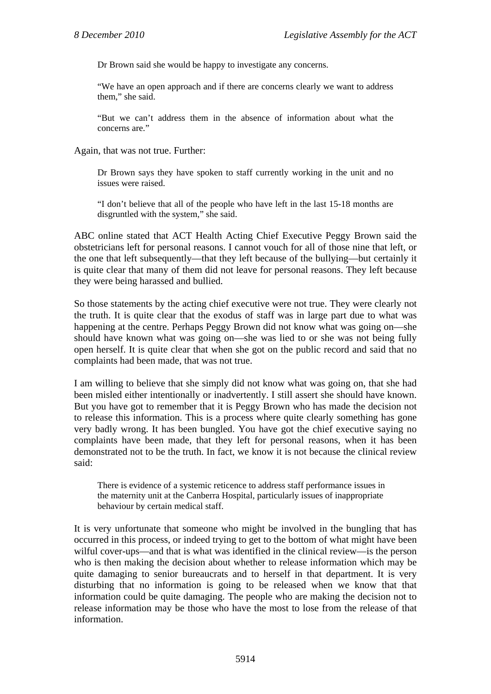Dr Brown said she would be happy to investigate any concerns.

"We have an open approach and if there are concerns clearly we want to address them," she said.

"But we can't address them in the absence of information about what the concerns are."

Again, that was not true. Further:

Dr Brown says they have spoken to staff currently working in the unit and no issues were raised.

"I don't believe that all of the people who have left in the last 15-18 months are disgruntled with the system," she said.

ABC online stated that ACT Health Acting Chief Executive Peggy Brown said the obstetricians left for personal reasons. I cannot vouch for all of those nine that left, or the one that left subsequently—that they left because of the bullying—but certainly it is quite clear that many of them did not leave for personal reasons. They left because they were being harassed and bullied.

So those statements by the acting chief executive were not true. They were clearly not the truth. It is quite clear that the exodus of staff was in large part due to what was happening at the centre. Perhaps Peggy Brown did not know what was going on—she should have known what was going on—she was lied to or she was not being fully open herself. It is quite clear that when she got on the public record and said that no complaints had been made, that was not true.

I am willing to believe that she simply did not know what was going on, that she had been misled either intentionally or inadvertently. I still assert she should have known. But you have got to remember that it is Peggy Brown who has made the decision not to release this information. This is a process where quite clearly something has gone very badly wrong. It has been bungled. You have got the chief executive saying no complaints have been made, that they left for personal reasons, when it has been demonstrated not to be the truth. In fact, we know it is not because the clinical review said:

There is evidence of a systemic reticence to address staff performance issues in the maternity unit at the Canberra Hospital, particularly issues of inappropriate behaviour by certain medical staff.

It is very unfortunate that someone who might be involved in the bungling that has occurred in this process, or indeed trying to get to the bottom of what might have been wilful cover-ups—and that is what was identified in the clinical review—is the person who is then making the decision about whether to release information which may be quite damaging to senior bureaucrats and to herself in that department. It is very disturbing that no information is going to be released when we know that that information could be quite damaging. The people who are making the decision not to release information may be those who have the most to lose from the release of that information.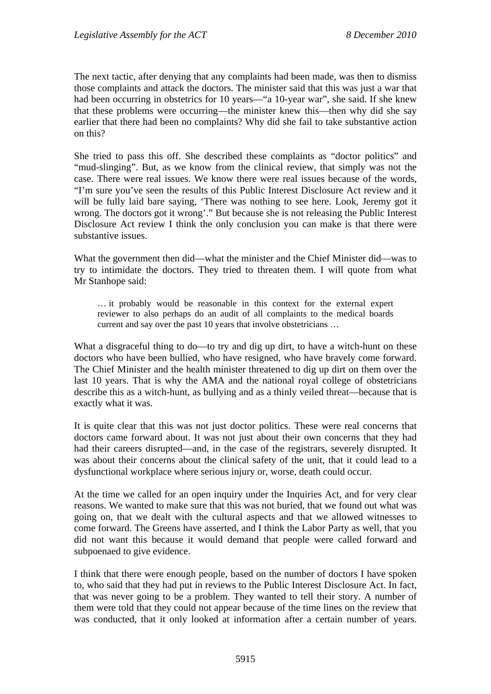The next tactic, after denying that any complaints had been made, was then to dismiss those complaints and attack the doctors. The minister said that this was just a war that had been occurring in obstetrics for 10 years—"a 10-year war", she said. If she knew that these problems were occurring—the minister knew this—then why did she say earlier that there had been no complaints? Why did she fail to take substantive action on this?

She tried to pass this off. She described these complaints as "doctor politics" and "mud-slinging". But, as we know from the clinical review, that simply was not the case. There were real issues. We know there were real issues because of the words, "I'm sure you've seen the results of this Public Interest Disclosure Act review and it will be fully laid bare saying, 'There was nothing to see here. Look, Jeremy got it wrong. The doctors got it wrong'." But because she is not releasing the Public Interest Disclosure Act review I think the only conclusion you can make is that there were substantive issues.

What the government then did—what the minister and the Chief Minister did—was to try to intimidate the doctors. They tried to threaten them. I will quote from what Mr Stanhope said:

… it probably would be reasonable in this context for the external expert reviewer to also perhaps do an audit of all complaints to the medical boards current and say over the past 10 years that involve obstetricians …

What a disgraceful thing to do—to try and dig up dirt, to have a witch-hunt on these doctors who have been bullied, who have resigned, who have bravely come forward. The Chief Minister and the health minister threatened to dig up dirt on them over the last 10 years. That is why the AMA and the national royal college of obstetricians describe this as a witch-hunt, as bullying and as a thinly veiled threat—because that is exactly what it was.

It is quite clear that this was not just doctor politics. These were real concerns that doctors came forward about. It was not just about their own concerns that they had had their careers disrupted—and, in the case of the registrars, severely disrupted. It was about their concerns about the clinical safety of the unit, that it could lead to a dysfunctional workplace where serious injury or, worse, death could occur.

At the time we called for an open inquiry under the Inquiries Act, and for very clear reasons. We wanted to make sure that this was not buried, that we found out what was going on, that we dealt with the cultural aspects and that we allowed witnesses to come forward. The Greens have asserted, and I think the Labor Party as well, that you did not want this because it would demand that people were called forward and subpoenaed to give evidence.

I think that there were enough people, based on the number of doctors I have spoken to, who said that they had put in reviews to the Public Interest Disclosure Act. In fact, that was never going to be a problem. They wanted to tell their story. A number of them were told that they could not appear because of the time lines on the review that was conducted, that it only looked at information after a certain number of years.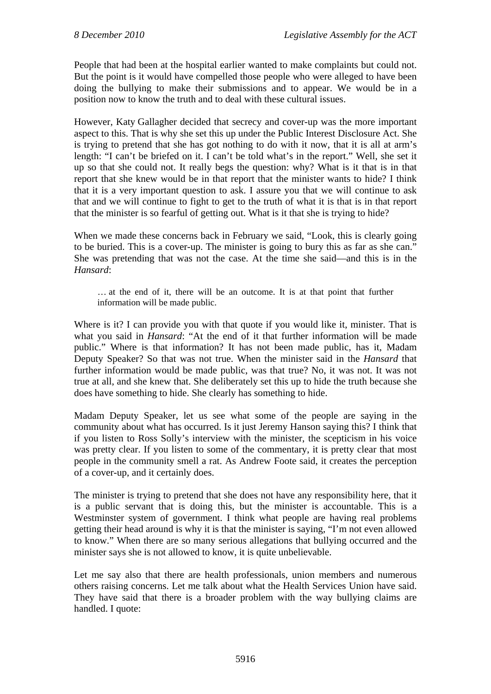People that had been at the hospital earlier wanted to make complaints but could not. But the point is it would have compelled those people who were alleged to have been doing the bullying to make their submissions and to appear. We would be in a position now to know the truth and to deal with these cultural issues.

However, Katy Gallagher decided that secrecy and cover-up was the more important aspect to this. That is why she set this up under the Public Interest Disclosure Act. She is trying to pretend that she has got nothing to do with it now, that it is all at arm's length: "I can't be briefed on it. I can't be told what's in the report." Well, she set it up so that she could not. It really begs the question: why? What is it that is in that report that she knew would be in that report that the minister wants to hide? I think that it is a very important question to ask. I assure you that we will continue to ask that and we will continue to fight to get to the truth of what it is that is in that report that the minister is so fearful of getting out. What is it that she is trying to hide?

When we made these concerns back in February we said, "Look, this is clearly going to be buried. This is a cover-up. The minister is going to bury this as far as she can." She was pretending that was not the case. At the time she said—and this is in the *Hansard*:

… at the end of it, there will be an outcome. It is at that point that further information will be made public.

Where is it? I can provide you with that quote if you would like it, minister. That is what you said in *Hansard*: "At the end of it that further information will be made public." Where is that information? It has not been made public, has it, Madam Deputy Speaker? So that was not true. When the minister said in the *Hansard* that further information would be made public, was that true? No, it was not. It was not true at all, and she knew that. She deliberately set this up to hide the truth because she does have something to hide. She clearly has something to hide.

Madam Deputy Speaker, let us see what some of the people are saying in the community about what has occurred. Is it just Jeremy Hanson saying this? I think that if you listen to Ross Solly's interview with the minister, the scepticism in his voice was pretty clear. If you listen to some of the commentary, it is pretty clear that most people in the community smell a rat. As Andrew Foote said, it creates the perception of a cover-up, and it certainly does.

The minister is trying to pretend that she does not have any responsibility here, that it is a public servant that is doing this, but the minister is accountable. This is a Westminster system of government. I think what people are having real problems getting their head around is why it is that the minister is saying, "I'm not even allowed to know." When there are so many serious allegations that bullying occurred and the minister says she is not allowed to know, it is quite unbelievable.

Let me say also that there are health professionals, union members and numerous others raising concerns. Let me talk about what the Health Services Union have said. They have said that there is a broader problem with the way bullying claims are handled. I quote: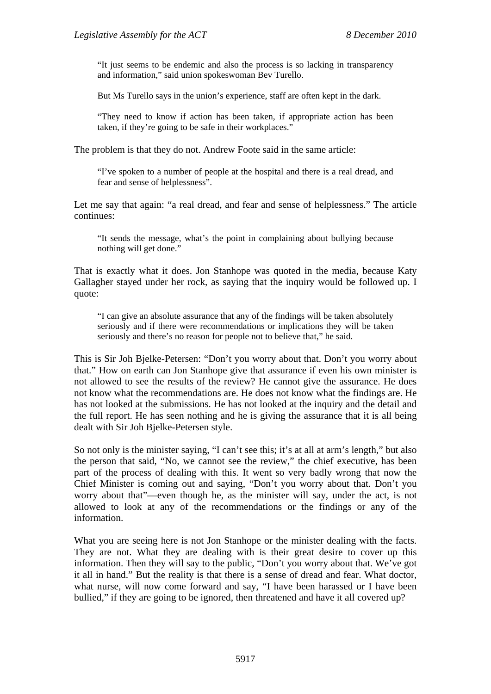"It just seems to be endemic and also the process is so lacking in transparency and information," said union spokeswoman Bev Turello.

But Ms Turello says in the union's experience, staff are often kept in the dark.

"They need to know if action has been taken, if appropriate action has been taken, if they're going to be safe in their workplaces."

The problem is that they do not. Andrew Foote said in the same article:

"I've spoken to a number of people at the hospital and there is a real dread, and fear and sense of helplessness".

Let me say that again: "a real dread, and fear and sense of helplessness." The article continues:

"It sends the message, what's the point in complaining about bullying because nothing will get done."

That is exactly what it does. Jon Stanhope was quoted in the media, because Katy Gallagher stayed under her rock, as saying that the inquiry would be followed up. I quote:

"I can give an absolute assurance that any of the findings will be taken absolutely seriously and if there were recommendations or implications they will be taken seriously and there's no reason for people not to believe that," he said.

This is Sir Joh Bjelke-Petersen: "Don't you worry about that. Don't you worry about that." How on earth can Jon Stanhope give that assurance if even his own minister is not allowed to see the results of the review? He cannot give the assurance. He does not know what the recommendations are. He does not know what the findings are. He has not looked at the submissions. He has not looked at the inquiry and the detail and the full report. He has seen nothing and he is giving the assurance that it is all being dealt with Sir Joh Bjelke-Petersen style.

So not only is the minister saying, "I can't see this; it's at all at arm's length," but also the person that said, "No, we cannot see the review," the chief executive, has been part of the process of dealing with this. It went so very badly wrong that now the Chief Minister is coming out and saying, "Don't you worry about that. Don't you worry about that"—even though he, as the minister will say, under the act, is not allowed to look at any of the recommendations or the findings or any of the information.

What you are seeing here is not Jon Stanhope or the minister dealing with the facts. They are not. What they are dealing with is their great desire to cover up this information. Then they will say to the public, "Don't you worry about that. We've got it all in hand." But the reality is that there is a sense of dread and fear. What doctor, what nurse, will now come forward and say, "I have been harassed or I have been bullied," if they are going to be ignored, then threatened and have it all covered up?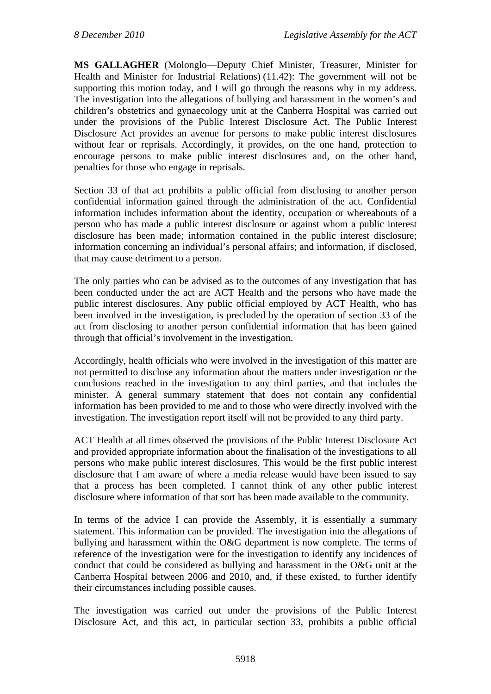**MS GALLAGHER** (Molonglo—Deputy Chief Minister, Treasurer, Minister for Health and Minister for Industrial Relations) (11.42): The government will not be supporting this motion today, and I will go through the reasons why in my address. The investigation into the allegations of bullying and harassment in the women's and children's obstetrics and gynaecology unit at the Canberra Hospital was carried out under the provisions of the Public Interest Disclosure Act. The Public Interest Disclosure Act provides an avenue for persons to make public interest disclosures without fear or reprisals. Accordingly, it provides, on the one hand, protection to encourage persons to make public interest disclosures and, on the other hand, penalties for those who engage in reprisals.

Section 33 of that act prohibits a public official from disclosing to another person confidential information gained through the administration of the act. Confidential information includes information about the identity, occupation or whereabouts of a person who has made a public interest disclosure or against whom a public interest disclosure has been made; information contained in the public interest disclosure; information concerning an individual's personal affairs; and information, if disclosed, that may cause detriment to a person.

The only parties who can be advised as to the outcomes of any investigation that has been conducted under the act are ACT Health and the persons who have made the public interest disclosures. Any public official employed by ACT Health, who has been involved in the investigation, is precluded by the operation of section 33 of the act from disclosing to another person confidential information that has been gained through that official's involvement in the investigation.

Accordingly, health officials who were involved in the investigation of this matter are not permitted to disclose any information about the matters under investigation or the conclusions reached in the investigation to any third parties, and that includes the minister. A general summary statement that does not contain any confidential information has been provided to me and to those who were directly involved with the investigation. The investigation report itself will not be provided to any third party.

ACT Health at all times observed the provisions of the Public Interest Disclosure Act and provided appropriate information about the finalisation of the investigations to all persons who make public interest disclosures. This would be the first public interest disclosure that I am aware of where a media release would have been issued to say that a process has been completed. I cannot think of any other public interest disclosure where information of that sort has been made available to the community.

In terms of the advice I can provide the Assembly, it is essentially a summary statement. This information can be provided. The investigation into the allegations of bullying and harassment within the O&G department is now complete. The terms of reference of the investigation were for the investigation to identify any incidences of conduct that could be considered as bullying and harassment in the O&G unit at the Canberra Hospital between 2006 and 2010, and, if these existed, to further identify their circumstances including possible causes.

The investigation was carried out under the provisions of the Public Interest Disclosure Act, and this act, in particular section 33, prohibits a public official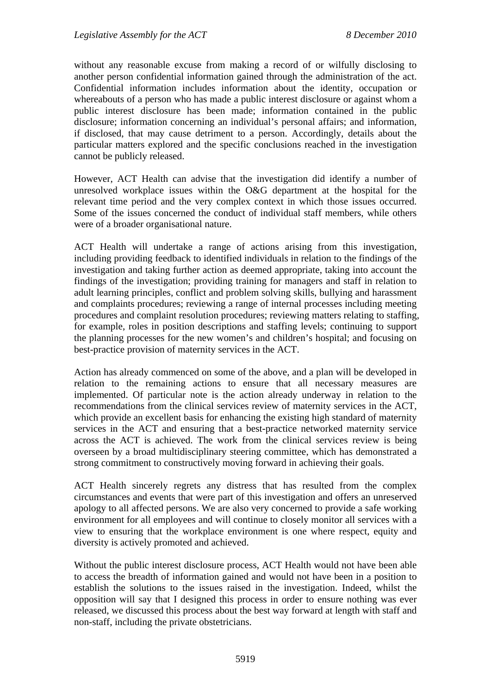without any reasonable excuse from making a record of or wilfully disclosing to another person confidential information gained through the administration of the act. Confidential information includes information about the identity, occupation or whereabouts of a person who has made a public interest disclosure or against whom a public interest disclosure has been made; information contained in the public disclosure; information concerning an individual's personal affairs; and information, if disclosed, that may cause detriment to a person. Accordingly, details about the particular matters explored and the specific conclusions reached in the investigation cannot be publicly released.

However, ACT Health can advise that the investigation did identify a number of unresolved workplace issues within the O&G department at the hospital for the relevant time period and the very complex context in which those issues occurred. Some of the issues concerned the conduct of individual staff members, while others were of a broader organisational nature.

ACT Health will undertake a range of actions arising from this investigation, including providing feedback to identified individuals in relation to the findings of the investigation and taking further action as deemed appropriate, taking into account the findings of the investigation; providing training for managers and staff in relation to adult learning principles, conflict and problem solving skills, bullying and harassment and complaints procedures; reviewing a range of internal processes including meeting procedures and complaint resolution procedures; reviewing matters relating to staffing, for example, roles in position descriptions and staffing levels; continuing to support the planning processes for the new women's and children's hospital; and focusing on best-practice provision of maternity services in the ACT.

Action has already commenced on some of the above, and a plan will be developed in relation to the remaining actions to ensure that all necessary measures are implemented. Of particular note is the action already underway in relation to the recommendations from the clinical services review of maternity services in the ACT, which provide an excellent basis for enhancing the existing high standard of maternity services in the ACT and ensuring that a best-practice networked maternity service across the ACT is achieved. The work from the clinical services review is being overseen by a broad multidisciplinary steering committee, which has demonstrated a strong commitment to constructively moving forward in achieving their goals.

ACT Health sincerely regrets any distress that has resulted from the complex circumstances and events that were part of this investigation and offers an unreserved apology to all affected persons. We are also very concerned to provide a safe working environment for all employees and will continue to closely monitor all services with a view to ensuring that the workplace environment is one where respect, equity and diversity is actively promoted and achieved.

Without the public interest disclosure process, ACT Health would not have been able to access the breadth of information gained and would not have been in a position to establish the solutions to the issues raised in the investigation. Indeed, whilst the opposition will say that I designed this process in order to ensure nothing was ever released, we discussed this process about the best way forward at length with staff and non-staff, including the private obstetricians.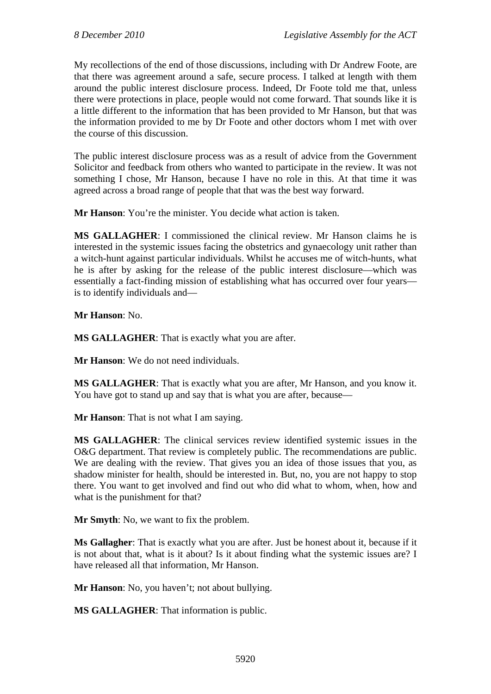My recollections of the end of those discussions, including with Dr Andrew Foote, are that there was agreement around a safe, secure process. I talked at length with them around the public interest disclosure process. Indeed, Dr Foote told me that, unless there were protections in place, people would not come forward. That sounds like it is a little different to the information that has been provided to Mr Hanson, but that was the information provided to me by Dr Foote and other doctors whom I met with over the course of this discussion.

The public interest disclosure process was as a result of advice from the Government Solicitor and feedback from others who wanted to participate in the review. It was not something I chose, Mr Hanson, because I have no role in this. At that time it was agreed across a broad range of people that that was the best way forward.

**Mr Hanson**: You're the minister. You decide what action is taken.

**MS GALLAGHER**: I commissioned the clinical review. Mr Hanson claims he is interested in the systemic issues facing the obstetrics and gynaecology unit rather than a witch-hunt against particular individuals. Whilst he accuses me of witch-hunts, what he is after by asking for the release of the public interest disclosure—which was essentially a fact-finding mission of establishing what has occurred over four years is to identify individuals and—

**Mr Hanson**: No.

**MS GALLAGHER**: That is exactly what you are after.

**Mr Hanson**: We do not need individuals.

**MS GALLAGHER**: That is exactly what you are after, Mr Hanson, and you know it. You have got to stand up and say that is what you are after, because—

**Mr Hanson**: That is not what I am saying.

**MS GALLAGHER**: The clinical services review identified systemic issues in the O&G department. That review is completely public. The recommendations are public. We are dealing with the review. That gives you an idea of those issues that you, as shadow minister for health, should be interested in. But, no, you are not happy to stop there. You want to get involved and find out who did what to whom, when, how and what is the punishment for that?

**Mr Smyth**: No, we want to fix the problem.

**Ms Gallagher**: That is exactly what you are after. Just be honest about it, because if it is not about that, what is it about? Is it about finding what the systemic issues are? I have released all that information, Mr Hanson.

**Mr Hanson**: No, you haven't; not about bullying.

**MS GALLAGHER**: That information is public.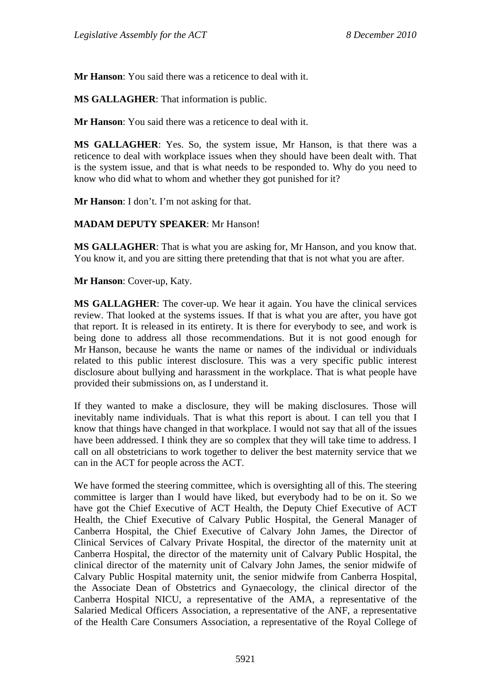**Mr Hanson**: You said there was a reticence to deal with it.

**MS GALLAGHER**: That information is public.

**Mr Hanson**: You said there was a reticence to deal with it.

**MS GALLAGHER**: Yes. So, the system issue, Mr Hanson, is that there was a reticence to deal with workplace issues when they should have been dealt with. That is the system issue, and that is what needs to be responded to. Why do you need to know who did what to whom and whether they got punished for it?

**Mr Hanson**: I don't. I'm not asking for that.

#### **MADAM DEPUTY SPEAKER**: Mr Hanson!

**MS GALLAGHER**: That is what you are asking for, Mr Hanson, and you know that. You know it, and you are sitting there pretending that that is not what you are after.

**Mr Hanson**: Cover-up, Katy.

**MS GALLAGHER**: The cover-up. We hear it again. You have the clinical services review. That looked at the systems issues. If that is what you are after, you have got that report. It is released in its entirety. It is there for everybody to see, and work is being done to address all those recommendations. But it is not good enough for Mr Hanson, because he wants the name or names of the individual or individuals related to this public interest disclosure. This was a very specific public interest disclosure about bullying and harassment in the workplace. That is what people have provided their submissions on, as I understand it.

If they wanted to make a disclosure, they will be making disclosures. Those will inevitably name individuals. That is what this report is about. I can tell you that I know that things have changed in that workplace. I would not say that all of the issues have been addressed. I think they are so complex that they will take time to address. I call on all obstetricians to work together to deliver the best maternity service that we can in the ACT for people across the ACT.

We have formed the steering committee, which is oversighting all of this. The steering committee is larger than I would have liked, but everybody had to be on it. So we have got the Chief Executive of ACT Health, the Deputy Chief Executive of ACT Health, the Chief Executive of Calvary Public Hospital, the General Manager of Canberra Hospital, the Chief Executive of Calvary John James, the Director of Clinical Services of Calvary Private Hospital, the director of the maternity unit at Canberra Hospital, the director of the maternity unit of Calvary Public Hospital, the clinical director of the maternity unit of Calvary John James, the senior midwife of Calvary Public Hospital maternity unit, the senior midwife from Canberra Hospital, the Associate Dean of Obstetrics and Gynaecology, the clinical director of the Canberra Hospital NICU, a representative of the AMA, a representative of the Salaried Medical Officers Association, a representative of the ANF, a representative of the Health Care Consumers Association, a representative of the Royal College of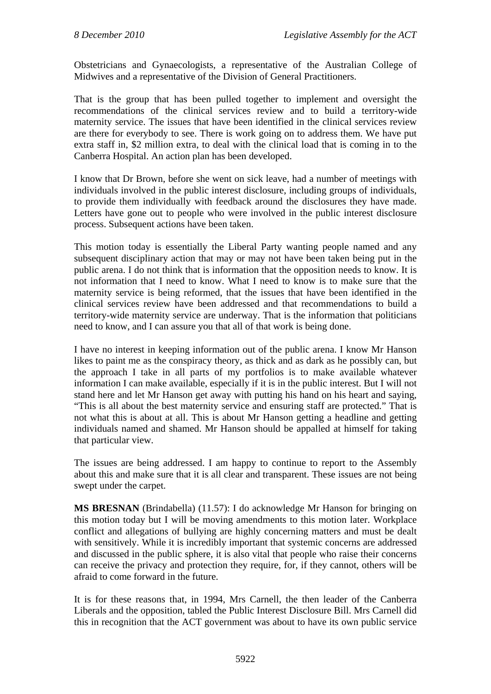Obstetricians and Gynaecologists, a representative of the Australian College of Midwives and a representative of the Division of General Practitioners.

That is the group that has been pulled together to implement and oversight the recommendations of the clinical services review and to build a territory-wide maternity service. The issues that have been identified in the clinical services review are there for everybody to see. There is work going on to address them. We have put extra staff in, \$2 million extra, to deal with the clinical load that is coming in to the Canberra Hospital. An action plan has been developed.

I know that Dr Brown, before she went on sick leave, had a number of meetings with individuals involved in the public interest disclosure, including groups of individuals, to provide them individually with feedback around the disclosures they have made. Letters have gone out to people who were involved in the public interest disclosure process. Subsequent actions have been taken.

This motion today is essentially the Liberal Party wanting people named and any subsequent disciplinary action that may or may not have been taken being put in the public arena. I do not think that is information that the opposition needs to know. It is not information that I need to know. What I need to know is to make sure that the maternity service is being reformed, that the issues that have been identified in the clinical services review have been addressed and that recommendations to build a territory-wide maternity service are underway. That is the information that politicians need to know, and I can assure you that all of that work is being done.

I have no interest in keeping information out of the public arena. I know Mr Hanson likes to paint me as the conspiracy theory, as thick and as dark as he possibly can, but the approach I take in all parts of my portfolios is to make available whatever information I can make available, especially if it is in the public interest. But I will not stand here and let Mr Hanson get away with putting his hand on his heart and saying, "This is all about the best maternity service and ensuring staff are protected." That is not what this is about at all. This is about Mr Hanson getting a headline and getting individuals named and shamed. Mr Hanson should be appalled at himself for taking that particular view.

The issues are being addressed. I am happy to continue to report to the Assembly about this and make sure that it is all clear and transparent. These issues are not being swept under the carpet.

**MS BRESNAN** (Brindabella) (11.57): I do acknowledge Mr Hanson for bringing on this motion today but I will be moving amendments to this motion later. Workplace conflict and allegations of bullying are highly concerning matters and must be dealt with sensitively. While it is incredibly important that systemic concerns are addressed and discussed in the public sphere, it is also vital that people who raise their concerns can receive the privacy and protection they require, for, if they cannot, others will be afraid to come forward in the future.

It is for these reasons that, in 1994, Mrs Carnell, the then leader of the Canberra Liberals and the opposition, tabled the Public Interest Disclosure Bill. Mrs Carnell did this in recognition that the ACT government was about to have its own public service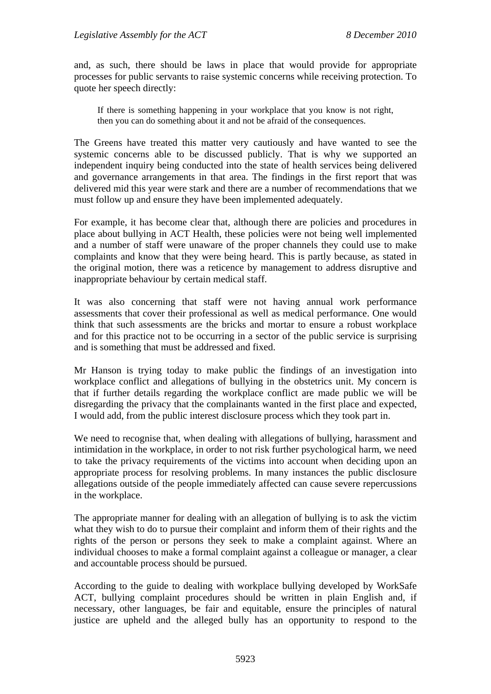and, as such, there should be laws in place that would provide for appropriate processes for public servants to raise systemic concerns while receiving protection. To quote her speech directly:

If there is something happening in your workplace that you know is not right, then you can do something about it and not be afraid of the consequences.

The Greens have treated this matter very cautiously and have wanted to see the systemic concerns able to be discussed publicly. That is why we supported an independent inquiry being conducted into the state of health services being delivered and governance arrangements in that area. The findings in the first report that was delivered mid this year were stark and there are a number of recommendations that we must follow up and ensure they have been implemented adequately.

For example, it has become clear that, although there are policies and procedures in place about bullying in ACT Health, these policies were not being well implemented and a number of staff were unaware of the proper channels they could use to make complaints and know that they were being heard. This is partly because, as stated in the original motion, there was a reticence by management to address disruptive and inappropriate behaviour by certain medical staff.

It was also concerning that staff were not having annual work performance assessments that cover their professional as well as medical performance. One would think that such assessments are the bricks and mortar to ensure a robust workplace and for this practice not to be occurring in a sector of the public service is surprising and is something that must be addressed and fixed.

Mr Hanson is trying today to make public the findings of an investigation into workplace conflict and allegations of bullying in the obstetrics unit. My concern is that if further details regarding the workplace conflict are made public we will be disregarding the privacy that the complainants wanted in the first place and expected, I would add, from the public interest disclosure process which they took part in.

We need to recognise that, when dealing with allegations of bullying, harassment and intimidation in the workplace, in order to not risk further psychological harm, we need to take the privacy requirements of the victims into account when deciding upon an appropriate process for resolving problems. In many instances the public disclosure allegations outside of the people immediately affected can cause severe repercussions in the workplace.

The appropriate manner for dealing with an allegation of bullying is to ask the victim what they wish to do to pursue their complaint and inform them of their rights and the rights of the person or persons they seek to make a complaint against. Where an individual chooses to make a formal complaint against a colleague or manager, a clear and accountable process should be pursued.

According to the guide to dealing with workplace bullying developed by WorkSafe ACT, bullying complaint procedures should be written in plain English and, if necessary, other languages, be fair and equitable, ensure the principles of natural justice are upheld and the alleged bully has an opportunity to respond to the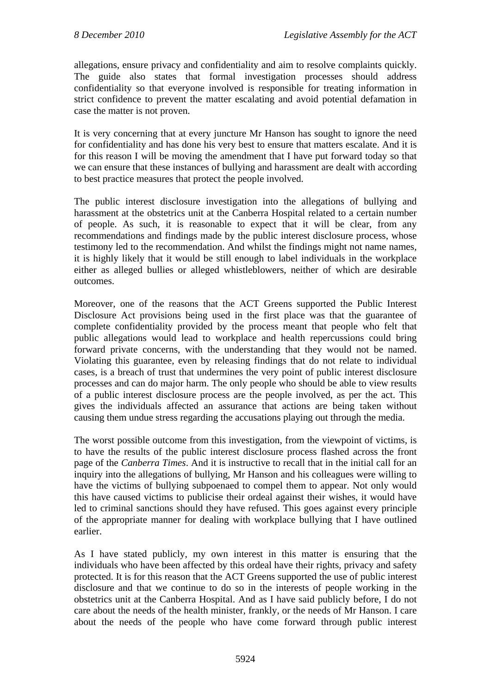allegations, ensure privacy and confidentiality and aim to resolve complaints quickly. The guide also states that formal investigation processes should address confidentiality so that everyone involved is responsible for treating information in strict confidence to prevent the matter escalating and avoid potential defamation in case the matter is not proven.

It is very concerning that at every juncture Mr Hanson has sought to ignore the need for confidentiality and has done his very best to ensure that matters escalate. And it is for this reason I will be moving the amendment that I have put forward today so that we can ensure that these instances of bullying and harassment are dealt with according to best practice measures that protect the people involved.

The public interest disclosure investigation into the allegations of bullying and harassment at the obstetrics unit at the Canberra Hospital related to a certain number of people. As such, it is reasonable to expect that it will be clear, from any recommendations and findings made by the public interest disclosure process, whose testimony led to the recommendation. And whilst the findings might not name names, it is highly likely that it would be still enough to label individuals in the workplace either as alleged bullies or alleged whistleblowers, neither of which are desirable outcomes.

Moreover, one of the reasons that the ACT Greens supported the Public Interest Disclosure Act provisions being used in the first place was that the guarantee of complete confidentiality provided by the process meant that people who felt that public allegations would lead to workplace and health repercussions could bring forward private concerns, with the understanding that they would not be named. Violating this guarantee, even by releasing findings that do not relate to individual cases, is a breach of trust that undermines the very point of public interest disclosure processes and can do major harm. The only people who should be able to view results of a public interest disclosure process are the people involved, as per the act. This gives the individuals affected an assurance that actions are being taken without causing them undue stress regarding the accusations playing out through the media.

The worst possible outcome from this investigation, from the viewpoint of victims, is to have the results of the public interest disclosure process flashed across the front page of the *Canberra Times*. And it is instructive to recall that in the initial call for an inquiry into the allegations of bullying, Mr Hanson and his colleagues were willing to have the victims of bullying subpoenaed to compel them to appear. Not only would this have caused victims to publicise their ordeal against their wishes, it would have led to criminal sanctions should they have refused. This goes against every principle of the appropriate manner for dealing with workplace bullying that I have outlined earlier.

As I have stated publicly, my own interest in this matter is ensuring that the individuals who have been affected by this ordeal have their rights, privacy and safety protected. It is for this reason that the ACT Greens supported the use of public interest disclosure and that we continue to do so in the interests of people working in the obstetrics unit at the Canberra Hospital. And as I have said publicly before, I do not care about the needs of the health minister, frankly, or the needs of Mr Hanson. I care about the needs of the people who have come forward through public interest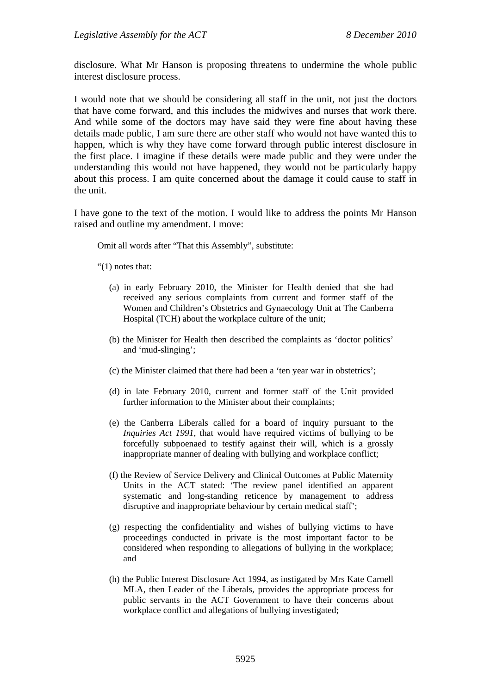disclosure. What Mr Hanson is proposing threatens to undermine the whole public interest disclosure process.

I would note that we should be considering all staff in the unit, not just the doctors that have come forward, and this includes the midwives and nurses that work there. And while some of the doctors may have said they were fine about having these details made public, I am sure there are other staff who would not have wanted this to happen, which is why they have come forward through public interest disclosure in the first place. I imagine if these details were made public and they were under the understanding this would not have happened, they would not be particularly happy about this process. I am quite concerned about the damage it could cause to staff in the unit.

I have gone to the text of the motion. I would like to address the points Mr Hanson raised and outline my amendment. I move:

Omit all words after "That this Assembly", substitute:

"(1) notes that:

- (a) in early February 2010, the Minister for Health denied that she had received any serious complaints from current and former staff of the Women and Children's Obstetrics and Gynaecology Unit at The Canberra Hospital (TCH) about the workplace culture of the unit;
- (b) the Minister for Health then described the complaints as 'doctor politics' and 'mud-slinging';
- (c) the Minister claimed that there had been a 'ten year war in obstetrics';
- (d) in late February 2010, current and former staff of the Unit provided further information to the Minister about their complaints:
- (e) the Canberra Liberals called for a board of inquiry pursuant to the *Inquiries Act 1991*, that would have required victims of bullying to be forcefully subpoenaed to testify against their will, which is a grossly inappropriate manner of dealing with bullying and workplace conflict;
- (f) the Review of Service Delivery and Clinical Outcomes at Public Maternity Units in the ACT stated: 'The review panel identified an apparent systematic and long-standing reticence by management to address disruptive and inappropriate behaviour by certain medical staff';
- (g) respecting the confidentiality and wishes of bullying victims to have proceedings conducted in private is the most important factor to be considered when responding to allegations of bullying in the workplace; and
- (h) the Public Interest Disclosure Act 1994, as instigated by Mrs Kate Carnell MLA, then Leader of the Liberals, provides the appropriate process for public servants in the ACT Government to have their concerns about workplace conflict and allegations of bullying investigated;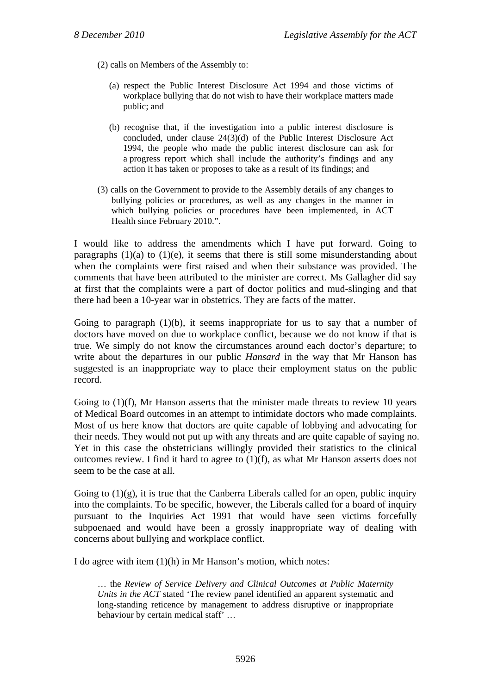(2) calls on Members of the Assembly to:

- (a) respect the Public Interest Disclosure Act 1994 and those victims of workplace bullying that do not wish to have their workplace matters made public; and
- (b) recognise that, if the investigation into a public interest disclosure is concluded, under clause 24(3)(d) of the Public Interest Disclosure Act 1994, the people who made the public interest disclosure can ask for a progress report which shall include the authority's findings and any action it has taken or proposes to take as a result of its findings; and
- (3) calls on the Government to provide to the Assembly details of any changes to bullying policies or procedures, as well as any changes in the manner in which bullying policies or procedures have been implemented, in ACT Health since February 2010.".

I would like to address the amendments which I have put forward. Going to paragraphs  $(1)(a)$  to  $(1)(e)$ , it seems that there is still some misunderstanding about when the complaints were first raised and when their substance was provided. The comments that have been attributed to the minister are correct. Ms Gallagher did say at first that the complaints were a part of doctor politics and mud-slinging and that there had been a 10-year war in obstetrics. They are facts of the matter.

Going to paragraph  $(1)(b)$ , it seems inappropriate for us to say that a number of doctors have moved on due to workplace conflict, because we do not know if that is true. We simply do not know the circumstances around each doctor's departure; to write about the departures in our public *Hansard* in the way that Mr Hanson has suggested is an inappropriate way to place their employment status on the public record.

Going to (1)(f), Mr Hanson asserts that the minister made threats to review 10 years of Medical Board outcomes in an attempt to intimidate doctors who made complaints. Most of us here know that doctors are quite capable of lobbying and advocating for their needs. They would not put up with any threats and are quite capable of saying no. Yet in this case the obstetricians willingly provided their statistics to the clinical outcomes review. I find it hard to agree to (1)(f), as what Mr Hanson asserts does not seem to be the case at all.

Going to  $(1)(g)$ , it is true that the Canberra Liberals called for an open, public inquiry into the complaints. To be specific, however, the Liberals called for a board of inquiry pursuant to the Inquiries Act 1991 that would have seen victims forcefully subpoenaed and would have been a grossly inappropriate way of dealing with concerns about bullying and workplace conflict.

I do agree with item (1)(h) in Mr Hanson's motion, which notes:

… the *Review of Service Delivery and Clinical Outcomes at Public Maternity Units in the ACT* stated 'The review panel identified an apparent systematic and long-standing reticence by management to address disruptive or inappropriate behaviour by certain medical staff' …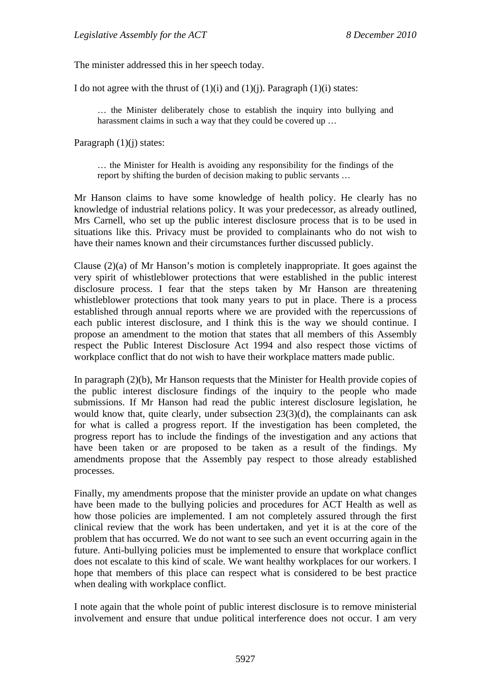The minister addressed this in her speech today.

I do not agree with the thrust of  $(1)(i)$  and  $(1)(i)$ . Paragraph  $(1)(i)$  states:

… the Minister deliberately chose to establish the inquiry into bullying and harassment claims in such a way that they could be covered up ...

Paragraph (1)(i) states:

… the Minister for Health is avoiding any responsibility for the findings of the report by shifting the burden of decision making to public servants …

Mr Hanson claims to have some knowledge of health policy. He clearly has no knowledge of industrial relations policy. It was your predecessor, as already outlined, Mrs Carnell, who set up the public interest disclosure process that is to be used in situations like this. Privacy must be provided to complainants who do not wish to have their names known and their circumstances further discussed publicly.

Clause  $(2)(a)$  of Mr Hanson's motion is completely inappropriate. It goes against the very spirit of whistleblower protections that were established in the public interest disclosure process. I fear that the steps taken by Mr Hanson are threatening whistleblower protections that took many years to put in place. There is a process established through annual reports where we are provided with the repercussions of each public interest disclosure, and I think this is the way we should continue. I propose an amendment to the motion that states that all members of this Assembly respect the Public Interest Disclosure Act 1994 and also respect those victims of workplace conflict that do not wish to have their workplace matters made public.

In paragraph (2)(b), Mr Hanson requests that the Minister for Health provide copies of the public interest disclosure findings of the inquiry to the people who made submissions. If Mr Hanson had read the public interest disclosure legislation, he would know that, quite clearly, under subsection 23(3)(d), the complainants can ask for what is called a progress report. If the investigation has been completed, the progress report has to include the findings of the investigation and any actions that have been taken or are proposed to be taken as a result of the findings. My amendments propose that the Assembly pay respect to those already established processes.

Finally, my amendments propose that the minister provide an update on what changes have been made to the bullying policies and procedures for ACT Health as well as how those policies are implemented. I am not completely assured through the first clinical review that the work has been undertaken, and yet it is at the core of the problem that has occurred. We do not want to see such an event occurring again in the future. Anti-bullying policies must be implemented to ensure that workplace conflict does not escalate to this kind of scale. We want healthy workplaces for our workers. I hope that members of this place can respect what is considered to be best practice when dealing with workplace conflict.

I note again that the whole point of public interest disclosure is to remove ministerial involvement and ensure that undue political interference does not occur. I am very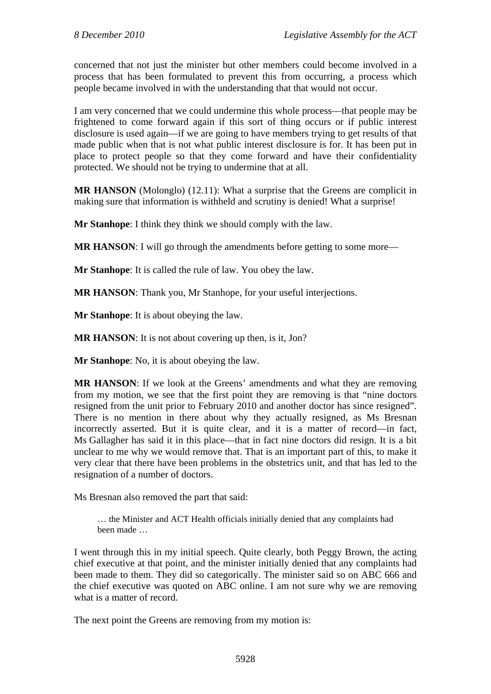concerned that not just the minister but other members could become involved in a process that has been formulated to prevent this from occurring, a process which people became involved in with the understanding that that would not occur.

I am very concerned that we could undermine this whole process—that people may be frightened to come forward again if this sort of thing occurs or if public interest disclosure is used again—if we are going to have members trying to get results of that made public when that is not what public interest disclosure is for. It has been put in place to protect people so that they come forward and have their confidentiality protected. We should not be trying to undermine that at all.

**MR HANSON** (Molonglo) (12.11): What a surprise that the Greens are complicit in making sure that information is withheld and scrutiny is denied! What a surprise!

**Mr Stanhope**: I think they think we should comply with the law.

**MR HANSON:** I will go through the amendments before getting to some more—

**Mr Stanhope**: It is called the rule of law. You obey the law.

**MR HANSON**: Thank you, Mr Stanhope, for your useful interjections.

**Mr Stanhope**: It is about obeying the law.

**MR HANSON**: It is not about covering up then, is it, Jon?

**Mr Stanhope**: No, it is about obeying the law.

**MR HANSON:** If we look at the Greens' amendments and what they are removing from my motion, we see that the first point they are removing is that "nine doctors resigned from the unit prior to February 2010 and another doctor has since resigned". There is no mention in there about why they actually resigned, as Ms Bresnan incorrectly asserted. But it is quite clear, and it is a matter of record—in fact, Ms Gallagher has said it in this place—that in fact nine doctors did resign. It is a bit unclear to me why we would remove that. That is an important part of this, to make it very clear that there have been problems in the obstetrics unit, and that has led to the resignation of a number of doctors.

Ms Bresnan also removed the part that said:

… the Minister and ACT Health officials initially denied that any complaints had been made …

I went through this in my initial speech. Quite clearly, both Peggy Brown, the acting chief executive at that point, and the minister initially denied that any complaints had been made to them. They did so categorically. The minister said so on ABC 666 and the chief executive was quoted on ABC online. I am not sure why we are removing what is a matter of record.

The next point the Greens are removing from my motion is: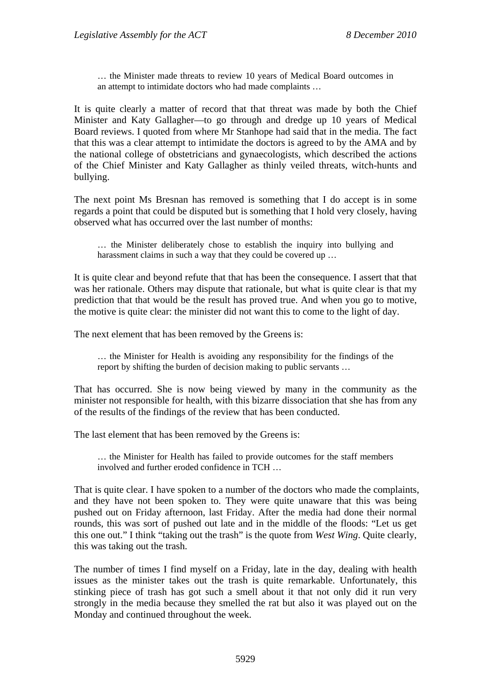… the Minister made threats to review 10 years of Medical Board outcomes in an attempt to intimidate doctors who had made complaints …

It is quite clearly a matter of record that that threat was made by both the Chief Minister and Katy Gallagher—to go through and dredge up 10 years of Medical Board reviews. I quoted from where Mr Stanhope had said that in the media. The fact that this was a clear attempt to intimidate the doctors is agreed to by the AMA and by the national college of obstetricians and gynaecologists, which described the actions of the Chief Minister and Katy Gallagher as thinly veiled threats, witch-hunts and bullying.

The next point Ms Bresnan has removed is something that I do accept is in some regards a point that could be disputed but is something that I hold very closely, having observed what has occurred over the last number of months:

… the Minister deliberately chose to establish the inquiry into bullying and harassment claims in such a way that they could be covered up …

It is quite clear and beyond refute that that has been the consequence. I assert that that was her rationale. Others may dispute that rationale, but what is quite clear is that my prediction that that would be the result has proved true. And when you go to motive, the motive is quite clear: the minister did not want this to come to the light of day.

The next element that has been removed by the Greens is:

… the Minister for Health is avoiding any responsibility for the findings of the report by shifting the burden of decision making to public servants …

That has occurred. She is now being viewed by many in the community as the minister not responsible for health, with this bizarre dissociation that she has from any of the results of the findings of the review that has been conducted.

The last element that has been removed by the Greens is:

… the Minister for Health has failed to provide outcomes for the staff members involved and further eroded confidence in TCH …

That is quite clear. I have spoken to a number of the doctors who made the complaints, and they have not been spoken to. They were quite unaware that this was being pushed out on Friday afternoon, last Friday. After the media had done their normal rounds, this was sort of pushed out late and in the middle of the floods: "Let us get this one out." I think "taking out the trash" is the quote from *West Wing*. Quite clearly, this was taking out the trash.

The number of times I find myself on a Friday, late in the day, dealing with health issues as the minister takes out the trash is quite remarkable. Unfortunately, this stinking piece of trash has got such a smell about it that not only did it run very strongly in the media because they smelled the rat but also it was played out on the Monday and continued throughout the week.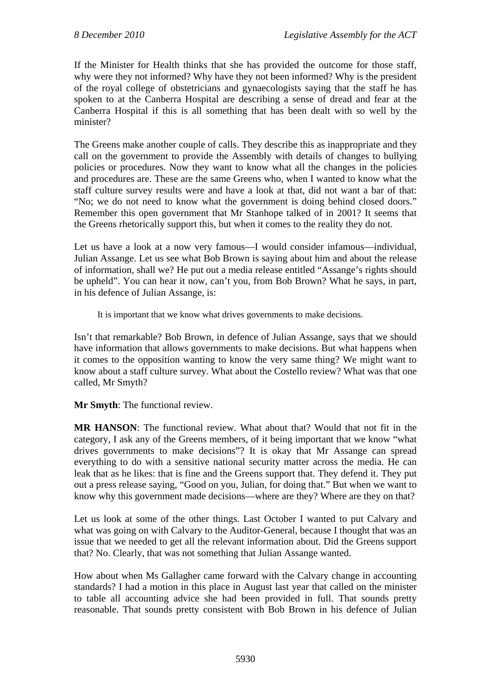If the Minister for Health thinks that she has provided the outcome for those staff, why were they not informed? Why have they not been informed? Why is the president of the royal college of obstetricians and gynaecologists saying that the staff he has spoken to at the Canberra Hospital are describing a sense of dread and fear at the Canberra Hospital if this is all something that has been dealt with so well by the minister?

The Greens make another couple of calls. They describe this as inappropriate and they call on the government to provide the Assembly with details of changes to bullying policies or procedures. Now they want to know what all the changes in the policies and procedures are. These are the same Greens who, when I wanted to know what the staff culture survey results were and have a look at that, did not want a bar of that: "No; we do not need to know what the government is doing behind closed doors." Remember this open government that Mr Stanhope talked of in 2001? It seems that the Greens rhetorically support this, but when it comes to the reality they do not.

Let us have a look at a now very famous—I would consider infamous—individual, Julian Assange. Let us see what Bob Brown is saying about him and about the release of information, shall we? He put out a media release entitled "Assange's rights should be upheld". You can hear it now, can't you, from Bob Brown? What he says, in part, in his defence of Julian Assange, is:

It is important that we know what drives governments to make decisions.

Isn't that remarkable? Bob Brown, in defence of Julian Assange, says that we should have information that allows governments to make decisions. But what happens when it comes to the opposition wanting to know the very same thing? We might want to know about a staff culture survey. What about the Costello review? What was that one called, Mr Smyth?

**Mr Smyth**: The functional review.

**MR HANSON**: The functional review. What about that? Would that not fit in the category, I ask any of the Greens members, of it being important that we know "what drives governments to make decisions"? It is okay that Mr Assange can spread everything to do with a sensitive national security matter across the media. He can leak that as he likes: that is fine and the Greens support that. They defend it. They put out a press release saying, "Good on you, Julian, for doing that." But when we want to know why this government made decisions—where are they? Where are they on that?

Let us look at some of the other things. Last October I wanted to put Calvary and what was going on with Calvary to the Auditor-General, because I thought that was an issue that we needed to get all the relevant information about. Did the Greens support that? No. Clearly, that was not something that Julian Assange wanted.

How about when Ms Gallagher came forward with the Calvary change in accounting standards? I had a motion in this place in August last year that called on the minister to table all accounting advice she had been provided in full. That sounds pretty reasonable. That sounds pretty consistent with Bob Brown in his defence of Julian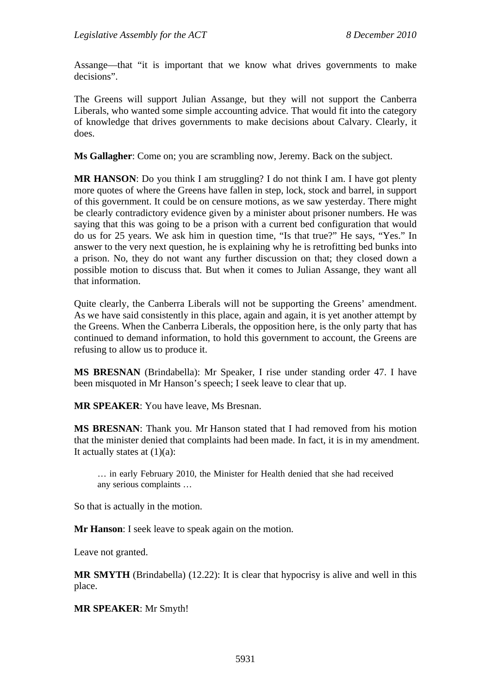Assange—that "it is important that we know what drives governments to make decisions".

The Greens will support Julian Assange, but they will not support the Canberra Liberals, who wanted some simple accounting advice. That would fit into the category of knowledge that drives governments to make decisions about Calvary. Clearly, it does.

**Ms Gallagher**: Come on; you are scrambling now, Jeremy. Back on the subject.

**MR HANSON**: Do you think I am struggling? I do not think I am. I have got plenty more quotes of where the Greens have fallen in step, lock, stock and barrel, in support of this government. It could be on censure motions, as we saw yesterday. There might be clearly contradictory evidence given by a minister about prisoner numbers. He was saying that this was going to be a prison with a current bed configuration that would do us for 25 years. We ask him in question time, "Is that true?" He says, "Yes." In answer to the very next question, he is explaining why he is retrofitting bed bunks into a prison. No, they do not want any further discussion on that; they closed down a possible motion to discuss that. But when it comes to Julian Assange, they want all that information.

Quite clearly, the Canberra Liberals will not be supporting the Greens' amendment. As we have said consistently in this place, again and again, it is yet another attempt by the Greens. When the Canberra Liberals, the opposition here, is the only party that has continued to demand information, to hold this government to account, the Greens are refusing to allow us to produce it.

**MS BRESNAN** (Brindabella): Mr Speaker, I rise under standing order 47. I have been misquoted in Mr Hanson's speech; I seek leave to clear that up.

**MR SPEAKER**: You have leave, Ms Bresnan.

**MS BRESNAN**: Thank you. Mr Hanson stated that I had removed from his motion that the minister denied that complaints had been made. In fact, it is in my amendment. It actually states at  $(1)(a)$ :

… in early February 2010, the Minister for Health denied that she had received any serious complaints …

So that is actually in the motion.

**Mr Hanson**: I seek leave to speak again on the motion.

Leave not granted.

**MR SMYTH** (Brindabella) (12.22): It is clear that hypocrisy is alive and well in this place.

**MR SPEAKER**: Mr Smyth!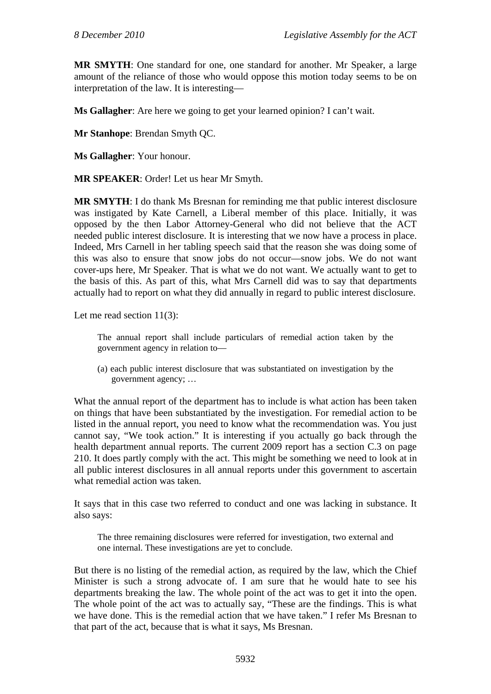**MR SMYTH**: One standard for one, one standard for another. Mr Speaker, a large amount of the reliance of those who would oppose this motion today seems to be on interpretation of the law. It is interesting—

**Ms Gallagher**: Are here we going to get your learned opinion? I can't wait.

**Mr Stanhope**: Brendan Smyth QC.

**Ms Gallagher**: Your honour.

**MR SPEAKER**: Order! Let us hear Mr Smyth.

**MR SMYTH**: I do thank Ms Bresnan for reminding me that public interest disclosure was instigated by Kate Carnell, a Liberal member of this place. Initially, it was opposed by the then Labor Attorney-General who did not believe that the ACT needed public interest disclosure. It is interesting that we now have a process in place. Indeed, Mrs Carnell in her tabling speech said that the reason she was doing some of this was also to ensure that snow jobs do not occur—snow jobs. We do not want cover-ups here, Mr Speaker. That is what we do not want. We actually want to get to the basis of this. As part of this, what Mrs Carnell did was to say that departments actually had to report on what they did annually in regard to public interest disclosure.

Let me read section 11(3):

The annual report shall include particulars of remedial action taken by the government agency in relation to—

(a) each public interest disclosure that was substantiated on investigation by the government agency; …

What the annual report of the department has to include is what action has been taken on things that have been substantiated by the investigation. For remedial action to be listed in the annual report, you need to know what the recommendation was. You just cannot say, "We took action." It is interesting if you actually go back through the health department annual reports. The current 2009 report has a section C.3 on page 210. It does partly comply with the act. This might be something we need to look at in all public interest disclosures in all annual reports under this government to ascertain what remedial action was taken.

It says that in this case two referred to conduct and one was lacking in substance. It also says:

The three remaining disclosures were referred for investigation, two external and one internal. These investigations are yet to conclude.

But there is no listing of the remedial action, as required by the law, which the Chief Minister is such a strong advocate of. I am sure that he would hate to see his departments breaking the law. The whole point of the act was to get it into the open. The whole point of the act was to actually say, "These are the findings. This is what we have done. This is the remedial action that we have taken." I refer Ms Bresnan to that part of the act, because that is what it says, Ms Bresnan.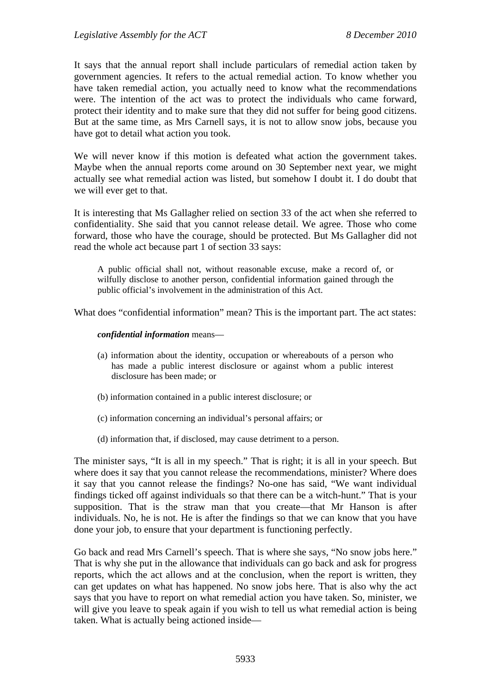It says that the annual report shall include particulars of remedial action taken by government agencies. It refers to the actual remedial action. To know whether you have taken remedial action, you actually need to know what the recommendations were. The intention of the act was to protect the individuals who came forward, protect their identity and to make sure that they did not suffer for being good citizens. But at the same time, as Mrs Carnell says, it is not to allow snow jobs, because you have got to detail what action you took.

We will never know if this motion is defeated what action the government takes. Maybe when the annual reports come around on 30 September next year, we might actually see what remedial action was listed, but somehow I doubt it. I do doubt that we will ever get to that.

It is interesting that Ms Gallagher relied on section 33 of the act when she referred to confidentiality. She said that you cannot release detail. We agree. Those who come forward, those who have the courage, should be protected. But Ms Gallagher did not read the whole act because part 1 of section 33 says:

A public official shall not, without reasonable excuse, make a record of, or wilfully disclose to another person, confidential information gained through the public official's involvement in the administration of this Act.

What does "confidential information" mean? This is the important part. The act states:

#### *confidential information* means—

- (a) information about the identity, occupation or whereabouts of a person who has made a public interest disclosure or against whom a public interest disclosure has been made; or
- (b) information contained in a public interest disclosure; or
- (c) information concerning an individual's personal affairs; or
- (d) information that, if disclosed, may cause detriment to a person.

The minister says, "It is all in my speech." That is right; it is all in your speech. But where does it say that you cannot release the recommendations, minister? Where does it say that you cannot release the findings? No-one has said, "We want individual findings ticked off against individuals so that there can be a witch-hunt." That is your supposition. That is the straw man that you create—that Mr Hanson is after individuals. No, he is not. He is after the findings so that we can know that you have done your job, to ensure that your department is functioning perfectly.

Go back and read Mrs Carnell's speech. That is where she says, "No snow jobs here." That is why she put in the allowance that individuals can go back and ask for progress reports, which the act allows and at the conclusion, when the report is written, they can get updates on what has happened. No snow jobs here. That is also why the act says that you have to report on what remedial action you have taken. So, minister, we will give you leave to speak again if you wish to tell us what remedial action is being taken. What is actually being actioned inside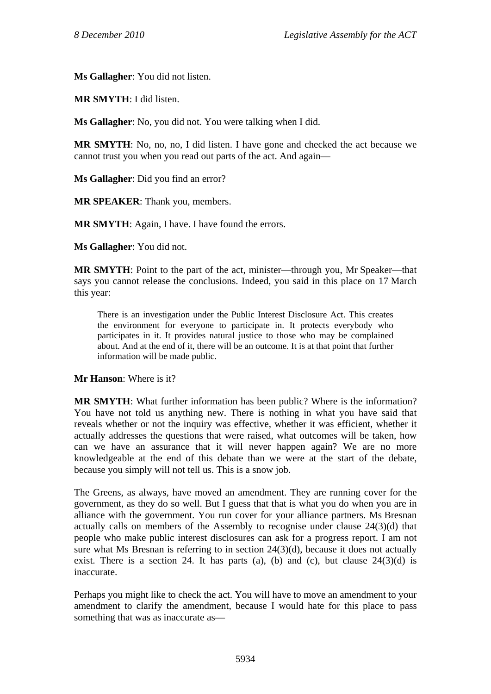**Ms Gallagher**: You did not listen.

**MR SMYTH**: I did listen.

**Ms Gallagher**: No, you did not. You were talking when I did.

**MR SMYTH**: No, no, no, I did listen. I have gone and checked the act because we cannot trust you when you read out parts of the act. And again—

**Ms Gallagher**: Did you find an error?

**MR SPEAKER**: Thank you, members.

**MR SMYTH**: Again, I have. I have found the errors.

**Ms Gallagher**: You did not.

**MR SMYTH**: Point to the part of the act, minister—through you, Mr Speaker—that says you cannot release the conclusions. Indeed, you said in this place on 17 March this year:

There is an investigation under the Public Interest Disclosure Act. This creates the environment for everyone to participate in. It protects everybody who participates in it. It provides natural justice to those who may be complained about. And at the end of it, there will be an outcome. It is at that point that further information will be made public.

**Mr Hanson**: Where is it?

**MR SMYTH**: What further information has been public? Where is the information? You have not told us anything new. There is nothing in what you have said that reveals whether or not the inquiry was effective, whether it was efficient, whether it actually addresses the questions that were raised, what outcomes will be taken, how can we have an assurance that it will never happen again? We are no more knowledgeable at the end of this debate than we were at the start of the debate, because you simply will not tell us. This is a snow job.

The Greens, as always, have moved an amendment. They are running cover for the government, as they do so well. But I guess that that is what you do when you are in alliance with the government. You run cover for your alliance partners. Ms Bresnan actually calls on members of the Assembly to recognise under clause 24(3)(d) that people who make public interest disclosures can ask for a progress report. I am not sure what Ms Bresnan is referring to in section 24(3)(d), because it does not actually exist. There is a section 24. It has parts (a), (b) and (c), but clause  $24(3)(d)$  is inaccurate.

Perhaps you might like to check the act. You will have to move an amendment to your amendment to clarify the amendment, because I would hate for this place to pass something that was as inaccurate as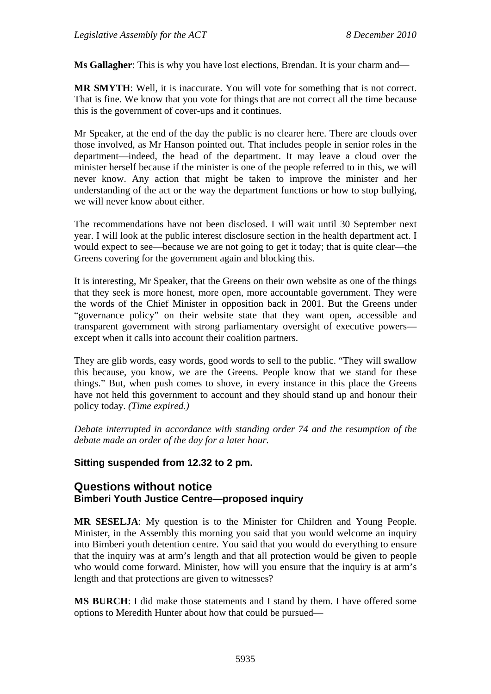**Ms Gallagher**: This is why you have lost elections, Brendan. It is your charm and—

**MR SMYTH**: Well, it is inaccurate. You will vote for something that is not correct. That is fine. We know that you vote for things that are not correct all the time because this is the government of cover-ups and it continues.

Mr Speaker, at the end of the day the public is no clearer here. There are clouds over those involved, as Mr Hanson pointed out. That includes people in senior roles in the department—indeed, the head of the department. It may leave a cloud over the minister herself because if the minister is one of the people referred to in this, we will never know. Any action that might be taken to improve the minister and her understanding of the act or the way the department functions or how to stop bullying, we will never know about either.

The recommendations have not been disclosed. I will wait until 30 September next year. I will look at the public interest disclosure section in the health department act. I would expect to see—because we are not going to get it today; that is quite clear—the Greens covering for the government again and blocking this.

It is interesting, Mr Speaker, that the Greens on their own website as one of the things that they seek is more honest, more open, more accountable government. They were the words of the Chief Minister in opposition back in 2001. But the Greens under "governance policy" on their website state that they want open, accessible and transparent government with strong parliamentary oversight of executive powers except when it calls into account their coalition partners.

They are glib words, easy words, good words to sell to the public. "They will swallow this because, you know, we are the Greens. People know that we stand for these things." But, when push comes to shove, in every instance in this place the Greens have not held this government to account and they should stand up and honour their policy today. *(Time expired.)*

*Debate interrupted in accordance with standing order 74 and the resumption of the debate made an order of the day for a later hour.* 

## **Sitting suspended from 12.32 to 2 pm.**

# **Questions without notice Bimberi Youth Justice Centre—proposed inquiry**

**MR SESELJA**: My question is to the Minister for Children and Young People. Minister, in the Assembly this morning you said that you would welcome an inquiry into Bimberi youth detention centre. You said that you would do everything to ensure that the inquiry was at arm's length and that all protection would be given to people who would come forward. Minister, how will you ensure that the inquiry is at arm's length and that protections are given to witnesses?

**MS BURCH**: I did make those statements and I stand by them. I have offered some options to Meredith Hunter about how that could be pursued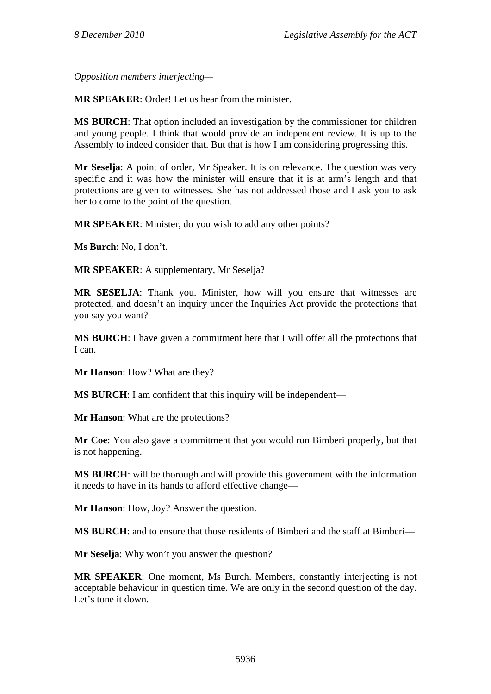*Opposition members interjecting—* 

**MR SPEAKER**: Order! Let us hear from the minister.

**MS BURCH**: That option included an investigation by the commissioner for children and young people. I think that would provide an independent review. It is up to the Assembly to indeed consider that. But that is how I am considering progressing this.

**Mr Seselja**: A point of order, Mr Speaker. It is on relevance. The question was very specific and it was how the minister will ensure that it is at arm's length and that protections are given to witnesses. She has not addressed those and I ask you to ask her to come to the point of the question.

**MR SPEAKER**: Minister, do you wish to add any other points?

**Ms Burch**: No, I don't.

**MR SPEAKER**: A supplementary, Mr Seselja?

**MR SESELJA**: Thank you. Minister, how will you ensure that witnesses are protected, and doesn't an inquiry under the Inquiries Act provide the protections that you say you want?

**MS BURCH**: I have given a commitment here that I will offer all the protections that I can.

**Mr Hanson**: How? What are they?

**MS BURCH**: I am confident that this inquiry will be independent—

**Mr Hanson**: What are the protections?

**Mr Coe**: You also gave a commitment that you would run Bimberi properly, but that is not happening.

**MS BURCH**: will be thorough and will provide this government with the information it needs to have in its hands to afford effective change—

**Mr Hanson**: How, Joy? Answer the question.

**MS BURCH:** and to ensure that those residents of Bimberi and the staff at Bimberi—

**Mr Seselja**: Why won't you answer the question?

**MR SPEAKER**: One moment, Ms Burch. Members, constantly interjecting is not acceptable behaviour in question time. We are only in the second question of the day. Let's tone it down.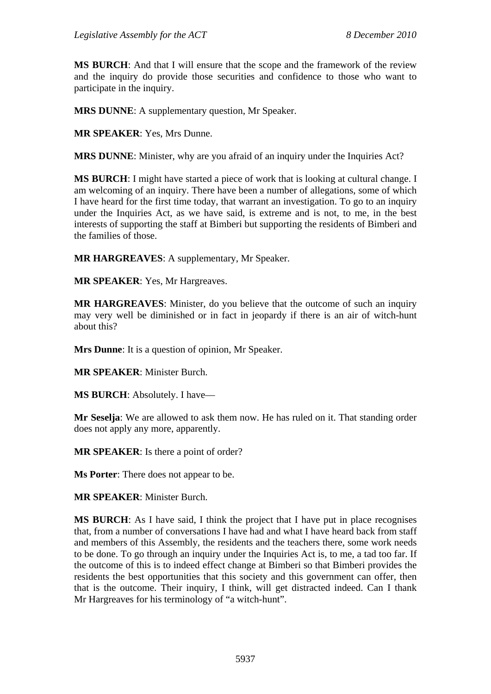**MS BURCH**: And that I will ensure that the scope and the framework of the review and the inquiry do provide those securities and confidence to those who want to participate in the inquiry.

**MRS DUNNE**: A supplementary question, Mr Speaker.

**MR SPEAKER**: Yes, Mrs Dunne.

**MRS DUNNE**: Minister, why are you afraid of an inquiry under the Inquiries Act?

**MS BURCH**: I might have started a piece of work that is looking at cultural change. I am welcoming of an inquiry. There have been a number of allegations, some of which I have heard for the first time today, that warrant an investigation. To go to an inquiry under the Inquiries Act, as we have said, is extreme and is not, to me, in the best interests of supporting the staff at Bimberi but supporting the residents of Bimberi and the families of those.

**MR HARGREAVES**: A supplementary, Mr Speaker.

**MR SPEAKER**: Yes, Mr Hargreaves.

**MR HARGREAVES**: Minister, do you believe that the outcome of such an inquiry may very well be diminished or in fact in jeopardy if there is an air of witch-hunt about this?

**Mrs Dunne**: It is a question of opinion, Mr Speaker.

**MR SPEAKER**: Minister Burch.

**MS BURCH**: Absolutely. I have—

**Mr Seselja**: We are allowed to ask them now. He has ruled on it. That standing order does not apply any more, apparently.

**MR SPEAKER**: Is there a point of order?

**Ms Porter**: There does not appear to be.

**MR SPEAKER**: Minister Burch.

**MS BURCH**: As I have said, I think the project that I have put in place recognises that, from a number of conversations I have had and what I have heard back from staff and members of this Assembly, the residents and the teachers there, some work needs to be done. To go through an inquiry under the Inquiries Act is, to me, a tad too far. If the outcome of this is to indeed effect change at Bimberi so that Bimberi provides the residents the best opportunities that this society and this government can offer, then that is the outcome. Their inquiry, I think, will get distracted indeed. Can I thank Mr Hargreaves for his terminology of "a witch-hunt".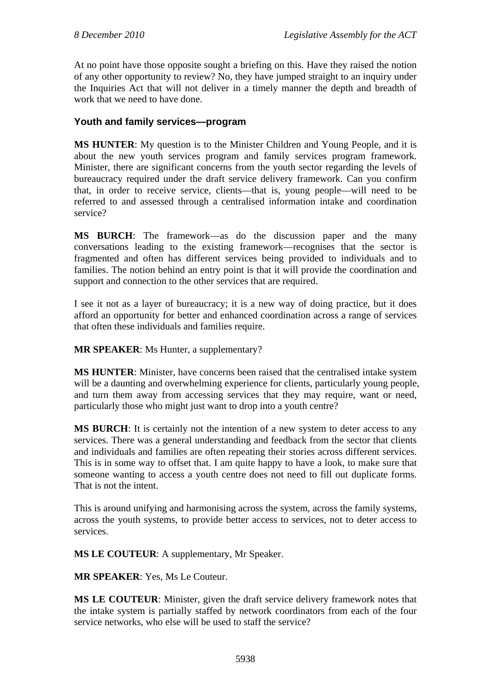At no point have those opposite sought a briefing on this. Have they raised the notion of any other opportunity to review? No, they have jumped straight to an inquiry under the Inquiries Act that will not deliver in a timely manner the depth and breadth of work that we need to have done.

## **Youth and family services—program**

**MS HUNTER**: My question is to the Minister Children and Young People, and it is about the new youth services program and family services program framework. Minister, there are significant concerns from the youth sector regarding the levels of bureaucracy required under the draft service delivery framework. Can you confirm that, in order to receive service, clients—that is, young people—will need to be referred to and assessed through a centralised information intake and coordination service?

**MS BURCH**: The framework—as do the discussion paper and the many conversations leading to the existing framework—recognises that the sector is fragmented and often has different services being provided to individuals and to families. The notion behind an entry point is that it will provide the coordination and support and connection to the other services that are required.

I see it not as a layer of bureaucracy; it is a new way of doing practice, but it does afford an opportunity for better and enhanced coordination across a range of services that often these individuals and families require.

**MR SPEAKER**: Ms Hunter, a supplementary?

**MS HUNTER**: Minister, have concerns been raised that the centralised intake system will be a daunting and overwhelming experience for clients, particularly young people, and turn them away from accessing services that they may require, want or need, particularly those who might just want to drop into a youth centre?

**MS BURCH**: It is certainly not the intention of a new system to deter access to any services. There was a general understanding and feedback from the sector that clients and individuals and families are often repeating their stories across different services. This is in some way to offset that. I am quite happy to have a look, to make sure that someone wanting to access a youth centre does not need to fill out duplicate forms. That is not the intent.

This is around unifying and harmonising across the system, across the family systems, across the youth systems, to provide better access to services, not to deter access to services.

**MS LE COUTEUR**: A supplementary, Mr Speaker.

**MR SPEAKER**: Yes, Ms Le Couteur.

**MS LE COUTEUR**: Minister, given the draft service delivery framework notes that the intake system is partially staffed by network coordinators from each of the four service networks, who else will be used to staff the service?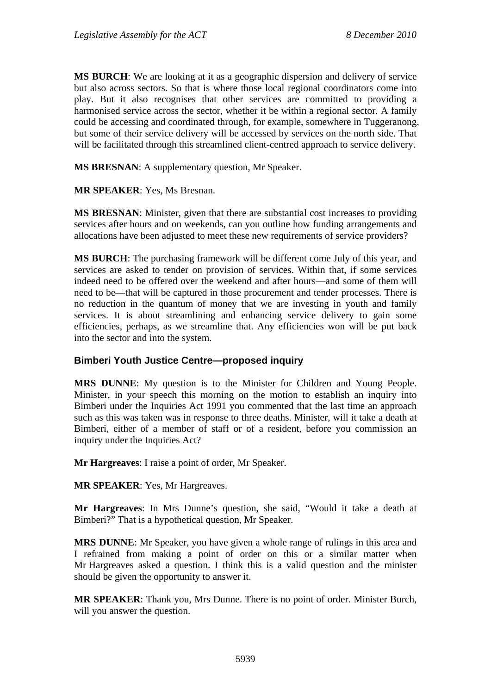**MS BURCH**: We are looking at it as a geographic dispersion and delivery of service but also across sectors. So that is where those local regional coordinators come into play. But it also recognises that other services are committed to providing a harmonised service across the sector, whether it be within a regional sector. A family could be accessing and coordinated through, for example, somewhere in Tuggeranong, but some of their service delivery will be accessed by services on the north side. That will be facilitated through this streamlined client-centred approach to service delivery.

**MS BRESNAN**: A supplementary question, Mr Speaker.

**MR SPEAKER**: Yes, Ms Bresnan.

**MS BRESNAN**: Minister, given that there are substantial cost increases to providing services after hours and on weekends, can you outline how funding arrangements and allocations have been adjusted to meet these new requirements of service providers?

**MS BURCH**: The purchasing framework will be different come July of this year, and services are asked to tender on provision of services. Within that, if some services indeed need to be offered over the weekend and after hours—and some of them will need to be—that will be captured in those procurement and tender processes. There is no reduction in the quantum of money that we are investing in youth and family services. It is about streamlining and enhancing service delivery to gain some efficiencies, perhaps, as we streamline that. Any efficiencies won will be put back into the sector and into the system.

## **Bimberi Youth Justice Centre—proposed inquiry**

**MRS DUNNE**: My question is to the Minister for Children and Young People. Minister, in your speech this morning on the motion to establish an inquiry into Bimberi under the Inquiries Act 1991 you commented that the last time an approach such as this was taken was in response to three deaths. Minister, will it take a death at Bimberi, either of a member of staff or of a resident, before you commission an inquiry under the Inquiries Act?

**Mr Hargreaves**: I raise a point of order, Mr Speaker.

**MR SPEAKER**: Yes, Mr Hargreaves.

**Mr Hargreaves**: In Mrs Dunne's question, she said, "Would it take a death at Bimberi?" That is a hypothetical question, Mr Speaker.

**MRS DUNNE**: Mr Speaker, you have given a whole range of rulings in this area and I refrained from making a point of order on this or a similar matter when Mr Hargreaves asked a question. I think this is a valid question and the minister should be given the opportunity to answer it.

**MR SPEAKER**: Thank you, Mrs Dunne. There is no point of order. Minister Burch, will you answer the question.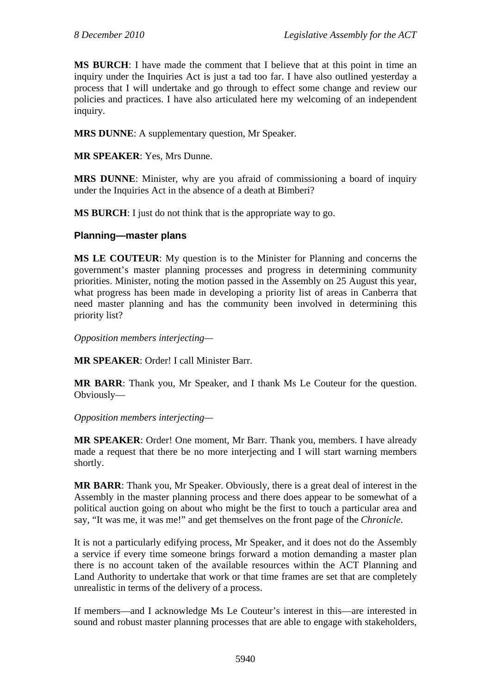**MS BURCH**: I have made the comment that I believe that at this point in time an inquiry under the Inquiries Act is just a tad too far. I have also outlined yesterday a process that I will undertake and go through to effect some change and review our policies and practices. I have also articulated here my welcoming of an independent inquiry.

**MRS DUNNE**: A supplementary question, Mr Speaker.

**MR SPEAKER**: Yes, Mrs Dunne.

**MRS DUNNE**: Minister, why are you afraid of commissioning a board of inquiry under the Inquiries Act in the absence of a death at Bimberi?

**MS BURCH**: I just do not think that is the appropriate way to go.

## **Planning—master plans**

**MS LE COUTEUR**: My question is to the Minister for Planning and concerns the government's master planning processes and progress in determining community priorities. Minister, noting the motion passed in the Assembly on 25 August this year, what progress has been made in developing a priority list of areas in Canberra that need master planning and has the community been involved in determining this priority list?

*Opposition members interjecting—*

**MR SPEAKER**: Order! I call Minister Barr.

**MR BARR**: Thank you, Mr Speaker, and I thank Ms Le Couteur for the question. Obviously—

*Opposition members interjecting—*

**MR SPEAKER**: Order! One moment, Mr Barr. Thank you, members. I have already made a request that there be no more interjecting and I will start warning members shortly.

**MR BARR**: Thank you, Mr Speaker. Obviously, there is a great deal of interest in the Assembly in the master planning process and there does appear to be somewhat of a political auction going on about who might be the first to touch a particular area and say, "It was me, it was me!" and get themselves on the front page of the *Chronicle*.

It is not a particularly edifying process, Mr Speaker, and it does not do the Assembly a service if every time someone brings forward a motion demanding a master plan there is no account taken of the available resources within the ACT Planning and Land Authority to undertake that work or that time frames are set that are completely unrealistic in terms of the delivery of a process.

If members—and I acknowledge Ms Le Couteur's interest in this—are interested in sound and robust master planning processes that are able to engage with stakeholders,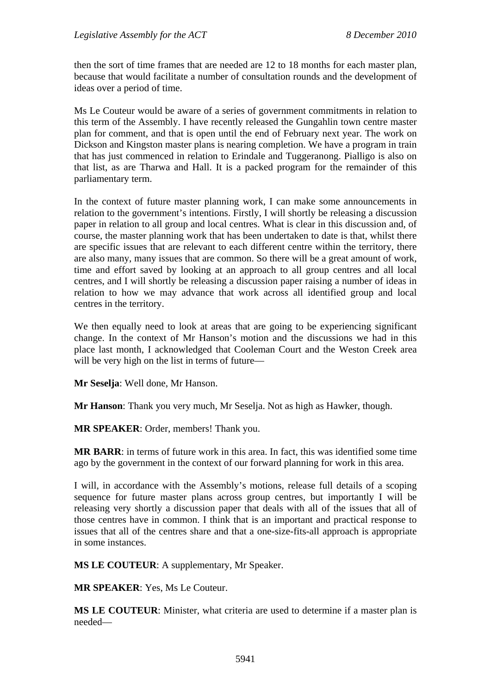then the sort of time frames that are needed are 12 to 18 months for each master plan, because that would facilitate a number of consultation rounds and the development of ideas over a period of time.

Ms Le Couteur would be aware of a series of government commitments in relation to this term of the Assembly. I have recently released the Gungahlin town centre master plan for comment, and that is open until the end of February next year. The work on Dickson and Kingston master plans is nearing completion. We have a program in train that has just commenced in relation to Erindale and Tuggeranong. Pialligo is also on that list, as are Tharwa and Hall. It is a packed program for the remainder of this parliamentary term.

In the context of future master planning work, I can make some announcements in relation to the government's intentions. Firstly, I will shortly be releasing a discussion paper in relation to all group and local centres. What is clear in this discussion and, of course, the master planning work that has been undertaken to date is that, whilst there are specific issues that are relevant to each different centre within the territory, there are also many, many issues that are common. So there will be a great amount of work, time and effort saved by looking at an approach to all group centres and all local centres, and I will shortly be releasing a discussion paper raising a number of ideas in relation to how we may advance that work across all identified group and local centres in the territory.

We then equally need to look at areas that are going to be experiencing significant change. In the context of Mr Hanson's motion and the discussions we had in this place last month, I acknowledged that Cooleman Court and the Weston Creek area will be very high on the list in terms of future—

**Mr Seselja**: Well done, Mr Hanson.

**Mr Hanson**: Thank you very much, Mr Seselja. Not as high as Hawker, though.

**MR SPEAKER**: Order, members! Thank you.

**MR BARR**: in terms of future work in this area. In fact, this was identified some time ago by the government in the context of our forward planning for work in this area.

I will, in accordance with the Assembly's motions, release full details of a scoping sequence for future master plans across group centres, but importantly I will be releasing very shortly a discussion paper that deals with all of the issues that all of those centres have in common. I think that is an important and practical response to issues that all of the centres share and that a one-size-fits-all approach is appropriate in some instances.

**MS LE COUTEUR**: A supplementary, Mr Speaker.

**MR SPEAKER**: Yes, Ms Le Couteur.

**MS LE COUTEUR**: Minister, what criteria are used to determine if a master plan is needed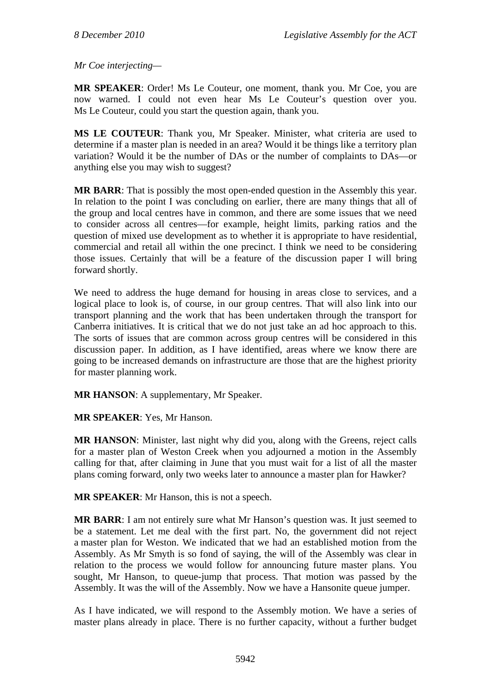*Mr Coe interjecting—* 

**MR SPEAKER**: Order! Ms Le Couteur, one moment, thank you. Mr Coe, you are now warned. I could not even hear Ms Le Couteur's question over you. Ms Le Couteur, could you start the question again, thank you.

**MS LE COUTEUR**: Thank you, Mr Speaker. Minister, what criteria are used to determine if a master plan is needed in an area? Would it be things like a territory plan variation? Would it be the number of DAs or the number of complaints to DAs—or anything else you may wish to suggest?

**MR BARR**: That is possibly the most open-ended question in the Assembly this year. In relation to the point I was concluding on earlier, there are many things that all of the group and local centres have in common, and there are some issues that we need to consider across all centres—for example, height limits, parking ratios and the question of mixed use development as to whether it is appropriate to have residential, commercial and retail all within the one precinct. I think we need to be considering those issues. Certainly that will be a feature of the discussion paper I will bring forward shortly.

We need to address the huge demand for housing in areas close to services, and a logical place to look is, of course, in our group centres. That will also link into our transport planning and the work that has been undertaken through the transport for Canberra initiatives. It is critical that we do not just take an ad hoc approach to this. The sorts of issues that are common across group centres will be considered in this discussion paper. In addition, as I have identified, areas where we know there are going to be increased demands on infrastructure are those that are the highest priority for master planning work.

**MR HANSON**: A supplementary, Mr Speaker.

**MR SPEAKER**: Yes, Mr Hanson.

**MR HANSON**: Minister, last night why did you, along with the Greens, reject calls for a master plan of Weston Creek when you adjourned a motion in the Assembly calling for that, after claiming in June that you must wait for a list of all the master plans coming forward, only two weeks later to announce a master plan for Hawker?

**MR SPEAKER**: Mr Hanson, this is not a speech.

**MR BARR**: I am not entirely sure what Mr Hanson's question was. It just seemed to be a statement. Let me deal with the first part. No, the government did not reject a master plan for Weston. We indicated that we had an established motion from the Assembly. As Mr Smyth is so fond of saying, the will of the Assembly was clear in relation to the process we would follow for announcing future master plans. You sought, Mr Hanson, to queue-jump that process. That motion was passed by the Assembly. It was the will of the Assembly. Now we have a Hansonite queue jumper.

As I have indicated, we will respond to the Assembly motion. We have a series of master plans already in place. There is no further capacity, without a further budget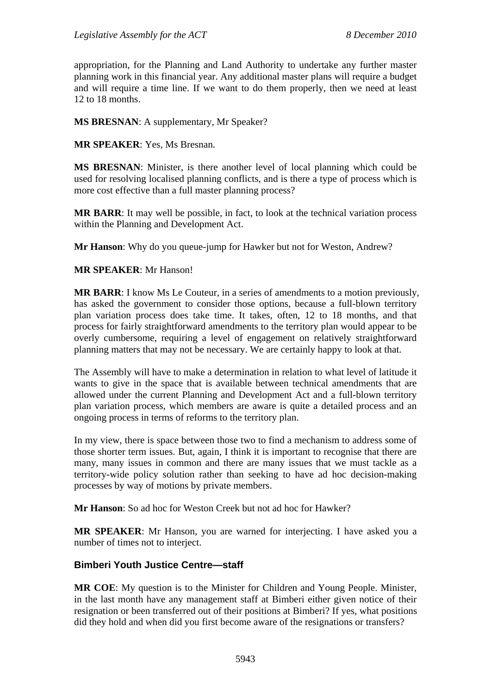appropriation, for the Planning and Land Authority to undertake any further master planning work in this financial year. Any additional master plans will require a budget and will require a time line. If we want to do them properly, then we need at least 12 to 18 months.

**MS BRESNAN**: A supplementary, Mr Speaker?

**MR SPEAKER**: Yes, Ms Bresnan.

**MS BRESNAN**: Minister, is there another level of local planning which could be used for resolving localised planning conflicts, and is there a type of process which is more cost effective than a full master planning process?

**MR BARR**: It may well be possible, in fact, to look at the technical variation process within the Planning and Development Act.

**Mr Hanson**: Why do you queue-jump for Hawker but not for Weston, Andrew?

### **MR SPEAKER**: Mr Hanson!

**MR BARR**: I know Ms Le Couteur, in a series of amendments to a motion previously, has asked the government to consider those options, because a full-blown territory plan variation process does take time. It takes, often, 12 to 18 months, and that process for fairly straightforward amendments to the territory plan would appear to be overly cumbersome, requiring a level of engagement on relatively straightforward planning matters that may not be necessary. We are certainly happy to look at that.

The Assembly will have to make a determination in relation to what level of latitude it wants to give in the space that is available between technical amendments that are allowed under the current Planning and Development Act and a full-blown territory plan variation process, which members are aware is quite a detailed process and an ongoing process in terms of reforms to the territory plan.

In my view, there is space between those two to find a mechanism to address some of those shorter term issues. But, again, I think it is important to recognise that there are many, many issues in common and there are many issues that we must tackle as a territory-wide policy solution rather than seeking to have ad hoc decision-making processes by way of motions by private members.

**Mr Hanson**: So ad hoc for Weston Creek but not ad hoc for Hawker?

**MR SPEAKER**: Mr Hanson, you are warned for interjecting. I have asked you a number of times not to interject.

## **Bimberi Youth Justice Centre—staff**

**MR COE**: My question is to the Minister for Children and Young People. Minister, in the last month have any management staff at Bimberi either given notice of their resignation or been transferred out of their positions at Bimberi? If yes, what positions did they hold and when did you first become aware of the resignations or transfers?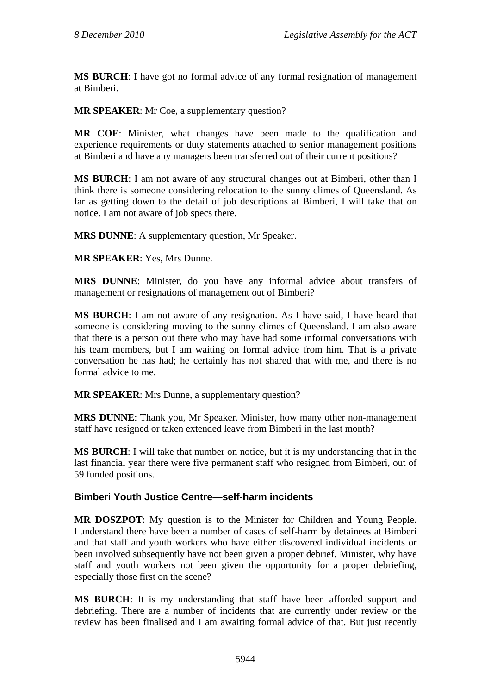**MS BURCH**: I have got no formal advice of any formal resignation of management at Bimberi.

**MR SPEAKER**: Mr Coe, a supplementary question?

**MR COE**: Minister, what changes have been made to the qualification and experience requirements or duty statements attached to senior management positions at Bimberi and have any managers been transferred out of their current positions?

**MS BURCH**: I am not aware of any structural changes out at Bimberi, other than I think there is someone considering relocation to the sunny climes of Queensland. As far as getting down to the detail of job descriptions at Bimberi, I will take that on notice. I am not aware of job specs there.

**MRS DUNNE**: A supplementary question, Mr Speaker.

**MR SPEAKER**: Yes, Mrs Dunne.

**MRS DUNNE**: Minister, do you have any informal advice about transfers of management or resignations of management out of Bimberi?

**MS BURCH**: I am not aware of any resignation. As I have said, I have heard that someone is considering moving to the sunny climes of Queensland. I am also aware that there is a person out there who may have had some informal conversations with his team members, but I am waiting on formal advice from him. That is a private conversation he has had; he certainly has not shared that with me, and there is no formal advice to me.

**MR SPEAKER**: Mrs Dunne, a supplementary question?

**MRS DUNNE**: Thank you, Mr Speaker. Minister, how many other non-management staff have resigned or taken extended leave from Bimberi in the last month?

**MS BURCH**: I will take that number on notice, but it is my understanding that in the last financial year there were five permanent staff who resigned from Bimberi, out of 59 funded positions.

## **Bimberi Youth Justice Centre—self-harm incidents**

**MR DOSZPOT**: My question is to the Minister for Children and Young People. I understand there have been a number of cases of self-harm by detainees at Bimberi and that staff and youth workers who have either discovered individual incidents or been involved subsequently have not been given a proper debrief. Minister, why have staff and youth workers not been given the opportunity for a proper debriefing, especially those first on the scene?

**MS BURCH**: It is my understanding that staff have been afforded support and debriefing. There are a number of incidents that are currently under review or the review has been finalised and I am awaiting formal advice of that. But just recently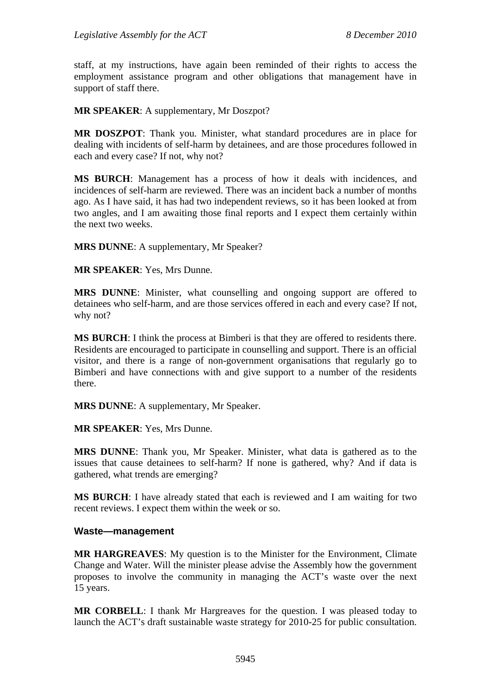staff, at my instructions, have again been reminded of their rights to access the employment assistance program and other obligations that management have in support of staff there.

**MR SPEAKER**: A supplementary, Mr Doszpot?

**MR DOSZPOT**: Thank you. Minister, what standard procedures are in place for dealing with incidents of self-harm by detainees, and are those procedures followed in each and every case? If not, why not?

**MS BURCH**: Management has a process of how it deals with incidences, and incidences of self-harm are reviewed. There was an incident back a number of months ago. As I have said, it has had two independent reviews, so it has been looked at from two angles, and I am awaiting those final reports and I expect them certainly within the next two weeks.

**MRS DUNNE**: A supplementary, Mr Speaker?

**MR SPEAKER**: Yes, Mrs Dunne.

**MRS DUNNE**: Minister, what counselling and ongoing support are offered to detainees who self-harm, and are those services offered in each and every case? If not, why not?

**MS BURCH**: I think the process at Bimberi is that they are offered to residents there. Residents are encouraged to participate in counselling and support. There is an official visitor, and there is a range of non-government organisations that regularly go to Bimberi and have connections with and give support to a number of the residents there.

**MRS DUNNE**: A supplementary, Mr Speaker.

**MR SPEAKER**: Yes, Mrs Dunne.

**MRS DUNNE**: Thank you, Mr Speaker. Minister, what data is gathered as to the issues that cause detainees to self-harm? If none is gathered, why? And if data is gathered, what trends are emerging?

**MS BURCH**: I have already stated that each is reviewed and I am waiting for two recent reviews. I expect them within the week or so.

#### **Waste—management**

**MR HARGREAVES**: My question is to the Minister for the Environment, Climate Change and Water. Will the minister please advise the Assembly how the government proposes to involve the community in managing the ACT's waste over the next 15 years.

**MR CORBELL**: I thank Mr Hargreaves for the question. I was pleased today to launch the ACT's draft sustainable waste strategy for 2010-25 for public consultation.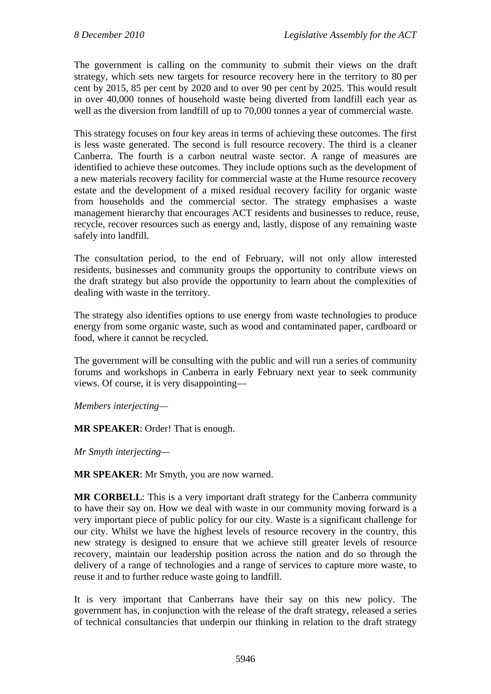The government is calling on the community to submit their views on the draft strategy, which sets new targets for resource recovery here in the territory to 80 per cent by 2015, 85 per cent by 2020 and to over 90 per cent by 2025. This would result in over 40,000 tonnes of household waste being diverted from landfill each year as well as the diversion from landfill of up to 70,000 tonnes a year of commercial waste.

This strategy focuses on four key areas in terms of achieving these outcomes. The first is less waste generated. The second is full resource recovery. The third is a cleaner Canberra. The fourth is a carbon neutral waste sector. A range of measures are identified to achieve these outcomes. They include options such as the development of a new materials recovery facility for commercial waste at the Hume resource recovery estate and the development of a mixed residual recovery facility for organic waste from households and the commercial sector. The strategy emphasises a waste management hierarchy that encourages ACT residents and businesses to reduce, reuse, recycle, recover resources such as energy and, lastly, dispose of any remaining waste safely into landfill.

The consultation period, to the end of February, will not only allow interested residents, businesses and community groups the opportunity to contribute views on the draft strategy but also provide the opportunity to learn about the complexities of dealing with waste in the territory.

The strategy also identifies options to use energy from waste technologies to produce energy from some organic waste, such as wood and contaminated paper, cardboard or food, where it cannot be recycled.

The government will be consulting with the public and will run a series of community forums and workshops in Canberra in early February next year to seek community views. Of course, it is very disappointing—

*Members interjecting—*

**MR SPEAKER**: Order! That is enough.

*Mr Smyth interjecting—*

**MR SPEAKER**: Mr Smyth, you are now warned.

**MR CORBELL**: This is a very important draft strategy for the Canberra community to have their say on. How we deal with waste in our community moving forward is a very important piece of public policy for our city. Waste is a significant challenge for our city. Whilst we have the highest levels of resource recovery in the country, this new strategy is designed to ensure that we achieve still greater levels of resource recovery, maintain our leadership position across the nation and do so through the delivery of a range of technologies and a range of services to capture more waste, to reuse it and to further reduce waste going to landfill.

It is very important that Canberrans have their say on this new policy. The government has, in conjunction with the release of the draft strategy, released a series of technical consultancies that underpin our thinking in relation to the draft strategy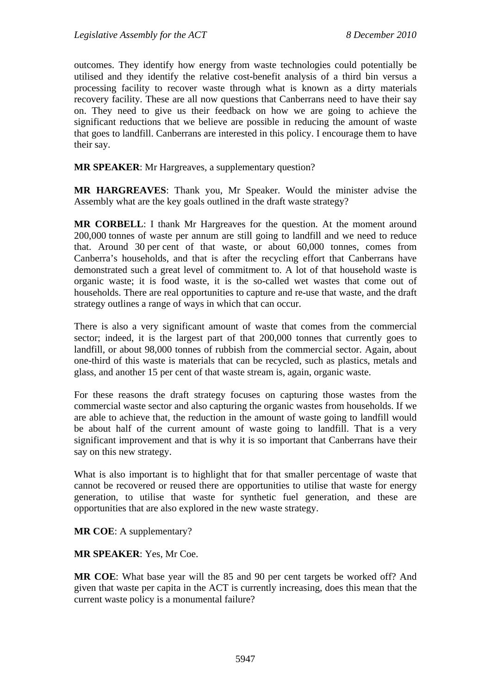outcomes. They identify how energy from waste technologies could potentially be utilised and they identify the relative cost-benefit analysis of a third bin versus a processing facility to recover waste through what is known as a dirty materials recovery facility. These are all now questions that Canberrans need to have their say on. They need to give us their feedback on how we are going to achieve the significant reductions that we believe are possible in reducing the amount of waste that goes to landfill. Canberrans are interested in this policy. I encourage them to have their say.

**MR SPEAKER**: Mr Hargreaves, a supplementary question?

**MR HARGREAVES**: Thank you, Mr Speaker. Would the minister advise the Assembly what are the key goals outlined in the draft waste strategy?

**MR CORBELL**: I thank Mr Hargreaves for the question. At the moment around 200,000 tonnes of waste per annum are still going to landfill and we need to reduce that. Around 30 per cent of that waste, or about 60,000 tonnes, comes from Canberra's households, and that is after the recycling effort that Canberrans have demonstrated such a great level of commitment to. A lot of that household waste is organic waste; it is food waste, it is the so-called wet wastes that come out of households. There are real opportunities to capture and re-use that waste, and the draft strategy outlines a range of ways in which that can occur.

There is also a very significant amount of waste that comes from the commercial sector; indeed, it is the largest part of that 200,000 tonnes that currently goes to landfill, or about 98,000 tonnes of rubbish from the commercial sector. Again, about one-third of this waste is materials that can be recycled, such as plastics, metals and glass, and another 15 per cent of that waste stream is, again, organic waste.

For these reasons the draft strategy focuses on capturing those wastes from the commercial waste sector and also capturing the organic wastes from households. If we are able to achieve that, the reduction in the amount of waste going to landfill would be about half of the current amount of waste going to landfill. That is a very significant improvement and that is why it is so important that Canberrans have their say on this new strategy.

What is also important is to highlight that for that smaller percentage of waste that cannot be recovered or reused there are opportunities to utilise that waste for energy generation, to utilise that waste for synthetic fuel generation, and these are opportunities that are also explored in the new waste strategy.

**MR COE**: A supplementary?

**MR SPEAKER**: Yes, Mr Coe.

**MR COE**: What base year will the 85 and 90 per cent targets be worked off? And given that waste per capita in the ACT is currently increasing, does this mean that the current waste policy is a monumental failure?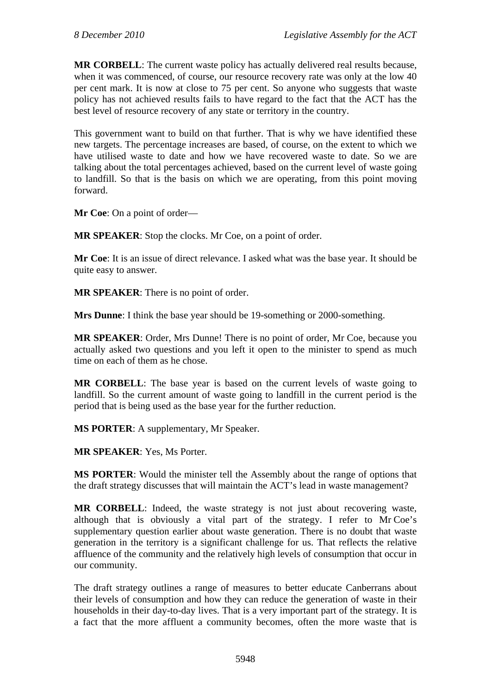**MR CORBELL**: The current waste policy has actually delivered real results because, when it was commenced, of course, our resource recovery rate was only at the low 40 per cent mark. It is now at close to 75 per cent. So anyone who suggests that waste policy has not achieved results fails to have regard to the fact that the ACT has the best level of resource recovery of any state or territory in the country.

This government want to build on that further. That is why we have identified these new targets. The percentage increases are based, of course, on the extent to which we have utilised waste to date and how we have recovered waste to date. So we are talking about the total percentages achieved, based on the current level of waste going to landfill. So that is the basis on which we are operating, from this point moving forward.

**Mr Coe**: On a point of order—

**MR SPEAKER**: Stop the clocks. Mr Coe, on a point of order.

**Mr Coe**: It is an issue of direct relevance. I asked what was the base year. It should be quite easy to answer.

**MR SPEAKER**: There is no point of order.

**Mrs Dunne**: I think the base year should be 19-something or 2000-something.

**MR SPEAKER**: Order, Mrs Dunne! There is no point of order, Mr Coe, because you actually asked two questions and you left it open to the minister to spend as much time on each of them as he chose.

**MR CORBELL**: The base year is based on the current levels of waste going to landfill. So the current amount of waste going to landfill in the current period is the period that is being used as the base year for the further reduction.

**MS PORTER**: A supplementary, Mr Speaker.

**MR SPEAKER**: Yes, Ms Porter.

**MS PORTER**: Would the minister tell the Assembly about the range of options that the draft strategy discusses that will maintain the ACT's lead in waste management?

**MR CORBELL**: Indeed, the waste strategy is not just about recovering waste, although that is obviously a vital part of the strategy. I refer to Mr Coe's supplementary question earlier about waste generation. There is no doubt that waste generation in the territory is a significant challenge for us. That reflects the relative affluence of the community and the relatively high levels of consumption that occur in our community.

The draft strategy outlines a range of measures to better educate Canberrans about their levels of consumption and how they can reduce the generation of waste in their households in their day-to-day lives. That is a very important part of the strategy. It is a fact that the more affluent a community becomes, often the more waste that is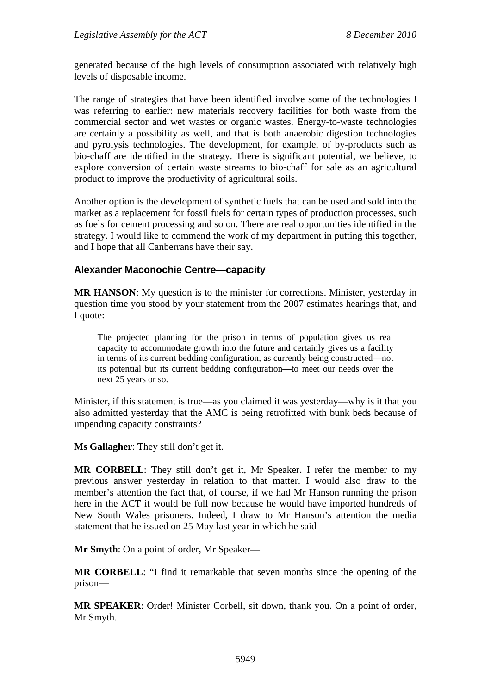generated because of the high levels of consumption associated with relatively high levels of disposable income.

The range of strategies that have been identified involve some of the technologies I was referring to earlier: new materials recovery facilities for both waste from the commercial sector and wet wastes or organic wastes. Energy-to-waste technologies are certainly a possibility as well, and that is both anaerobic digestion technologies and pyrolysis technologies. The development, for example, of by-products such as bio-chaff are identified in the strategy. There is significant potential, we believe, to explore conversion of certain waste streams to bio-chaff for sale as an agricultural product to improve the productivity of agricultural soils.

Another option is the development of synthetic fuels that can be used and sold into the market as a replacement for fossil fuels for certain types of production processes, such as fuels for cement processing and so on. There are real opportunities identified in the strategy. I would like to commend the work of my department in putting this together, and I hope that all Canberrans have their say.

## **Alexander Maconochie Centre—capacity**

**MR HANSON**: My question is to the minister for corrections. Minister, yesterday in question time you stood by your statement from the 2007 estimates hearings that, and I quote:

The projected planning for the prison in terms of population gives us real capacity to accommodate growth into the future and certainly gives us a facility in terms of its current bedding configuration, as currently being constructed—not its potential but its current bedding configuration—to meet our needs over the next 25 years or so.

Minister, if this statement is true—as you claimed it was yesterday—why is it that you also admitted yesterday that the AMC is being retrofitted with bunk beds because of impending capacity constraints?

**Ms Gallagher**: They still don't get it.

**MR CORBELL**: They still don't get it, Mr Speaker. I refer the member to my previous answer yesterday in relation to that matter. I would also draw to the member's attention the fact that, of course, if we had Mr Hanson running the prison here in the ACT it would be full now because he would have imported hundreds of New South Wales prisoners. Indeed, I draw to Mr Hanson's attention the media statement that he issued on 25 May last year in which he said—

**Mr Smyth**: On a point of order, Mr Speaker—

**MR CORBELL**: "I find it remarkable that seven months since the opening of the prison—

**MR SPEAKER**: Order! Minister Corbell, sit down, thank you. On a point of order, Mr Smyth.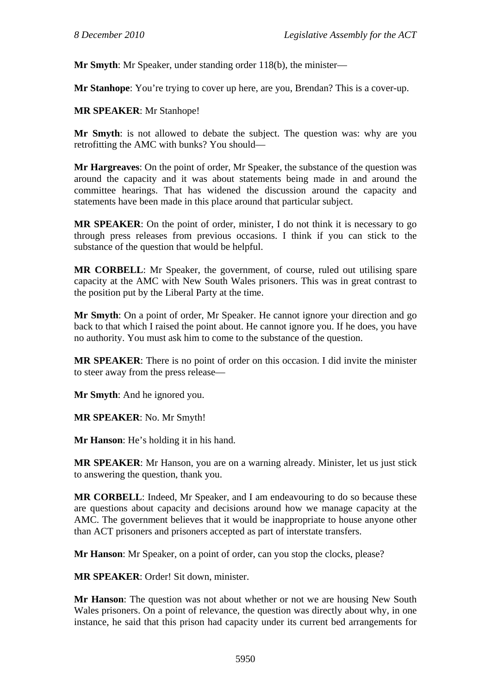**Mr Smyth**: Mr Speaker, under standing order 118(b), the minister—

**Mr Stanhope**: You're trying to cover up here, are you, Brendan? This is a cover-up.

#### **MR SPEAKER**: Mr Stanhope!

**Mr Smyth**: is not allowed to debate the subject. The question was: why are you retrofitting the AMC with bunks? You should—

**Mr Hargreaves**: On the point of order, Mr Speaker, the substance of the question was around the capacity and it was about statements being made in and around the committee hearings. That has widened the discussion around the capacity and statements have been made in this place around that particular subject.

**MR SPEAKER**: On the point of order, minister, I do not think it is necessary to go through press releases from previous occasions. I think if you can stick to the substance of the question that would be helpful.

**MR CORBELL**: Mr Speaker, the government, of course, ruled out utilising spare capacity at the AMC with New South Wales prisoners. This was in great contrast to the position put by the Liberal Party at the time.

**Mr Smyth**: On a point of order, Mr Speaker. He cannot ignore your direction and go back to that which I raised the point about. He cannot ignore you. If he does, you have no authority. You must ask him to come to the substance of the question.

**MR SPEAKER**: There is no point of order on this occasion. I did invite the minister to steer away from the press release—

**Mr Smyth**: And he ignored you.

**MR SPEAKER**: No. Mr Smyth!

**Mr Hanson**: He's holding it in his hand.

**MR SPEAKER**: Mr Hanson, you are on a warning already. Minister, let us just stick to answering the question, thank you.

**MR CORBELL**: Indeed, Mr Speaker, and I am endeavouring to do so because these are questions about capacity and decisions around how we manage capacity at the AMC. The government believes that it would be inappropriate to house anyone other than ACT prisoners and prisoners accepted as part of interstate transfers.

**Mr Hanson**: Mr Speaker, on a point of order, can you stop the clocks, please?

**MR SPEAKER**: Order! Sit down, minister.

**Mr Hanson**: The question was not about whether or not we are housing New South Wales prisoners. On a point of relevance, the question was directly about why, in one instance, he said that this prison had capacity under its current bed arrangements for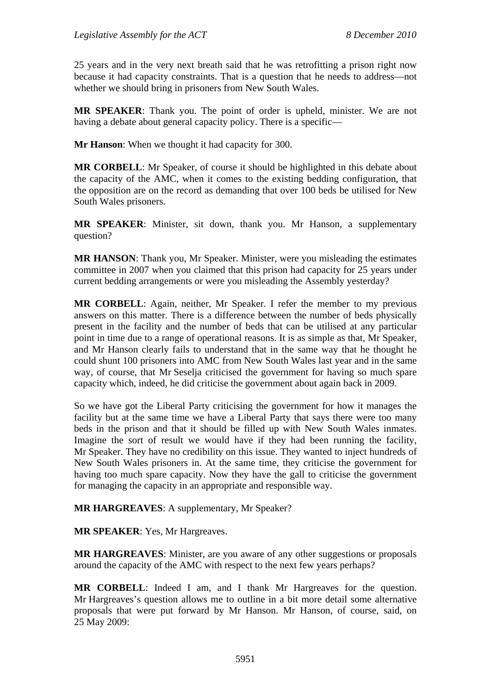25 years and in the very next breath said that he was retrofitting a prison right now because it had capacity constraints. That is a question that he needs to address—not whether we should bring in prisoners from New South Wales.

**MR SPEAKER**: Thank you. The point of order is upheld, minister. We are not having a debate about general capacity policy. There is a specific—

**Mr Hanson**: When we thought it had capacity for 300.

**MR CORBELL**: Mr Speaker, of course it should be highlighted in this debate about the capacity of the AMC, when it comes to the existing bedding configuration, that the opposition are on the record as demanding that over 100 beds be utilised for New South Wales prisoners.

**MR SPEAKER**: Minister, sit down, thank you. Mr Hanson, a supplementary question?

**MR HANSON**: Thank you, Mr Speaker. Minister, were you misleading the estimates committee in 2007 when you claimed that this prison had capacity for 25 years under current bedding arrangements or were you misleading the Assembly yesterday?

**MR CORBELL**: Again, neither, Mr Speaker. I refer the member to my previous answers on this matter. There is a difference between the number of beds physically present in the facility and the number of beds that can be utilised at any particular point in time due to a range of operational reasons. It is as simple as that, Mr Speaker, and Mr Hanson clearly fails to understand that in the same way that he thought he could shunt 100 prisoners into AMC from New South Wales last year and in the same way, of course, that Mr Seselja criticised the government for having so much spare capacity which, indeed, he did criticise the government about again back in 2009.

So we have got the Liberal Party criticising the government for how it manages the facility but at the same time we have a Liberal Party that says there were too many beds in the prison and that it should be filled up with New South Wales inmates. Imagine the sort of result we would have if they had been running the facility, Mr Speaker. They have no credibility on this issue. They wanted to inject hundreds of New South Wales prisoners in. At the same time, they criticise the government for having too much spare capacity. Now they have the gall to criticise the government for managing the capacity in an appropriate and responsible way.

**MR HARGREAVES**: A supplementary, Mr Speaker?

**MR SPEAKER**: Yes, Mr Hargreaves.

**MR HARGREAVES**: Minister, are you aware of any other suggestions or proposals around the capacity of the AMC with respect to the next few years perhaps?

**MR CORBELL**: Indeed I am, and I thank Mr Hargreaves for the question. Mr Hargreaves's question allows me to outline in a bit more detail some alternative proposals that were put forward by Mr Hanson. Mr Hanson, of course, said, on 25 May 2009: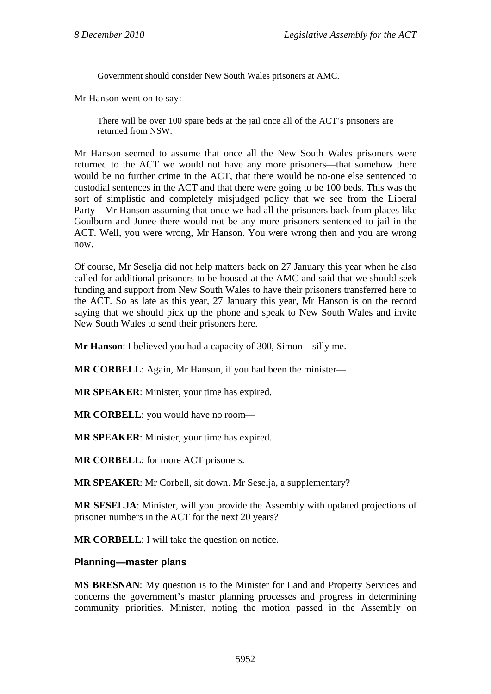Government should consider New South Wales prisoners at AMC.

Mr Hanson went on to say:

There will be over 100 spare beds at the jail once all of the ACT's prisoners are returned from NSW.

Mr Hanson seemed to assume that once all the New South Wales prisoners were returned to the ACT we would not have any more prisoners—that somehow there would be no further crime in the ACT, that there would be no-one else sentenced to custodial sentences in the ACT and that there were going to be 100 beds. This was the sort of simplistic and completely misjudged policy that we see from the Liberal Party—Mr Hanson assuming that once we had all the prisoners back from places like Goulburn and Junee there would not be any more prisoners sentenced to jail in the ACT. Well, you were wrong, Mr Hanson. You were wrong then and you are wrong now.

Of course, Mr Seselja did not help matters back on 27 January this year when he also called for additional prisoners to be housed at the AMC and said that we should seek funding and support from New South Wales to have their prisoners transferred here to the ACT. So as late as this year, 27 January this year, Mr Hanson is on the record saying that we should pick up the phone and speak to New South Wales and invite New South Wales to send their prisoners here.

**Mr Hanson**: I believed you had a capacity of 300, Simon—silly me.

**MR CORBELL**: Again, Mr Hanson, if you had been the minister—

**MR SPEAKER**: Minister, your time has expired.

**MR CORBELL**: you would have no room—

**MR SPEAKER**: Minister, your time has expired.

**MR CORBELL**: for more ACT prisoners.

**MR SPEAKER**: Mr Corbell, sit down. Mr Seselja, a supplementary?

**MR SESELJA**: Minister, will you provide the Assembly with updated projections of prisoner numbers in the ACT for the next 20 years?

**MR CORBELL**: I will take the question on notice.

## **Planning—master plans**

**MS BRESNAN**: My question is to the Minister for Land and Property Services and concerns the government's master planning processes and progress in determining community priorities. Minister, noting the motion passed in the Assembly on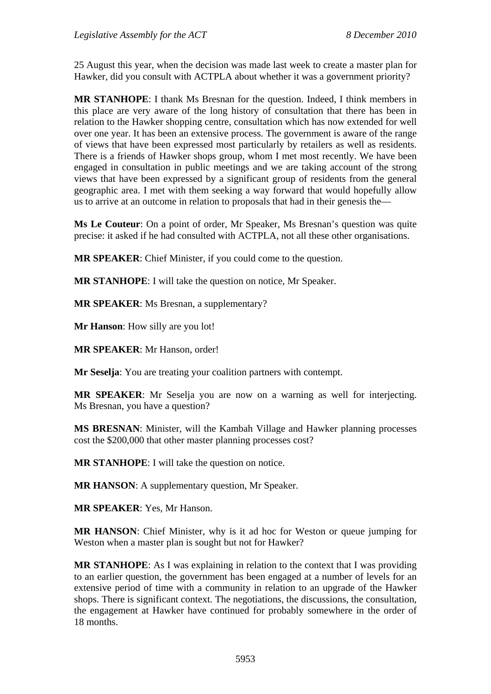25 August this year, when the decision was made last week to create a master plan for Hawker, did you consult with ACTPLA about whether it was a government priority?

**MR STANHOPE**: I thank Ms Bresnan for the question. Indeed, I think members in this place are very aware of the long history of consultation that there has been in relation to the Hawker shopping centre, consultation which has now extended for well over one year. It has been an extensive process. The government is aware of the range of views that have been expressed most particularly by retailers as well as residents. There is a friends of Hawker shops group, whom I met most recently. We have been engaged in consultation in public meetings and we are taking account of the strong views that have been expressed by a significant group of residents from the general geographic area. I met with them seeking a way forward that would hopefully allow us to arrive at an outcome in relation to proposals that had in their genesis the—

**Ms Le Couteur**: On a point of order, Mr Speaker, Ms Bresnan's question was quite precise: it asked if he had consulted with ACTPLA, not all these other organisations.

**MR SPEAKER**: Chief Minister, if you could come to the question.

**MR STANHOPE**: I will take the question on notice, Mr Speaker.

**MR SPEAKER**: Ms Bresnan, a supplementary?

**Mr Hanson**: How silly are you lot!

**MR SPEAKER**: Mr Hanson, order!

**Mr Seselja**: You are treating your coalition partners with contempt.

**MR SPEAKER**: Mr Seselja you are now on a warning as well for interjecting. Ms Bresnan, you have a question?

**MS BRESNAN**: Minister, will the Kambah Village and Hawker planning processes cost the \$200,000 that other master planning processes cost?

**MR STANHOPE**: I will take the question on notice.

**MR HANSON**: A supplementary question, Mr Speaker.

**MR SPEAKER**: Yes, Mr Hanson.

**MR HANSON**: Chief Minister, why is it ad hoc for Weston or queue jumping for Weston when a master plan is sought but not for Hawker?

**MR STANHOPE**: As I was explaining in relation to the context that I was providing to an earlier question, the government has been engaged at a number of levels for an extensive period of time with a community in relation to an upgrade of the Hawker shops. There is significant context. The negotiations, the discussions, the consultation, the engagement at Hawker have continued for probably somewhere in the order of 18 months.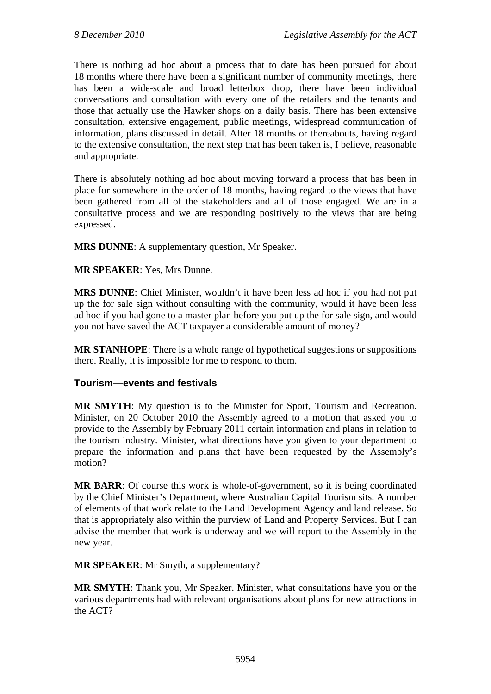There is nothing ad hoc about a process that to date has been pursued for about 18 months where there have been a significant number of community meetings, there has been a wide-scale and broad letterbox drop, there have been individual conversations and consultation with every one of the retailers and the tenants and those that actually use the Hawker shops on a daily basis. There has been extensive consultation, extensive engagement, public meetings, widespread communication of information, plans discussed in detail. After 18 months or thereabouts, having regard to the extensive consultation, the next step that has been taken is, I believe, reasonable and appropriate.

There is absolutely nothing ad hoc about moving forward a process that has been in place for somewhere in the order of 18 months, having regard to the views that have been gathered from all of the stakeholders and all of those engaged. We are in a consultative process and we are responding positively to the views that are being expressed.

**MRS DUNNE**: A supplementary question, Mr Speaker.

**MR SPEAKER**: Yes, Mrs Dunne.

**MRS DUNNE**: Chief Minister, wouldn't it have been less ad hoc if you had not put up the for sale sign without consulting with the community, would it have been less ad hoc if you had gone to a master plan before you put up the for sale sign, and would you not have saved the ACT taxpayer a considerable amount of money?

**MR STANHOPE**: There is a whole range of hypothetical suggestions or suppositions there. Really, it is impossible for me to respond to them.

# **Tourism—events and festivals**

**MR SMYTH**: My question is to the Minister for Sport, Tourism and Recreation. Minister, on 20 October 2010 the Assembly agreed to a motion that asked you to provide to the Assembly by February 2011 certain information and plans in relation to the tourism industry. Minister, what directions have you given to your department to prepare the information and plans that have been requested by the Assembly's motion?

**MR BARR**: Of course this work is whole-of-government, so it is being coordinated by the Chief Minister's Department, where Australian Capital Tourism sits. A number of elements of that work relate to the Land Development Agency and land release. So that is appropriately also within the purview of Land and Property Services. But I can advise the member that work is underway and we will report to the Assembly in the new year.

**MR SPEAKER**: Mr Smyth, a supplementary?

**MR SMYTH**: Thank you, Mr Speaker. Minister, what consultations have you or the various departments had with relevant organisations about plans for new attractions in the ACT?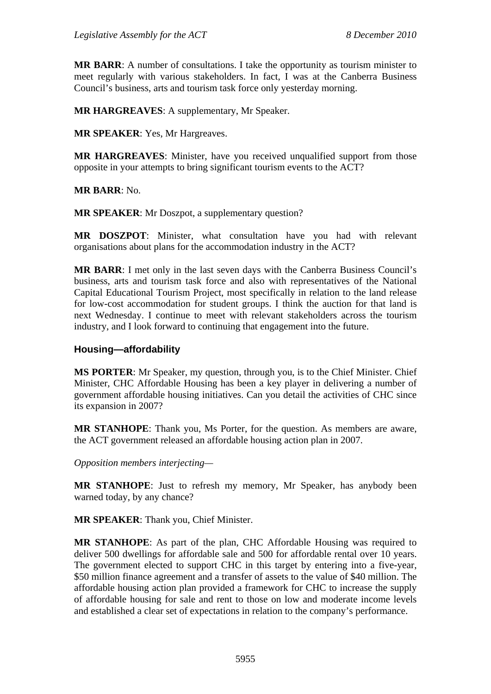**MR BARR**: A number of consultations. I take the opportunity as tourism minister to meet regularly with various stakeholders. In fact, I was at the Canberra Business Council's business, arts and tourism task force only yesterday morning.

**MR HARGREAVES**: A supplementary, Mr Speaker.

**MR SPEAKER**: Yes, Mr Hargreaves.

**MR HARGREAVES**: Minister, have you received unqualified support from those opposite in your attempts to bring significant tourism events to the ACT?

**MR BARR**: No.

**MR SPEAKER:** Mr Doszpot, a supplementary question?

**MR DOSZPOT**: Minister, what consultation have you had with relevant organisations about plans for the accommodation industry in the ACT?

**MR BARR**: I met only in the last seven days with the Canberra Business Council's business, arts and tourism task force and also with representatives of the National Capital Educational Tourism Project, most specifically in relation to the land release for low-cost accommodation for student groups. I think the auction for that land is next Wednesday. I continue to meet with relevant stakeholders across the tourism industry, and I look forward to continuing that engagement into the future.

## **Housing—affordability**

**MS PORTER**: Mr Speaker, my question, through you, is to the Chief Minister. Chief Minister, CHC Affordable Housing has been a key player in delivering a number of government affordable housing initiatives. Can you detail the activities of CHC since its expansion in 2007?

**MR STANHOPE**: Thank you, Ms Porter, for the question. As members are aware, the ACT government released an affordable housing action plan in 2007.

*Opposition members interjecting—* 

**MR STANHOPE**: Just to refresh my memory, Mr Speaker, has anybody been warned today, by any chance?

**MR SPEAKER**: Thank you, Chief Minister.

**MR STANHOPE**: As part of the plan, CHC Affordable Housing was required to deliver 500 dwellings for affordable sale and 500 for affordable rental over 10 years. The government elected to support CHC in this target by entering into a five-year, \$50 million finance agreement and a transfer of assets to the value of \$40 million. The affordable housing action plan provided a framework for CHC to increase the supply of affordable housing for sale and rent to those on low and moderate income levels and established a clear set of expectations in relation to the company's performance.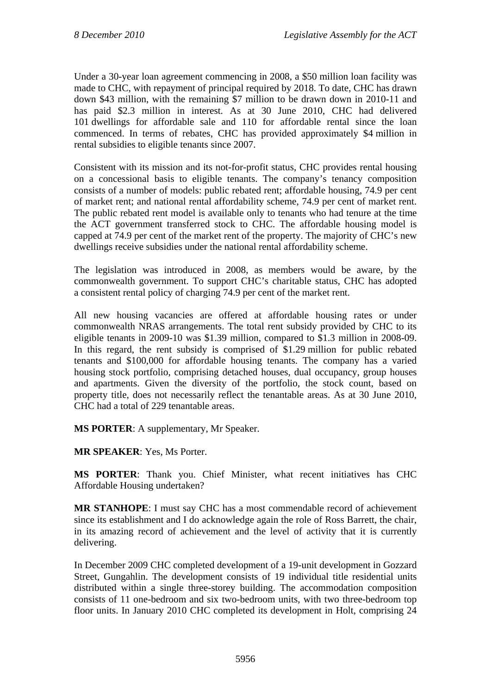Under a 30-year loan agreement commencing in 2008, a \$50 million loan facility was made to CHC, with repayment of principal required by 2018. To date, CHC has drawn down \$43 million, with the remaining \$7 million to be drawn down in 2010-11 and has paid \$2.3 million in interest. As at 30 June 2010, CHC had delivered 101 dwellings for affordable sale and 110 for affordable rental since the loan commenced. In terms of rebates, CHC has provided approximately \$4 million in rental subsidies to eligible tenants since 2007.

Consistent with its mission and its not-for-profit status, CHC provides rental housing on a concessional basis to eligible tenants. The company's tenancy composition consists of a number of models: public rebated rent; affordable housing, 74.9 per cent of market rent; and national rental affordability scheme, 74.9 per cent of market rent. The public rebated rent model is available only to tenants who had tenure at the time the ACT government transferred stock to CHC. The affordable housing model is capped at 74.9 per cent of the market rent of the property. The majority of CHC's new dwellings receive subsidies under the national rental affordability scheme.

The legislation was introduced in 2008, as members would be aware, by the commonwealth government. To support CHC's charitable status, CHC has adopted a consistent rental policy of charging 74.9 per cent of the market rent.

All new housing vacancies are offered at affordable housing rates or under commonwealth NRAS arrangements. The total rent subsidy provided by CHC to its eligible tenants in 2009-10 was \$1.39 million, compared to \$1.3 million in 2008-09. In this regard, the rent subsidy is comprised of \$1.29 million for public rebated tenants and \$100,000 for affordable housing tenants. The company has a varied housing stock portfolio, comprising detached houses, dual occupancy, group houses and apartments. Given the diversity of the portfolio, the stock count, based on property title, does not necessarily reflect the tenantable areas. As at 30 June 2010, CHC had a total of 229 tenantable areas.

**MS PORTER**: A supplementary, Mr Speaker.

**MR SPEAKER**: Yes, Ms Porter.

**MS PORTER**: Thank you. Chief Minister, what recent initiatives has CHC Affordable Housing undertaken?

**MR STANHOPE**: I must say CHC has a most commendable record of achievement since its establishment and I do acknowledge again the role of Ross Barrett, the chair, in its amazing record of achievement and the level of activity that it is currently delivering.

In December 2009 CHC completed development of a 19-unit development in Gozzard Street, Gungahlin. The development consists of 19 individual title residential units distributed within a single three-storey building. The accommodation composition consists of 11 one-bedroom and six two-bedroom units, with two three-bedroom top floor units. In January 2010 CHC completed its development in Holt, comprising 24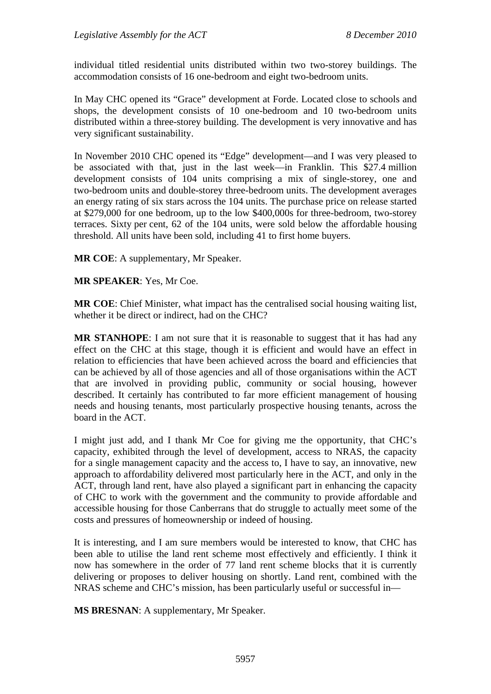individual titled residential units distributed within two two-storey buildings. The accommodation consists of 16 one-bedroom and eight two-bedroom units.

In May CHC opened its "Grace" development at Forde. Located close to schools and shops, the development consists of 10 one-bedroom and 10 two-bedroom units distributed within a three-storey building. The development is very innovative and has very significant sustainability.

In November 2010 CHC opened its "Edge" development—and I was very pleased to be associated with that, just in the last week—in Franklin. This \$27.4 million development consists of 104 units comprising a mix of single-storey, one and two-bedroom units and double-storey three-bedroom units. The development averages an energy rating of six stars across the 104 units. The purchase price on release started at \$279,000 for one bedroom, up to the low \$400,000s for three-bedroom, two-storey terraces. Sixty per cent, 62 of the 104 units, were sold below the affordable housing threshold. All units have been sold, including 41 to first home buyers.

**MR COE**: A supplementary, Mr Speaker.

**MR SPEAKER**: Yes, Mr Coe.

**MR COE**: Chief Minister, what impact has the centralised social housing waiting list, whether it be direct or indirect, had on the CHC?

**MR STANHOPE**: I am not sure that it is reasonable to suggest that it has had any effect on the CHC at this stage, though it is efficient and would have an effect in relation to efficiencies that have been achieved across the board and efficiencies that can be achieved by all of those agencies and all of those organisations within the ACT that are involved in providing public, community or social housing, however described. It certainly has contributed to far more efficient management of housing needs and housing tenants, most particularly prospective housing tenants, across the board in the ACT.

I might just add, and I thank Mr Coe for giving me the opportunity, that CHC's capacity, exhibited through the level of development, access to NRAS, the capacity for a single management capacity and the access to, I have to say, an innovative, new approach to affordability delivered most particularly here in the ACT, and only in the ACT, through land rent, have also played a significant part in enhancing the capacity of CHC to work with the government and the community to provide affordable and accessible housing for those Canberrans that do struggle to actually meet some of the costs and pressures of homeownership or indeed of housing.

It is interesting, and I am sure members would be interested to know, that CHC has been able to utilise the land rent scheme most effectively and efficiently. I think it now has somewhere in the order of 77 land rent scheme blocks that it is currently delivering or proposes to deliver housing on shortly. Land rent, combined with the NRAS scheme and CHC's mission, has been particularly useful or successful in—

**MS BRESNAN:** A supplementary, Mr Speaker.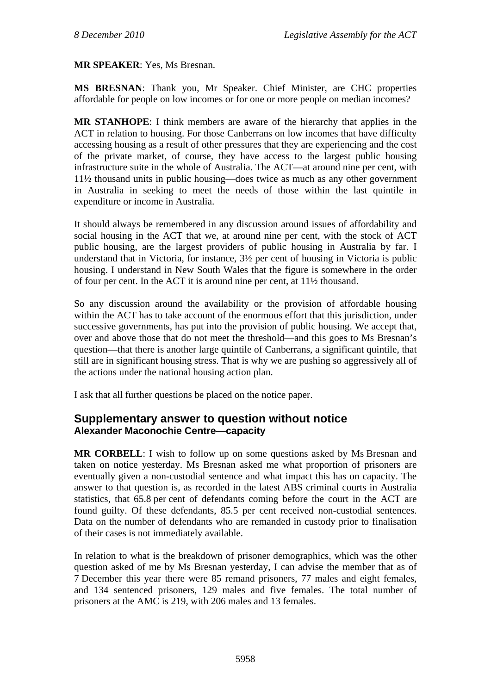### **MR SPEAKER**: Yes, Ms Bresnan.

**MS BRESNAN**: Thank you, Mr Speaker. Chief Minister, are CHC properties affordable for people on low incomes or for one or more people on median incomes?

**MR STANHOPE**: I think members are aware of the hierarchy that applies in the ACT in relation to housing. For those Canberrans on low incomes that have difficulty accessing housing as a result of other pressures that they are experiencing and the cost of the private market, of course, they have access to the largest public housing infrastructure suite in the whole of Australia. The ACT—at around nine per cent, with 11½ thousand units in public housing—does twice as much as any other government in Australia in seeking to meet the needs of those within the last quintile in expenditure or income in Australia.

It should always be remembered in any discussion around issues of affordability and social housing in the ACT that we, at around nine per cent, with the stock of ACT public housing, are the largest providers of public housing in Australia by far. I understand that in Victoria, for instance, 3½ per cent of housing in Victoria is public housing. I understand in New South Wales that the figure is somewhere in the order of four per cent. In the ACT it is around nine per cent, at 11½ thousand.

So any discussion around the availability or the provision of affordable housing within the ACT has to take account of the enormous effort that this jurisdiction, under successive governments, has put into the provision of public housing. We accept that, over and above those that do not meet the threshold—and this goes to Ms Bresnan's question—that there is another large quintile of Canberrans, a significant quintile, that still are in significant housing stress. That is why we are pushing so aggressively all of the actions under the national housing action plan.

I ask that all further questions be placed on the notice paper.

# **Supplementary answer to question without notice Alexander Maconochie Centre—capacity**

**MR CORBELL:** I wish to follow up on some questions asked by Ms Bresnan and taken on notice yesterday. Ms Bresnan asked me what proportion of prisoners are eventually given a non-custodial sentence and what impact this has on capacity. The answer to that question is, as recorded in the latest ABS criminal courts in Australia statistics, that 65.8 per cent of defendants coming before the court in the ACT are found guilty. Of these defendants, 85.5 per cent received non-custodial sentences. Data on the number of defendants who are remanded in custody prior to finalisation of their cases is not immediately available.

In relation to what is the breakdown of prisoner demographics, which was the other question asked of me by Ms Bresnan yesterday, I can advise the member that as of 7 December this year there were 85 remand prisoners, 77 males and eight females, and 134 sentenced prisoners, 129 males and five females. The total number of prisoners at the AMC is 219, with 206 males and 13 females.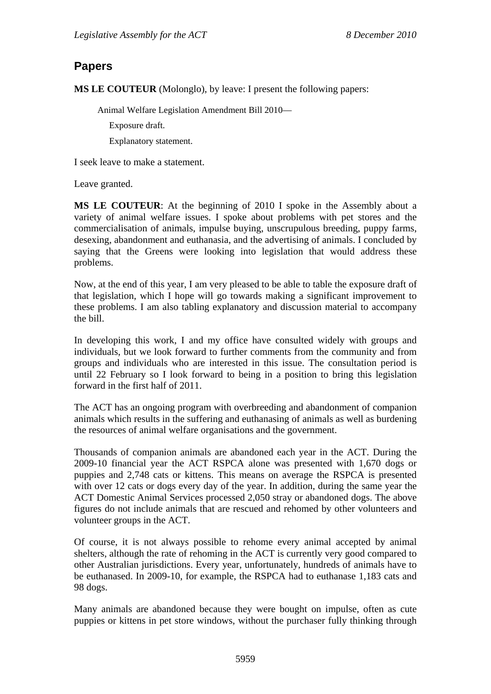### **Papers**

**MS LE COUTEUR** (Molonglo), by leave: I present the following papers:

Animal Welfare Legislation Amendment Bill 2010—

Exposure draft.

Explanatory statement.

I seek leave to make a statement.

Leave granted.

**MS LE COUTEUR**: At the beginning of 2010 I spoke in the Assembly about a variety of animal welfare issues. I spoke about problems with pet stores and the commercialisation of animals, impulse buying, unscrupulous breeding, puppy farms, desexing, abandonment and euthanasia, and the advertising of animals. I concluded by saying that the Greens were looking into legislation that would address these problems.

Now, at the end of this year, I am very pleased to be able to table the exposure draft of that legislation, which I hope will go towards making a significant improvement to these problems. I am also tabling explanatory and discussion material to accompany the bill.

In developing this work, I and my office have consulted widely with groups and individuals, but we look forward to further comments from the community and from groups and individuals who are interested in this issue. The consultation period is until 22 February so I look forward to being in a position to bring this legislation forward in the first half of 2011.

The ACT has an ongoing program with overbreeding and abandonment of companion animals which results in the suffering and euthanasing of animals as well as burdening the resources of animal welfare organisations and the government.

Thousands of companion animals are abandoned each year in the ACT. During the 2009-10 financial year the ACT RSPCA alone was presented with 1,670 dogs or puppies and 2,748 cats or kittens. This means on average the RSPCA is presented with over 12 cats or dogs every day of the year. In addition, during the same year the ACT Domestic Animal Services processed 2,050 stray or abandoned dogs. The above figures do not include animals that are rescued and rehomed by other volunteers and volunteer groups in the ACT.

Of course, it is not always possible to rehome every animal accepted by animal shelters, although the rate of rehoming in the ACT is currently very good compared to other Australian jurisdictions. Every year, unfortunately, hundreds of animals have to be euthanased. In 2009-10, for example, the RSPCA had to euthanase 1,183 cats and 98 dogs.

Many animals are abandoned because they were bought on impulse, often as cute puppies or kittens in pet store windows, without the purchaser fully thinking through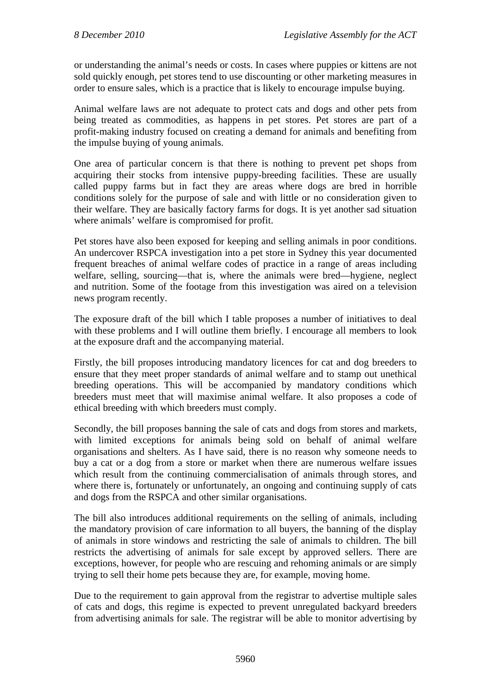or understanding the animal's needs or costs. In cases where puppies or kittens are not sold quickly enough, pet stores tend to use discounting or other marketing measures in order to ensure sales, which is a practice that is likely to encourage impulse buying.

Animal welfare laws are not adequate to protect cats and dogs and other pets from being treated as commodities, as happens in pet stores. Pet stores are part of a profit-making industry focused on creating a demand for animals and benefiting from the impulse buying of young animals.

One area of particular concern is that there is nothing to prevent pet shops from acquiring their stocks from intensive puppy-breeding facilities. These are usually called puppy farms but in fact they are areas where dogs are bred in horrible conditions solely for the purpose of sale and with little or no consideration given to their welfare. They are basically factory farms for dogs. It is yet another sad situation where animals' welfare is compromised for profit.

Pet stores have also been exposed for keeping and selling animals in poor conditions. An undercover RSPCA investigation into a pet store in Sydney this year documented frequent breaches of animal welfare codes of practice in a range of areas including welfare, selling, sourcing—that is, where the animals were bred—hygiene, neglect and nutrition. Some of the footage from this investigation was aired on a television news program recently.

The exposure draft of the bill which I table proposes a number of initiatives to deal with these problems and I will outline them briefly. I encourage all members to look at the exposure draft and the accompanying material.

Firstly, the bill proposes introducing mandatory licences for cat and dog breeders to ensure that they meet proper standards of animal welfare and to stamp out unethical breeding operations. This will be accompanied by mandatory conditions which breeders must meet that will maximise animal welfare. It also proposes a code of ethical breeding with which breeders must comply.

Secondly, the bill proposes banning the sale of cats and dogs from stores and markets, with limited exceptions for animals being sold on behalf of animal welfare organisations and shelters. As I have said, there is no reason why someone needs to buy a cat or a dog from a store or market when there are numerous welfare issues which result from the continuing commercialisation of animals through stores, and where there is, fortunately or unfortunately, an ongoing and continuing supply of cats and dogs from the RSPCA and other similar organisations.

The bill also introduces additional requirements on the selling of animals, including the mandatory provision of care information to all buyers, the banning of the display of animals in store windows and restricting the sale of animals to children. The bill restricts the advertising of animals for sale except by approved sellers. There are exceptions, however, for people who are rescuing and rehoming animals or are simply trying to sell their home pets because they are, for example, moving home.

Due to the requirement to gain approval from the registrar to advertise multiple sales of cats and dogs, this regime is expected to prevent unregulated backyard breeders from advertising animals for sale. The registrar will be able to monitor advertising by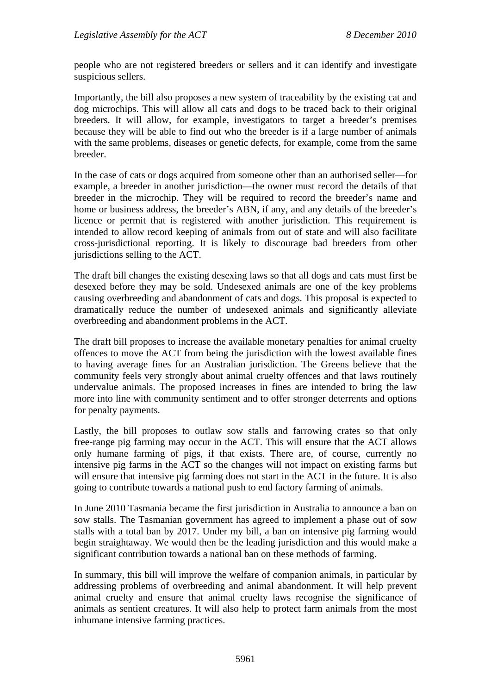people who are not registered breeders or sellers and it can identify and investigate suspicious sellers.

Importantly, the bill also proposes a new system of traceability by the existing cat and dog microchips. This will allow all cats and dogs to be traced back to their original breeders. It will allow, for example, investigators to target a breeder's premises because they will be able to find out who the breeder is if a large number of animals with the same problems, diseases or genetic defects, for example, come from the same breeder.

In the case of cats or dogs acquired from someone other than an authorised seller—for example, a breeder in another jurisdiction—the owner must record the details of that breeder in the microchip. They will be required to record the breeder's name and home or business address, the breeder's ABN, if any, and any details of the breeder's licence or permit that is registered with another jurisdiction. This requirement is intended to allow record keeping of animals from out of state and will also facilitate cross-jurisdictional reporting. It is likely to discourage bad breeders from other jurisdictions selling to the ACT.

The draft bill changes the existing desexing laws so that all dogs and cats must first be desexed before they may be sold. Undesexed animals are one of the key problems causing overbreeding and abandonment of cats and dogs. This proposal is expected to dramatically reduce the number of undesexed animals and significantly alleviate overbreeding and abandonment problems in the ACT.

The draft bill proposes to increase the available monetary penalties for animal cruelty offences to move the ACT from being the jurisdiction with the lowest available fines to having average fines for an Australian jurisdiction. The Greens believe that the community feels very strongly about animal cruelty offences and that laws routinely undervalue animals. The proposed increases in fines are intended to bring the law more into line with community sentiment and to offer stronger deterrents and options for penalty payments.

Lastly, the bill proposes to outlaw sow stalls and farrowing crates so that only free-range pig farming may occur in the ACT. This will ensure that the ACT allows only humane farming of pigs, if that exists. There are, of course, currently no intensive pig farms in the ACT so the changes will not impact on existing farms but will ensure that intensive pig farming does not start in the ACT in the future. It is also going to contribute towards a national push to end factory farming of animals.

In June 2010 Tasmania became the first jurisdiction in Australia to announce a ban on sow stalls. The Tasmanian government has agreed to implement a phase out of sow stalls with a total ban by 2017. Under my bill, a ban on intensive pig farming would begin straightaway. We would then be the leading jurisdiction and this would make a significant contribution towards a national ban on these methods of farming.

In summary, this bill will improve the welfare of companion animals, in particular by addressing problems of overbreeding and animal abandonment. It will help prevent animal cruelty and ensure that animal cruelty laws recognise the significance of animals as sentient creatures. It will also help to protect farm animals from the most inhumane intensive farming practices.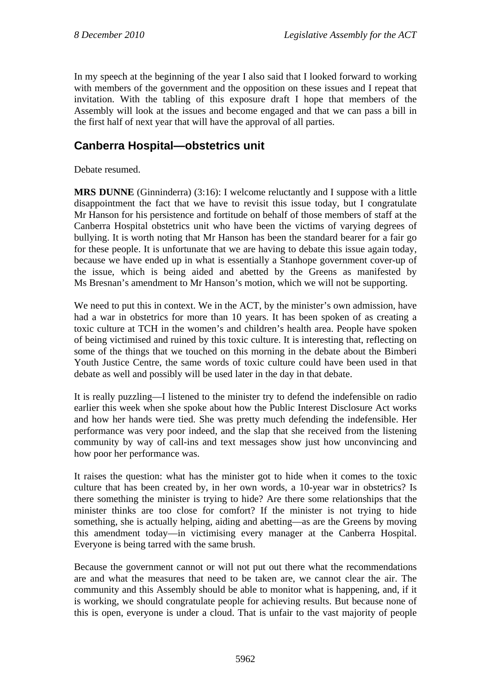In my speech at the beginning of the year I also said that I looked forward to working with members of the government and the opposition on these issues and I repeat that invitation. With the tabling of this exposure draft I hope that members of the Assembly will look at the issues and become engaged and that we can pass a bill in the first half of next year that will have the approval of all parties.

# **Canberra Hospital—obstetrics unit**

Debate resumed.

**MRS DUNNE** (Ginninderra) (3:16): I welcome reluctantly and I suppose with a little disappointment the fact that we have to revisit this issue today, but I congratulate Mr Hanson for his persistence and fortitude on behalf of those members of staff at the Canberra Hospital obstetrics unit who have been the victims of varying degrees of bullying. It is worth noting that Mr Hanson has been the standard bearer for a fair go for these people. It is unfortunate that we are having to debate this issue again today, because we have ended up in what is essentially a Stanhope government cover-up of the issue, which is being aided and abetted by the Greens as manifested by Ms Bresnan's amendment to Mr Hanson's motion, which we will not be supporting.

We need to put this in context. We in the ACT, by the minister's own admission, have had a war in obstetrics for more than 10 years. It has been spoken of as creating a toxic culture at TCH in the women's and children's health area. People have spoken of being victimised and ruined by this toxic culture. It is interesting that, reflecting on some of the things that we touched on this morning in the debate about the Bimberi Youth Justice Centre, the same words of toxic culture could have been used in that debate as well and possibly will be used later in the day in that debate.

It is really puzzling—I listened to the minister try to defend the indefensible on radio earlier this week when she spoke about how the Public Interest Disclosure Act works and how her hands were tied. She was pretty much defending the indefensible. Her performance was very poor indeed, and the slap that she received from the listening community by way of call-ins and text messages show just how unconvincing and how poor her performance was.

It raises the question: what has the minister got to hide when it comes to the toxic culture that has been created by, in her own words, a 10-year war in obstetrics? Is there something the minister is trying to hide? Are there some relationships that the minister thinks are too close for comfort? If the minister is not trying to hide something, she is actually helping, aiding and abetting—as are the Greens by moving this amendment today—in victimising every manager at the Canberra Hospital. Everyone is being tarred with the same brush.

Because the government cannot or will not put out there what the recommendations are and what the measures that need to be taken are, we cannot clear the air. The community and this Assembly should be able to monitor what is happening, and, if it is working, we should congratulate people for achieving results. But because none of this is open, everyone is under a cloud. That is unfair to the vast majority of people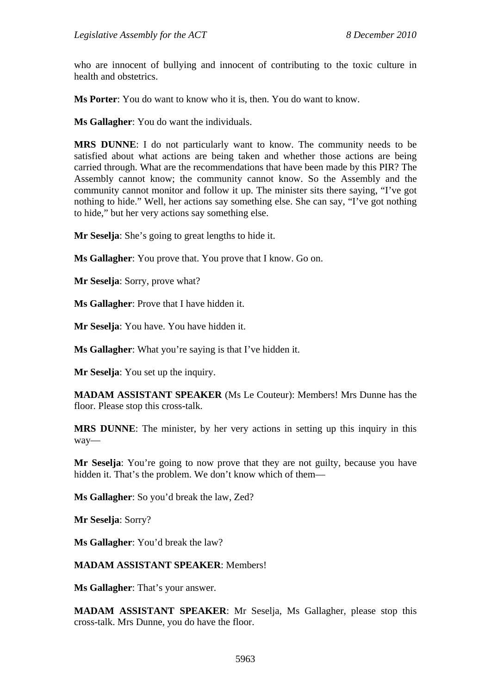who are innocent of bullying and innocent of contributing to the toxic culture in health and obstetrics.

**Ms Porter**: You do want to know who it is, then. You do want to know.

**Ms Gallagher**: You do want the individuals.

**MRS DUNNE**: I do not particularly want to know. The community needs to be satisfied about what actions are being taken and whether those actions are being carried through. What are the recommendations that have been made by this PIR? The Assembly cannot know; the community cannot know. So the Assembly and the community cannot monitor and follow it up. The minister sits there saying, "I've got nothing to hide." Well, her actions say something else. She can say, "I've got nothing to hide," but her very actions say something else.

**Mr Seselja**: She's going to great lengths to hide it.

**Ms Gallagher**: You prove that. You prove that I know. Go on.

**Mr Seselja**: Sorry, prove what?

**Ms Gallagher**: Prove that I have hidden it.

**Mr Seselja**: You have. You have hidden it.

**Ms Gallagher**: What you're saying is that I've hidden it.

**Mr Seselja**: You set up the inquiry.

**MADAM ASSISTANT SPEAKER** (Ms Le Couteur): Members! Mrs Dunne has the floor. Please stop this cross-talk.

**MRS DUNNE**: The minister, by her very actions in setting up this inquiry in this way—

**Mr Seselja:** You're going to now prove that they are not guilty, because you have hidden it. That's the problem. We don't know which of them—

**Ms Gallagher**: So you'd break the law, Zed?

**Mr Seselja**: Sorry?

**Ms Gallagher**: You'd break the law?

#### **MADAM ASSISTANT SPEAKER**: Members!

**Ms Gallagher**: That's your answer.

**MADAM ASSISTANT SPEAKER**: Mr Seselja, Ms Gallagher, please stop this cross-talk. Mrs Dunne, you do have the floor.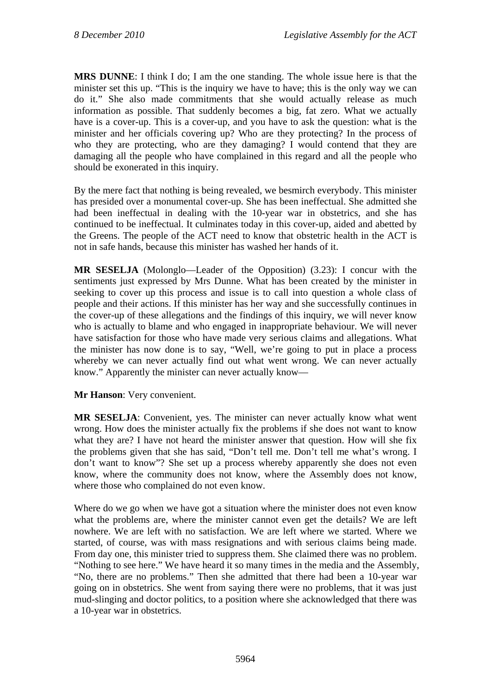**MRS DUNNE**: I think I do; I am the one standing. The whole issue here is that the minister set this up. "This is the inquiry we have to have; this is the only way we can do it." She also made commitments that she would actually release as much information as possible. That suddenly becomes a big, fat zero. What we actually have is a cover-up. This is a cover-up, and you have to ask the question: what is the minister and her officials covering up? Who are they protecting? In the process of who they are protecting, who are they damaging? I would contend that they are damaging all the people who have complained in this regard and all the people who should be exonerated in this inquiry.

By the mere fact that nothing is being revealed, we besmirch everybody. This minister has presided over a monumental cover-up. She has been ineffectual. She admitted she had been ineffectual in dealing with the 10-year war in obstetrics, and she has continued to be ineffectual. It culminates today in this cover-up, aided and abetted by the Greens. The people of the ACT need to know that obstetric health in the ACT is not in safe hands, because this minister has washed her hands of it.

**MR SESELJA** (Molonglo—Leader of the Opposition) (3.23): I concur with the sentiments just expressed by Mrs Dunne. What has been created by the minister in seeking to cover up this process and issue is to call into question a whole class of people and their actions. If this minister has her way and she successfully continues in the cover-up of these allegations and the findings of this inquiry, we will never know who is actually to blame and who engaged in inappropriate behaviour. We will never have satisfaction for those who have made very serious claims and allegations. What the minister has now done is to say, "Well, we're going to put in place a process whereby we can never actually find out what went wrong. We can never actually know." Apparently the minister can never actually know—

**Mr Hanson**: Very convenient.

**MR SESELJA**: Convenient, yes. The minister can never actually know what went wrong. How does the minister actually fix the problems if she does not want to know what they are? I have not heard the minister answer that question. How will she fix the problems given that she has said, "Don't tell me. Don't tell me what's wrong. I don't want to know"? She set up a process whereby apparently she does not even know, where the community does not know, where the Assembly does not know, where those who complained do not even know.

Where do we go when we have got a situation where the minister does not even know what the problems are, where the minister cannot even get the details? We are left nowhere. We are left with no satisfaction. We are left where we started. Where we started, of course, was with mass resignations and with serious claims being made. From day one, this minister tried to suppress them. She claimed there was no problem. "Nothing to see here." We have heard it so many times in the media and the Assembly, "No, there are no problems." Then she admitted that there had been a 10-year war going on in obstetrics. She went from saying there were no problems, that it was just mud-slinging and doctor politics, to a position where she acknowledged that there was a 10-year war in obstetrics.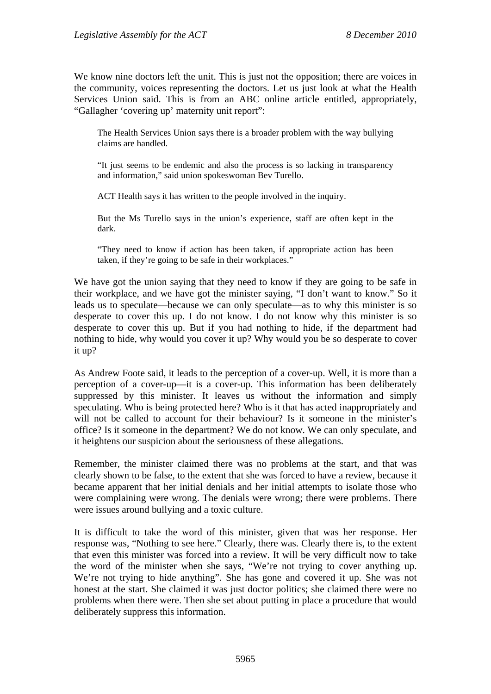We know nine doctors left the unit. This is just not the opposition; there are voices in the community, voices representing the doctors. Let us just look at what the Health Services Union said. This is from an ABC online article entitled, appropriately, "Gallagher 'covering up' maternity unit report":

The Health Services Union says there is a broader problem with the way bullying claims are handled.

"It just seems to be endemic and also the process is so lacking in transparency and information," said union spokeswoman Bev Turello.

ACT Health says it has written to the people involved in the inquiry.

But the Ms Turello says in the union's experience, staff are often kept in the dark.

"They need to know if action has been taken, if appropriate action has been taken, if they're going to be safe in their workplaces."

We have got the union saying that they need to know if they are going to be safe in their workplace, and we have got the minister saying, "I don't want to know." So it leads us to speculate—because we can only speculate—as to why this minister is so desperate to cover this up. I do not know. I do not know why this minister is so desperate to cover this up. But if you had nothing to hide, if the department had nothing to hide, why would you cover it up? Why would you be so desperate to cover it up?

As Andrew Foote said, it leads to the perception of a cover-up. Well, it is more than a perception of a cover-up—it is a cover-up. This information has been deliberately suppressed by this minister. It leaves us without the information and simply speculating. Who is being protected here? Who is it that has acted inappropriately and will not be called to account for their behaviour? Is it someone in the minister's office? Is it someone in the department? We do not know. We can only speculate, and it heightens our suspicion about the seriousness of these allegations.

Remember, the minister claimed there was no problems at the start, and that was clearly shown to be false, to the extent that she was forced to have a review, because it became apparent that her initial denials and her initial attempts to isolate those who were complaining were wrong. The denials were wrong; there were problems. There were issues around bullying and a toxic culture.

It is difficult to take the word of this minister, given that was her response. Her response was, "Nothing to see here." Clearly, there was. Clearly there is, to the extent that even this minister was forced into a review. It will be very difficult now to take the word of the minister when she says, "We're not trying to cover anything up. We're not trying to hide anything". She has gone and covered it up. She was not honest at the start. She claimed it was just doctor politics; she claimed there were no problems when there were. Then she set about putting in place a procedure that would deliberately suppress this information.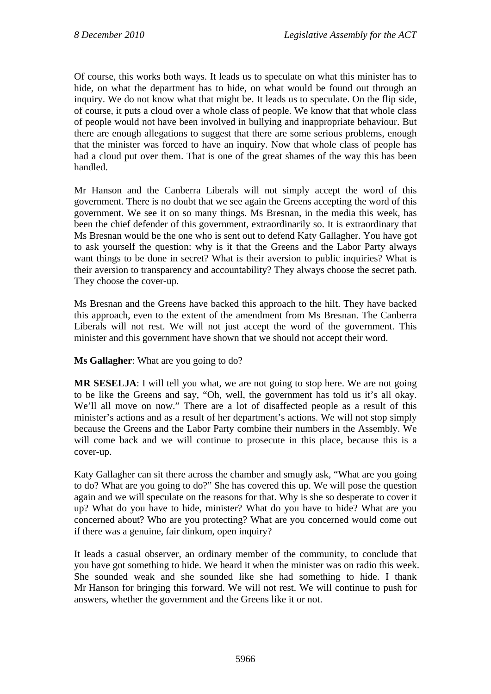Of course, this works both ways. It leads us to speculate on what this minister has to hide, on what the department has to hide, on what would be found out through an inquiry. We do not know what that might be. It leads us to speculate. On the flip side, of course, it puts a cloud over a whole class of people. We know that that whole class of people would not have been involved in bullying and inappropriate behaviour. But there are enough allegations to suggest that there are some serious problems, enough that the minister was forced to have an inquiry. Now that whole class of people has had a cloud put over them. That is one of the great shames of the way this has been handled.

Mr Hanson and the Canberra Liberals will not simply accept the word of this government. There is no doubt that we see again the Greens accepting the word of this government. We see it on so many things. Ms Bresnan, in the media this week, has been the chief defender of this government, extraordinarily so. It is extraordinary that Ms Bresnan would be the one who is sent out to defend Katy Gallagher. You have got to ask yourself the question: why is it that the Greens and the Labor Party always want things to be done in secret? What is their aversion to public inquiries? What is their aversion to transparency and accountability? They always choose the secret path. They choose the cover-up.

Ms Bresnan and the Greens have backed this approach to the hilt. They have backed this approach, even to the extent of the amendment from Ms Bresnan. The Canberra Liberals will not rest. We will not just accept the word of the government. This minister and this government have shown that we should not accept their word.

**Ms Gallagher**: What are you going to do?

**MR SESELJA**: I will tell you what, we are not going to stop here. We are not going to be like the Greens and say, "Oh, well, the government has told us it's all okay. We'll all move on now." There are a lot of disaffected people as a result of this minister's actions and as a result of her department's actions. We will not stop simply because the Greens and the Labor Party combine their numbers in the Assembly. We will come back and we will continue to prosecute in this place, because this is a cover-up.

Katy Gallagher can sit there across the chamber and smugly ask, "What are you going to do? What are you going to do?" She has covered this up. We will pose the question again and we will speculate on the reasons for that. Why is she so desperate to cover it up? What do you have to hide, minister? What do you have to hide? What are you concerned about? Who are you protecting? What are you concerned would come out if there was a genuine, fair dinkum, open inquiry?

It leads a casual observer, an ordinary member of the community, to conclude that you have got something to hide. We heard it when the minister was on radio this week. She sounded weak and she sounded like she had something to hide. I thank Mr Hanson for bringing this forward. We will not rest. We will continue to push for answers, whether the government and the Greens like it or not.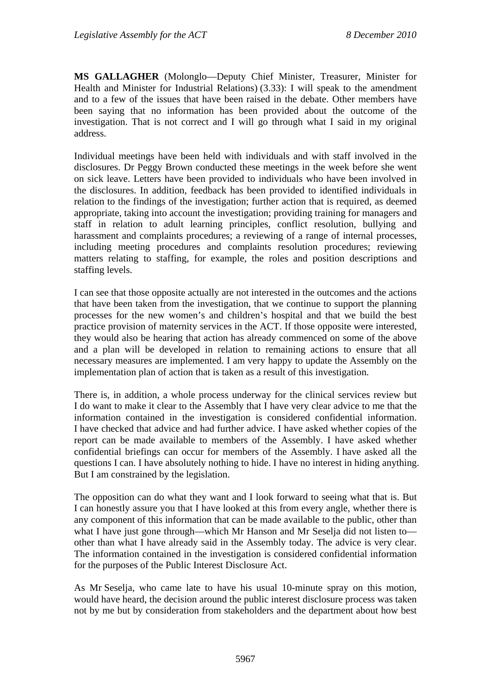**MS GALLAGHER** (Molonglo—Deputy Chief Minister, Treasurer, Minister for Health and Minister for Industrial Relations) (3.33): I will speak to the amendment and to a few of the issues that have been raised in the debate. Other members have been saying that no information has been provided about the outcome of the investigation. That is not correct and I will go through what I said in my original address.

Individual meetings have been held with individuals and with staff involved in the disclosures. Dr Peggy Brown conducted these meetings in the week before she went on sick leave. Letters have been provided to individuals who have been involved in the disclosures. In addition, feedback has been provided to identified individuals in relation to the findings of the investigation; further action that is required, as deemed appropriate, taking into account the investigation; providing training for managers and staff in relation to adult learning principles, conflict resolution, bullying and harassment and complaints procedures; a reviewing of a range of internal processes, including meeting procedures and complaints resolution procedures; reviewing matters relating to staffing, for example, the roles and position descriptions and staffing levels.

I can see that those opposite actually are not interested in the outcomes and the actions that have been taken from the investigation, that we continue to support the planning processes for the new women's and children's hospital and that we build the best practice provision of maternity services in the ACT. If those opposite were interested, they would also be hearing that action has already commenced on some of the above and a plan will be developed in relation to remaining actions to ensure that all necessary measures are implemented. I am very happy to update the Assembly on the implementation plan of action that is taken as a result of this investigation.

There is, in addition, a whole process underway for the clinical services review but I do want to make it clear to the Assembly that I have very clear advice to me that the information contained in the investigation is considered confidential information. I have checked that advice and had further advice. I have asked whether copies of the report can be made available to members of the Assembly. I have asked whether confidential briefings can occur for members of the Assembly. I have asked all the questions I can. I have absolutely nothing to hide. I have no interest in hiding anything. But I am constrained by the legislation.

The opposition can do what they want and I look forward to seeing what that is. But I can honestly assure you that I have looked at this from every angle, whether there is any component of this information that can be made available to the public, other than what I have just gone through—which Mr Hanson and Mr Seselja did not listen to other than what I have already said in the Assembly today. The advice is very clear. The information contained in the investigation is considered confidential information for the purposes of the Public Interest Disclosure Act.

As Mr Seselja, who came late to have his usual 10-minute spray on this motion, would have heard, the decision around the public interest disclosure process was taken not by me but by consideration from stakeholders and the department about how best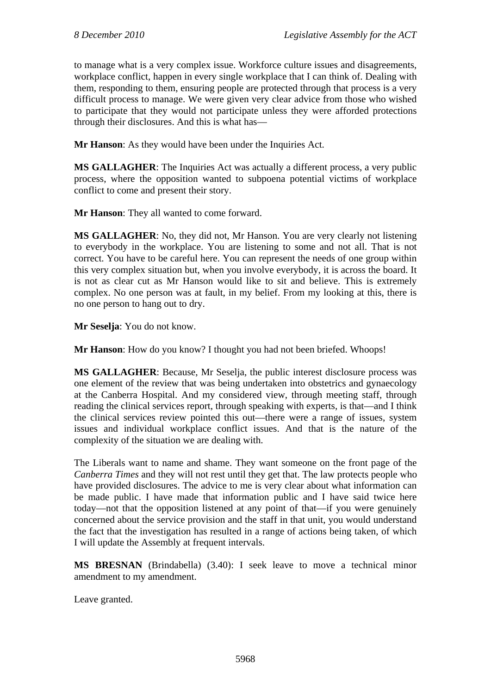to manage what is a very complex issue. Workforce culture issues and disagreements, workplace conflict, happen in every single workplace that I can think of. Dealing with them, responding to them, ensuring people are protected through that process is a very difficult process to manage. We were given very clear advice from those who wished to participate that they would not participate unless they were afforded protections through their disclosures. And this is what has—

**Mr Hanson**: As they would have been under the Inquiries Act.

**MS GALLAGHER**: The Inquiries Act was actually a different process, a very public process, where the opposition wanted to subpoena potential victims of workplace conflict to come and present their story.

**Mr Hanson**: They all wanted to come forward.

**MS GALLAGHER**: No, they did not, Mr Hanson. You are very clearly not listening to everybody in the workplace. You are listening to some and not all. That is not correct. You have to be careful here. You can represent the needs of one group within this very complex situation but, when you involve everybody, it is across the board. It is not as clear cut as Mr Hanson would like to sit and believe. This is extremely complex. No one person was at fault, in my belief. From my looking at this, there is no one person to hang out to dry.

**Mr Seselja**: You do not know.

**Mr Hanson**: How do you know? I thought you had not been briefed. Whoops!

**MS GALLAGHER**: Because, Mr Seselja, the public interest disclosure process was one element of the review that was being undertaken into obstetrics and gynaecology at the Canberra Hospital. And my considered view, through meeting staff, through reading the clinical services report, through speaking with experts, is that—and I think the clinical services review pointed this out—there were a range of issues, system issues and individual workplace conflict issues. And that is the nature of the complexity of the situation we are dealing with.

The Liberals want to name and shame. They want someone on the front page of the *Canberra Times* and they will not rest until they get that. The law protects people who have provided disclosures. The advice to me is very clear about what information can be made public. I have made that information public and I have said twice here today—not that the opposition listened at any point of that—if you were genuinely concerned about the service provision and the staff in that unit, you would understand the fact that the investigation has resulted in a range of actions being taken, of which I will update the Assembly at frequent intervals.

**MS BRESNAN** (Brindabella) (3.40): I seek leave to move a technical minor amendment to my amendment.

Leave granted.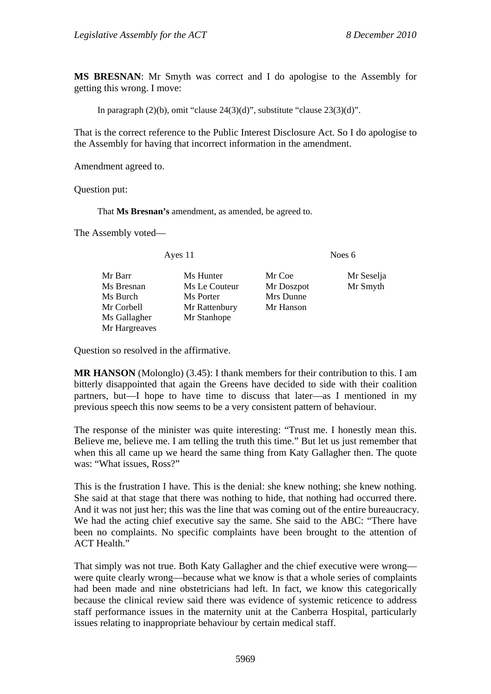**MS BRESNAN**: Mr Smyth was correct and I do apologise to the Assembly for getting this wrong. I move:

In paragraph  $(2)(b)$ , omit "clause  $24(3)(d)$ ", substitute "clause  $23(3)(d)$ ".

That is the correct reference to the Public Interest Disclosure Act. So I do apologise to the Assembly for having that incorrect information in the amendment.

Amendment agreed to.

Question put:

That **Ms Bresnan's** amendment, as amended, be agreed to.

The Assembly voted—

Ayes 11 Noes 6

Mr Barr Ms Hunter Mr Coe Mr Seselia Ms Bresnan Ms Le Couteur Mr Doszpot Mr Smyth Ms Burch Ms Porter Mrs Dunne Mr Corbell Mr Rattenbury Mr Hanson Ms Gallagher Mr Stanhope Mr Hargreaves

Question so resolved in the affirmative.

**MR HANSON** (Molonglo) (3.45): I thank members for their contribution to this. I am bitterly disappointed that again the Greens have decided to side with their coalition partners, but—I hope to have time to discuss that later—as I mentioned in my previous speech this now seems to be a very consistent pattern of behaviour.

The response of the minister was quite interesting: "Trust me. I honestly mean this. Believe me, believe me. I am telling the truth this time." But let us just remember that when this all came up we heard the same thing from Katy Gallagher then. The quote was: "What issues, Ross?"

This is the frustration I have. This is the denial: she knew nothing; she knew nothing. She said at that stage that there was nothing to hide, that nothing had occurred there. And it was not just her; this was the line that was coming out of the entire bureaucracy. We had the acting chief executive say the same. She said to the ABC: "There have been no complaints. No specific complaints have been brought to the attention of ACT Health."

That simply was not true. Both Katy Gallagher and the chief executive were wrong were quite clearly wrong—because what we know is that a whole series of complaints had been made and nine obstetricians had left. In fact, we know this categorically because the clinical review said there was evidence of systemic reticence to address staff performance issues in the maternity unit at the Canberra Hospital, particularly issues relating to inappropriate behaviour by certain medical staff.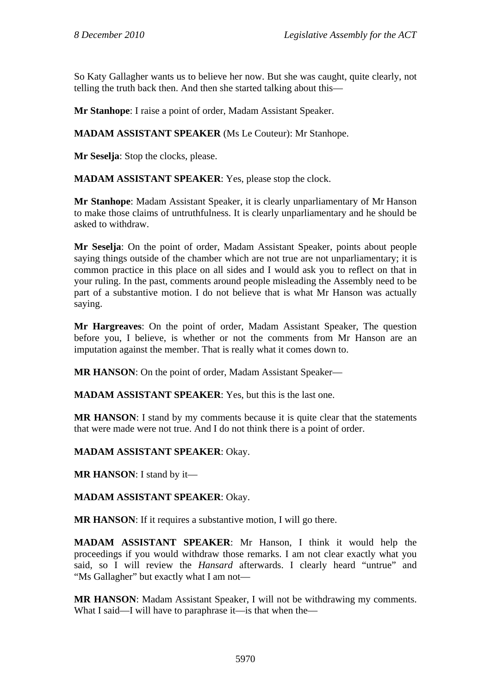So Katy Gallagher wants us to believe her now. But she was caught, quite clearly, not telling the truth back then. And then she started talking about this—

**Mr Stanhope**: I raise a point of order, Madam Assistant Speaker.

**MADAM ASSISTANT SPEAKER** (Ms Le Couteur): Mr Stanhope.

**Mr Seselja**: Stop the clocks, please.

**MADAM ASSISTANT SPEAKER**: Yes, please stop the clock.

**Mr Stanhope**: Madam Assistant Speaker, it is clearly unparliamentary of Mr Hanson to make those claims of untruthfulness. It is clearly unparliamentary and he should be asked to withdraw.

**Mr Seselja**: On the point of order, Madam Assistant Speaker, points about people saying things outside of the chamber which are not true are not unparliamentary; it is common practice in this place on all sides and I would ask you to reflect on that in your ruling. In the past, comments around people misleading the Assembly need to be part of a substantive motion. I do not believe that is what Mr Hanson was actually saying.

**Mr Hargreaves**: On the point of order, Madam Assistant Speaker, The question before you, I believe, is whether or not the comments from Mr Hanson are an imputation against the member. That is really what it comes down to.

**MR HANSON**: On the point of order, Madam Assistant Speaker—

**MADAM ASSISTANT SPEAKER**: Yes, but this is the last one.

**MR HANSON:** I stand by my comments because it is quite clear that the statements that were made were not true. And I do not think there is a point of order.

**MADAM ASSISTANT SPEAKER**: Okay.

**MR HANSON**: I stand by it—

**MADAM ASSISTANT SPEAKER**: Okay.

**MR HANSON**: If it requires a substantive motion, I will go there.

**MADAM ASSISTANT SPEAKER**: Mr Hanson, I think it would help the proceedings if you would withdraw those remarks. I am not clear exactly what you said, so I will review the *Hansard* afterwards. I clearly heard "untrue" and "Ms Gallagher" but exactly what I am not—

**MR HANSON**: Madam Assistant Speaker, I will not be withdrawing my comments. What I said—I will have to paraphrase it—is that when the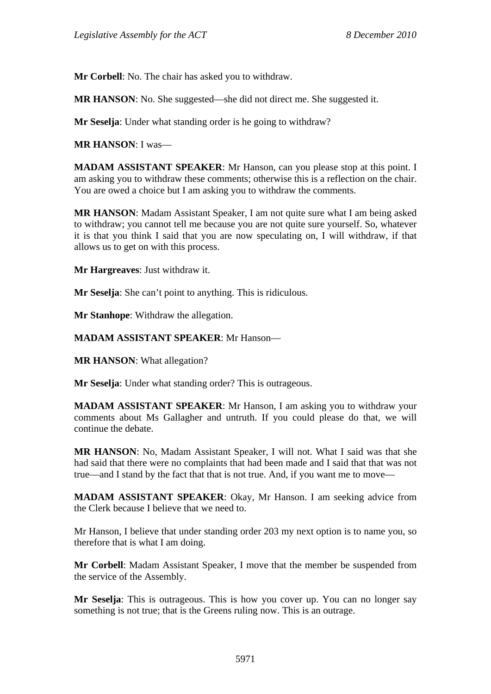**Mr Corbell**: No. The chair has asked you to withdraw.

**MR HANSON**: No. She suggested—she did not direct me. She suggested it.

**Mr Seselja**: Under what standing order is he going to withdraw?

**MR HANSON**: I was—

**MADAM ASSISTANT SPEAKER**: Mr Hanson, can you please stop at this point. I am asking you to withdraw these comments; otherwise this is a reflection on the chair. You are owed a choice but I am asking you to withdraw the comments.

**MR HANSON**: Madam Assistant Speaker, I am not quite sure what I am being asked to withdraw; you cannot tell me because you are not quite sure yourself. So, whatever it is that you think I said that you are now speculating on, I will withdraw, if that allows us to get on with this process.

**Mr Hargreaves**: Just withdraw it.

**Mr Seselja**: She can't point to anything. This is ridiculous.

**Mr Stanhope**: Withdraw the allegation.

**MADAM ASSISTANT SPEAKER**: Mr Hanson—

**MR HANSON**: What allegation?

**Mr Seselja**: Under what standing order? This is outrageous.

**MADAM ASSISTANT SPEAKER**: Mr Hanson, I am asking you to withdraw your comments about Ms Gallagher and untruth. If you could please do that, we will continue the debate.

**MR HANSON**: No, Madam Assistant Speaker, I will not. What I said was that she had said that there were no complaints that had been made and I said that that was not true—and I stand by the fact that that is not true. And, if you want me to move—

**MADAM ASSISTANT SPEAKER**: Okay, Mr Hanson. I am seeking advice from the Clerk because I believe that we need to.

Mr Hanson, I believe that under standing order 203 my next option is to name you, so therefore that is what I am doing.

**Mr Corbell**: Madam Assistant Speaker, I move that the member be suspended from the service of the Assembly.

**Mr Seselja**: This is outrageous. This is how you cover up. You can no longer say something is not true; that is the Greens ruling now. This is an outrage.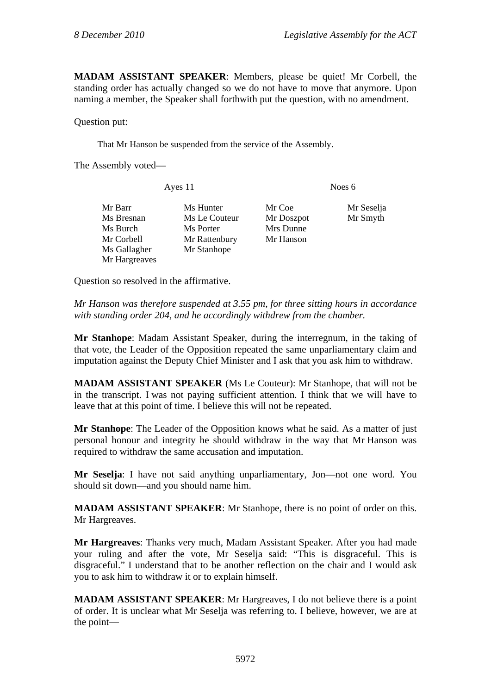**MADAM ASSISTANT SPEAKER**: Members, please be quiet! Mr Corbell, the standing order has actually changed so we do not have to move that anymore. Upon naming a member, the Speaker shall forthwith put the question, with no amendment.

Question put:

That Mr Hanson be suspended from the service of the Assembly.

The Assembly voted—

Ayes 11 Noes 6 Mr Barr Ms Hunter Mr Coe Mr Seselja Ms Bresnan Ms Le Couteur Mr Doszpot Mr Smyth Ms Burch Ms Porter Mrs Dunne Mr Corbell Mr Rattenbury Mr Hanson Ms Gallagher Mr Stanhope Mr Hargreaves

Question so resolved in the affirmative.

*Mr Hanson was therefore suspended at 3.55 pm, for three sitting hours in accordance with standing order 204, and he accordingly withdrew from the chamber.* 

**Mr Stanhope**: Madam Assistant Speaker, during the interregnum, in the taking of that vote, the Leader of the Opposition repeated the same unparliamentary claim and imputation against the Deputy Chief Minister and I ask that you ask him to withdraw.

**MADAM ASSISTANT SPEAKER** (Ms Le Couteur): Mr Stanhope, that will not be in the transcript. I was not paying sufficient attention. I think that we will have to leave that at this point of time. I believe this will not be repeated.

**Mr Stanhope**: The Leader of the Opposition knows what he said. As a matter of just personal honour and integrity he should withdraw in the way that Mr Hanson was required to withdraw the same accusation and imputation.

**Mr Seselja**: I have not said anything unparliamentary, Jon—not one word. You should sit down—and you should name him.

**MADAM ASSISTANT SPEAKER**: Mr Stanhope, there is no point of order on this. Mr Hargreaves.

**Mr Hargreaves**: Thanks very much, Madam Assistant Speaker. After you had made your ruling and after the vote, Mr Seselja said: "This is disgraceful. This is disgraceful." I understand that to be another reflection on the chair and I would ask you to ask him to withdraw it or to explain himself.

**MADAM ASSISTANT SPEAKER**: Mr Hargreaves, I do not believe there is a point of order. It is unclear what Mr Seselja was referring to. I believe, however, we are at the point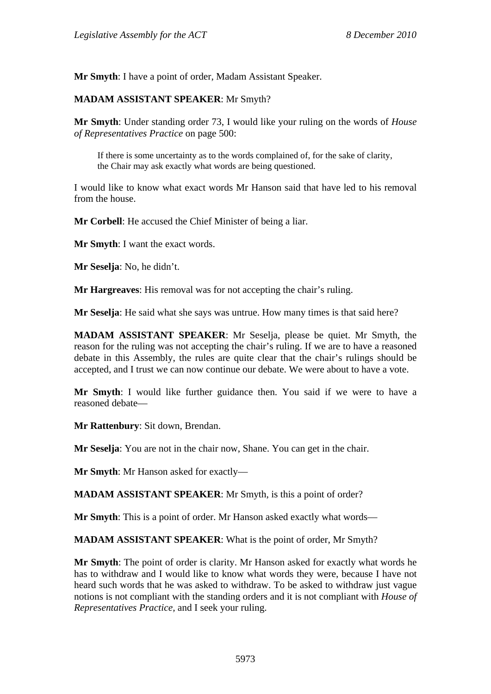**Mr Smyth**: I have a point of order, Madam Assistant Speaker.

#### **MADAM ASSISTANT SPEAKER**: Mr Smyth?

**Mr Smyth**: Under standing order 73, I would like your ruling on the words of *House of Representatives Practice* on page 500:

If there is some uncertainty as to the words complained of, for the sake of clarity, the Chair may ask exactly what words are being questioned.

I would like to know what exact words Mr Hanson said that have led to his removal from the house.

**Mr Corbell**: He accused the Chief Minister of being a liar.

**Mr Smyth**: I want the exact words.

**Mr Seselja**: No, he didn't.

**Mr Hargreaves**: His removal was for not accepting the chair's ruling.

**Mr Seselja**: He said what she says was untrue. How many times is that said here?

**MADAM ASSISTANT SPEAKER**: Mr Seselja, please be quiet. Mr Smyth, the reason for the ruling was not accepting the chair's ruling. If we are to have a reasoned debate in this Assembly, the rules are quite clear that the chair's rulings should be accepted, and I trust we can now continue our debate. We were about to have a vote.

**Mr Smyth**: I would like further guidance then. You said if we were to have a reasoned debate—

**Mr Rattenbury**: Sit down, Brendan.

**Mr Seselja**: You are not in the chair now, Shane. You can get in the chair.

**Mr Smyth**: Mr Hanson asked for exactly—

**MADAM ASSISTANT SPEAKER**: Mr Smyth, is this a point of order?

**Mr Smyth**: This is a point of order. Mr Hanson asked exactly what words—

**MADAM ASSISTANT SPEAKER**: What is the point of order, Mr Smyth?

**Mr Smyth**: The point of order is clarity. Mr Hanson asked for exactly what words he has to withdraw and I would like to know what words they were, because I have not heard such words that he was asked to withdraw. To be asked to withdraw just vague notions is not compliant with the standing orders and it is not compliant with *House of Representatives Practice,* and I seek your ruling.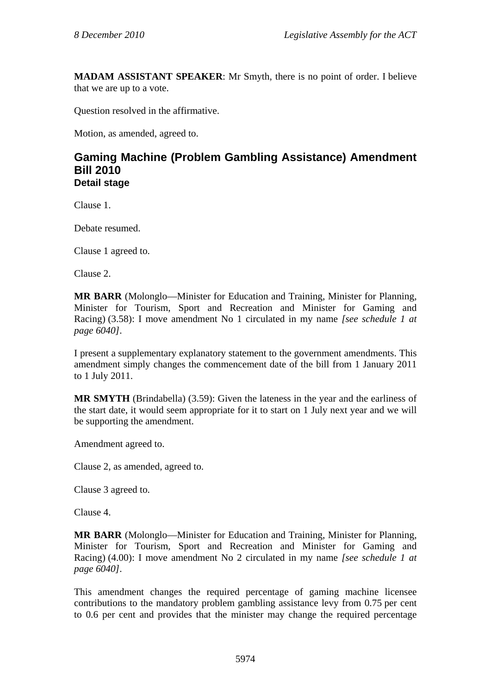**MADAM ASSISTANT SPEAKER**: Mr Smyth, there is no point of order. I believe that we are up to a vote.

Question resolved in the affirmative.

Motion, as amended, agreed to.

### **Gaming Machine (Problem Gambling Assistance) Amendment Bill 2010 Detail stage**

Clause 1.

Debate resumed.

Clause 1 agreed to.

Clause 2.

**MR BARR** (Molonglo—Minister for Education and Training, Minister for Planning, Minister for Tourism, Sport and Recreation and Minister for Gaming and Racing) (3.58): I move amendment No 1 circulated in my name *[see schedule 1 at page 6040]*.

I present a supplementary explanatory statement to the government amendments. This amendment simply changes the commencement date of the bill from 1 January 2011 to 1 July 2011.

**MR SMYTH** (Brindabella) (3.59): Given the lateness in the year and the earliness of the start date, it would seem appropriate for it to start on 1 July next year and we will be supporting the amendment.

Amendment agreed to.

Clause 2, as amended, agreed to.

Clause 3 agreed to.

Clause 4.

**MR BARR** (Molonglo—Minister for Education and Training, Minister for Planning, Minister for Tourism, Sport and Recreation and Minister for Gaming and Racing) (4.00): I move amendment No 2 circulated in my name *[see schedule 1 at page 6040]*.

This amendment changes the required percentage of gaming machine licensee contributions to the mandatory problem gambling assistance levy from 0.75 per cent to 0.6 per cent and provides that the minister may change the required percentage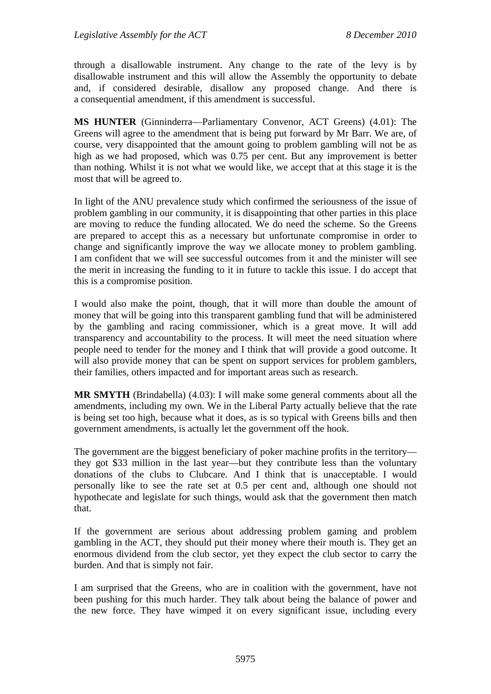through a disallowable instrument. Any change to the rate of the levy is by disallowable instrument and this will allow the Assembly the opportunity to debate and, if considered desirable, disallow any proposed change. And there is a consequential amendment, if this amendment is successful.

**MS HUNTER** (Ginninderra—Parliamentary Convenor, ACT Greens) (4.01): The Greens will agree to the amendment that is being put forward by Mr Barr. We are, of course, very disappointed that the amount going to problem gambling will not be as high as we had proposed, which was 0.75 per cent. But any improvement is better than nothing. Whilst it is not what we would like, we accept that at this stage it is the most that will be agreed to.

In light of the ANU prevalence study which confirmed the seriousness of the issue of problem gambling in our community, it is disappointing that other parties in this place are moving to reduce the funding allocated. We do need the scheme. So the Greens are prepared to accept this as a necessary but unfortunate compromise in order to change and significantly improve the way we allocate money to problem gambling. I am confident that we will see successful outcomes from it and the minister will see the merit in increasing the funding to it in future to tackle this issue. I do accept that this is a compromise position.

I would also make the point, though, that it will more than double the amount of money that will be going into this transparent gambling fund that will be administered by the gambling and racing commissioner, which is a great move. It will add transparency and accountability to the process. It will meet the need situation where people need to tender for the money and I think that will provide a good outcome. It will also provide money that can be spent on support services for problem gamblers, their families, others impacted and for important areas such as research.

**MR SMYTH** (Brindabella) (4.03): I will make some general comments about all the amendments, including my own. We in the Liberal Party actually believe that the rate is being set too high, because what it does, as is so typical with Greens bills and then government amendments, is actually let the government off the hook.

The government are the biggest beneficiary of poker machine profits in the territory they got \$33 million in the last year—but they contribute less than the voluntary donations of the clubs to Clubcare. And I think that is unacceptable. I would personally like to see the rate set at 0.5 per cent and, although one should not hypothecate and legislate for such things, would ask that the government then match that.

If the government are serious about addressing problem gaming and problem gambling in the ACT, they should put their money where their mouth is. They get an enormous dividend from the club sector, yet they expect the club sector to carry the burden. And that is simply not fair.

I am surprised that the Greens, who are in coalition with the government, have not been pushing for this much harder. They talk about being the balance of power and the new force. They have wimped it on every significant issue, including every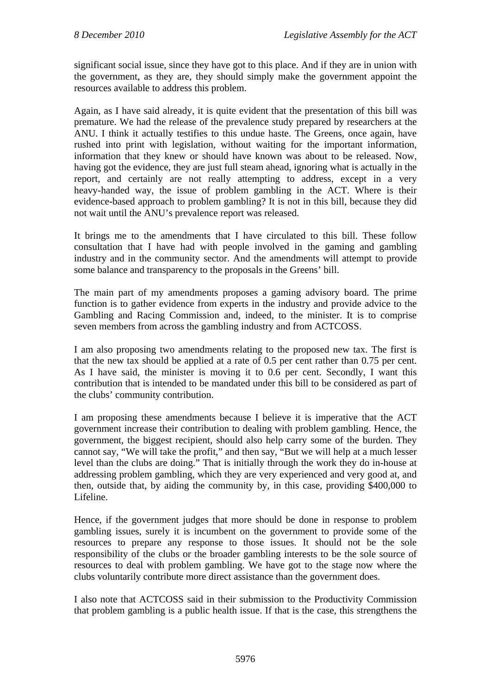significant social issue, since they have got to this place. And if they are in union with the government, as they are, they should simply make the government appoint the resources available to address this problem.

Again, as I have said already, it is quite evident that the presentation of this bill was premature. We had the release of the prevalence study prepared by researchers at the ANU. I think it actually testifies to this undue haste. The Greens, once again, have rushed into print with legislation, without waiting for the important information, information that they knew or should have known was about to be released. Now, having got the evidence, they are just full steam ahead, ignoring what is actually in the report, and certainly are not really attempting to address, except in a very heavy-handed way, the issue of problem gambling in the ACT. Where is their evidence-based approach to problem gambling? It is not in this bill, because they did not wait until the ANU's prevalence report was released.

It brings me to the amendments that I have circulated to this bill. These follow consultation that I have had with people involved in the gaming and gambling industry and in the community sector. And the amendments will attempt to provide some balance and transparency to the proposals in the Greens' bill.

The main part of my amendments proposes a gaming advisory board. The prime function is to gather evidence from experts in the industry and provide advice to the Gambling and Racing Commission and, indeed, to the minister. It is to comprise seven members from across the gambling industry and from ACTCOSS.

I am also proposing two amendments relating to the proposed new tax. The first is that the new tax should be applied at a rate of 0.5 per cent rather than 0.75 per cent. As I have said, the minister is moving it to 0.6 per cent. Secondly, I want this contribution that is intended to be mandated under this bill to be considered as part of the clubs' community contribution.

I am proposing these amendments because I believe it is imperative that the ACT government increase their contribution to dealing with problem gambling. Hence, the government, the biggest recipient, should also help carry some of the burden. They cannot say, "We will take the profit," and then say, "But we will help at a much lesser level than the clubs are doing." That is initially through the work they do in-house at addressing problem gambling, which they are very experienced and very good at, and then, outside that, by aiding the community by, in this case, providing \$400,000 to Lifeline.

Hence, if the government judges that more should be done in response to problem gambling issues, surely it is incumbent on the government to provide some of the resources to prepare any response to those issues. It should not be the sole responsibility of the clubs or the broader gambling interests to be the sole source of resources to deal with problem gambling. We have got to the stage now where the clubs voluntarily contribute more direct assistance than the government does.

I also note that ACTCOSS said in their submission to the Productivity Commission that problem gambling is a public health issue. If that is the case, this strengthens the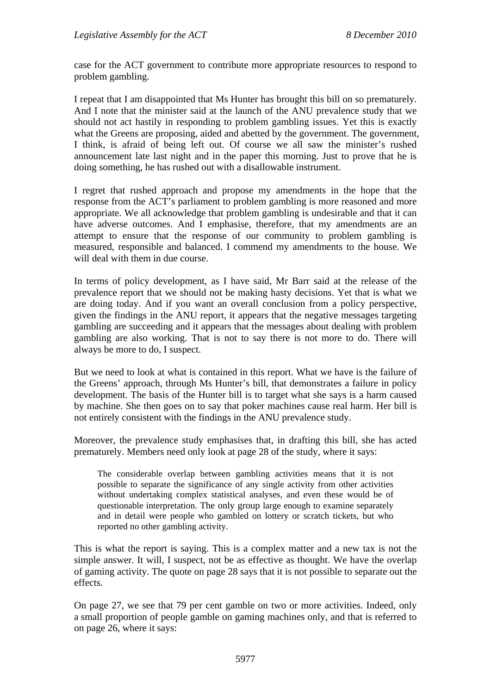case for the ACT government to contribute more appropriate resources to respond to problem gambling.

I repeat that I am disappointed that Ms Hunter has brought this bill on so prematurely. And I note that the minister said at the launch of the ANU prevalence study that we should not act hastily in responding to problem gambling issues. Yet this is exactly what the Greens are proposing, aided and abetted by the government. The government, I think, is afraid of being left out. Of course we all saw the minister's rushed announcement late last night and in the paper this morning. Just to prove that he is doing something, he has rushed out with a disallowable instrument.

I regret that rushed approach and propose my amendments in the hope that the response from the ACT's parliament to problem gambling is more reasoned and more appropriate. We all acknowledge that problem gambling is undesirable and that it can have adverse outcomes. And I emphasise, therefore, that my amendments are an attempt to ensure that the response of our community to problem gambling is measured, responsible and balanced. I commend my amendments to the house. We will deal with them in due course.

In terms of policy development, as I have said, Mr Barr said at the release of the prevalence report that we should not be making hasty decisions. Yet that is what we are doing today. And if you want an overall conclusion from a policy perspective, given the findings in the ANU report, it appears that the negative messages targeting gambling are succeeding and it appears that the messages about dealing with problem gambling are also working. That is not to say there is not more to do. There will always be more to do, I suspect.

But we need to look at what is contained in this report. What we have is the failure of the Greens' approach, through Ms Hunter's bill, that demonstrates a failure in policy development. The basis of the Hunter bill is to target what she says is a harm caused by machine. She then goes on to say that poker machines cause real harm. Her bill is not entirely consistent with the findings in the ANU prevalence study.

Moreover, the prevalence study emphasises that, in drafting this bill, she has acted prematurely. Members need only look at page 28 of the study, where it says:

The considerable overlap between gambling activities means that it is not possible to separate the significance of any single activity from other activities without undertaking complex statistical analyses, and even these would be of questionable interpretation. The only group large enough to examine separately and in detail were people who gambled on lottery or scratch tickets, but who reported no other gambling activity.

This is what the report is saying. This is a complex matter and a new tax is not the simple answer. It will, I suspect, not be as effective as thought. We have the overlap of gaming activity. The quote on page 28 says that it is not possible to separate out the effects.

On page 27, we see that 79 per cent gamble on two or more activities. Indeed, only a small proportion of people gamble on gaming machines only, and that is referred to on page 26, where it says: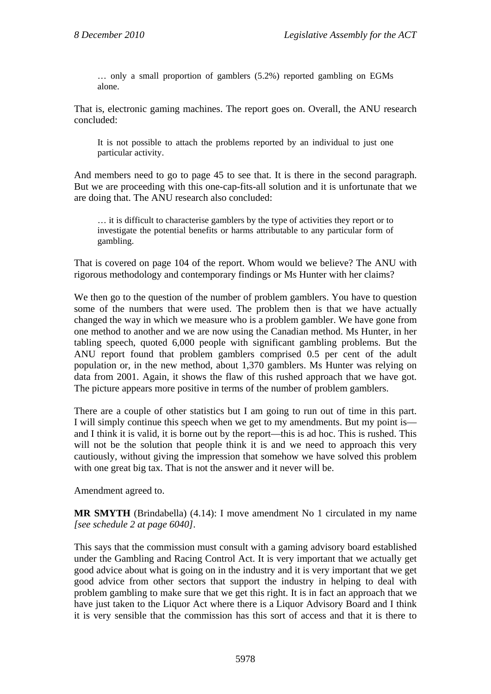… only a small proportion of gamblers (5.2%) reported gambling on EGMs alone.

That is, electronic gaming machines. The report goes on. Overall, the ANU research concluded:

It is not possible to attach the problems reported by an individual to just one particular activity.

And members need to go to page 45 to see that. It is there in the second paragraph. But we are proceeding with this one-cap-fits-all solution and it is unfortunate that we are doing that. The ANU research also concluded:

… it is difficult to characterise gamblers by the type of activities they report or to investigate the potential benefits or harms attributable to any particular form of gambling.

That is covered on page 104 of the report. Whom would we believe? The ANU with rigorous methodology and contemporary findings or Ms Hunter with her claims?

We then go to the question of the number of problem gamblers. You have to question some of the numbers that were used. The problem then is that we have actually changed the way in which we measure who is a problem gambler. We have gone from one method to another and we are now using the Canadian method. Ms Hunter, in her tabling speech, quoted 6,000 people with significant gambling problems. But the ANU report found that problem gamblers comprised 0.5 per cent of the adult population or, in the new method, about 1,370 gamblers. Ms Hunter was relying on data from 2001. Again, it shows the flaw of this rushed approach that we have got. The picture appears more positive in terms of the number of problem gamblers.

There are a couple of other statistics but I am going to run out of time in this part. I will simply continue this speech when we get to my amendments. But my point is and I think it is valid, it is borne out by the report—this is ad hoc. This is rushed. This will not be the solution that people think it is and we need to approach this very cautiously, without giving the impression that somehow we have solved this problem with one great big tax. That is not the answer and it never will be.

Amendment agreed to.

**MR SMYTH** (Brindabella) (4.14): I move amendment No 1 circulated in my name *[see schedule 2 at page 6040]*.

This says that the commission must consult with a gaming advisory board established under the Gambling and Racing Control Act. It is very important that we actually get good advice about what is going on in the industry and it is very important that we get good advice from other sectors that support the industry in helping to deal with problem gambling to make sure that we get this right. It is in fact an approach that we have just taken to the Liquor Act where there is a Liquor Advisory Board and I think it is very sensible that the commission has this sort of access and that it is there to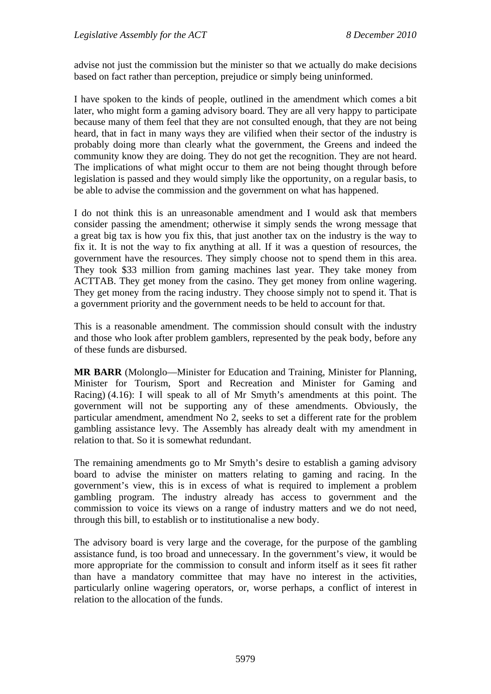advise not just the commission but the minister so that we actually do make decisions based on fact rather than perception, prejudice or simply being uninformed.

I have spoken to the kinds of people, outlined in the amendment which comes a bit later, who might form a gaming advisory board. They are all very happy to participate because many of them feel that they are not consulted enough, that they are not being heard, that in fact in many ways they are vilified when their sector of the industry is probably doing more than clearly what the government, the Greens and indeed the community know they are doing. They do not get the recognition. They are not heard. The implications of what might occur to them are not being thought through before legislation is passed and they would simply like the opportunity, on a regular basis, to be able to advise the commission and the government on what has happened.

I do not think this is an unreasonable amendment and I would ask that members consider passing the amendment; otherwise it simply sends the wrong message that a great big tax is how you fix this, that just another tax on the industry is the way to fix it. It is not the way to fix anything at all. If it was a question of resources, the government have the resources. They simply choose not to spend them in this area. They took \$33 million from gaming machines last year. They take money from ACTTAB. They get money from the casino. They get money from online wagering. They get money from the racing industry. They choose simply not to spend it. That is a government priority and the government needs to be held to account for that.

This is a reasonable amendment. The commission should consult with the industry and those who look after problem gamblers, represented by the peak body, before any of these funds are disbursed.

**MR BARR** (Molonglo—Minister for Education and Training, Minister for Planning, Minister for Tourism, Sport and Recreation and Minister for Gaming and Racing) (4.16): I will speak to all of Mr Smyth's amendments at this point. The government will not be supporting any of these amendments. Obviously, the particular amendment, amendment No 2, seeks to set a different rate for the problem gambling assistance levy. The Assembly has already dealt with my amendment in relation to that. So it is somewhat redundant.

The remaining amendments go to Mr Smyth's desire to establish a gaming advisory board to advise the minister on matters relating to gaming and racing. In the government's view, this is in excess of what is required to implement a problem gambling program. The industry already has access to government and the commission to voice its views on a range of industry matters and we do not need, through this bill, to establish or to institutionalise a new body.

The advisory board is very large and the coverage, for the purpose of the gambling assistance fund, is too broad and unnecessary. In the government's view, it would be more appropriate for the commission to consult and inform itself as it sees fit rather than have a mandatory committee that may have no interest in the activities, particularly online wagering operators, or, worse perhaps, a conflict of interest in relation to the allocation of the funds.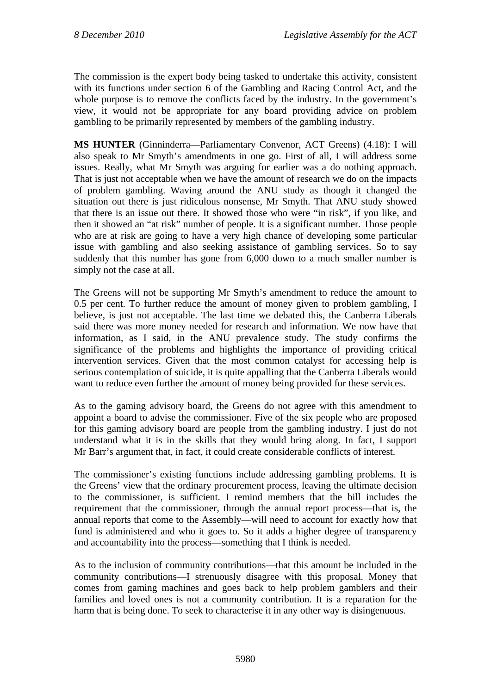The commission is the expert body being tasked to undertake this activity, consistent with its functions under section 6 of the Gambling and Racing Control Act, and the whole purpose is to remove the conflicts faced by the industry. In the government's view, it would not be appropriate for any board providing advice on problem gambling to be primarily represented by members of the gambling industry.

**MS HUNTER** (Ginninderra—Parliamentary Convenor, ACT Greens) (4.18): I will also speak to Mr Smyth's amendments in one go. First of all, I will address some issues. Really, what Mr Smyth was arguing for earlier was a do nothing approach. That is just not acceptable when we have the amount of research we do on the impacts of problem gambling. Waving around the ANU study as though it changed the situation out there is just ridiculous nonsense, Mr Smyth. That ANU study showed that there is an issue out there. It showed those who were "in risk", if you like, and then it showed an "at risk" number of people. It is a significant number. Those people who are at risk are going to have a very high chance of developing some particular issue with gambling and also seeking assistance of gambling services. So to say suddenly that this number has gone from 6,000 down to a much smaller number is simply not the case at all.

The Greens will not be supporting Mr Smyth's amendment to reduce the amount to 0.5 per cent. To further reduce the amount of money given to problem gambling, I believe, is just not acceptable. The last time we debated this, the Canberra Liberals said there was more money needed for research and information. We now have that information, as I said, in the ANU prevalence study. The study confirms the significance of the problems and highlights the importance of providing critical intervention services. Given that the most common catalyst for accessing help is serious contemplation of suicide, it is quite appalling that the Canberra Liberals would want to reduce even further the amount of money being provided for these services.

As to the gaming advisory board, the Greens do not agree with this amendment to appoint a board to advise the commissioner. Five of the six people who are proposed for this gaming advisory board are people from the gambling industry. I just do not understand what it is in the skills that they would bring along. In fact, I support Mr Barr's argument that, in fact, it could create considerable conflicts of interest.

The commissioner's existing functions include addressing gambling problems. It is the Greens' view that the ordinary procurement process, leaving the ultimate decision to the commissioner, is sufficient. I remind members that the bill includes the requirement that the commissioner, through the annual report process—that is, the annual reports that come to the Assembly—will need to account for exactly how that fund is administered and who it goes to. So it adds a higher degree of transparency and accountability into the process—something that I think is needed.

As to the inclusion of community contributions—that this amount be included in the community contributions—I strenuously disagree with this proposal. Money that comes from gaming machines and goes back to help problem gamblers and their families and loved ones is not a community contribution. It is a reparation for the harm that is being done. To seek to characterise it in any other way is disingenuous.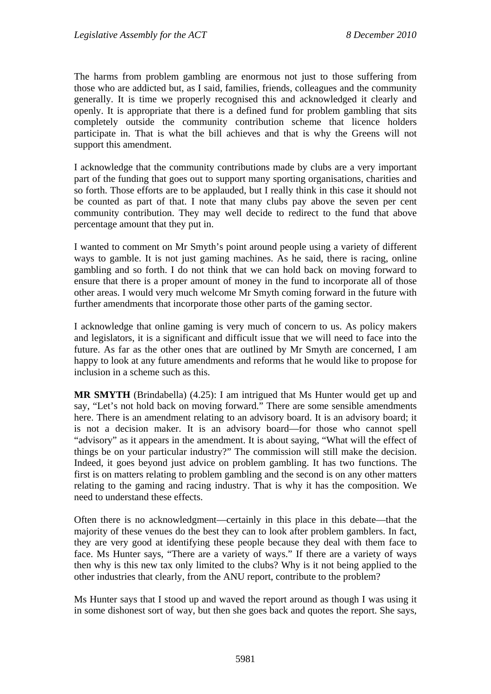The harms from problem gambling are enormous not just to those suffering from those who are addicted but, as I said, families, friends, colleagues and the community generally. It is time we properly recognised this and acknowledged it clearly and openly. It is appropriate that there is a defined fund for problem gambling that sits completely outside the community contribution scheme that licence holders participate in. That is what the bill achieves and that is why the Greens will not support this amendment.

I acknowledge that the community contributions made by clubs are a very important part of the funding that goes out to support many sporting organisations, charities and so forth. Those efforts are to be applauded, but I really think in this case it should not be counted as part of that. I note that many clubs pay above the seven per cent community contribution. They may well decide to redirect to the fund that above percentage amount that they put in.

I wanted to comment on Mr Smyth's point around people using a variety of different ways to gamble. It is not just gaming machines. As he said, there is racing, online gambling and so forth. I do not think that we can hold back on moving forward to ensure that there is a proper amount of money in the fund to incorporate all of those other areas. I would very much welcome Mr Smyth coming forward in the future with further amendments that incorporate those other parts of the gaming sector.

I acknowledge that online gaming is very much of concern to us. As policy makers and legislators, it is a significant and difficult issue that we will need to face into the future. As far as the other ones that are outlined by Mr Smyth are concerned, I am happy to look at any future amendments and reforms that he would like to propose for inclusion in a scheme such as this.

**MR SMYTH** (Brindabella) (4.25): I am intrigued that Ms Hunter would get up and say, "Let's not hold back on moving forward." There are some sensible amendments here. There is an amendment relating to an advisory board. It is an advisory board; it is not a decision maker. It is an advisory board—for those who cannot spell "advisory" as it appears in the amendment. It is about saying, "What will the effect of things be on your particular industry?" The commission will still make the decision. Indeed, it goes beyond just advice on problem gambling. It has two functions. The first is on matters relating to problem gambling and the second is on any other matters relating to the gaming and racing industry. That is why it has the composition. We need to understand these effects.

Often there is no acknowledgment—certainly in this place in this debate—that the majority of these venues do the best they can to look after problem gamblers. In fact, they are very good at identifying these people because they deal with them face to face. Ms Hunter says, "There are a variety of ways." If there are a variety of ways then why is this new tax only limited to the clubs? Why is it not being applied to the other industries that clearly, from the ANU report, contribute to the problem?

Ms Hunter says that I stood up and waved the report around as though I was using it in some dishonest sort of way, but then she goes back and quotes the report. She says,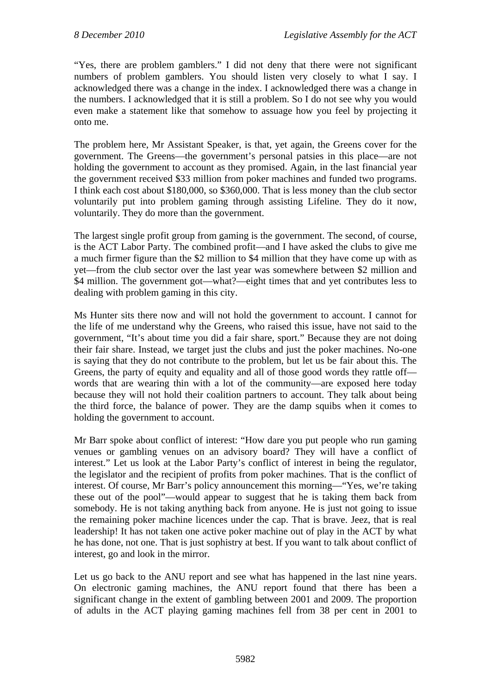"Yes, there are problem gamblers." I did not deny that there were not significant numbers of problem gamblers. You should listen very closely to what I say. I acknowledged there was a change in the index. I acknowledged there was a change in the numbers. I acknowledged that it is still a problem. So I do not see why you would even make a statement like that somehow to assuage how you feel by projecting it onto me.

The problem here, Mr Assistant Speaker, is that, yet again, the Greens cover for the government. The Greens—the government's personal patsies in this place—are not holding the government to account as they promised. Again, in the last financial year the government received \$33 million from poker machines and funded two programs. I think each cost about \$180,000, so \$360,000. That is less money than the club sector voluntarily put into problem gaming through assisting Lifeline. They do it now, voluntarily. They do more than the government.

The largest single profit group from gaming is the government. The second, of course, is the ACT Labor Party. The combined profit—and I have asked the clubs to give me a much firmer figure than the \$2 million to \$4 million that they have come up with as yet—from the club sector over the last year was somewhere between \$2 million and \$4 million. The government got—what?—eight times that and yet contributes less to dealing with problem gaming in this city.

Ms Hunter sits there now and will not hold the government to account. I cannot for the life of me understand why the Greens, who raised this issue, have not said to the government, "It's about time you did a fair share, sport." Because they are not doing their fair share. Instead, we target just the clubs and just the poker machines. No-one is saying that they do not contribute to the problem, but let us be fair about this. The Greens, the party of equity and equality and all of those good words they rattle off words that are wearing thin with a lot of the community—are exposed here today because they will not hold their coalition partners to account. They talk about being the third force, the balance of power. They are the damp squibs when it comes to holding the government to account.

Mr Barr spoke about conflict of interest: "How dare you put people who run gaming venues or gambling venues on an advisory board? They will have a conflict of interest." Let us look at the Labor Party's conflict of interest in being the regulator, the legislator and the recipient of profits from poker machines. That is the conflict of interest. Of course, Mr Barr's policy announcement this morning—"Yes, we're taking these out of the pool"—would appear to suggest that he is taking them back from somebody. He is not taking anything back from anyone. He is just not going to issue the remaining poker machine licences under the cap. That is brave. Jeez, that is real leadership! It has not taken one active poker machine out of play in the ACT by what he has done, not one. That is just sophistry at best. If you want to talk about conflict of interest, go and look in the mirror.

Let us go back to the ANU report and see what has happened in the last nine years. On electronic gaming machines, the ANU report found that there has been a significant change in the extent of gambling between 2001 and 2009. The proportion of adults in the ACT playing gaming machines fell from 38 per cent in 2001 to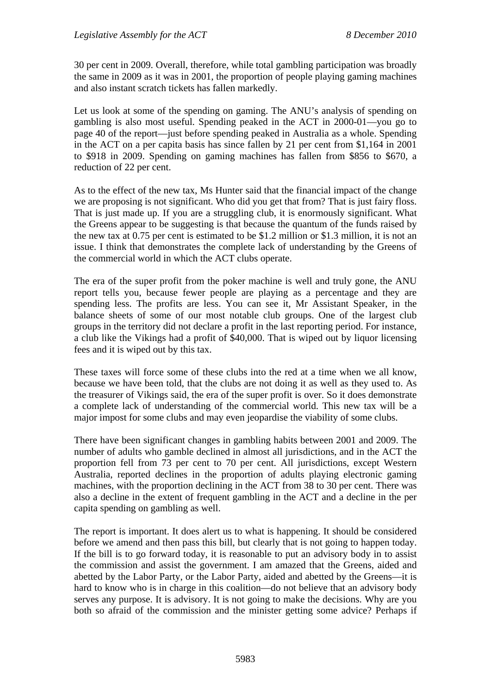30 per cent in 2009. Overall, therefore, while total gambling participation was broadly the same in 2009 as it was in 2001, the proportion of people playing gaming machines and also instant scratch tickets has fallen markedly.

Let us look at some of the spending on gaming. The ANU's analysis of spending on gambling is also most useful. Spending peaked in the ACT in 2000-01—you go to page 40 of the report—just before spending peaked in Australia as a whole. Spending in the ACT on a per capita basis has since fallen by 21 per cent from \$1,164 in 2001 to \$918 in 2009. Spending on gaming machines has fallen from \$856 to \$670, a reduction of 22 per cent.

As to the effect of the new tax, Ms Hunter said that the financial impact of the change we are proposing is not significant. Who did you get that from? That is just fairy floss. That is just made up. If you are a struggling club, it is enormously significant. What the Greens appear to be suggesting is that because the quantum of the funds raised by the new tax at 0.75 per cent is estimated to be \$1.2 million or \$1.3 million, it is not an issue. I think that demonstrates the complete lack of understanding by the Greens of the commercial world in which the ACT clubs operate.

The era of the super profit from the poker machine is well and truly gone, the ANU report tells you, because fewer people are playing as a percentage and they are spending less. The profits are less. You can see it, Mr Assistant Speaker, in the balance sheets of some of our most notable club groups. One of the largest club groups in the territory did not declare a profit in the last reporting period. For instance, a club like the Vikings had a profit of \$40,000. That is wiped out by liquor licensing fees and it is wiped out by this tax.

These taxes will force some of these clubs into the red at a time when we all know, because we have been told, that the clubs are not doing it as well as they used to. As the treasurer of Vikings said, the era of the super profit is over. So it does demonstrate a complete lack of understanding of the commercial world. This new tax will be a major impost for some clubs and may even jeopardise the viability of some clubs.

There have been significant changes in gambling habits between 2001 and 2009. The number of adults who gamble declined in almost all jurisdictions, and in the ACT the proportion fell from 73 per cent to 70 per cent. All jurisdictions, except Western Australia, reported declines in the proportion of adults playing electronic gaming machines, with the proportion declining in the ACT from 38 to 30 per cent. There was also a decline in the extent of frequent gambling in the ACT and a decline in the per capita spending on gambling as well.

The report is important. It does alert us to what is happening. It should be considered before we amend and then pass this bill, but clearly that is not going to happen today. If the bill is to go forward today, it is reasonable to put an advisory body in to assist the commission and assist the government. I am amazed that the Greens, aided and abetted by the Labor Party, or the Labor Party, aided and abetted by the Greens—it is hard to know who is in charge in this coalition—do not believe that an advisory body serves any purpose. It is advisory. It is not going to make the decisions. Why are you both so afraid of the commission and the minister getting some advice? Perhaps if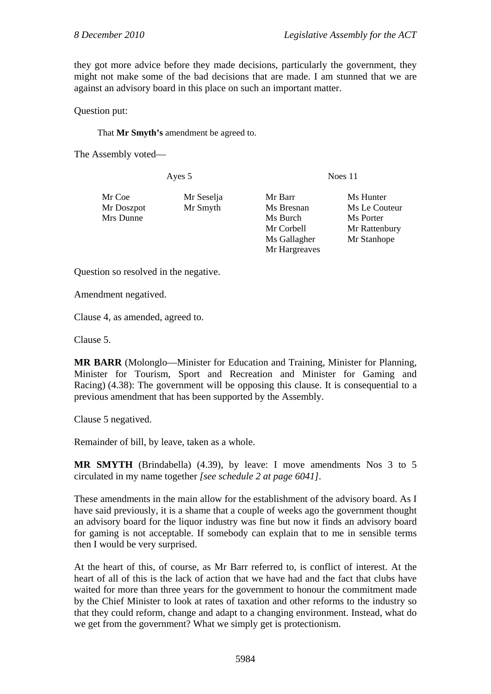they got more advice before they made decisions, particularly the government, they might not make some of the bad decisions that are made. I am stunned that we are against an advisory board in this place on such an important matter.

Question put:

That **Mr Smyth's** amendment be agreed to.

The Assembly voted—

| Mr Seselja | Mr Barr       | Ms Hunter     |
|------------|---------------|---------------|
| Mr Smyth   | Ms Bresnan    | Ms Le Couteur |
| Mrs Dunne  | Ms Burch      | Ms Porter     |
|            | Mr Corbell    | Mr Rattenbury |
|            | Ms Gallagher  | Mr Stanhope   |
|            | Mr Hargreaves |               |
|            |               |               |

Ayes 5 Noes 11

Question so resolved in the negative.

Amendment negatived.

Clause 4, as amended, agreed to.

Clause 5.

**MR BARR** (Molonglo—Minister for Education and Training, Minister for Planning, Minister for Tourism, Sport and Recreation and Minister for Gaming and Racing) (4.38): The government will be opposing this clause. It is consequential to a previous amendment that has been supported by the Assembly.

Clause 5 negatived.

Remainder of bill, by leave, taken as a whole.

**MR SMYTH** (Brindabella) (4.39), by leave: I move amendments Nos 3 to 5 circulated in my name together *[see schedule 2 at page 6041]*.

These amendments in the main allow for the establishment of the advisory board. As I have said previously, it is a shame that a couple of weeks ago the government thought an advisory board for the liquor industry was fine but now it finds an advisory board for gaming is not acceptable. If somebody can explain that to me in sensible terms then I would be very surprised.

At the heart of this, of course, as Mr Barr referred to, is conflict of interest. At the heart of all of this is the lack of action that we have had and the fact that clubs have waited for more than three years for the government to honour the commitment made by the Chief Minister to look at rates of taxation and other reforms to the industry so that they could reform, change and adapt to a changing environment. Instead, what do we get from the government? What we simply get is protectionism.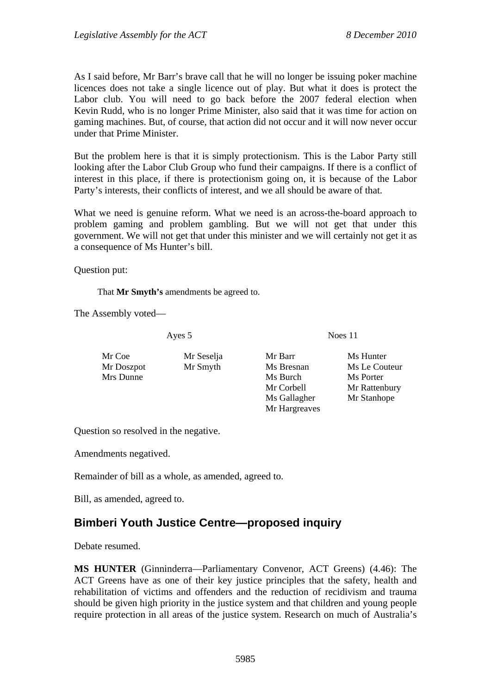As I said before, Mr Barr's brave call that he will no longer be issuing poker machine licences does not take a single licence out of play. But what it does is protect the Labor club. You will need to go back before the 2007 federal election when Kevin Rudd, who is no longer Prime Minister, also said that it was time for action on gaming machines. But, of course, that action did not occur and it will now never occur under that Prime Minister.

But the problem here is that it is simply protectionism. This is the Labor Party still looking after the Labor Club Group who fund their campaigns. If there is a conflict of interest in this place, if there is protectionism going on, it is because of the Labor Party's interests, their conflicts of interest, and we all should be aware of that.

What we need is genuine reform. What we need is an across-the-board approach to problem gaming and problem gambling. But we will not get that under this government. We will not get that under this minister and we will certainly not get it as a consequence of Ms Hunter's bill.

Question put:

That **Mr Smyth's** amendments be agreed to.

The Assembly voted—

Ayes 5 Noes 11

- 
- Mr Coe Mr Seselja Mr Barr Ms Hunter Mrs Dunne Ms Burch Ms Burch Ms Porter Ms Gallagher Mr Stanhope Mr Hargreaves

Mr Doszpot Mr Smyth Ms Bresnan Ms Le Couteur Mr Corbell Mr Rattenbury

Question so resolved in the negative.

Amendments negatived.

Remainder of bill as a whole, as amended, agreed to.

Bill, as amended, agreed to.

# **Bimberi Youth Justice Centre—proposed inquiry**

Debate resumed.

**MS HUNTER** (Ginninderra—Parliamentary Convenor, ACT Greens) (4.46): The ACT Greens have as one of their key justice principles that the safety, health and rehabilitation of victims and offenders and the reduction of recidivism and trauma should be given high priority in the justice system and that children and young people require protection in all areas of the justice system. Research on much of Australia's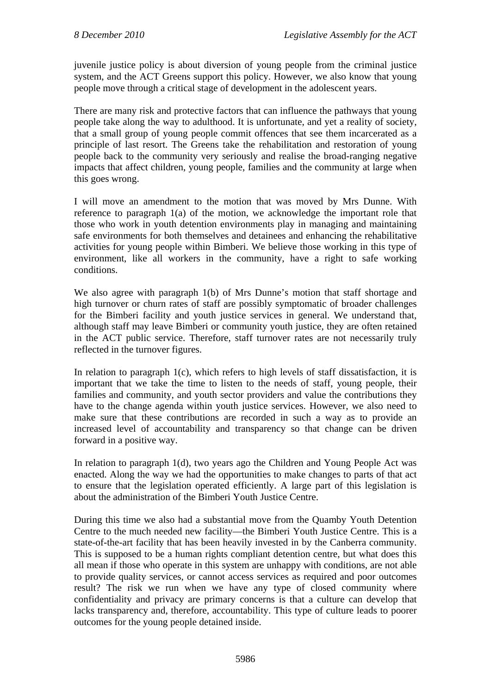juvenile justice policy is about diversion of young people from the criminal justice system, and the ACT Greens support this policy. However, we also know that young people move through a critical stage of development in the adolescent years.

There are many risk and protective factors that can influence the pathways that young people take along the way to adulthood. It is unfortunate, and yet a reality of society, that a small group of young people commit offences that see them incarcerated as a principle of last resort. The Greens take the rehabilitation and restoration of young people back to the community very seriously and realise the broad-ranging negative impacts that affect children, young people, families and the community at large when this goes wrong.

I will move an amendment to the motion that was moved by Mrs Dunne. With reference to paragraph 1(a) of the motion, we acknowledge the important role that those who work in youth detention environments play in managing and maintaining safe environments for both themselves and detainees and enhancing the rehabilitative activities for young people within Bimberi. We believe those working in this type of environment, like all workers in the community, have a right to safe working conditions.

We also agree with paragraph 1(b) of Mrs Dunne's motion that staff shortage and high turnover or churn rates of staff are possibly symptomatic of broader challenges for the Bimberi facility and youth justice services in general. We understand that, although staff may leave Bimberi or community youth justice, they are often retained in the ACT public service. Therefore, staff turnover rates are not necessarily truly reflected in the turnover figures.

In relation to paragraph 1(c), which refers to high levels of staff dissatisfaction, it is important that we take the time to listen to the needs of staff, young people, their families and community, and youth sector providers and value the contributions they have to the change agenda within youth justice services. However, we also need to make sure that these contributions are recorded in such a way as to provide an increased level of accountability and transparency so that change can be driven forward in a positive way.

In relation to paragraph 1(d), two years ago the Children and Young People Act was enacted. Along the way we had the opportunities to make changes to parts of that act to ensure that the legislation operated efficiently. A large part of this legislation is about the administration of the Bimberi Youth Justice Centre.

During this time we also had a substantial move from the Quamby Youth Detention Centre to the much needed new facility—the Bimberi Youth Justice Centre. This is a state-of-the-art facility that has been heavily invested in by the Canberra community. This is supposed to be a human rights compliant detention centre, but what does this all mean if those who operate in this system are unhappy with conditions, are not able to provide quality services, or cannot access services as required and poor outcomes result? The risk we run when we have any type of closed community where confidentiality and privacy are primary concerns is that a culture can develop that lacks transparency and, therefore, accountability. This type of culture leads to poorer outcomes for the young people detained inside.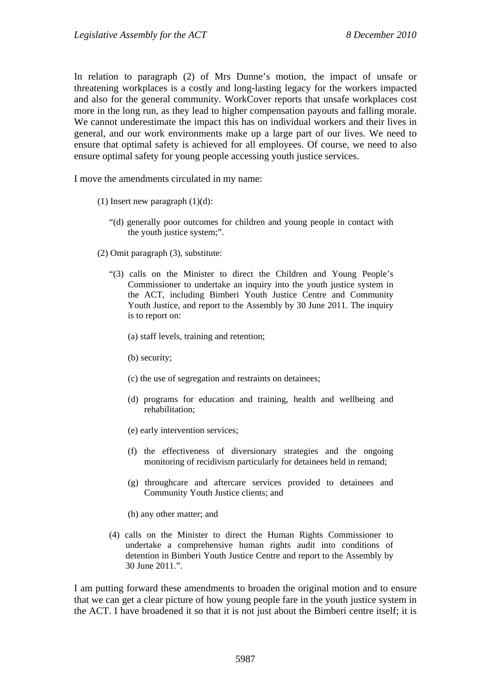In relation to paragraph (2) of Mrs Dunne's motion, the impact of unsafe or threatening workplaces is a costly and long-lasting legacy for the workers impacted and also for the general community. WorkCover reports that unsafe workplaces cost more in the long run, as they lead to higher compensation payouts and falling morale. We cannot underestimate the impact this has on individual workers and their lives in general, and our work environments make up a large part of our lives. We need to ensure that optimal safety is achieved for all employees. Of course, we need to also ensure optimal safety for young people accessing youth justice services.

I move the amendments circulated in my name:

- (1) Insert new paragraph  $(1)(d)$ :
	- "(d) generally poor outcomes for children and young people in contact with the youth justice system;".
- (2) Omit paragraph (3), substitute:
	- "(3) calls on the Minister to direct the Children and Young People's Commissioner to undertake an inquiry into the youth justice system in the ACT, including Bimberi Youth Justice Centre and Community Youth Justice, and report to the Assembly by 30 June 2011. The inquiry is to report on:
		- (a) staff levels, training and retention;
		- (b) security;
		- (c) the use of segregation and restraints on detainees;
		- (d) programs for education and training, health and wellbeing and rehabilitation;
		- (e) early intervention services;
		- (f) the effectiveness of diversionary strategies and the ongoing monitoring of recidivism particularly for detainees held in remand;
		- (g) throughcare and aftercare services provided to detainees and Community Youth Justice clients; and
		- (h) any other matter; and
	- (4) calls on the Minister to direct the Human Rights Commissioner to undertake a comprehensive human rights audit into conditions of detention in Bimberi Youth Justice Centre and report to the Assembly by 30 June 2011.".

I am putting forward these amendments to broaden the original motion and to ensure that we can get a clear picture of how young people fare in the youth justice system in the ACT. I have broadened it so that it is not just about the Bimberi centre itself; it is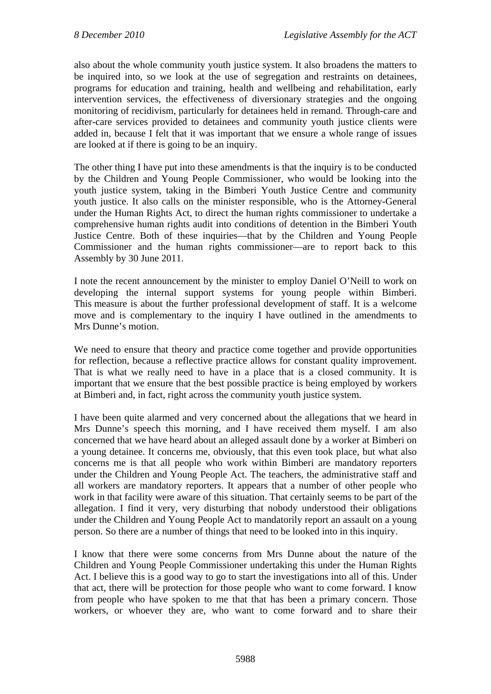also about the whole community youth justice system. It also broadens the matters to be inquired into, so we look at the use of segregation and restraints on detainees, programs for education and training, health and wellbeing and rehabilitation, early intervention services, the effectiveness of diversionary strategies and the ongoing monitoring of recidivism, particularly for detainees held in remand. Through-care and after-care services provided to detainees and community youth justice clients were added in, because I felt that it was important that we ensure a whole range of issues are looked at if there is going to be an inquiry.

The other thing I have put into these amendments is that the inquiry is to be conducted by the Children and Young People Commissioner, who would be looking into the youth justice system, taking in the Bimberi Youth Justice Centre and community youth justice. It also calls on the minister responsible, who is the Attorney-General under the Human Rights Act, to direct the human rights commissioner to undertake a comprehensive human rights audit into conditions of detention in the Bimberi Youth Justice Centre. Both of these inquiries—that by the Children and Young People Commissioner and the human rights commissioner—are to report back to this Assembly by 30 June 2011.

I note the recent announcement by the minister to employ Daniel O'Neill to work on developing the internal support systems for young people within Bimberi. This measure is about the further professional development of staff. It is a welcome move and is complementary to the inquiry I have outlined in the amendments to Mrs Dunne's motion.

We need to ensure that theory and practice come together and provide opportunities for reflection, because a reflective practice allows for constant quality improvement. That is what we really need to have in a place that is a closed community. It is important that we ensure that the best possible practice is being employed by workers at Bimberi and, in fact, right across the community youth justice system.

I have been quite alarmed and very concerned about the allegations that we heard in Mrs Dunne's speech this morning, and I have received them myself. I am also concerned that we have heard about an alleged assault done by a worker at Bimberi on a young detainee. It concerns me, obviously, that this even took place, but what also concerns me is that all people who work within Bimberi are mandatory reporters under the Children and Young People Act. The teachers, the administrative staff and all workers are mandatory reporters. It appears that a number of other people who work in that facility were aware of this situation. That certainly seems to be part of the allegation. I find it very, very disturbing that nobody understood their obligations under the Children and Young People Act to mandatorily report an assault on a young person. So there are a number of things that need to be looked into in this inquiry.

I know that there were some concerns from Mrs Dunne about the nature of the Children and Young People Commissioner undertaking this under the Human Rights Act. I believe this is a good way to go to start the investigations into all of this. Under that act, there will be protection for those people who want to come forward. I know from people who have spoken to me that that has been a primary concern. Those workers, or whoever they are, who want to come forward and to share their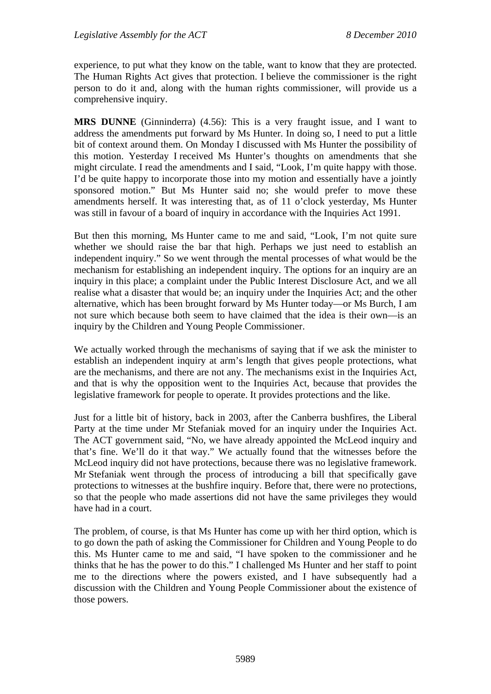experience, to put what they know on the table, want to know that they are protected. The Human Rights Act gives that protection. I believe the commissioner is the right person to do it and, along with the human rights commissioner, will provide us a comprehensive inquiry.

**MRS DUNNE** (Ginninderra) (4.56): This is a very fraught issue, and I want to address the amendments put forward by Ms Hunter. In doing so, I need to put a little bit of context around them. On Monday I discussed with Ms Hunter the possibility of this motion. Yesterday I received Ms Hunter's thoughts on amendments that she might circulate. I read the amendments and I said, "Look, I'm quite happy with those. I'd be quite happy to incorporate those into my motion and essentially have a jointly sponsored motion." But Ms Hunter said no; she would prefer to move these amendments herself. It was interesting that, as of 11 o'clock yesterday, Ms Hunter was still in favour of a board of inquiry in accordance with the Inquiries Act 1991.

But then this morning, Ms Hunter came to me and said, "Look, I'm not quite sure whether we should raise the bar that high. Perhaps we just need to establish an independent inquiry." So we went through the mental processes of what would be the mechanism for establishing an independent inquiry. The options for an inquiry are an inquiry in this place; a complaint under the Public Interest Disclosure Act, and we all realise what a disaster that would be; an inquiry under the Inquiries Act; and the other alternative, which has been brought forward by Ms Hunter today—or Ms Burch, I am not sure which because both seem to have claimed that the idea is their own—is an inquiry by the Children and Young People Commissioner.

We actually worked through the mechanisms of saying that if we ask the minister to establish an independent inquiry at arm's length that gives people protections, what are the mechanisms, and there are not any. The mechanisms exist in the Inquiries Act, and that is why the opposition went to the Inquiries Act, because that provides the legislative framework for people to operate. It provides protections and the like.

Just for a little bit of history, back in 2003, after the Canberra bushfires, the Liberal Party at the time under Mr Stefaniak moved for an inquiry under the Inquiries Act. The ACT government said, "No, we have already appointed the McLeod inquiry and that's fine. We'll do it that way." We actually found that the witnesses before the McLeod inquiry did not have protections, because there was no legislative framework. Mr Stefaniak went through the process of introducing a bill that specifically gave protections to witnesses at the bushfire inquiry. Before that, there were no protections, so that the people who made assertions did not have the same privileges they would have had in a court.

The problem, of course, is that Ms Hunter has come up with her third option, which is to go down the path of asking the Commissioner for Children and Young People to do this. Ms Hunter came to me and said, "I have spoken to the commissioner and he thinks that he has the power to do this." I challenged Ms Hunter and her staff to point me to the directions where the powers existed, and I have subsequently had a discussion with the Children and Young People Commissioner about the existence of those powers.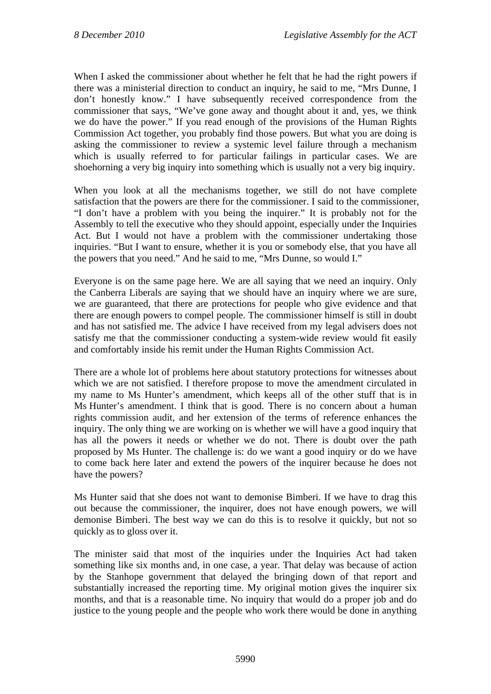When I asked the commissioner about whether he felt that he had the right powers if there was a ministerial direction to conduct an inquiry, he said to me, "Mrs Dunne, I don't honestly know." I have subsequently received correspondence from the commissioner that says, "We've gone away and thought about it and, yes, we think we do have the power." If you read enough of the provisions of the Human Rights Commission Act together, you probably find those powers. But what you are doing is asking the commissioner to review a systemic level failure through a mechanism which is usually referred to for particular failings in particular cases. We are shoehorning a very big inquiry into something which is usually not a very big inquiry.

When you look at all the mechanisms together, we still do not have complete satisfaction that the powers are there for the commissioner. I said to the commissioner, "I don't have a problem with you being the inquirer." It is probably not for the Assembly to tell the executive who they should appoint, especially under the Inquiries Act. But I would not have a problem with the commissioner undertaking those inquiries. "But I want to ensure, whether it is you or somebody else, that you have all the powers that you need." And he said to me, "Mrs Dunne, so would I."

Everyone is on the same page here. We are all saying that we need an inquiry. Only the Canberra Liberals are saying that we should have an inquiry where we are sure, we are guaranteed, that there are protections for people who give evidence and that there are enough powers to compel people. The commissioner himself is still in doubt and has not satisfied me. The advice I have received from my legal advisers does not satisfy me that the commissioner conducting a system-wide review would fit easily and comfortably inside his remit under the Human Rights Commission Act.

There are a whole lot of problems here about statutory protections for witnesses about which we are not satisfied. I therefore propose to move the amendment circulated in my name to Ms Hunter's amendment, which keeps all of the other stuff that is in Ms Hunter's amendment. I think that is good. There is no concern about a human rights commission audit, and her extension of the terms of reference enhances the inquiry. The only thing we are working on is whether we will have a good inquiry that has all the powers it needs or whether we do not. There is doubt over the path proposed by Ms Hunter. The challenge is: do we want a good inquiry or do we have to come back here later and extend the powers of the inquirer because he does not have the powers?

Ms Hunter said that she does not want to demonise Bimberi. If we have to drag this out because the commissioner, the inquirer, does not have enough powers, we will demonise Bimberi. The best way we can do this is to resolve it quickly, but not so quickly as to gloss over it.

The minister said that most of the inquiries under the Inquiries Act had taken something like six months and, in one case, a year. That delay was because of action by the Stanhope government that delayed the bringing down of that report and substantially increased the reporting time. My original motion gives the inquirer six months, and that is a reasonable time. No inquiry that would do a proper job and do justice to the young people and the people who work there would be done in anything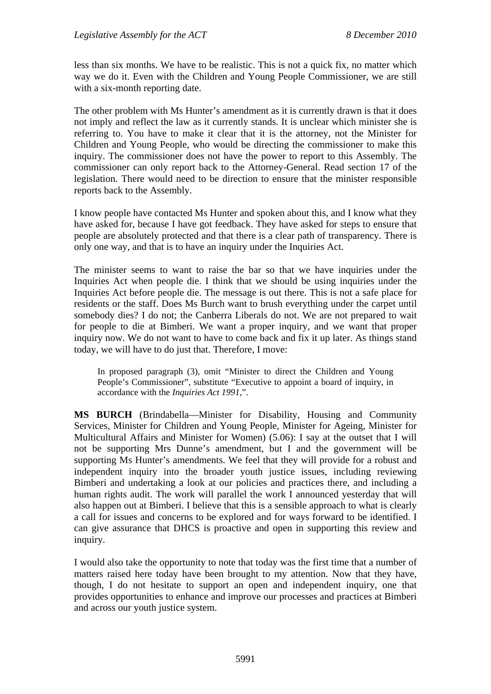less than six months. We have to be realistic. This is not a quick fix, no matter which way we do it. Even with the Children and Young People Commissioner, we are still with a six-month reporting date.

The other problem with Ms Hunter's amendment as it is currently drawn is that it does not imply and reflect the law as it currently stands. It is unclear which minister she is referring to. You have to make it clear that it is the attorney, not the Minister for Children and Young People, who would be directing the commissioner to make this inquiry. The commissioner does not have the power to report to this Assembly. The commissioner can only report back to the Attorney-General. Read section 17 of the legislation. There would need to be direction to ensure that the minister responsible reports back to the Assembly.

I know people have contacted Ms Hunter and spoken about this, and I know what they have asked for, because I have got feedback. They have asked for steps to ensure that people are absolutely protected and that there is a clear path of transparency. There is only one way, and that is to have an inquiry under the Inquiries Act.

The minister seems to want to raise the bar so that we have inquiries under the Inquiries Act when people die. I think that we should be using inquiries under the Inquiries Act before people die. The message is out there. This is not a safe place for residents or the staff. Does Ms Burch want to brush everything under the carpet until somebody dies? I do not; the Canberra Liberals do not. We are not prepared to wait for people to die at Bimberi. We want a proper inquiry, and we want that proper inquiry now. We do not want to have to come back and fix it up later. As things stand today, we will have to do just that. Therefore, I move:

In proposed paragraph (3), omit "Minister to direct the Children and Young People's Commissioner", substitute "Executive to appoint a board of inquiry, in accordance with the *Inquiries Act 1991*,".

**MS BURCH** (Brindabella—Minister for Disability, Housing and Community Services, Minister for Children and Young People, Minister for Ageing, Minister for Multicultural Affairs and Minister for Women) (5.06): I say at the outset that I will not be supporting Mrs Dunne's amendment, but I and the government will be supporting Ms Hunter's amendments. We feel that they will provide for a robust and independent inquiry into the broader youth justice issues, including reviewing Bimberi and undertaking a look at our policies and practices there, and including a human rights audit. The work will parallel the work I announced yesterday that will also happen out at Bimberi. I believe that this is a sensible approach to what is clearly a call for issues and concerns to be explored and for ways forward to be identified. I can give assurance that DHCS is proactive and open in supporting this review and inquiry.

I would also take the opportunity to note that today was the first time that a number of matters raised here today have been brought to my attention. Now that they have, though, I do not hesitate to support an open and independent inquiry, one that provides opportunities to enhance and improve our processes and practices at Bimberi and across our youth justice system.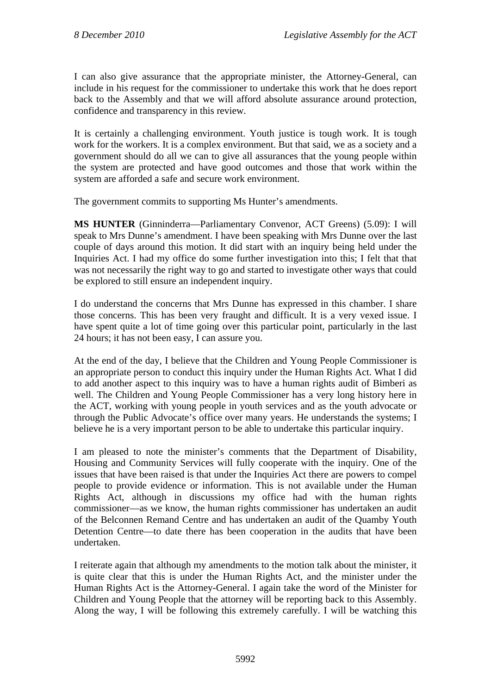I can also give assurance that the appropriate minister, the Attorney-General, can include in his request for the commissioner to undertake this work that he does report back to the Assembly and that we will afford absolute assurance around protection, confidence and transparency in this review.

It is certainly a challenging environment. Youth justice is tough work. It is tough work for the workers. It is a complex environment. But that said, we as a society and a government should do all we can to give all assurances that the young people within the system are protected and have good outcomes and those that work within the system are afforded a safe and secure work environment.

The government commits to supporting Ms Hunter's amendments.

**MS HUNTER** (Ginninderra—Parliamentary Convenor, ACT Greens) (5.09): I will speak to Mrs Dunne's amendment. I have been speaking with Mrs Dunne over the last couple of days around this motion. It did start with an inquiry being held under the Inquiries Act. I had my office do some further investigation into this; I felt that that was not necessarily the right way to go and started to investigate other ways that could be explored to still ensure an independent inquiry.

I do understand the concerns that Mrs Dunne has expressed in this chamber. I share those concerns. This has been very fraught and difficult. It is a very vexed issue. I have spent quite a lot of time going over this particular point, particularly in the last 24 hours; it has not been easy, I can assure you.

At the end of the day, I believe that the Children and Young People Commissioner is an appropriate person to conduct this inquiry under the Human Rights Act. What I did to add another aspect to this inquiry was to have a human rights audit of Bimberi as well. The Children and Young People Commissioner has a very long history here in the ACT, working with young people in youth services and as the youth advocate or through the Public Advocate's office over many years. He understands the systems; I believe he is a very important person to be able to undertake this particular inquiry.

I am pleased to note the minister's comments that the Department of Disability, Housing and Community Services will fully cooperate with the inquiry. One of the issues that have been raised is that under the Inquiries Act there are powers to compel people to provide evidence or information. This is not available under the Human Rights Act, although in discussions my office had with the human rights commissioner—as we know, the human rights commissioner has undertaken an audit of the Belconnen Remand Centre and has undertaken an audit of the Quamby Youth Detention Centre—to date there has been cooperation in the audits that have been undertaken.

I reiterate again that although my amendments to the motion talk about the minister, it is quite clear that this is under the Human Rights Act, and the minister under the Human Rights Act is the Attorney-General. I again take the word of the Minister for Children and Young People that the attorney will be reporting back to this Assembly. Along the way, I will be following this extremely carefully. I will be watching this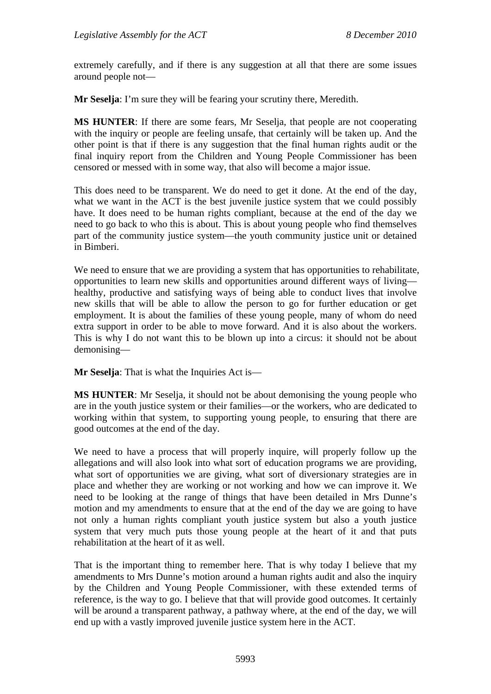extremely carefully, and if there is any suggestion at all that there are some issues around people not—

**Mr Seselja**: I'm sure they will be fearing your scrutiny there, Meredith.

**MS HUNTER**: If there are some fears, Mr Seselja, that people are not cooperating with the inquiry or people are feeling unsafe, that certainly will be taken up. And the other point is that if there is any suggestion that the final human rights audit or the final inquiry report from the Children and Young People Commissioner has been censored or messed with in some way, that also will become a major issue.

This does need to be transparent. We do need to get it done. At the end of the day, what we want in the ACT is the best juvenile justice system that we could possibly have. It does need to be human rights compliant, because at the end of the day we need to go back to who this is about. This is about young people who find themselves part of the community justice system—the youth community justice unit or detained in Bimberi.

We need to ensure that we are providing a system that has opportunities to rehabilitate, opportunities to learn new skills and opportunities around different ways of living healthy, productive and satisfying ways of being able to conduct lives that involve new skills that will be able to allow the person to go for further education or get employment. It is about the families of these young people, many of whom do need extra support in order to be able to move forward. And it is also about the workers. This is why I do not want this to be blown up into a circus: it should not be about demonising—

**Mr Seselja**: That is what the Inquiries Act is—

**MS HUNTER**: Mr Seselja, it should not be about demonising the young people who are in the youth justice system or their families—or the workers, who are dedicated to working within that system, to supporting young people, to ensuring that there are good outcomes at the end of the day.

We need to have a process that will properly inquire, will properly follow up the allegations and will also look into what sort of education programs we are providing, what sort of opportunities we are giving, what sort of diversionary strategies are in place and whether they are working or not working and how we can improve it. We need to be looking at the range of things that have been detailed in Mrs Dunne's motion and my amendments to ensure that at the end of the day we are going to have not only a human rights compliant youth justice system but also a youth justice system that very much puts those young people at the heart of it and that puts rehabilitation at the heart of it as well.

That is the important thing to remember here. That is why today I believe that my amendments to Mrs Dunne's motion around a human rights audit and also the inquiry by the Children and Young People Commissioner, with these extended terms of reference, is the way to go. I believe that that will provide good outcomes. It certainly will be around a transparent pathway, a pathway where, at the end of the day, we will end up with a vastly improved juvenile justice system here in the ACT.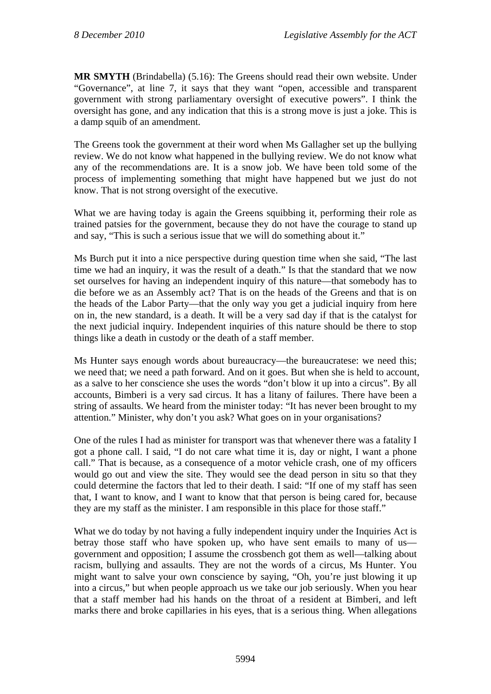**MR SMYTH** (Brindabella) (5.16): The Greens should read their own website. Under "Governance", at line 7, it says that they want "open, accessible and transparent government with strong parliamentary oversight of executive powers". I think the oversight has gone, and any indication that this is a strong move is just a joke. This is a damp squib of an amendment.

The Greens took the government at their word when Ms Gallagher set up the bullying review. We do not know what happened in the bullying review. We do not know what any of the recommendations are. It is a snow job. We have been told some of the process of implementing something that might have happened but we just do not know. That is not strong oversight of the executive.

What we are having today is again the Greens squibbing it, performing their role as trained patsies for the government, because they do not have the courage to stand up and say, "This is such a serious issue that we will do something about it."

Ms Burch put it into a nice perspective during question time when she said, "The last time we had an inquiry, it was the result of a death." Is that the standard that we now set ourselves for having an independent inquiry of this nature—that somebody has to die before we as an Assembly act? That is on the heads of the Greens and that is on the heads of the Labor Party—that the only way you get a judicial inquiry from here on in, the new standard, is a death. It will be a very sad day if that is the catalyst for the next judicial inquiry. Independent inquiries of this nature should be there to stop things like a death in custody or the death of a staff member.

Ms Hunter says enough words about bureaucracy—the bureaucratese: we need this; we need that; we need a path forward. And on it goes. But when she is held to account, as a salve to her conscience she uses the words "don't blow it up into a circus". By all accounts, Bimberi is a very sad circus. It has a litany of failures. There have been a string of assaults. We heard from the minister today: "It has never been brought to my attention." Minister, why don't you ask? What goes on in your organisations?

One of the rules I had as minister for transport was that whenever there was a fatality I got a phone call. I said, "I do not care what time it is, day or night, I want a phone call." That is because, as a consequence of a motor vehicle crash, one of my officers would go out and view the site. They would see the dead person in situ so that they could determine the factors that led to their death. I said: "If one of my staff has seen that, I want to know, and I want to know that that person is being cared for, because they are my staff as the minister. I am responsible in this place for those staff."

What we do today by not having a fully independent inquiry under the Inquiries Act is betray those staff who have spoken up, who have sent emails to many of us government and opposition; I assume the crossbench got them as well—talking about racism, bullying and assaults. They are not the words of a circus, Ms Hunter. You might want to salve your own conscience by saying, "Oh, you're just blowing it up into a circus," but when people approach us we take our job seriously. When you hear that a staff member had his hands on the throat of a resident at Bimberi, and left marks there and broke capillaries in his eyes, that is a serious thing. When allegations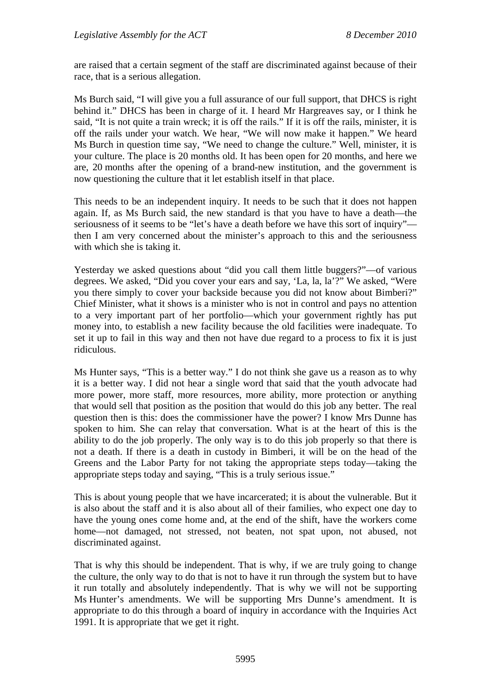are raised that a certain segment of the staff are discriminated against because of their race, that is a serious allegation.

Ms Burch said, "I will give you a full assurance of our full support, that DHCS is right behind it." DHCS has been in charge of it. I heard Mr Hargreaves say, or I think he said, "It is not quite a train wreck; it is off the rails." If it is off the rails, minister, it is off the rails under your watch. We hear, "We will now make it happen." We heard Ms Burch in question time say, "We need to change the culture." Well, minister, it is your culture. The place is 20 months old. It has been open for 20 months, and here we are, 20 months after the opening of a brand-new institution, and the government is now questioning the culture that it let establish itself in that place.

This needs to be an independent inquiry. It needs to be such that it does not happen again. If, as Ms Burch said, the new standard is that you have to have a death—the seriousness of it seems to be "let's have a death before we have this sort of inquiry" then I am very concerned about the minister's approach to this and the seriousness with which she is taking it.

Yesterday we asked questions about "did you call them little buggers?"—of various degrees. We asked, "Did you cover your ears and say, 'La, la, la'?" We asked, "Were you there simply to cover your backside because you did not know about Bimberi?" Chief Minister, what it shows is a minister who is not in control and pays no attention to a very important part of her portfolio—which your government rightly has put money into, to establish a new facility because the old facilities were inadequate. To set it up to fail in this way and then not have due regard to a process to fix it is just ridiculous.

Ms Hunter says, "This is a better way." I do not think she gave us a reason as to why it is a better way. I did not hear a single word that said that the youth advocate had more power, more staff, more resources, more ability, more protection or anything that would sell that position as the position that would do this job any better. The real question then is this: does the commissioner have the power? I know Mrs Dunne has spoken to him. She can relay that conversation. What is at the heart of this is the ability to do the job properly. The only way is to do this job properly so that there is not a death. If there is a death in custody in Bimberi, it will be on the head of the Greens and the Labor Party for not taking the appropriate steps today—taking the appropriate steps today and saying, "This is a truly serious issue."

This is about young people that we have incarcerated; it is about the vulnerable. But it is also about the staff and it is also about all of their families, who expect one day to have the young ones come home and, at the end of the shift, have the workers come home—not damaged, not stressed, not beaten, not spat upon, not abused, not discriminated against.

That is why this should be independent. That is why, if we are truly going to change the culture, the only way to do that is not to have it run through the system but to have it run totally and absolutely independently. That is why we will not be supporting Ms Hunter's amendments. We will be supporting Mrs Dunne's amendment. It is appropriate to do this through a board of inquiry in accordance with the Inquiries Act 1991. It is appropriate that we get it right.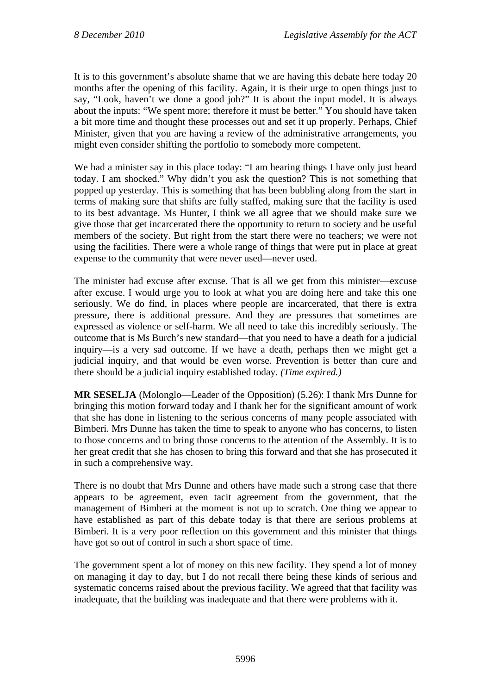It is to this government's absolute shame that we are having this debate here today 20 months after the opening of this facility. Again, it is their urge to open things just to say, "Look, haven't we done a good job?" It is about the input model. It is always about the inputs: "We spent more; therefore it must be better." You should have taken a bit more time and thought these processes out and set it up properly. Perhaps, Chief Minister, given that you are having a review of the administrative arrangements, you might even consider shifting the portfolio to somebody more competent.

We had a minister say in this place today: "I am hearing things I have only just heard today. I am shocked." Why didn't you ask the question? This is not something that popped up yesterday. This is something that has been bubbling along from the start in terms of making sure that shifts are fully staffed, making sure that the facility is used to its best advantage. Ms Hunter, I think we all agree that we should make sure we give those that get incarcerated there the opportunity to return to society and be useful members of the society. But right from the start there were no teachers; we were not using the facilities. There were a whole range of things that were put in place at great expense to the community that were never used—never used.

The minister had excuse after excuse. That is all we get from this minister—excuse after excuse. I would urge you to look at what you are doing here and take this one seriously. We do find, in places where people are incarcerated, that there is extra pressure, there is additional pressure. And they are pressures that sometimes are expressed as violence or self-harm. We all need to take this incredibly seriously. The outcome that is Ms Burch's new standard—that you need to have a death for a judicial inquiry—is a very sad outcome. If we have a death, perhaps then we might get a judicial inquiry, and that would be even worse. Prevention is better than cure and there should be a judicial inquiry established today. *(Time expired.)*

**MR SESELJA** (Molonglo—Leader of the Opposition) (5.26): I thank Mrs Dunne for bringing this motion forward today and I thank her for the significant amount of work that she has done in listening to the serious concerns of many people associated with Bimberi. Mrs Dunne has taken the time to speak to anyone who has concerns, to listen to those concerns and to bring those concerns to the attention of the Assembly. It is to her great credit that she has chosen to bring this forward and that she has prosecuted it in such a comprehensive way.

There is no doubt that Mrs Dunne and others have made such a strong case that there appears to be agreement, even tacit agreement from the government, that the management of Bimberi at the moment is not up to scratch. One thing we appear to have established as part of this debate today is that there are serious problems at Bimberi. It is a very poor reflection on this government and this minister that things have got so out of control in such a short space of time.

The government spent a lot of money on this new facility. They spend a lot of money on managing it day to day, but I do not recall there being these kinds of serious and systematic concerns raised about the previous facility. We agreed that that facility was inadequate, that the building was inadequate and that there were problems with it.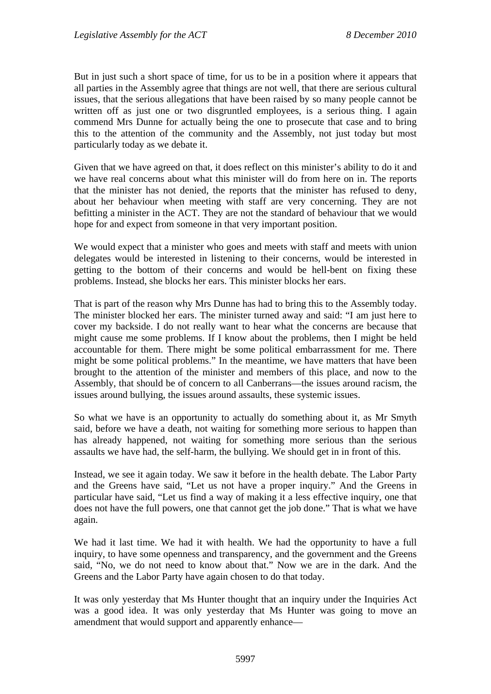But in just such a short space of time, for us to be in a position where it appears that all parties in the Assembly agree that things are not well, that there are serious cultural issues, that the serious allegations that have been raised by so many people cannot be written off as just one or two disgruntled employees, is a serious thing. I again commend Mrs Dunne for actually being the one to prosecute that case and to bring this to the attention of the community and the Assembly, not just today but most particularly today as we debate it.

Given that we have agreed on that, it does reflect on this minister's ability to do it and we have real concerns about what this minister will do from here on in. The reports that the minister has not denied, the reports that the minister has refused to deny, about her behaviour when meeting with staff are very concerning. They are not befitting a minister in the ACT. They are not the standard of behaviour that we would hope for and expect from someone in that very important position.

We would expect that a minister who goes and meets with staff and meets with union delegates would be interested in listening to their concerns, would be interested in getting to the bottom of their concerns and would be hell-bent on fixing these problems. Instead, she blocks her ears. This minister blocks her ears.

That is part of the reason why Mrs Dunne has had to bring this to the Assembly today. The minister blocked her ears. The minister turned away and said: "I am just here to cover my backside. I do not really want to hear what the concerns are because that might cause me some problems. If I know about the problems, then I might be held accountable for them. There might be some political embarrassment for me. There might be some political problems." In the meantime, we have matters that have been brought to the attention of the minister and members of this place, and now to the Assembly, that should be of concern to all Canberrans—the issues around racism, the issues around bullying, the issues around assaults, these systemic issues.

So what we have is an opportunity to actually do something about it, as Mr Smyth said, before we have a death, not waiting for something more serious to happen than has already happened, not waiting for something more serious than the serious assaults we have had, the self-harm, the bullying. We should get in in front of this.

Instead, we see it again today. We saw it before in the health debate. The Labor Party and the Greens have said, "Let us not have a proper inquiry." And the Greens in particular have said, "Let us find a way of making it a less effective inquiry, one that does not have the full powers, one that cannot get the job done." That is what we have again.

We had it last time. We had it with health. We had the opportunity to have a full inquiry, to have some openness and transparency, and the government and the Greens said, "No, we do not need to know about that." Now we are in the dark. And the Greens and the Labor Party have again chosen to do that today.

It was only yesterday that Ms Hunter thought that an inquiry under the Inquiries Act was a good idea. It was only yesterday that Ms Hunter was going to move an amendment that would support and apparently enhance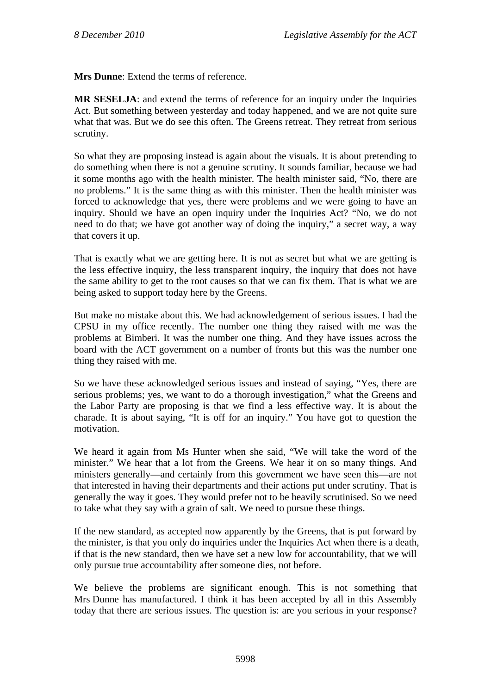**Mrs Dunne**: Extend the terms of reference.

**MR SESELJA**: and extend the terms of reference for an inquiry under the Inquiries Act. But something between yesterday and today happened, and we are not quite sure what that was. But we do see this often. The Greens retreat. They retreat from serious scrutiny.

So what they are proposing instead is again about the visuals. It is about pretending to do something when there is not a genuine scrutiny. It sounds familiar, because we had it some months ago with the health minister. The health minister said, "No, there are no problems." It is the same thing as with this minister. Then the health minister was forced to acknowledge that yes, there were problems and we were going to have an inquiry. Should we have an open inquiry under the Inquiries Act? "No, we do not need to do that; we have got another way of doing the inquiry," a secret way, a way that covers it up.

That is exactly what we are getting here. It is not as secret but what we are getting is the less effective inquiry, the less transparent inquiry, the inquiry that does not have the same ability to get to the root causes so that we can fix them. That is what we are being asked to support today here by the Greens.

But make no mistake about this. We had acknowledgement of serious issues. I had the CPSU in my office recently. The number one thing they raised with me was the problems at Bimberi. It was the number one thing. And they have issues across the board with the ACT government on a number of fronts but this was the number one thing they raised with me.

So we have these acknowledged serious issues and instead of saying, "Yes, there are serious problems; yes, we want to do a thorough investigation," what the Greens and the Labor Party are proposing is that we find a less effective way. It is about the charade. It is about saying, "It is off for an inquiry." You have got to question the motivation.

We heard it again from Ms Hunter when she said, "We will take the word of the minister." We hear that a lot from the Greens. We hear it on so many things. And ministers generally—and certainly from this government we have seen this—are not that interested in having their departments and their actions put under scrutiny. That is generally the way it goes. They would prefer not to be heavily scrutinised. So we need to take what they say with a grain of salt. We need to pursue these things.

If the new standard, as accepted now apparently by the Greens, that is put forward by the minister, is that you only do inquiries under the Inquiries Act when there is a death, if that is the new standard, then we have set a new low for accountability, that we will only pursue true accountability after someone dies, not before.

We believe the problems are significant enough. This is not something that Mrs Dunne has manufactured. I think it has been accepted by all in this Assembly today that there are serious issues. The question is: are you serious in your response?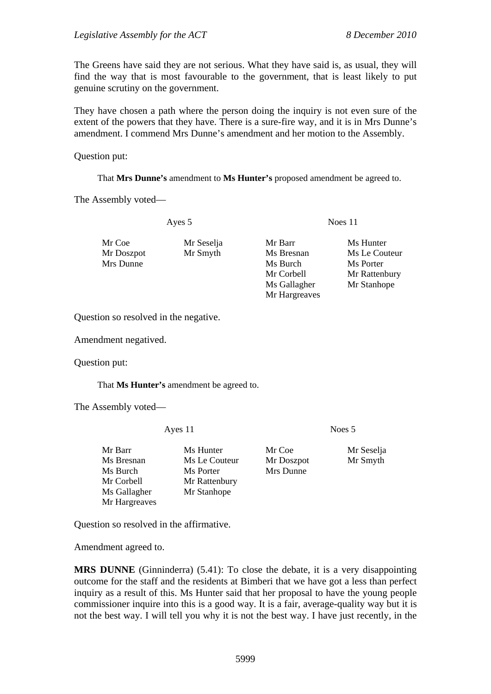The Greens have said they are not serious. What they have said is, as usual, they will find the way that is most favourable to the government, that is least likely to put genuine scrutiny on the government.

They have chosen a path where the person doing the inquiry is not even sure of the extent of the powers that they have. There is a sure-fire way, and it is in Mrs Dunne's amendment. I commend Mrs Dunne's amendment and her motion to the Assembly.

Question put:

That **Mrs Dunne's** amendment to **Ms Hunter's** proposed amendment be agreed to.

The Assembly voted—

Ayes 5 Noes 11

Mr Coe Mr Seselja Mr Barr Ms Hunter Mr Doszpot Mr Smyth Ms Bresnan Ms Le Couteur Mrs Dunne Ms Burch Ms Burch Ms Porter Mr Corbell Mr Rattenbury Ms Gallagher Mr Stanhope Mr Hargreaves

Question so resolved in the negative.

Amendment negatived.

Question put:

That **Ms Hunter's** amendment be agreed to.

The Assembly voted—

Ayes 11 Noes 5

Mr Barr Ms Hunter Mr Coe Mr Seselja Ms Bresnan Ms Le Couteur Mr Doszpot Mr Smyth Ms Burch Ms Porter Mrs Dunne Mr Corbell Mr Rattenbury Ms Gallagher Mr Stanhope Mr Hargreaves

Question so resolved in the affirmative.

Amendment agreed to.

**MRS DUNNE** (Ginninderra) (5.41): To close the debate, it is a very disappointing outcome for the staff and the residents at Bimberi that we have got a less than perfect inquiry as a result of this. Ms Hunter said that her proposal to have the young people commissioner inquire into this is a good way. It is a fair, average-quality way but it is not the best way. I will tell you why it is not the best way. I have just recently, in the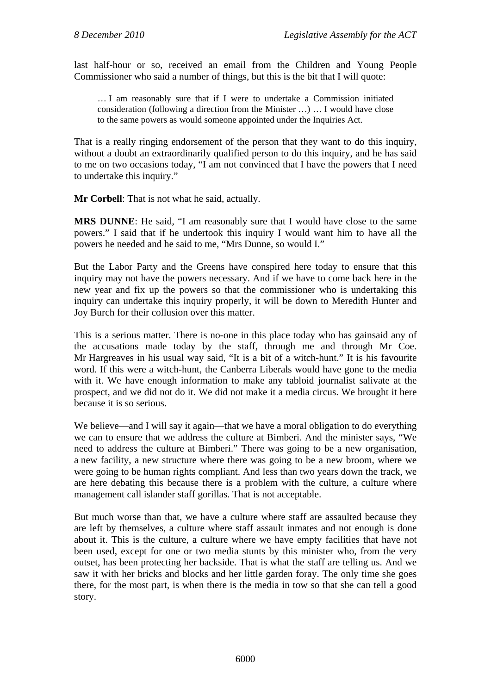last half-hour or so, received an email from the Children and Young People Commissioner who said a number of things, but this is the bit that I will quote:

… I am reasonably sure that if I were to undertake a Commission initiated consideration (following a direction from the Minister …) … I would have close to the same powers as would someone appointed under the Inquiries Act.

That is a really ringing endorsement of the person that they want to do this inquiry, without a doubt an extraordinarily qualified person to do this inquiry, and he has said to me on two occasions today, "I am not convinced that I have the powers that I need to undertake this inquiry."

**Mr Corbell**: That is not what he said, actually.

**MRS DUNNE**: He said, "I am reasonably sure that I would have close to the same powers." I said that if he undertook this inquiry I would want him to have all the powers he needed and he said to me, "Mrs Dunne, so would I."

But the Labor Party and the Greens have conspired here today to ensure that this inquiry may not have the powers necessary. And if we have to come back here in the new year and fix up the powers so that the commissioner who is undertaking this inquiry can undertake this inquiry properly, it will be down to Meredith Hunter and Joy Burch for their collusion over this matter.

This is a serious matter. There is no-one in this place today who has gainsaid any of the accusations made today by the staff, through me and through Mr Coe. Mr Hargreaves in his usual way said, "It is a bit of a witch-hunt." It is his favourite word. If this were a witch-hunt, the Canberra Liberals would have gone to the media with it. We have enough information to make any tabloid journalist salivate at the prospect, and we did not do it. We did not make it a media circus. We brought it here because it is so serious.

We believe—and I will say it again—that we have a moral obligation to do everything we can to ensure that we address the culture at Bimberi. And the minister says, "We need to address the culture at Bimberi." There was going to be a new organisation, a new facility, a new structure where there was going to be a new broom, where we were going to be human rights compliant. And less than two years down the track, we are here debating this because there is a problem with the culture, a culture where management call islander staff gorillas. That is not acceptable.

But much worse than that, we have a culture where staff are assaulted because they are left by themselves, a culture where staff assault inmates and not enough is done about it. This is the culture, a culture where we have empty facilities that have not been used, except for one or two media stunts by this minister who, from the very outset, has been protecting her backside. That is what the staff are telling us. And we saw it with her bricks and blocks and her little garden foray. The only time she goes there, for the most part, is when there is the media in tow so that she can tell a good story.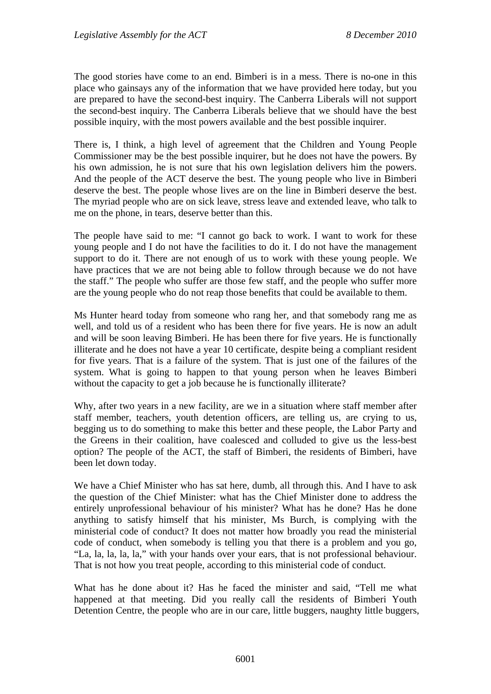The good stories have come to an end. Bimberi is in a mess. There is no-one in this place who gainsays any of the information that we have provided here today, but you are prepared to have the second-best inquiry. The Canberra Liberals will not support the second-best inquiry. The Canberra Liberals believe that we should have the best possible inquiry, with the most powers available and the best possible inquirer.

There is, I think, a high level of agreement that the Children and Young People Commissioner may be the best possible inquirer, but he does not have the powers. By his own admission, he is not sure that his own legislation delivers him the powers. And the people of the ACT deserve the best. The young people who live in Bimberi deserve the best. The people whose lives are on the line in Bimberi deserve the best. The myriad people who are on sick leave, stress leave and extended leave, who talk to me on the phone, in tears, deserve better than this.

The people have said to me: "I cannot go back to work. I want to work for these young people and I do not have the facilities to do it. I do not have the management support to do it. There are not enough of us to work with these young people. We have practices that we are not being able to follow through because we do not have the staff." The people who suffer are those few staff, and the people who suffer more are the young people who do not reap those benefits that could be available to them.

Ms Hunter heard today from someone who rang her, and that somebody rang me as well, and told us of a resident who has been there for five years. He is now an adult and will be soon leaving Bimberi. He has been there for five years. He is functionally illiterate and he does not have a year 10 certificate, despite being a compliant resident for five years. That is a failure of the system. That is just one of the failures of the system. What is going to happen to that young person when he leaves Bimberi without the capacity to get a job because he is functionally illiterate?

Why, after two years in a new facility, are we in a situation where staff member after staff member, teachers, youth detention officers, are telling us, are crying to us, begging us to do something to make this better and these people, the Labor Party and the Greens in their coalition, have coalesced and colluded to give us the less-best option? The people of the ACT, the staff of Bimberi, the residents of Bimberi, have been let down today.

We have a Chief Minister who has sat here, dumb, all through this. And I have to ask the question of the Chief Minister: what has the Chief Minister done to address the entirely unprofessional behaviour of his minister? What has he done? Has he done anything to satisfy himself that his minister, Ms Burch, is complying with the ministerial code of conduct? It does not matter how broadly you read the ministerial code of conduct, when somebody is telling you that there is a problem and you go, "La, la, la, la, la," with your hands over your ears, that is not professional behaviour. That is not how you treat people, according to this ministerial code of conduct.

What has he done about it? Has he faced the minister and said, "Tell me what happened at that meeting. Did you really call the residents of Bimberi Youth Detention Centre, the people who are in our care, little buggers, naughty little buggers,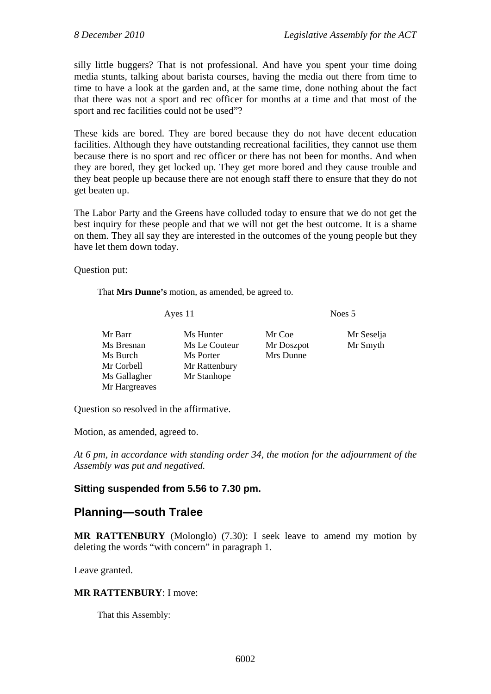silly little buggers? That is not professional. And have you spent your time doing media stunts, talking about barista courses, having the media out there from time to time to have a look at the garden and, at the same time, done nothing about the fact that there was not a sport and rec officer for months at a time and that most of the sport and rec facilities could not be used"?

These kids are bored. They are bored because they do not have decent education facilities. Although they have outstanding recreational facilities, they cannot use them because there is no sport and rec officer or there has not been for months. And when they are bored, they get locked up. They get more bored and they cause trouble and they beat people up because there are not enough staff there to ensure that they do not get beaten up.

The Labor Party and the Greens have colluded today to ensure that we do not get the best inquiry for these people and that we will not get the best outcome. It is a shame on them. They all say they are interested in the outcomes of the young people but they have let them down today.

Question put:

That **Mrs Dunne's** motion, as amended, be agreed to.

Ayes 11 Noes 5 Mr Barr Ms Hunter Mr Coe Mr Seselja Ms Bresnan Ms Le Couteur Mr Doszpot Mr Smyth Ms Burch Ms Porter Mrs Dunne Mr Corbell Mr Rattenbury Ms Gallagher Mr Stanhope Mr Hargreaves

Question so resolved in the affirmative.

Motion, as amended, agreed to.

*At 6 pm, in accordance with standing order 34, the motion for the adjournment of the Assembly was put and negatived.* 

## **Sitting suspended from 5.56 to 7.30 pm.**

## **Planning—south Tralee**

**MR RATTENBURY** (Molonglo) (7.30): I seek leave to amend my motion by deleting the words "with concern" in paragraph 1.

Leave granted.

## **MR RATTENBURY**: I move:

That this Assembly: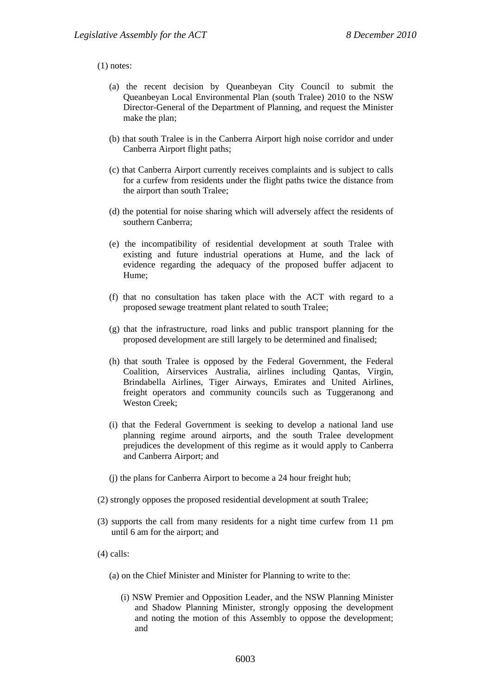## (1) notes:

- (a) the recent decision by Queanbeyan City Council to submit the Queanbeyan Local Environmental Plan (south Tralee) 2010 to the NSW Director-General of the Department of Planning, and request the Minister make the plan;
- (b) that south Tralee is in the Canberra Airport high noise corridor and under Canberra Airport flight paths;
- (c) that Canberra Airport currently receives complaints and is subject to calls for a curfew from residents under the flight paths twice the distance from the airport than south Tralee;
- (d) the potential for noise sharing which will adversely affect the residents of southern Canberra;
- (e) the incompatibility of residential development at south Tralee with existing and future industrial operations at Hume, and the lack of evidence regarding the adequacy of the proposed buffer adjacent to Hume;
- (f) that no consultation has taken place with the ACT with regard to a proposed sewage treatment plant related to south Tralee;
- (g) that the infrastructure, road links and public transport planning for the proposed development are still largely to be determined and finalised;
- (h) that south Tralee is opposed by the Federal Government, the Federal Coalition, Airservices Australia, airlines including Qantas, Virgin, Brindabella Airlines, Tiger Airways, Emirates and United Airlines, freight operators and community councils such as Tuggeranong and Weston Creek<sup>\*</sup>
- (i) that the Federal Government is seeking to develop a national land use planning regime around airports, and the south Tralee development prejudices the development of this regime as it would apply to Canberra and Canberra Airport; and
- (j) the plans for Canberra Airport to become a 24 hour freight hub;
- (2) strongly opposes the proposed residential development at south Tralee;
- (3) supports the call from many residents for a night time curfew from 11 pm until 6 am for the airport; and
- (4) calls:
	- (a) on the Chief Minister and Minister for Planning to write to the:
		- (i) NSW Premier and Opposition Leader, and the NSW Planning Minister and Shadow Planning Minister, strongly opposing the development and noting the motion of this Assembly to oppose the development; and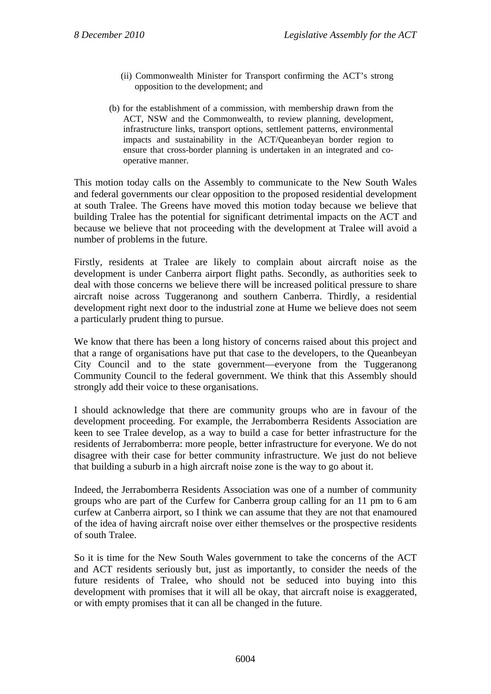- (ii) Commonwealth Minister for Transport confirming the ACT's strong opposition to the development; and
- (b) for the establishment of a commission, with membership drawn from the ACT, NSW and the Commonwealth, to review planning, development, infrastructure links, transport options, settlement patterns, environmental impacts and sustainability in the ACT/Queanbeyan border region to ensure that cross-border planning is undertaken in an integrated and cooperative manner.

This motion today calls on the Assembly to communicate to the New South Wales and federal governments our clear opposition to the proposed residential development at south Tralee. The Greens have moved this motion today because we believe that building Tralee has the potential for significant detrimental impacts on the ACT and because we believe that not proceeding with the development at Tralee will avoid a number of problems in the future.

Firstly, residents at Tralee are likely to complain about aircraft noise as the development is under Canberra airport flight paths. Secondly, as authorities seek to deal with those concerns we believe there will be increased political pressure to share aircraft noise across Tuggeranong and southern Canberra. Thirdly, a residential development right next door to the industrial zone at Hume we believe does not seem a particularly prudent thing to pursue.

We know that there has been a long history of concerns raised about this project and that a range of organisations have put that case to the developers, to the Queanbeyan City Council and to the state government—everyone from the Tuggeranong Community Council to the federal government. We think that this Assembly should strongly add their voice to these organisations.

I should acknowledge that there are community groups who are in favour of the development proceeding. For example, the Jerrabomberra Residents Association are keen to see Tralee develop, as a way to build a case for better infrastructure for the residents of Jerrabomberra: more people, better infrastructure for everyone. We do not disagree with their case for better community infrastructure. We just do not believe that building a suburb in a high aircraft noise zone is the way to go about it.

Indeed, the Jerrabomberra Residents Association was one of a number of community groups who are part of the Curfew for Canberra group calling for an 11 pm to 6 am curfew at Canberra airport, so I think we can assume that they are not that enamoured of the idea of having aircraft noise over either themselves or the prospective residents of south Tralee.

So it is time for the New South Wales government to take the concerns of the ACT and ACT residents seriously but, just as importantly, to consider the needs of the future residents of Tralee, who should not be seduced into buying into this development with promises that it will all be okay, that aircraft noise is exaggerated, or with empty promises that it can all be changed in the future.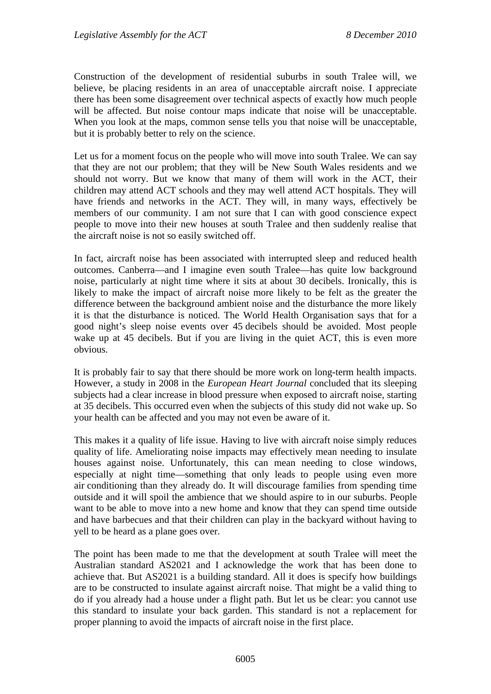Construction of the development of residential suburbs in south Tralee will, we believe, be placing residents in an area of unacceptable aircraft noise. I appreciate there has been some disagreement over technical aspects of exactly how much people will be affected. But noise contour maps indicate that noise will be unacceptable. When you look at the maps, common sense tells you that noise will be unacceptable, but it is probably better to rely on the science.

Let us for a moment focus on the people who will move into south Tralee. We can say that they are not our problem; that they will be New South Wales residents and we should not worry. But we know that many of them will work in the ACT, their children may attend ACT schools and they may well attend ACT hospitals. They will have friends and networks in the ACT. They will, in many ways, effectively be members of our community. I am not sure that I can with good conscience expect people to move into their new houses at south Tralee and then suddenly realise that the aircraft noise is not so easily switched off.

In fact, aircraft noise has been associated with interrupted sleep and reduced health outcomes. Canberra—and I imagine even south Tralee—has quite low background noise, particularly at night time where it sits at about 30 decibels. Ironically, this is likely to make the impact of aircraft noise more likely to be felt as the greater the difference between the background ambient noise and the disturbance the more likely it is that the disturbance is noticed. The World Health Organisation says that for a good night's sleep noise events over 45 decibels should be avoided. Most people wake up at 45 decibels. But if you are living in the quiet ACT, this is even more obvious.

It is probably fair to say that there should be more work on long-term health impacts. However, a study in 2008 in the *European Heart Journal* concluded that its sleeping subjects had a clear increase in blood pressure when exposed to aircraft noise, starting at 35 decibels. This occurred even when the subjects of this study did not wake up. So your health can be affected and you may not even be aware of it.

This makes it a quality of life issue. Having to live with aircraft noise simply reduces quality of life. Ameliorating noise impacts may effectively mean needing to insulate houses against noise. Unfortunately, this can mean needing to close windows, especially at night time—something that only leads to people using even more air conditioning than they already do. It will discourage families from spending time outside and it will spoil the ambience that we should aspire to in our suburbs. People want to be able to move into a new home and know that they can spend time outside and have barbecues and that their children can play in the backyard without having to yell to be heard as a plane goes over.

The point has been made to me that the development at south Tralee will meet the Australian standard AS2021 and I acknowledge the work that has been done to achieve that. But AS2021 is a building standard. All it does is specify how buildings are to be constructed to insulate against aircraft noise. That might be a valid thing to do if you already had a house under a flight path. But let us be clear: you cannot use this standard to insulate your back garden. This standard is not a replacement for proper planning to avoid the impacts of aircraft noise in the first place.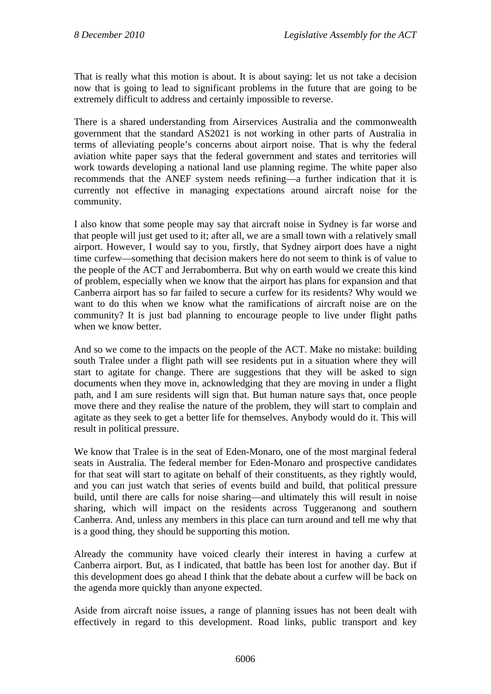That is really what this motion is about. It is about saying: let us not take a decision now that is going to lead to significant problems in the future that are going to be extremely difficult to address and certainly impossible to reverse.

There is a shared understanding from Airservices Australia and the commonwealth government that the standard AS2021 is not working in other parts of Australia in terms of alleviating people's concerns about airport noise. That is why the federal aviation white paper says that the federal government and states and territories will work towards developing a national land use planning regime. The white paper also recommends that the ANEF system needs refining—a further indication that it is currently not effective in managing expectations around aircraft noise for the community.

I also know that some people may say that aircraft noise in Sydney is far worse and that people will just get used to it; after all, we are a small town with a relatively small airport. However, I would say to you, firstly, that Sydney airport does have a night time curfew—something that decision makers here do not seem to think is of value to the people of the ACT and Jerrabomberra. But why on earth would we create this kind of problem, especially when we know that the airport has plans for expansion and that Canberra airport has so far failed to secure a curfew for its residents? Why would we want to do this when we know what the ramifications of aircraft noise are on the community? It is just bad planning to encourage people to live under flight paths when we know better.

And so we come to the impacts on the people of the ACT. Make no mistake: building south Tralee under a flight path will see residents put in a situation where they will start to agitate for change. There are suggestions that they will be asked to sign documents when they move in, acknowledging that they are moving in under a flight path, and I am sure residents will sign that. But human nature says that, once people move there and they realise the nature of the problem, they will start to complain and agitate as they seek to get a better life for themselves. Anybody would do it. This will result in political pressure.

We know that Tralee is in the seat of Eden-Monaro, one of the most marginal federal seats in Australia. The federal member for Eden-Monaro and prospective candidates for that seat will start to agitate on behalf of their constituents, as they rightly would, and you can just watch that series of events build and build, that political pressure build, until there are calls for noise sharing—and ultimately this will result in noise sharing, which will impact on the residents across Tuggeranong and southern Canberra. And, unless any members in this place can turn around and tell me why that is a good thing, they should be supporting this motion.

Already the community have voiced clearly their interest in having a curfew at Canberra airport. But, as I indicated, that battle has been lost for another day. But if this development does go ahead I think that the debate about a curfew will be back on the agenda more quickly than anyone expected.

Aside from aircraft noise issues, a range of planning issues has not been dealt with effectively in regard to this development. Road links, public transport and key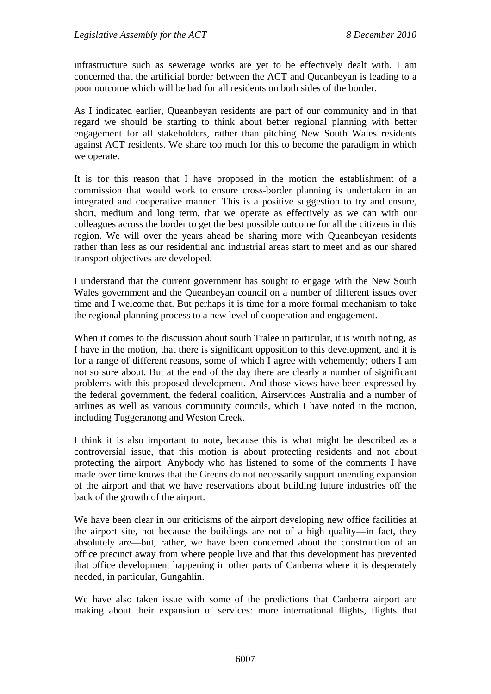infrastructure such as sewerage works are yet to be effectively dealt with. I am concerned that the artificial border between the ACT and Queanbeyan is leading to a poor outcome which will be bad for all residents on both sides of the border.

As I indicated earlier, Queanbeyan residents are part of our community and in that regard we should be starting to think about better regional planning with better engagement for all stakeholders, rather than pitching New South Wales residents against ACT residents. We share too much for this to become the paradigm in which we operate.

It is for this reason that I have proposed in the motion the establishment of a commission that would work to ensure cross-border planning is undertaken in an integrated and cooperative manner. This is a positive suggestion to try and ensure, short, medium and long term, that we operate as effectively as we can with our colleagues across the border to get the best possible outcome for all the citizens in this region. We will over the years ahead be sharing more with Queanbeyan residents rather than less as our residential and industrial areas start to meet and as our shared transport objectives are developed.

I understand that the current government has sought to engage with the New South Wales government and the Queanbeyan council on a number of different issues over time and I welcome that. But perhaps it is time for a more formal mechanism to take the regional planning process to a new level of cooperation and engagement.

When it comes to the discussion about south Tralee in particular, it is worth noting, as I have in the motion, that there is significant opposition to this development, and it is for a range of different reasons, some of which I agree with vehemently; others I am not so sure about. But at the end of the day there are clearly a number of significant problems with this proposed development. And those views have been expressed by the federal government, the federal coalition, Airservices Australia and a number of airlines as well as various community councils, which I have noted in the motion, including Tuggeranong and Weston Creek.

I think it is also important to note, because this is what might be described as a controversial issue, that this motion is about protecting residents and not about protecting the airport. Anybody who has listened to some of the comments I have made over time knows that the Greens do not necessarily support unending expansion of the airport and that we have reservations about building future industries off the back of the growth of the airport.

We have been clear in our criticisms of the airport developing new office facilities at the airport site, not because the buildings are not of a high quality—in fact, they absolutely are—but, rather, we have been concerned about the construction of an office precinct away from where people live and that this development has prevented that office development happening in other parts of Canberra where it is desperately needed, in particular, Gungahlin.

We have also taken issue with some of the predictions that Canberra airport are making about their expansion of services: more international flights, flights that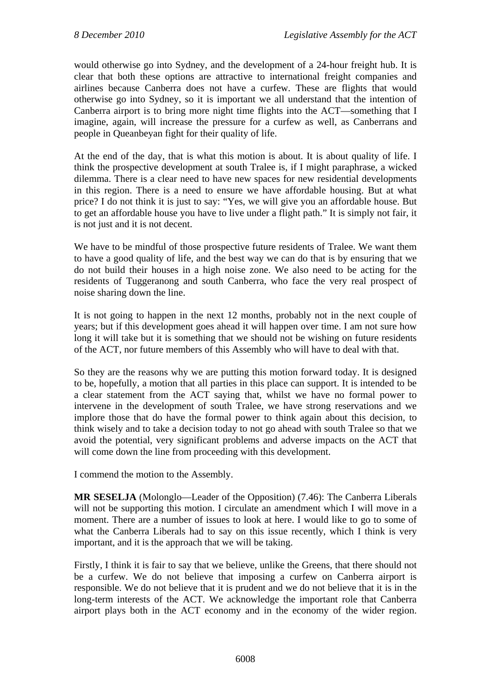would otherwise go into Sydney, and the development of a 24-hour freight hub. It is clear that both these options are attractive to international freight companies and airlines because Canberra does not have a curfew. These are flights that would otherwise go into Sydney, so it is important we all understand that the intention of Canberra airport is to bring more night time flights into the ACT—something that I imagine, again, will increase the pressure for a curfew as well, as Canberrans and people in Queanbeyan fight for their quality of life.

At the end of the day, that is what this motion is about. It is about quality of life. I think the prospective development at south Tralee is, if I might paraphrase, a wicked dilemma. There is a clear need to have new spaces for new residential developments in this region. There is a need to ensure we have affordable housing. But at what price? I do not think it is just to say: "Yes, we will give you an affordable house. But to get an affordable house you have to live under a flight path." It is simply not fair, it is not just and it is not decent.

We have to be mindful of those prospective future residents of Tralee. We want them to have a good quality of life, and the best way we can do that is by ensuring that we do not build their houses in a high noise zone. We also need to be acting for the residents of Tuggeranong and south Canberra, who face the very real prospect of noise sharing down the line.

It is not going to happen in the next 12 months, probably not in the next couple of years; but if this development goes ahead it will happen over time. I am not sure how long it will take but it is something that we should not be wishing on future residents of the ACT, nor future members of this Assembly who will have to deal with that.

So they are the reasons why we are putting this motion forward today. It is designed to be, hopefully, a motion that all parties in this place can support. It is intended to be a clear statement from the ACT saying that, whilst we have no formal power to intervene in the development of south Tralee, we have strong reservations and we implore those that do have the formal power to think again about this decision, to think wisely and to take a decision today to not go ahead with south Tralee so that we avoid the potential, very significant problems and adverse impacts on the ACT that will come down the line from proceeding with this development.

I commend the motion to the Assembly.

**MR SESELJA** (Molonglo—Leader of the Opposition) (7.46): The Canberra Liberals will not be supporting this motion. I circulate an amendment which I will move in a moment. There are a number of issues to look at here. I would like to go to some of what the Canberra Liberals had to say on this issue recently, which I think is very important, and it is the approach that we will be taking.

Firstly, I think it is fair to say that we believe, unlike the Greens, that there should not be a curfew. We do not believe that imposing a curfew on Canberra airport is responsible. We do not believe that it is prudent and we do not believe that it is in the long-term interests of the ACT. We acknowledge the important role that Canberra airport plays both in the ACT economy and in the economy of the wider region.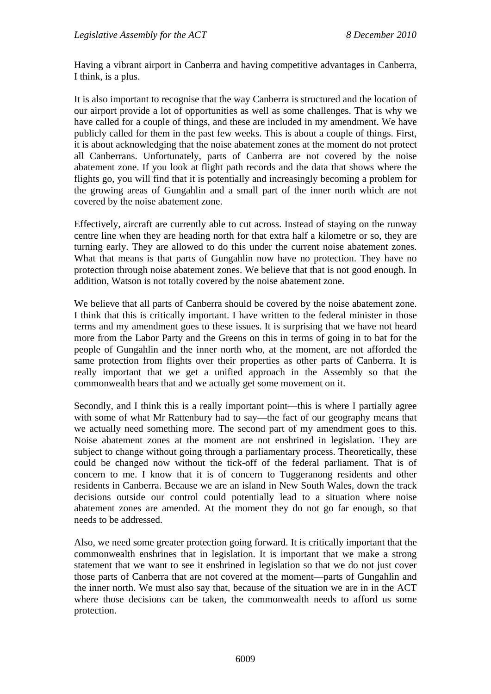Having a vibrant airport in Canberra and having competitive advantages in Canberra, I think, is a plus.

It is also important to recognise that the way Canberra is structured and the location of our airport provide a lot of opportunities as well as some challenges. That is why we have called for a couple of things, and these are included in my amendment. We have publicly called for them in the past few weeks. This is about a couple of things. First, it is about acknowledging that the noise abatement zones at the moment do not protect all Canberrans. Unfortunately, parts of Canberra are not covered by the noise abatement zone. If you look at flight path records and the data that shows where the flights go, you will find that it is potentially and increasingly becoming a problem for the growing areas of Gungahlin and a small part of the inner north which are not covered by the noise abatement zone.

Effectively, aircraft are currently able to cut across. Instead of staying on the runway centre line when they are heading north for that extra half a kilometre or so, they are turning early. They are allowed to do this under the current noise abatement zones. What that means is that parts of Gungahlin now have no protection. They have no protection through noise abatement zones. We believe that that is not good enough. In addition, Watson is not totally covered by the noise abatement zone.

We believe that all parts of Canberra should be covered by the noise abatement zone. I think that this is critically important. I have written to the federal minister in those terms and my amendment goes to these issues. It is surprising that we have not heard more from the Labor Party and the Greens on this in terms of going in to bat for the people of Gungahlin and the inner north who, at the moment, are not afforded the same protection from flights over their properties as other parts of Canberra. It is really important that we get a unified approach in the Assembly so that the commonwealth hears that and we actually get some movement on it.

Secondly, and I think this is a really important point—this is where I partially agree with some of what Mr Rattenbury had to say—the fact of our geography means that we actually need something more. The second part of my amendment goes to this. Noise abatement zones at the moment are not enshrined in legislation. They are subject to change without going through a parliamentary process. Theoretically, these could be changed now without the tick-off of the federal parliament. That is of concern to me. I know that it is of concern to Tuggeranong residents and other residents in Canberra. Because we are an island in New South Wales, down the track decisions outside our control could potentially lead to a situation where noise abatement zones are amended. At the moment they do not go far enough, so that needs to be addressed.

Also, we need some greater protection going forward. It is critically important that the commonwealth enshrines that in legislation. It is important that we make a strong statement that we want to see it enshrined in legislation so that we do not just cover those parts of Canberra that are not covered at the moment—parts of Gungahlin and the inner north. We must also say that, because of the situation we are in in the ACT where those decisions can be taken, the commonwealth needs to afford us some protection.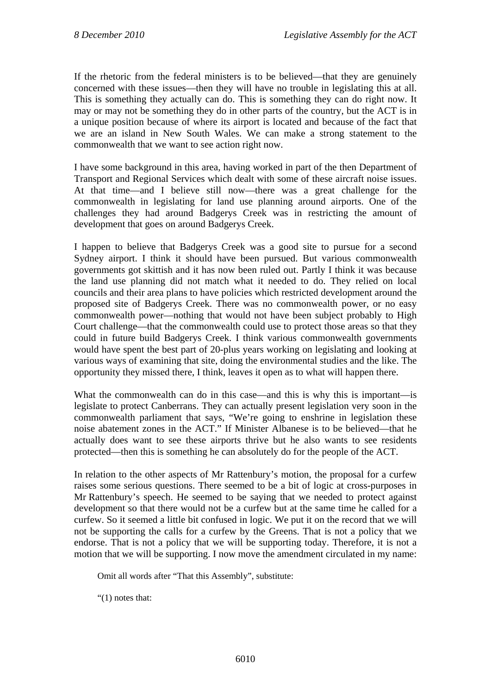If the rhetoric from the federal ministers is to be believed—that they are genuinely concerned with these issues—then they will have no trouble in legislating this at all. This is something they actually can do. This is something they can do right now. It may or may not be something they do in other parts of the country, but the ACT is in a unique position because of where its airport is located and because of the fact that we are an island in New South Wales. We can make a strong statement to the commonwealth that we want to see action right now.

I have some background in this area, having worked in part of the then Department of Transport and Regional Services which dealt with some of these aircraft noise issues. At that time—and I believe still now—there was a great challenge for the commonwealth in legislating for land use planning around airports. One of the challenges they had around Badgerys Creek was in restricting the amount of development that goes on around Badgerys Creek.

I happen to believe that Badgerys Creek was a good site to pursue for a second Sydney airport. I think it should have been pursued. But various commonwealth governments got skittish and it has now been ruled out. Partly I think it was because the land use planning did not match what it needed to do. They relied on local councils and their area plans to have policies which restricted development around the proposed site of Badgerys Creek. There was no commonwealth power, or no easy commonwealth power—nothing that would not have been subject probably to High Court challenge—that the commonwealth could use to protect those areas so that they could in future build Badgerys Creek. I think various commonwealth governments would have spent the best part of 20-plus years working on legislating and looking at various ways of examining that site, doing the environmental studies and the like. The opportunity they missed there, I think, leaves it open as to what will happen there.

What the commonwealth can do in this case—and this is why this is important—is legislate to protect Canberrans. They can actually present legislation very soon in the commonwealth parliament that says, "We're going to enshrine in legislation these noise abatement zones in the ACT." If Minister Albanese is to be believed—that he actually does want to see these airports thrive but he also wants to see residents protected—then this is something he can absolutely do for the people of the ACT.

In relation to the other aspects of Mr Rattenbury's motion, the proposal for a curfew raises some serious questions. There seemed to be a bit of logic at cross-purposes in Mr Rattenbury's speech. He seemed to be saying that we needed to protect against development so that there would not be a curfew but at the same time he called for a curfew. So it seemed a little bit confused in logic. We put it on the record that we will not be supporting the calls for a curfew by the Greens. That is not a policy that we endorse. That is not a policy that we will be supporting today. Therefore, it is not a motion that we will be supporting. I now move the amendment circulated in my name:

Omit all words after "That this Assembly", substitute:

"(1) notes that: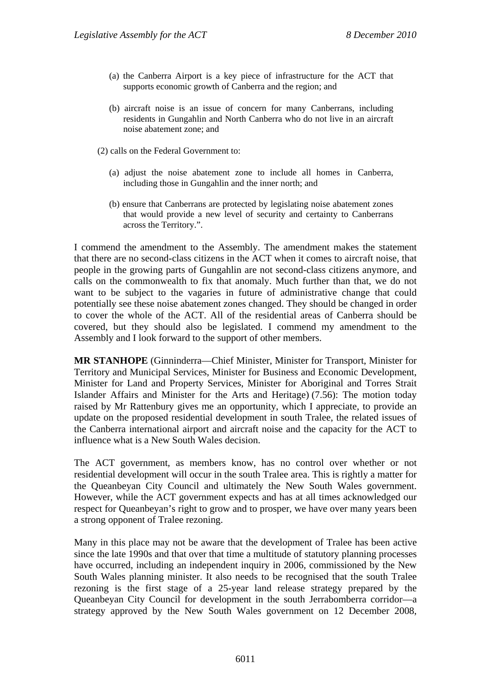- (a) the Canberra Airport is a key piece of infrastructure for the ACT that supports economic growth of Canberra and the region; and
- (b) aircraft noise is an issue of concern for many Canberrans, including residents in Gungahlin and North Canberra who do not live in an aircraft noise abatement zone; and

(2) calls on the Federal Government to:

- (a) adjust the noise abatement zone to include all homes in Canberra, including those in Gungahlin and the inner north; and
- (b) ensure that Canberrans are protected by legislating noise abatement zones that would provide a new level of security and certainty to Canberrans across the Territory.".

I commend the amendment to the Assembly. The amendment makes the statement that there are no second-class citizens in the ACT when it comes to aircraft noise, that people in the growing parts of Gungahlin are not second-class citizens anymore, and calls on the commonwealth to fix that anomaly. Much further than that, we do not want to be subject to the vagaries in future of administrative change that could potentially see these noise abatement zones changed. They should be changed in order to cover the whole of the ACT. All of the residential areas of Canberra should be covered, but they should also be legislated. I commend my amendment to the Assembly and I look forward to the support of other members.

**MR STANHOPE** (Ginninderra—Chief Minister, Minister for Transport, Minister for Territory and Municipal Services, Minister for Business and Economic Development, Minister for Land and Property Services, Minister for Aboriginal and Torres Strait Islander Affairs and Minister for the Arts and Heritage) (7.56): The motion today raised by Mr Rattenbury gives me an opportunity, which I appreciate, to provide an update on the proposed residential development in south Tralee, the related issues of the Canberra international airport and aircraft noise and the capacity for the ACT to influence what is a New South Wales decision.

The ACT government, as members know, has no control over whether or not residential development will occur in the south Tralee area. This is rightly a matter for the Queanbeyan City Council and ultimately the New South Wales government. However, while the ACT government expects and has at all times acknowledged our respect for Queanbeyan's right to grow and to prosper, we have over many years been a strong opponent of Tralee rezoning.

Many in this place may not be aware that the development of Tralee has been active since the late 1990s and that over that time a multitude of statutory planning processes have occurred, including an independent inquiry in 2006, commissioned by the New South Wales planning minister. It also needs to be recognised that the south Tralee rezoning is the first stage of a 25-year land release strategy prepared by the Queanbeyan City Council for development in the south Jerrabomberra corridor—a strategy approved by the New South Wales government on 12 December 2008,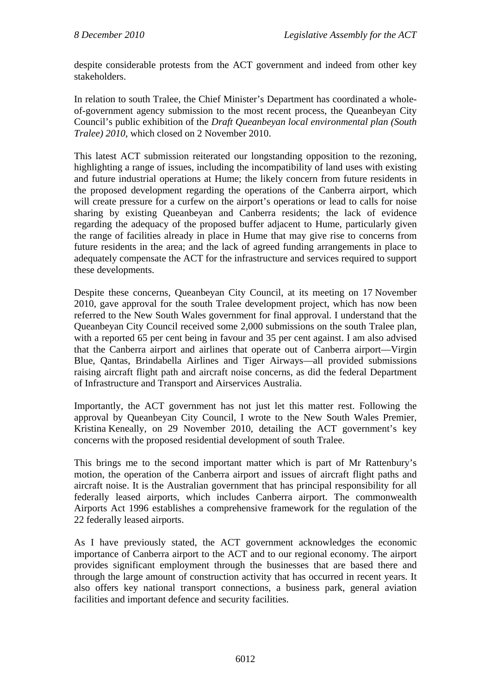despite considerable protests from the ACT government and indeed from other key stakeholders.

In relation to south Tralee, the Chief Minister's Department has coordinated a wholeof-government agency submission to the most recent process, the Queanbeyan City Council's public exhibition of the *Draft Queanbeyan local environmental plan (South Tralee) 2010*, which closed on 2 November 2010.

This latest ACT submission reiterated our longstanding opposition to the rezoning, highlighting a range of issues, including the incompatibility of land uses with existing and future industrial operations at Hume; the likely concern from future residents in the proposed development regarding the operations of the Canberra airport, which will create pressure for a curfew on the airport's operations or lead to calls for noise sharing by existing Queanbeyan and Canberra residents; the lack of evidence regarding the adequacy of the proposed buffer adjacent to Hume, particularly given the range of facilities already in place in Hume that may give rise to concerns from future residents in the area; and the lack of agreed funding arrangements in place to adequately compensate the ACT for the infrastructure and services required to support these developments.

Despite these concerns, Queanbeyan City Council, at its meeting on 17 November 2010, gave approval for the south Tralee development project, which has now been referred to the New South Wales government for final approval. I understand that the Queanbeyan City Council received some 2,000 submissions on the south Tralee plan, with a reported 65 per cent being in favour and 35 per cent against. I am also advised that the Canberra airport and airlines that operate out of Canberra airport—Virgin Blue, Qantas, Brindabella Airlines and Tiger Airways—all provided submissions raising aircraft flight path and aircraft noise concerns, as did the federal Department of Infrastructure and Transport and Airservices Australia.

Importantly, the ACT government has not just let this matter rest. Following the approval by Queanbeyan City Council, I wrote to the New South Wales Premier, Kristina Keneally, on 29 November 2010, detailing the ACT government's key concerns with the proposed residential development of south Tralee.

This brings me to the second important matter which is part of Mr Rattenbury's motion, the operation of the Canberra airport and issues of aircraft flight paths and aircraft noise. It is the Australian government that has principal responsibility for all federally leased airports, which includes Canberra airport. The commonwealth Airports Act 1996 establishes a comprehensive framework for the regulation of the 22 federally leased airports.

As I have previously stated, the ACT government acknowledges the economic importance of Canberra airport to the ACT and to our regional economy. The airport provides significant employment through the businesses that are based there and through the large amount of construction activity that has occurred in recent years. It also offers key national transport connections, a business park, general aviation facilities and important defence and security facilities.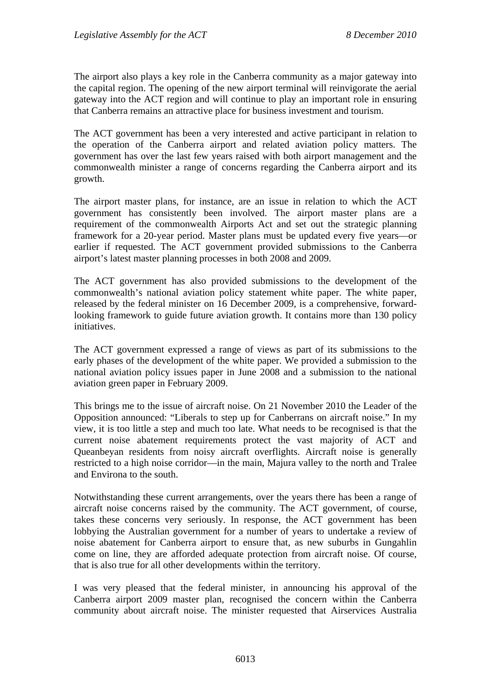The airport also plays a key role in the Canberra community as a major gateway into the capital region. The opening of the new airport terminal will reinvigorate the aerial gateway into the ACT region and will continue to play an important role in ensuring that Canberra remains an attractive place for business investment and tourism.

The ACT government has been a very interested and active participant in relation to the operation of the Canberra airport and related aviation policy matters. The government has over the last few years raised with both airport management and the commonwealth minister a range of concerns regarding the Canberra airport and its growth.

The airport master plans, for instance, are an issue in relation to which the ACT government has consistently been involved. The airport master plans are a requirement of the commonwealth Airports Act and set out the strategic planning framework for a 20-year period. Master plans must be updated every five years—or earlier if requested. The ACT government provided submissions to the Canberra airport's latest master planning processes in both 2008 and 2009.

The ACT government has also provided submissions to the development of the commonwealth's national aviation policy statement white paper. The white paper, released by the federal minister on 16 December 2009, is a comprehensive, forwardlooking framework to guide future aviation growth. It contains more than 130 policy initiatives.

The ACT government expressed a range of views as part of its submissions to the early phases of the development of the white paper. We provided a submission to the national aviation policy issues paper in June 2008 and a submission to the national aviation green paper in February 2009.

This brings me to the issue of aircraft noise. On 21 November 2010 the Leader of the Opposition announced: "Liberals to step up for Canberrans on aircraft noise." In my view, it is too little a step and much too late. What needs to be recognised is that the current noise abatement requirements protect the vast majority of ACT and Queanbeyan residents from noisy aircraft overflights. Aircraft noise is generally restricted to a high noise corridor—in the main, Majura valley to the north and Tralee and Environa to the south.

Notwithstanding these current arrangements, over the years there has been a range of aircraft noise concerns raised by the community. The ACT government, of course, takes these concerns very seriously. In response, the ACT government has been lobbying the Australian government for a number of years to undertake a review of noise abatement for Canberra airport to ensure that, as new suburbs in Gungahlin come on line, they are afforded adequate protection from aircraft noise. Of course, that is also true for all other developments within the territory.

I was very pleased that the federal minister, in announcing his approval of the Canberra airport 2009 master plan, recognised the concern within the Canberra community about aircraft noise. The minister requested that Airservices Australia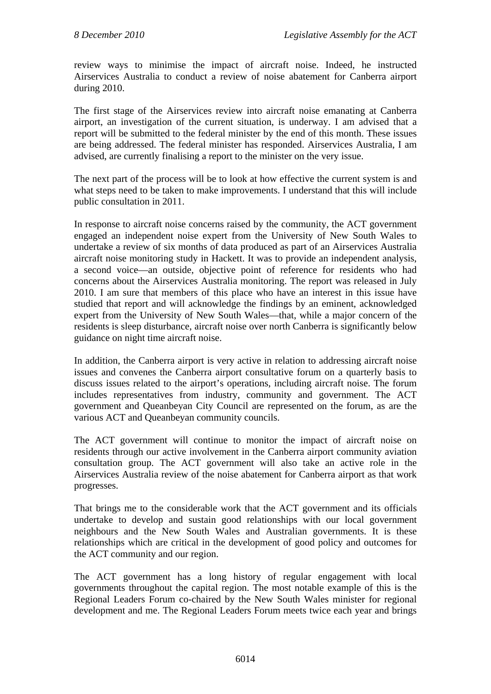review ways to minimise the impact of aircraft noise. Indeed, he instructed Airservices Australia to conduct a review of noise abatement for Canberra airport during 2010.

The first stage of the Airservices review into aircraft noise emanating at Canberra airport, an investigation of the current situation, is underway. I am advised that a report will be submitted to the federal minister by the end of this month. These issues are being addressed. The federal minister has responded. Airservices Australia, I am advised, are currently finalising a report to the minister on the very issue.

The next part of the process will be to look at how effective the current system is and what steps need to be taken to make improvements. I understand that this will include public consultation in 2011.

In response to aircraft noise concerns raised by the community, the ACT government engaged an independent noise expert from the University of New South Wales to undertake a review of six months of data produced as part of an Airservices Australia aircraft noise monitoring study in Hackett. It was to provide an independent analysis, a second voice—an outside, objective point of reference for residents who had concerns about the Airservices Australia monitoring. The report was released in July 2010. I am sure that members of this place who have an interest in this issue have studied that report and will acknowledge the findings by an eminent, acknowledged expert from the University of New South Wales—that, while a major concern of the residents is sleep disturbance, aircraft noise over north Canberra is significantly below guidance on night time aircraft noise.

In addition, the Canberra airport is very active in relation to addressing aircraft noise issues and convenes the Canberra airport consultative forum on a quarterly basis to discuss issues related to the airport's operations, including aircraft noise. The forum includes representatives from industry, community and government. The ACT government and Queanbeyan City Council are represented on the forum, as are the various ACT and Queanbeyan community councils.

The ACT government will continue to monitor the impact of aircraft noise on residents through our active involvement in the Canberra airport community aviation consultation group. The ACT government will also take an active role in the Airservices Australia review of the noise abatement for Canberra airport as that work progresses.

That brings me to the considerable work that the ACT government and its officials undertake to develop and sustain good relationships with our local government neighbours and the New South Wales and Australian governments. It is these relationships which are critical in the development of good policy and outcomes for the ACT community and our region.

The ACT government has a long history of regular engagement with local governments throughout the capital region. The most notable example of this is the Regional Leaders Forum co-chaired by the New South Wales minister for regional development and me. The Regional Leaders Forum meets twice each year and brings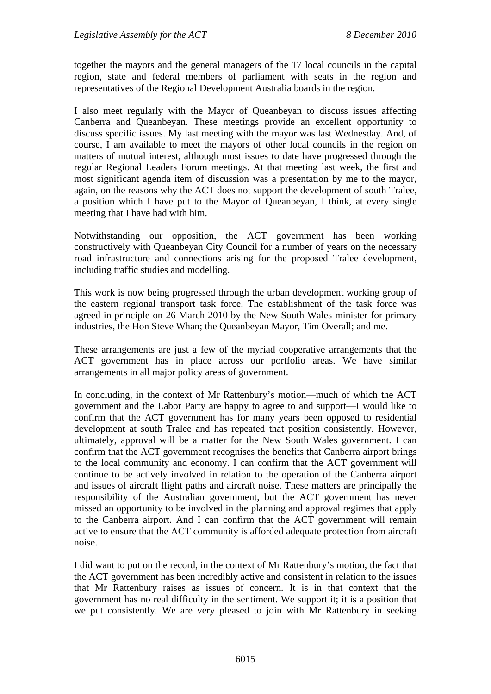together the mayors and the general managers of the 17 local councils in the capital region, state and federal members of parliament with seats in the region and representatives of the Regional Development Australia boards in the region.

I also meet regularly with the Mayor of Queanbeyan to discuss issues affecting Canberra and Queanbeyan. These meetings provide an excellent opportunity to discuss specific issues. My last meeting with the mayor was last Wednesday. And, of course, I am available to meet the mayors of other local councils in the region on matters of mutual interest, although most issues to date have progressed through the regular Regional Leaders Forum meetings. At that meeting last week, the first and most significant agenda item of discussion was a presentation by me to the mayor, again, on the reasons why the ACT does not support the development of south Tralee, a position which I have put to the Mayor of Queanbeyan, I think, at every single meeting that I have had with him.

Notwithstanding our opposition, the ACT government has been working constructively with Queanbeyan City Council for a number of years on the necessary road infrastructure and connections arising for the proposed Tralee development, including traffic studies and modelling.

This work is now being progressed through the urban development working group of the eastern regional transport task force. The establishment of the task force was agreed in principle on 26 March 2010 by the New South Wales minister for primary industries, the Hon Steve Whan; the Queanbeyan Mayor, Tim Overall; and me.

These arrangements are just a few of the myriad cooperative arrangements that the ACT government has in place across our portfolio areas. We have similar arrangements in all major policy areas of government.

In concluding, in the context of Mr Rattenbury's motion—much of which the ACT government and the Labor Party are happy to agree to and support—I would like to confirm that the ACT government has for many years been opposed to residential development at south Tralee and has repeated that position consistently. However, ultimately, approval will be a matter for the New South Wales government. I can confirm that the ACT government recognises the benefits that Canberra airport brings to the local community and economy. I can confirm that the ACT government will continue to be actively involved in relation to the operation of the Canberra airport and issues of aircraft flight paths and aircraft noise. These matters are principally the responsibility of the Australian government, but the ACT government has never missed an opportunity to be involved in the planning and approval regimes that apply to the Canberra airport. And I can confirm that the ACT government will remain active to ensure that the ACT community is afforded adequate protection from aircraft noise.

I did want to put on the record, in the context of Mr Rattenbury's motion, the fact that the ACT government has been incredibly active and consistent in relation to the issues that Mr Rattenbury raises as issues of concern. It is in that context that the government has no real difficulty in the sentiment. We support it; it is a position that we put consistently. We are very pleased to join with Mr Rattenbury in seeking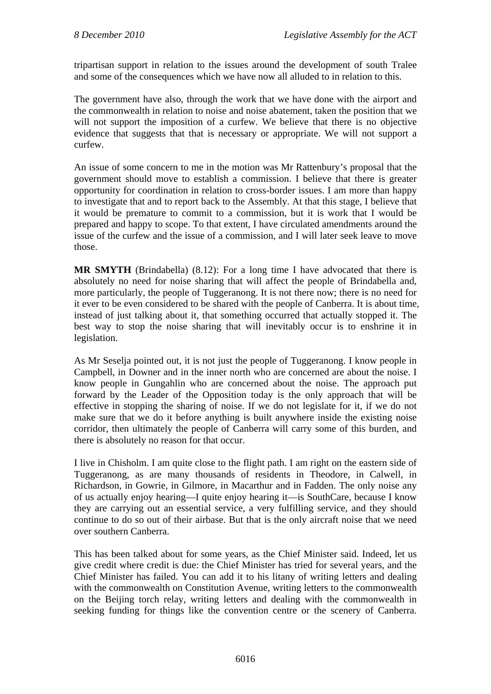tripartisan support in relation to the issues around the development of south Tralee and some of the consequences which we have now all alluded to in relation to this.

The government have also, through the work that we have done with the airport and the commonwealth in relation to noise and noise abatement, taken the position that we will not support the imposition of a curfew. We believe that there is no objective evidence that suggests that that is necessary or appropriate. We will not support a curfew.

An issue of some concern to me in the motion was Mr Rattenbury's proposal that the government should move to establish a commission. I believe that there is greater opportunity for coordination in relation to cross-border issues. I am more than happy to investigate that and to report back to the Assembly. At that this stage, I believe that it would be premature to commit to a commission, but it is work that I would be prepared and happy to scope. To that extent, I have circulated amendments around the issue of the curfew and the issue of a commission, and I will later seek leave to move those.

**MR SMYTH** (Brindabella) (8.12): For a long time I have advocated that there is absolutely no need for noise sharing that will affect the people of Brindabella and, more particularly, the people of Tuggeranong. It is not there now; there is no need for it ever to be even considered to be shared with the people of Canberra. It is about time, instead of just talking about it, that something occurred that actually stopped it. The best way to stop the noise sharing that will inevitably occur is to enshrine it in legislation.

As Mr Seselja pointed out, it is not just the people of Tuggeranong. I know people in Campbell, in Downer and in the inner north who are concerned are about the noise. I know people in Gungahlin who are concerned about the noise. The approach put forward by the Leader of the Opposition today is the only approach that will be effective in stopping the sharing of noise. If we do not legislate for it, if we do not make sure that we do it before anything is built anywhere inside the existing noise corridor, then ultimately the people of Canberra will carry some of this burden, and there is absolutely no reason for that occur.

I live in Chisholm. I am quite close to the flight path. I am right on the eastern side of Tuggeranong, as are many thousands of residents in Theodore, in Calwell, in Richardson, in Gowrie, in Gilmore, in Macarthur and in Fadden. The only noise any of us actually enjoy hearing—I quite enjoy hearing it—is SouthCare, because I know they are carrying out an essential service, a very fulfilling service, and they should continue to do so out of their airbase. But that is the only aircraft noise that we need over southern Canberra.

This has been talked about for some years, as the Chief Minister said. Indeed, let us give credit where credit is due: the Chief Minister has tried for several years, and the Chief Minister has failed. You can add it to his litany of writing letters and dealing with the commonwealth on Constitution Avenue, writing letters to the commonwealth on the Beijing torch relay, writing letters and dealing with the commonwealth in seeking funding for things like the convention centre or the scenery of Canberra.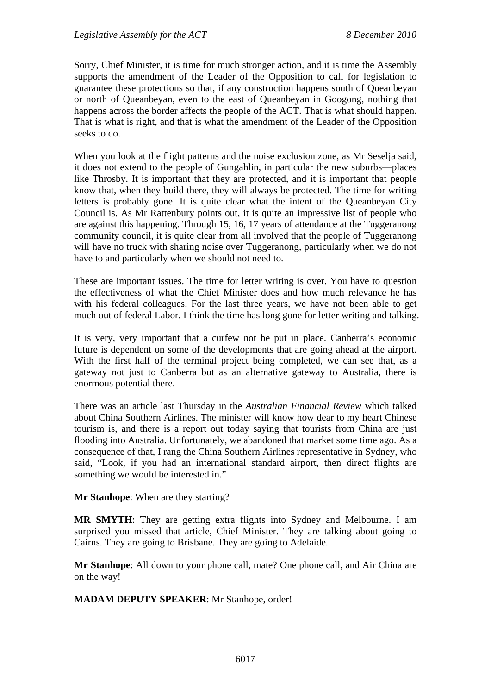Sorry, Chief Minister, it is time for much stronger action, and it is time the Assembly supports the amendment of the Leader of the Opposition to call for legislation to guarantee these protections so that, if any construction happens south of Queanbeyan or north of Queanbeyan, even to the east of Queanbeyan in Googong, nothing that happens across the border affects the people of the ACT. That is what should happen. That is what is right, and that is what the amendment of the Leader of the Opposition seeks to do.

When you look at the flight patterns and the noise exclusion zone, as Mr Seselja said, it does not extend to the people of Gungahlin, in particular the new suburbs—places like Throsby. It is important that they are protected, and it is important that people know that, when they build there, they will always be protected. The time for writing letters is probably gone. It is quite clear what the intent of the Queanbeyan City Council is. As Mr Rattenbury points out, it is quite an impressive list of people who are against this happening. Through 15, 16, 17 years of attendance at the Tuggeranong community council, it is quite clear from all involved that the people of Tuggeranong will have no truck with sharing noise over Tuggeranong, particularly when we do not have to and particularly when we should not need to.

These are important issues. The time for letter writing is over. You have to question the effectiveness of what the Chief Minister does and how much relevance he has with his federal colleagues. For the last three years, we have not been able to get much out of federal Labor. I think the time has long gone for letter writing and talking.

It is very, very important that a curfew not be put in place. Canberra's economic future is dependent on some of the developments that are going ahead at the airport. With the first half of the terminal project being completed, we can see that, as a gateway not just to Canberra but as an alternative gateway to Australia, there is enormous potential there.

There was an article last Thursday in the *Australian Financial Review* which talked about China Southern Airlines. The minister will know how dear to my heart Chinese tourism is, and there is a report out today saying that tourists from China are just flooding into Australia. Unfortunately, we abandoned that market some time ago. As a consequence of that, I rang the China Southern Airlines representative in Sydney, who said, "Look, if you had an international standard airport, then direct flights are something we would be interested in."

**Mr Stanhope**: When are they starting?

**MR SMYTH**: They are getting extra flights into Sydney and Melbourne. I am surprised you missed that article, Chief Minister. They are talking about going to Cairns. They are going to Brisbane. They are going to Adelaide.

**Mr Stanhope**: All down to your phone call, mate? One phone call, and Air China are on the way!

**MADAM DEPUTY SPEAKER**: Mr Stanhope, order!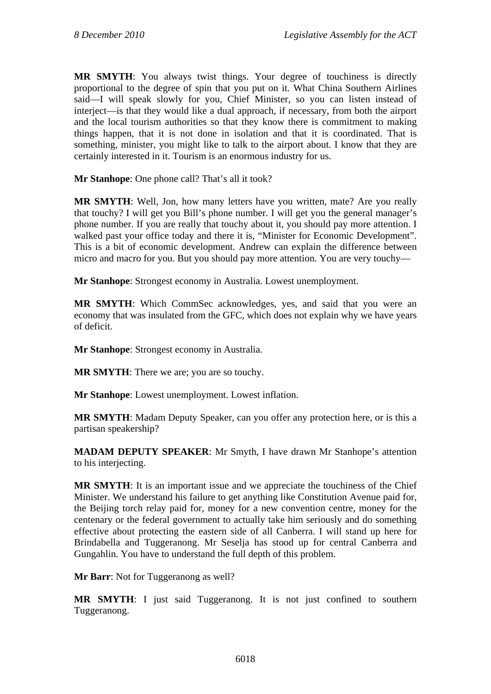**MR SMYTH**: You always twist things. Your degree of touchiness is directly proportional to the degree of spin that you put on it. What China Southern Airlines said—I will speak slowly for you, Chief Minister, so you can listen instead of interject—is that they would like a dual approach, if necessary, from both the airport and the local tourism authorities so that they know there is commitment to making things happen, that it is not done in isolation and that it is coordinated. That is something, minister, you might like to talk to the airport about. I know that they are certainly interested in it. Tourism is an enormous industry for us.

**Mr Stanhope**: One phone call? That's all it took?

**MR SMYTH**: Well, Jon, how many letters have you written, mate? Are you really that touchy? I will get you Bill's phone number. I will get you the general manager's phone number. If you are really that touchy about it, you should pay more attention. I walked past your office today and there it is, "Minister for Economic Development". This is a bit of economic development. Andrew can explain the difference between micro and macro for you. But you should pay more attention. You are very touchy—

**Mr Stanhope**: Strongest economy in Australia. Lowest unemployment.

**MR SMYTH**: Which CommSec acknowledges, yes, and said that you were an economy that was insulated from the GFC, which does not explain why we have years of deficit.

**Mr Stanhope**: Strongest economy in Australia.

**MR SMYTH**: There we are; you are so touchy.

**Mr Stanhope**: Lowest unemployment. Lowest inflation.

**MR SMYTH**: Madam Deputy Speaker, can you offer any protection here, or is this a partisan speakership?

**MADAM DEPUTY SPEAKER**: Mr Smyth, I have drawn Mr Stanhope's attention to his interjecting.

**MR SMYTH**: It is an important issue and we appreciate the touchiness of the Chief Minister. We understand his failure to get anything like Constitution Avenue paid for, the Beijing torch relay paid for, money for a new convention centre, money for the centenary or the federal government to actually take him seriously and do something effective about protecting the eastern side of all Canberra. I will stand up here for Brindabella and Tuggeranong. Mr Seselja has stood up for central Canberra and Gungahlin. You have to understand the full depth of this problem.

**Mr Barr:** Not for Tuggeranong as well?

**MR SMYTH**: I just said Tuggeranong. It is not just confined to southern Tuggeranong.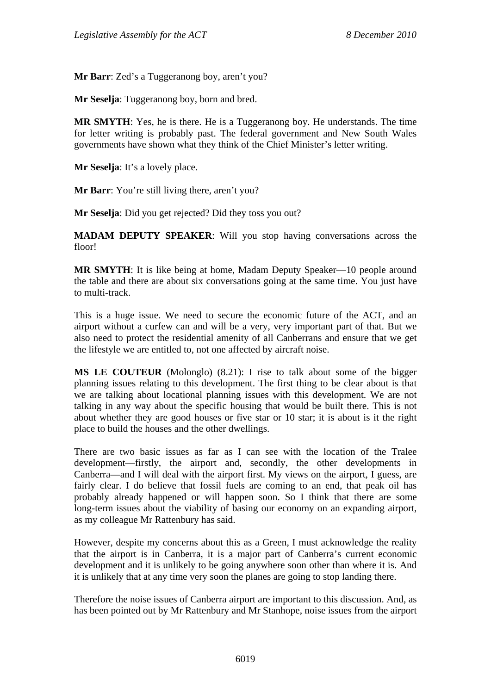**Mr Barr**: Zed's a Tuggeranong boy, aren't you?

**Mr Seselja**: Tuggeranong boy, born and bred.

**MR SMYTH**: Yes, he is there. He is a Tuggeranong boy. He understands. The time for letter writing is probably past. The federal government and New South Wales governments have shown what they think of the Chief Minister's letter writing.

**Mr Seselja**: It's a lovely place.

**Mr Barr**: You're still living there, aren't you?

**Mr Seselja**: Did you get rejected? Did they toss you out?

**MADAM DEPUTY SPEAKER**: Will you stop having conversations across the floor!

**MR SMYTH**: It is like being at home, Madam Deputy Speaker—10 people around the table and there are about six conversations going at the same time. You just have to multi-track.

This is a huge issue. We need to secure the economic future of the ACT, and an airport without a curfew can and will be a very, very important part of that. But we also need to protect the residential amenity of all Canberrans and ensure that we get the lifestyle we are entitled to, not one affected by aircraft noise.

**MS LE COUTEUR** (Molonglo) (8.21): I rise to talk about some of the bigger planning issues relating to this development. The first thing to be clear about is that we are talking about locational planning issues with this development. We are not talking in any way about the specific housing that would be built there. This is not about whether they are good houses or five star or 10 star; it is about is it the right place to build the houses and the other dwellings.

There are two basic issues as far as I can see with the location of the Tralee development—firstly, the airport and, secondly, the other developments in Canberra—and I will deal with the airport first. My views on the airport, I guess, are fairly clear. I do believe that fossil fuels are coming to an end, that peak oil has probably already happened or will happen soon. So I think that there are some long-term issues about the viability of basing our economy on an expanding airport, as my colleague Mr Rattenbury has said.

However, despite my concerns about this as a Green, I must acknowledge the reality that the airport is in Canberra, it is a major part of Canberra's current economic development and it is unlikely to be going anywhere soon other than where it is. And it is unlikely that at any time very soon the planes are going to stop landing there.

Therefore the noise issues of Canberra airport are important to this discussion. And, as has been pointed out by Mr Rattenbury and Mr Stanhope, noise issues from the airport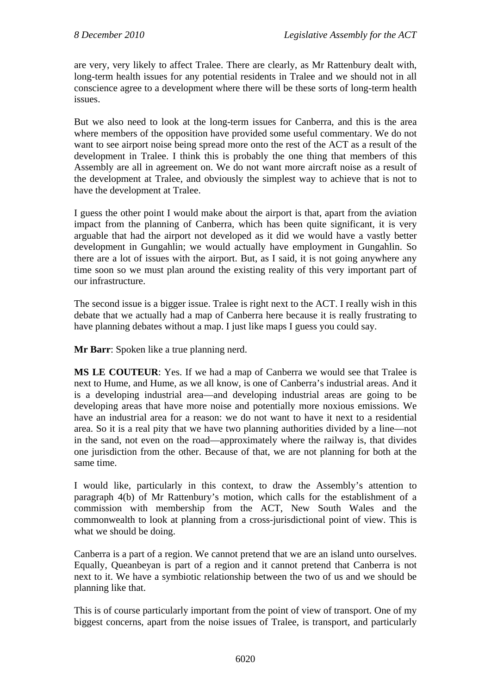are very, very likely to affect Tralee. There are clearly, as Mr Rattenbury dealt with, long-term health issues for any potential residents in Tralee and we should not in all conscience agree to a development where there will be these sorts of long-term health issues.

But we also need to look at the long-term issues for Canberra, and this is the area where members of the opposition have provided some useful commentary. We do not want to see airport noise being spread more onto the rest of the ACT as a result of the development in Tralee. I think this is probably the one thing that members of this Assembly are all in agreement on. We do not want more aircraft noise as a result of the development at Tralee, and obviously the simplest way to achieve that is not to have the development at Tralee.

I guess the other point I would make about the airport is that, apart from the aviation impact from the planning of Canberra, which has been quite significant, it is very arguable that had the airport not developed as it did we would have a vastly better development in Gungahlin; we would actually have employment in Gungahlin. So there are a lot of issues with the airport. But, as I said, it is not going anywhere any time soon so we must plan around the existing reality of this very important part of our infrastructure.

The second issue is a bigger issue. Tralee is right next to the ACT. I really wish in this debate that we actually had a map of Canberra here because it is really frustrating to have planning debates without a map. I just like maps I guess you could say.

**Mr Barr**: Spoken like a true planning nerd.

**MS LE COUTEUR**: Yes. If we had a map of Canberra we would see that Tralee is next to Hume, and Hume, as we all know, is one of Canberra's industrial areas. And it is a developing industrial area—and developing industrial areas are going to be developing areas that have more noise and potentially more noxious emissions. We have an industrial area for a reason: we do not want to have it next to a residential area. So it is a real pity that we have two planning authorities divided by a line—not in the sand, not even on the road—approximately where the railway is, that divides one jurisdiction from the other. Because of that, we are not planning for both at the same time.

I would like, particularly in this context, to draw the Assembly's attention to paragraph 4(b) of Mr Rattenbury's motion, which calls for the establishment of a commission with membership from the ACT, New South Wales and the commonwealth to look at planning from a cross-jurisdictional point of view. This is what we should be doing.

Canberra is a part of a region. We cannot pretend that we are an island unto ourselves. Equally, Queanbeyan is part of a region and it cannot pretend that Canberra is not next to it. We have a symbiotic relationship between the two of us and we should be planning like that.

This is of course particularly important from the point of view of transport. One of my biggest concerns, apart from the noise issues of Tralee, is transport, and particularly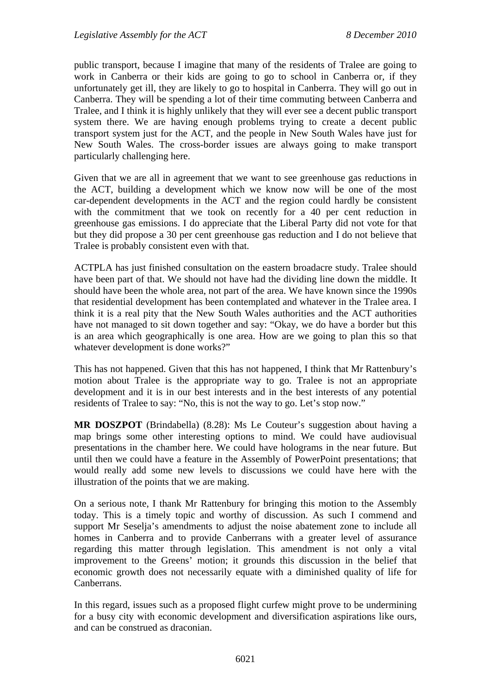public transport, because I imagine that many of the residents of Tralee are going to work in Canberra or their kids are going to go to school in Canberra or, if they unfortunately get ill, they are likely to go to hospital in Canberra. They will go out in Canberra. They will be spending a lot of their time commuting between Canberra and Tralee, and I think it is highly unlikely that they will ever see a decent public transport system there. We are having enough problems trying to create a decent public transport system just for the ACT, and the people in New South Wales have just for New South Wales. The cross-border issues are always going to make transport particularly challenging here.

Given that we are all in agreement that we want to see greenhouse gas reductions in the ACT, building a development which we know now will be one of the most car-dependent developments in the ACT and the region could hardly be consistent with the commitment that we took on recently for a 40 per cent reduction in greenhouse gas emissions. I do appreciate that the Liberal Party did not vote for that but they did propose a 30 per cent greenhouse gas reduction and I do not believe that Tralee is probably consistent even with that.

ACTPLA has just finished consultation on the eastern broadacre study. Tralee should have been part of that. We should not have had the dividing line down the middle. It should have been the whole area, not part of the area. We have known since the 1990s that residential development has been contemplated and whatever in the Tralee area. I think it is a real pity that the New South Wales authorities and the ACT authorities have not managed to sit down together and say: "Okay, we do have a border but this is an area which geographically is one area. How are we going to plan this so that whatever development is done works?"

This has not happened. Given that this has not happened, I think that Mr Rattenbury's motion about Tralee is the appropriate way to go. Tralee is not an appropriate development and it is in our best interests and in the best interests of any potential residents of Tralee to say: "No, this is not the way to go. Let's stop now."

**MR DOSZPOT** (Brindabella) (8.28): Ms Le Couteur's suggestion about having a map brings some other interesting options to mind. We could have audiovisual presentations in the chamber here. We could have holograms in the near future. But until then we could have a feature in the Assembly of PowerPoint presentations; that would really add some new levels to discussions we could have here with the illustration of the points that we are making.

On a serious note, I thank Mr Rattenbury for bringing this motion to the Assembly today. This is a timely topic and worthy of discussion. As such I commend and support Mr Seselja's amendments to adjust the noise abatement zone to include all homes in Canberra and to provide Canberrans with a greater level of assurance regarding this matter through legislation. This amendment is not only a vital improvement to the Greens' motion; it grounds this discussion in the belief that economic growth does not necessarily equate with a diminished quality of life for Canberrans.

In this regard, issues such as a proposed flight curfew might prove to be undermining for a busy city with economic development and diversification aspirations like ours, and can be construed as draconian.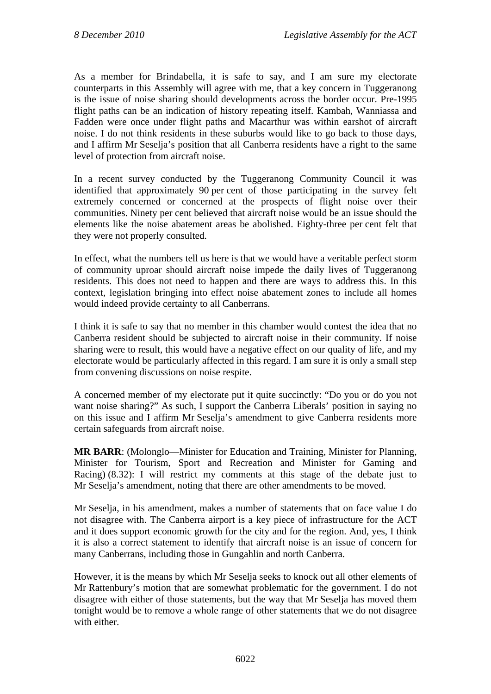As a member for Brindabella, it is safe to say, and I am sure my electorate counterparts in this Assembly will agree with me, that a key concern in Tuggeranong is the issue of noise sharing should developments across the border occur. Pre-1995 flight paths can be an indication of history repeating itself. Kambah, Wanniassa and Fadden were once under flight paths and Macarthur was within earshot of aircraft noise. I do not think residents in these suburbs would like to go back to those days, and I affirm Mr Seselja's position that all Canberra residents have a right to the same level of protection from aircraft noise.

In a recent survey conducted by the Tuggeranong Community Council it was identified that approximately 90 per cent of those participating in the survey felt extremely concerned or concerned at the prospects of flight noise over their communities. Ninety per cent believed that aircraft noise would be an issue should the elements like the noise abatement areas be abolished. Eighty-three per cent felt that they were not properly consulted.

In effect, what the numbers tell us here is that we would have a veritable perfect storm of community uproar should aircraft noise impede the daily lives of Tuggeranong residents. This does not need to happen and there are ways to address this. In this context, legislation bringing into effect noise abatement zones to include all homes would indeed provide certainty to all Canberrans.

I think it is safe to say that no member in this chamber would contest the idea that no Canberra resident should be subjected to aircraft noise in their community. If noise sharing were to result, this would have a negative effect on our quality of life, and my electorate would be particularly affected in this regard. I am sure it is only a small step from convening discussions on noise respite.

A concerned member of my electorate put it quite succinctly: "Do you or do you not want noise sharing?" As such, I support the Canberra Liberals' position in saying no on this issue and I affirm Mr Seselja's amendment to give Canberra residents more certain safeguards from aircraft noise.

**MR BARR**: (Molonglo—Minister for Education and Training, Minister for Planning, Minister for Tourism, Sport and Recreation and Minister for Gaming and Racing) (8.32): I will restrict my comments at this stage of the debate just to Mr Seselja's amendment, noting that there are other amendments to be moved.

Mr Seselja, in his amendment, makes a number of statements that on face value I do not disagree with. The Canberra airport is a key piece of infrastructure for the ACT and it does support economic growth for the city and for the region. And, yes, I think it is also a correct statement to identify that aircraft noise is an issue of concern for many Canberrans, including those in Gungahlin and north Canberra.

However, it is the means by which Mr Seselja seeks to knock out all other elements of Mr Rattenbury's motion that are somewhat problematic for the government. I do not disagree with either of those statements, but the way that Mr Seselja has moved them tonight would be to remove a whole range of other statements that we do not disagree with either.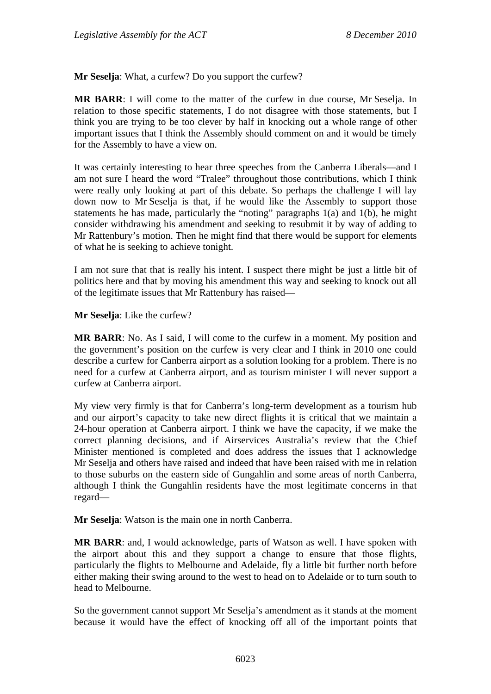**Mr Seselja**: What, a curfew? Do you support the curfew?

**MR BARR**: I will come to the matter of the curfew in due course, Mr Seselja. In relation to those specific statements, I do not disagree with those statements, but I think you are trying to be too clever by half in knocking out a whole range of other important issues that I think the Assembly should comment on and it would be timely for the Assembly to have a view on.

It was certainly interesting to hear three speeches from the Canberra Liberals—and I am not sure I heard the word "Tralee" throughout those contributions, which I think were really only looking at part of this debate. So perhaps the challenge I will lay down now to Mr Seselja is that, if he would like the Assembly to support those statements he has made, particularly the "noting" paragraphs 1(a) and 1(b), he might consider withdrawing his amendment and seeking to resubmit it by way of adding to Mr Rattenbury's motion. Then he might find that there would be support for elements of what he is seeking to achieve tonight.

I am not sure that that is really his intent. I suspect there might be just a little bit of politics here and that by moving his amendment this way and seeking to knock out all of the legitimate issues that Mr Rattenbury has raised—

**Mr Seselja**: Like the curfew?

**MR BARR**: No. As I said, I will come to the curfew in a moment. My position and the government's position on the curfew is very clear and I think in 2010 one could describe a curfew for Canberra airport as a solution looking for a problem. There is no need for a curfew at Canberra airport, and as tourism minister I will never support a curfew at Canberra airport.

My view very firmly is that for Canberra's long-term development as a tourism hub and our airport's capacity to take new direct flights it is critical that we maintain a 24-hour operation at Canberra airport. I think we have the capacity, if we make the correct planning decisions, and if Airservices Australia's review that the Chief Minister mentioned is completed and does address the issues that I acknowledge Mr Seselja and others have raised and indeed that have been raised with me in relation to those suburbs on the eastern side of Gungahlin and some areas of north Canberra, although I think the Gungahlin residents have the most legitimate concerns in that regard—

**Mr Seselja**: Watson is the main one in north Canberra.

**MR BARR**: and, I would acknowledge, parts of Watson as well. I have spoken with the airport about this and they support a change to ensure that those flights, particularly the flights to Melbourne and Adelaide, fly a little bit further north before either making their swing around to the west to head on to Adelaide or to turn south to head to Melbourne.

So the government cannot support Mr Seselja's amendment as it stands at the moment because it would have the effect of knocking off all of the important points that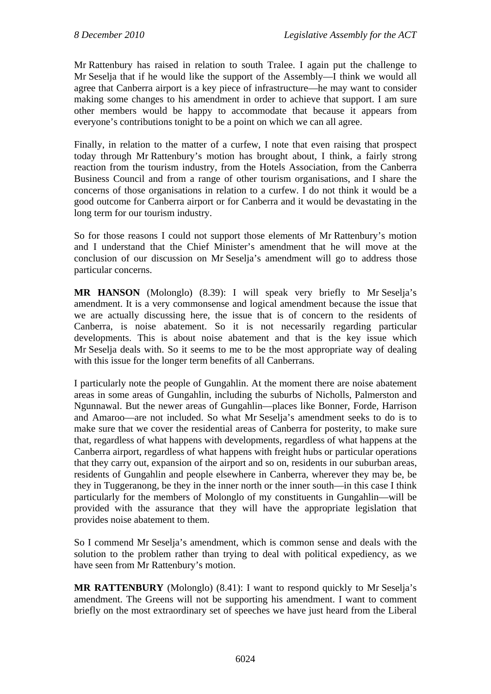Mr Rattenbury has raised in relation to south Tralee. I again put the challenge to Mr Seselja that if he would like the support of the Assembly—I think we would all agree that Canberra airport is a key piece of infrastructure—he may want to consider making some changes to his amendment in order to achieve that support. I am sure other members would be happy to accommodate that because it appears from everyone's contributions tonight to be a point on which we can all agree.

Finally, in relation to the matter of a curfew, I note that even raising that prospect today through Mr Rattenbury's motion has brought about, I think, a fairly strong reaction from the tourism industry, from the Hotels Association, from the Canberra Business Council and from a range of other tourism organisations, and I share the concerns of those organisations in relation to a curfew. I do not think it would be a good outcome for Canberra airport or for Canberra and it would be devastating in the long term for our tourism industry.

So for those reasons I could not support those elements of Mr Rattenbury's motion and I understand that the Chief Minister's amendment that he will move at the conclusion of our discussion on Mr Seselja's amendment will go to address those particular concerns.

**MR HANSON** (Molonglo) (8.39): I will speak very briefly to Mr Seselja's amendment. It is a very commonsense and logical amendment because the issue that we are actually discussing here, the issue that is of concern to the residents of Canberra, is noise abatement. So it is not necessarily regarding particular developments. This is about noise abatement and that is the key issue which Mr Seselja deals with. So it seems to me to be the most appropriate way of dealing with this issue for the longer term benefits of all Canberrans.

I particularly note the people of Gungahlin. At the moment there are noise abatement areas in some areas of Gungahlin, including the suburbs of Nicholls, Palmerston and Ngunnawal. But the newer areas of Gungahlin—places like Bonner, Forde, Harrison and Amaroo—are not included. So what Mr Seselja's amendment seeks to do is to make sure that we cover the residential areas of Canberra for posterity, to make sure that, regardless of what happens with developments, regardless of what happens at the Canberra airport, regardless of what happens with freight hubs or particular operations that they carry out, expansion of the airport and so on, residents in our suburban areas, residents of Gungahlin and people elsewhere in Canberra, wherever they may be, be they in Tuggeranong, be they in the inner north or the inner south—in this case I think particularly for the members of Molonglo of my constituents in Gungahlin—will be provided with the assurance that they will have the appropriate legislation that provides noise abatement to them.

So I commend Mr Seselja's amendment, which is common sense and deals with the solution to the problem rather than trying to deal with political expediency, as we have seen from Mr Rattenbury's motion.

**MR RATTENBURY** (Molonglo) (8.41): I want to respond quickly to Mr Seselja's amendment. The Greens will not be supporting his amendment. I want to comment briefly on the most extraordinary set of speeches we have just heard from the Liberal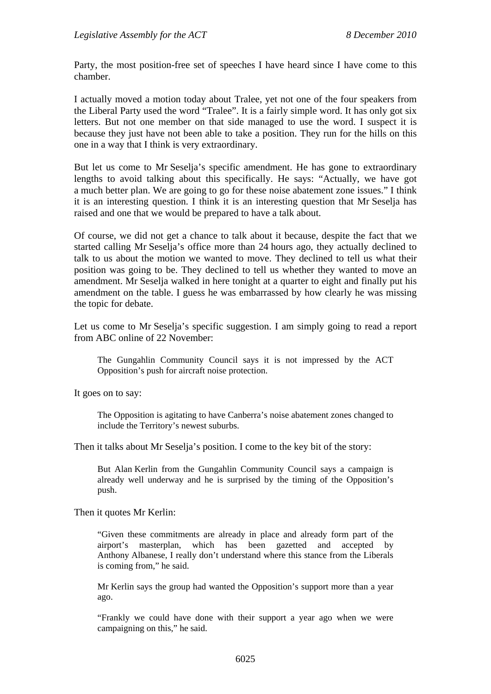Party, the most position-free set of speeches I have heard since I have come to this chamber.

I actually moved a motion today about Tralee, yet not one of the four speakers from the Liberal Party used the word "Tralee". It is a fairly simple word. It has only got six letters. But not one member on that side managed to use the word. I suspect it is because they just have not been able to take a position. They run for the hills on this one in a way that I think is very extraordinary.

But let us come to Mr Seselja's specific amendment. He has gone to extraordinary lengths to avoid talking about this specifically. He says: "Actually, we have got a much better plan. We are going to go for these noise abatement zone issues." I think it is an interesting question. I think it is an interesting question that Mr Seselja has raised and one that we would be prepared to have a talk about.

Of course, we did not get a chance to talk about it because, despite the fact that we started calling Mr Seselja's office more than 24 hours ago, they actually declined to talk to us about the motion we wanted to move. They declined to tell us what their position was going to be. They declined to tell us whether they wanted to move an amendment. Mr Seselja walked in here tonight at a quarter to eight and finally put his amendment on the table. I guess he was embarrassed by how clearly he was missing the topic for debate.

Let us come to Mr Seselja's specific suggestion. I am simply going to read a report from ABC online of 22 November:

The Gungahlin Community Council says it is not impressed by the ACT Opposition's push for aircraft noise protection.

It goes on to say:

The Opposition is agitating to have Canberra's noise abatement zones changed to include the Territory's newest suburbs.

Then it talks about Mr Seselja's position. I come to the key bit of the story:

But Alan Kerlin from the Gungahlin Community Council says a campaign is already well underway and he is surprised by the timing of the Opposition's push.

Then it quotes Mr Kerlin:

"Given these commitments are already in place and already form part of the airport's masterplan, which has been gazetted and accepted by Anthony Albanese, I really don't understand where this stance from the Liberals is coming from," he said.

Mr Kerlin says the group had wanted the Opposition's support more than a year ago.

"Frankly we could have done with their support a year ago when we were campaigning on this," he said.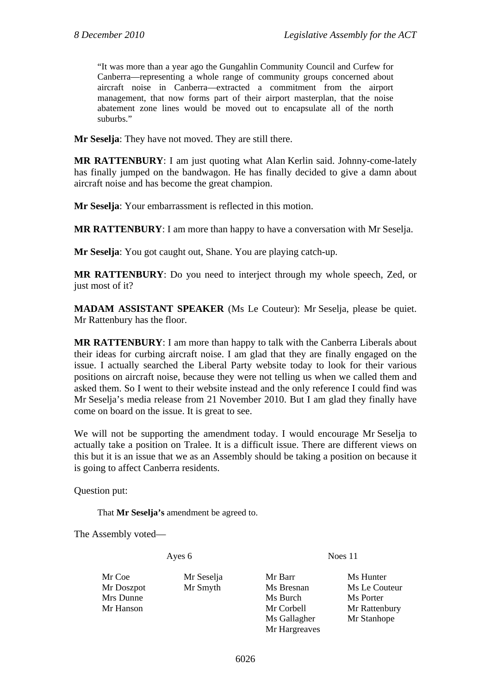"It was more than a year ago the Gungahlin Community Council and Curfew for Canberra—representing a whole range of community groups concerned about aircraft noise in Canberra—extracted a commitment from the airport management, that now forms part of their airport masterplan, that the noise abatement zone lines would be moved out to encapsulate all of the north suburbs."

**Mr Seselja**: They have not moved. They are still there.

**MR RATTENBURY**: I am just quoting what Alan Kerlin said. Johnny-come-lately has finally jumped on the bandwagon. He has finally decided to give a damn about aircraft noise and has become the great champion.

**Mr Seselja**: Your embarrassment is reflected in this motion.

**MR RATTENBURY**: I am more than happy to have a conversation with Mr Seselja.

**Mr Seselja**: You got caught out, Shane. You are playing catch-up.

**MR RATTENBURY**: Do you need to interject through my whole speech, Zed, or just most of it?

**MADAM ASSISTANT SPEAKER** (Ms Le Couteur): Mr Seselja, please be quiet. Mr Rattenbury has the floor.

**MR RATTENBURY**: I am more than happy to talk with the Canberra Liberals about their ideas for curbing aircraft noise. I am glad that they are finally engaged on the issue. I actually searched the Liberal Party website today to look for their various positions on aircraft noise, because they were not telling us when we called them and asked them. So I went to their website instead and the only reference I could find was Mr Seselja's media release from 21 November 2010. But I am glad they finally have come on board on the issue. It is great to see.

We will not be supporting the amendment today. I would encourage Mr Seselja to actually take a position on Tralee. It is a difficult issue. There are different views on this but it is an issue that we as an Assembly should be taking a position on because it is going to affect Canberra residents.

Question put:

That **Mr Seselja's** amendment be agreed to.

The Assembly voted—

Ayes 6 Noes 11

Mr Coe Mr Seselja Mr Barr Ms Hunter Mr Doszpot Mr Smyth Ms Bresnan Ms Le Couteur Mrs Dunne Ms Burch Ms Burch Ms Porter Mr Hanson Mr Corbell Mr Rattenbury

Ms Gallagher Mr Stanhope Mr Hargreaves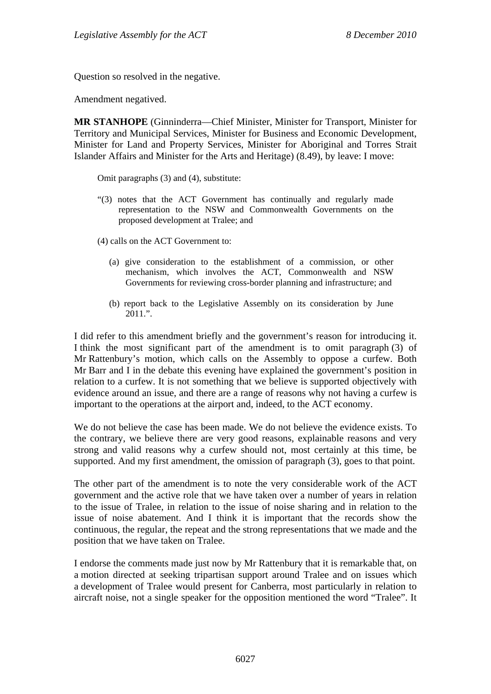Question so resolved in the negative.

Amendment negatived.

**MR STANHOPE** (Ginninderra—Chief Minister, Minister for Transport, Minister for Territory and Municipal Services, Minister for Business and Economic Development, Minister for Land and Property Services, Minister for Aboriginal and Torres Strait Islander Affairs and Minister for the Arts and Heritage) (8.49), by leave: I move:

Omit paragraphs (3) and (4), substitute:

"(3) notes that the ACT Government has continually and regularly made representation to the NSW and Commonwealth Governments on the proposed development at Tralee; and

(4) calls on the ACT Government to:

- (a) give consideration to the establishment of a commission, or other mechanism, which involves the ACT, Commonwealth and NSW Governments for reviewing cross-border planning and infrastructure; and
- (b) report back to the Legislative Assembly on its consideration by June  $2011$ .".

I did refer to this amendment briefly and the government's reason for introducing it. I think the most significant part of the amendment is to omit paragraph (3) of Mr Rattenbury's motion, which calls on the Assembly to oppose a curfew. Both Mr Barr and I in the debate this evening have explained the government's position in relation to a curfew. It is not something that we believe is supported objectively with evidence around an issue, and there are a range of reasons why not having a curfew is important to the operations at the airport and, indeed, to the ACT economy.

We do not believe the case has been made. We do not believe the evidence exists. To the contrary, we believe there are very good reasons, explainable reasons and very strong and valid reasons why a curfew should not, most certainly at this time, be supported. And my first amendment, the omission of paragraph (3), goes to that point.

The other part of the amendment is to note the very considerable work of the ACT government and the active role that we have taken over a number of years in relation to the issue of Tralee, in relation to the issue of noise sharing and in relation to the issue of noise abatement. And I think it is important that the records show the continuous, the regular, the repeat and the strong representations that we made and the position that we have taken on Tralee.

I endorse the comments made just now by Mr Rattenbury that it is remarkable that, on a motion directed at seeking tripartisan support around Tralee and on issues which a development of Tralee would present for Canberra, most particularly in relation to aircraft noise, not a single speaker for the opposition mentioned the word "Tralee". It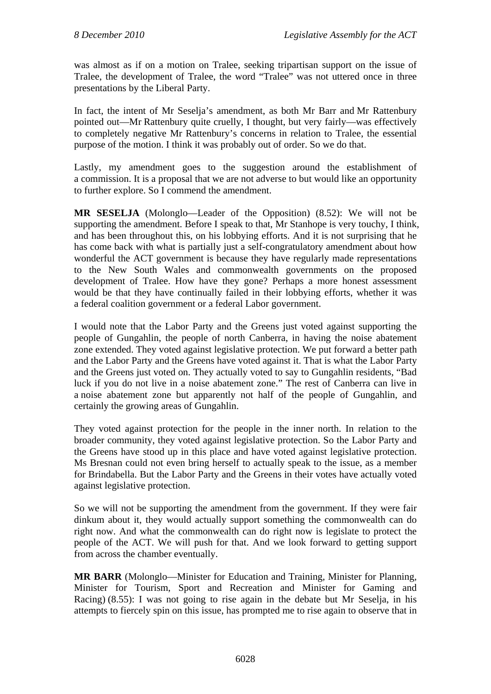was almost as if on a motion on Tralee, seeking tripartisan support on the issue of Tralee, the development of Tralee, the word "Tralee" was not uttered once in three presentations by the Liberal Party.

In fact, the intent of Mr Seselja's amendment, as both Mr Barr and Mr Rattenbury pointed out—Mr Rattenbury quite cruelly, I thought, but very fairly—was effectively to completely negative Mr Rattenbury's concerns in relation to Tralee, the essential purpose of the motion. I think it was probably out of order. So we do that.

Lastly, my amendment goes to the suggestion around the establishment of a commission. It is a proposal that we are not adverse to but would like an opportunity to further explore. So I commend the amendment.

**MR SESELJA** (Molonglo—Leader of the Opposition) (8.52): We will not be supporting the amendment. Before I speak to that, Mr Stanhope is very touchy, I think, and has been throughout this, on his lobbying efforts. And it is not surprising that he has come back with what is partially just a self-congratulatory amendment about how wonderful the ACT government is because they have regularly made representations to the New South Wales and commonwealth governments on the proposed development of Tralee. How have they gone? Perhaps a more honest assessment would be that they have continually failed in their lobbying efforts, whether it was a federal coalition government or a federal Labor government.

I would note that the Labor Party and the Greens just voted against supporting the people of Gungahlin, the people of north Canberra, in having the noise abatement zone extended. They voted against legislative protection. We put forward a better path and the Labor Party and the Greens have voted against it. That is what the Labor Party and the Greens just voted on. They actually voted to say to Gungahlin residents, "Bad luck if you do not live in a noise abatement zone." The rest of Canberra can live in a noise abatement zone but apparently not half of the people of Gungahlin, and certainly the growing areas of Gungahlin.

They voted against protection for the people in the inner north. In relation to the broader community, they voted against legislative protection. So the Labor Party and the Greens have stood up in this place and have voted against legislative protection. Ms Bresnan could not even bring herself to actually speak to the issue, as a member for Brindabella. But the Labor Party and the Greens in their votes have actually voted against legislative protection.

So we will not be supporting the amendment from the government. If they were fair dinkum about it, they would actually support something the commonwealth can do right now. And what the commonwealth can do right now is legislate to protect the people of the ACT. We will push for that. And we look forward to getting support from across the chamber eventually.

**MR BARR** (Molonglo—Minister for Education and Training, Minister for Planning, Minister for Tourism, Sport and Recreation and Minister for Gaming and Racing) (8.55): I was not going to rise again in the debate but Mr Seselja, in his attempts to fiercely spin on this issue, has prompted me to rise again to observe that in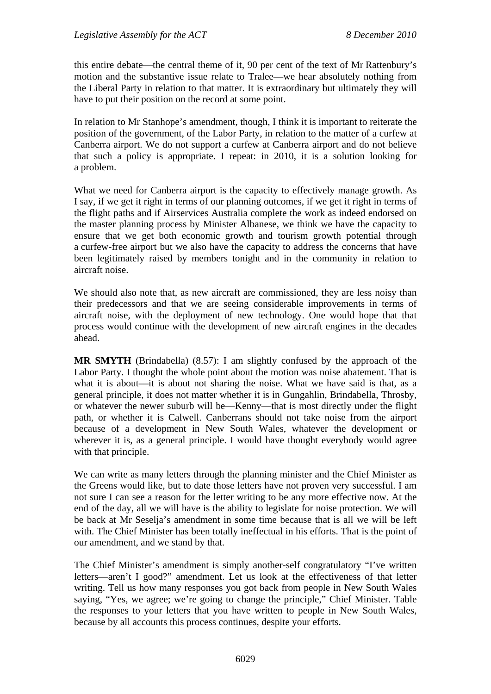this entire debate—the central theme of it, 90 per cent of the text of Mr Rattenbury's motion and the substantive issue relate to Tralee—we hear absolutely nothing from the Liberal Party in relation to that matter. It is extraordinary but ultimately they will have to put their position on the record at some point.

In relation to Mr Stanhope's amendment, though, I think it is important to reiterate the position of the government, of the Labor Party, in relation to the matter of a curfew at Canberra airport. We do not support a curfew at Canberra airport and do not believe that such a policy is appropriate. I repeat: in 2010, it is a solution looking for a problem.

What we need for Canberra airport is the capacity to effectively manage growth. As I say, if we get it right in terms of our planning outcomes, if we get it right in terms of the flight paths and if Airservices Australia complete the work as indeed endorsed on the master planning process by Minister Albanese, we think we have the capacity to ensure that we get both economic growth and tourism growth potential through a curfew-free airport but we also have the capacity to address the concerns that have been legitimately raised by members tonight and in the community in relation to aircraft noise.

We should also note that, as new aircraft are commissioned, they are less noisy than their predecessors and that we are seeing considerable improvements in terms of aircraft noise, with the deployment of new technology. One would hope that that process would continue with the development of new aircraft engines in the decades ahead.

**MR SMYTH** (Brindabella) (8.57): I am slightly confused by the approach of the Labor Party. I thought the whole point about the motion was noise abatement. That is what it is about—it is about not sharing the noise. What we have said is that, as a general principle, it does not matter whether it is in Gungahlin, Brindabella, Throsby, or whatever the newer suburb will be—Kenny—that is most directly under the flight path, or whether it is Calwell. Canberrans should not take noise from the airport because of a development in New South Wales, whatever the development or wherever it is, as a general principle. I would have thought everybody would agree with that principle.

We can write as many letters through the planning minister and the Chief Minister as the Greens would like, but to date those letters have not proven very successful. I am not sure I can see a reason for the letter writing to be any more effective now. At the end of the day, all we will have is the ability to legislate for noise protection. We will be back at Mr Seselja's amendment in some time because that is all we will be left with. The Chief Minister has been totally ineffectual in his efforts. That is the point of our amendment, and we stand by that.

The Chief Minister's amendment is simply another-self congratulatory "I've written letters—aren't I good?" amendment. Let us look at the effectiveness of that letter writing. Tell us how many responses you got back from people in New South Wales saying, "Yes, we agree; we're going to change the principle," Chief Minister. Table the responses to your letters that you have written to people in New South Wales, because by all accounts this process continues, despite your efforts.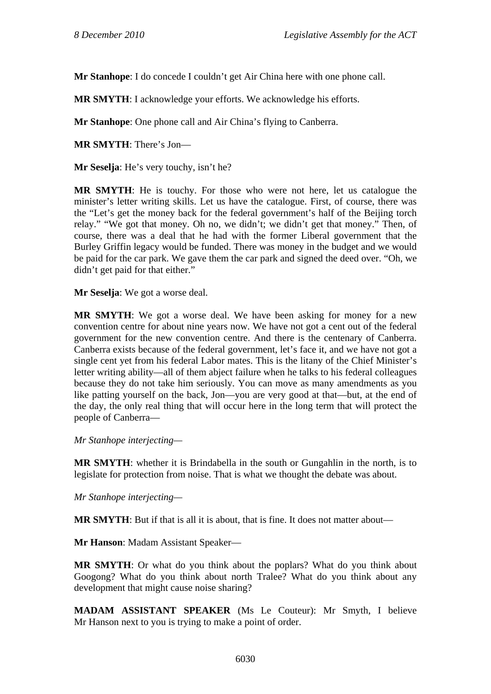**Mr Stanhope**: I do concede I couldn't get Air China here with one phone call.

**MR SMYTH**: I acknowledge your efforts. We acknowledge his efforts.

**Mr Stanhope**: One phone call and Air China's flying to Canberra.

**MR SMYTH**: There's Jon—

**Mr Seselja**: He's very touchy, isn't he?

**MR SMYTH**: He is touchy. For those who were not here, let us catalogue the minister's letter writing skills. Let us have the catalogue. First, of course, there was the "Let's get the money back for the federal government's half of the Beijing torch relay." "We got that money. Oh no, we didn't; we didn't get that money." Then, of course, there was a deal that he had with the former Liberal government that the Burley Griffin legacy would be funded. There was money in the budget and we would be paid for the car park. We gave them the car park and signed the deed over. "Oh, we didn't get paid for that either."

**Mr Seselja**: We got a worse deal.

**MR SMYTH**: We got a worse deal. We have been asking for money for a new convention centre for about nine years now. We have not got a cent out of the federal government for the new convention centre. And there is the centenary of Canberra. Canberra exists because of the federal government, let's face it, and we have not got a single cent yet from his federal Labor mates. This is the litany of the Chief Minister's letter writing ability—all of them abject failure when he talks to his federal colleagues because they do not take him seriously. You can move as many amendments as you like patting yourself on the back, Jon—you are very good at that—but, at the end of the day, the only real thing that will occur here in the long term that will protect the people of Canberra—

*Mr Stanhope interjecting—* 

**MR SMYTH**: whether it is Brindabella in the south or Gungahlin in the north, is to legislate for protection from noise. That is what we thought the debate was about.

*Mr Stanhope interjecting—* 

**MR SMYTH**: But if that is all it is about, that is fine. It does not matter about—

**Mr Hanson**: Madam Assistant Speaker—

**MR SMYTH**: Or what do you think about the poplars? What do you think about Googong? What do you think about north Tralee? What do you think about any development that might cause noise sharing?

**MADAM ASSISTANT SPEAKER** (Ms Le Couteur): Mr Smyth, I believe Mr Hanson next to you is trying to make a point of order.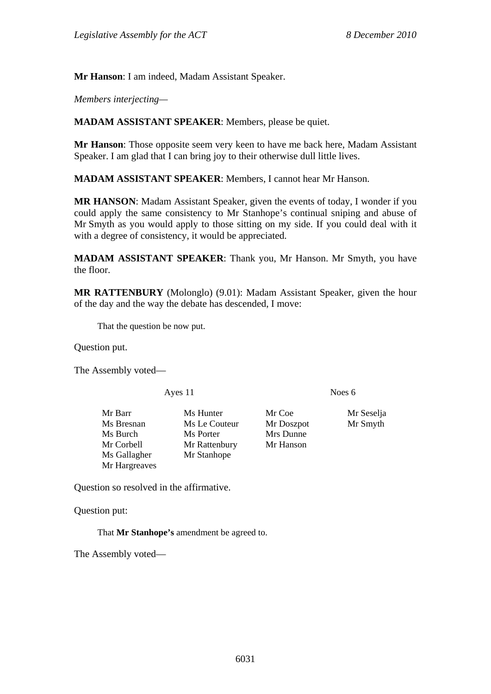**Mr Hanson**: I am indeed, Madam Assistant Speaker.

*Members interjecting—* 

**MADAM ASSISTANT SPEAKER**: Members, please be quiet.

**Mr Hanson**: Those opposite seem very keen to have me back here, Madam Assistant Speaker. I am glad that I can bring joy to their otherwise dull little lives.

**MADAM ASSISTANT SPEAKER**: Members, I cannot hear Mr Hanson.

**MR HANSON**: Madam Assistant Speaker, given the events of today, I wonder if you could apply the same consistency to Mr Stanhope's continual sniping and abuse of Mr Smyth as you would apply to those sitting on my side. If you could deal with it with a degree of consistency, it would be appreciated.

**MADAM ASSISTANT SPEAKER**: Thank you, Mr Hanson. Mr Smyth, you have the floor.

**MR RATTENBURY** (Molonglo) (9.01): Madam Assistant Speaker, given the hour of the day and the way the debate has descended, I move:

That the question be now put.

Question put.

The Assembly voted—

Ayes 11 Noes 6

Ms Gallagher Mr Stanhope Mr Hargreaves

Mr Barr Ms Hunter Mr Coe Mr Seselja Ms Bresnan Ms Le Couteur Mr Doszpot Mr Smyth Ms Burch Ms Porter Mrs Dunne Mr Corbell Mr Rattenbury Mr Hanson

Question so resolved in the affirmative.

Question put:

That **Mr Stanhope's** amendment be agreed to.

The Assembly voted—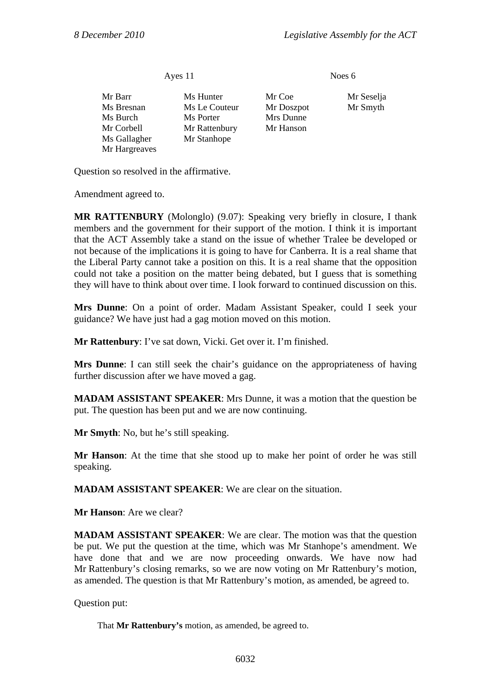Ayes 11 Noes 6

| Mr Barr       | Ms Hunter    |
|---------------|--------------|
| Ms Bresnan    | Ms Le Couter |
| Ms Burch      | Ms Porter    |
| Mr Corbell    | Mr Rattenbur |
| Ms Gallagher  | Mr Stanhope  |
| Mr Hargreaves |              |
|               |              |

Mr Coe Mr Seselja teur Mr Doszpot Mr Smyth Mrs Dunne ury Mr Hanson

Question so resolved in the affirmative.

Amendment agreed to.

**MR RATTENBURY** (Molonglo) (9.07): Speaking very briefly in closure, I thank members and the government for their support of the motion. I think it is important that the ACT Assembly take a stand on the issue of whether Tralee be developed or not because of the implications it is going to have for Canberra. It is a real shame that the Liberal Party cannot take a position on this. It is a real shame that the opposition could not take a position on the matter being debated, but I guess that is something they will have to think about over time. I look forward to continued discussion on this.

**Mrs Dunne**: On a point of order. Madam Assistant Speaker, could I seek your guidance? We have just had a gag motion moved on this motion.

**Mr Rattenbury**: I've sat down, Vicki. Get over it. I'm finished.

**Mrs Dunne**: I can still seek the chair's guidance on the appropriateness of having further discussion after we have moved a gag.

**MADAM ASSISTANT SPEAKER**: Mrs Dunne, it was a motion that the question be put. The question has been put and we are now continuing.

**Mr Smyth**: No, but he's still speaking.

**Mr Hanson**: At the time that she stood up to make her point of order he was still speaking.

**MADAM ASSISTANT SPEAKER**: We are clear on the situation.

**Mr Hanson**: Are we clear?

**MADAM ASSISTANT SPEAKER:** We are clear. The motion was that the question be put. We put the question at the time, which was Mr Stanhope's amendment. We have done that and we are now proceeding onwards. We have now had Mr Rattenbury's closing remarks, so we are now voting on Mr Rattenbury's motion, as amended. The question is that Mr Rattenbury's motion, as amended, be agreed to.

Question put:

That **Mr Rattenbury's** motion, as amended, be agreed to.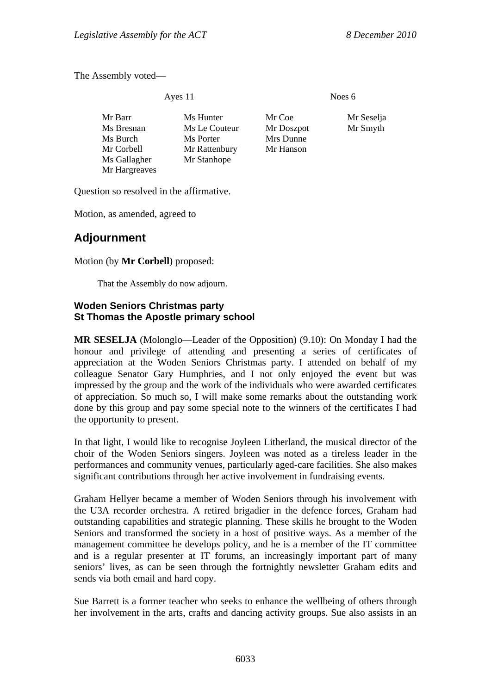The Assembly voted—

Ayes 11 Noes 6

| Mr Barr       | Ms Hunter     | Mr Coe     | Mr Seselja |
|---------------|---------------|------------|------------|
| Ms Bresnan    | Ms Le Couteur | Mr Doszpot | Mr Smyth   |
| Ms Burch      | Ms Porter     | Mrs Dunne  |            |
| Mr Corbell    | Mr Rattenbury | Mr Hanson  |            |
| Ms Gallagher  | Mr Stanhope   |            |            |
| Mr Hargreaves |               |            |            |

Question so resolved in the affirmative.

Motion, as amended, agreed to

# **Adjournment**

Motion (by **Mr Corbell**) proposed:

That the Assembly do now adjourn.

### **Woden Seniors Christmas party St Thomas the Apostle primary school**

**MR SESELJA** (Molonglo—Leader of the Opposition) (9.10): On Monday I had the honour and privilege of attending and presenting a series of certificates of appreciation at the Woden Seniors Christmas party. I attended on behalf of my colleague Senator Gary Humphries, and I not only enjoyed the event but was impressed by the group and the work of the individuals who were awarded certificates of appreciation. So much so, I will make some remarks about the outstanding work done by this group and pay some special note to the winners of the certificates I had the opportunity to present.

In that light, I would like to recognise Joyleen Litherland, the musical director of the choir of the Woden Seniors singers. Joyleen was noted as a tireless leader in the performances and community venues, particularly aged-care facilities. She also makes significant contributions through her active involvement in fundraising events.

Graham Hellyer became a member of Woden Seniors through his involvement with the U3A recorder orchestra. A retired brigadier in the defence forces, Graham had outstanding capabilities and strategic planning. These skills he brought to the Woden Seniors and transformed the society in a host of positive ways. As a member of the management committee he develops policy, and he is a member of the IT committee and is a regular presenter at IT forums, an increasingly important part of many seniors' lives, as can be seen through the fortnightly newsletter Graham edits and sends via both email and hard copy.

Sue Barrett is a former teacher who seeks to enhance the wellbeing of others through her involvement in the arts, crafts and dancing activity groups. Sue also assists in an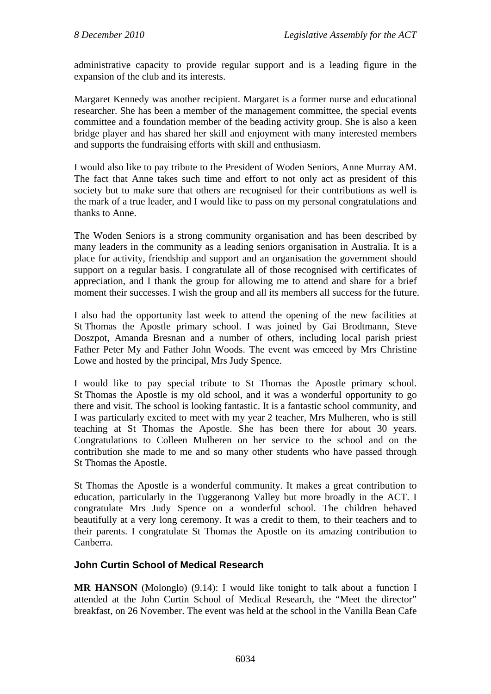administrative capacity to provide regular support and is a leading figure in the expansion of the club and its interests.

Margaret Kennedy was another recipient. Margaret is a former nurse and educational researcher. She has been a member of the management committee, the special events committee and a foundation member of the beading activity group. She is also a keen bridge player and has shared her skill and enjoyment with many interested members and supports the fundraising efforts with skill and enthusiasm.

I would also like to pay tribute to the President of Woden Seniors, Anne Murray AM. The fact that Anne takes such time and effort to not only act as president of this society but to make sure that others are recognised for their contributions as well is the mark of a true leader, and I would like to pass on my personal congratulations and thanks to Anne.

The Woden Seniors is a strong community organisation and has been described by many leaders in the community as a leading seniors organisation in Australia. It is a place for activity, friendship and support and an organisation the government should support on a regular basis. I congratulate all of those recognised with certificates of appreciation, and I thank the group for allowing me to attend and share for a brief moment their successes. I wish the group and all its members all success for the future.

I also had the opportunity last week to attend the opening of the new facilities at St Thomas the Apostle primary school. I was joined by Gai Brodtmann, Steve Doszpot, Amanda Bresnan and a number of others, including local parish priest Father Peter My and Father John Woods. The event was emceed by Mrs Christine Lowe and hosted by the principal, Mrs Judy Spence.

I would like to pay special tribute to St Thomas the Apostle primary school. St Thomas the Apostle is my old school, and it was a wonderful opportunity to go there and visit. The school is looking fantastic. It is a fantastic school community, and I was particularly excited to meet with my year 2 teacher, Mrs Mulheren, who is still teaching at St Thomas the Apostle. She has been there for about 30 years. Congratulations to Colleen Mulheren on her service to the school and on the contribution she made to me and so many other students who have passed through St Thomas the Apostle.

St Thomas the Apostle is a wonderful community. It makes a great contribution to education, particularly in the Tuggeranong Valley but more broadly in the ACT. I congratulate Mrs Judy Spence on a wonderful school. The children behaved beautifully at a very long ceremony. It was a credit to them, to their teachers and to their parents. I congratulate St Thomas the Apostle on its amazing contribution to Canberra.

## **John Curtin School of Medical Research**

**MR HANSON** (Molonglo) (9.14): I would like tonight to talk about a function I attended at the John Curtin School of Medical Research, the "Meet the director" breakfast, on 26 November. The event was held at the school in the Vanilla Bean Cafe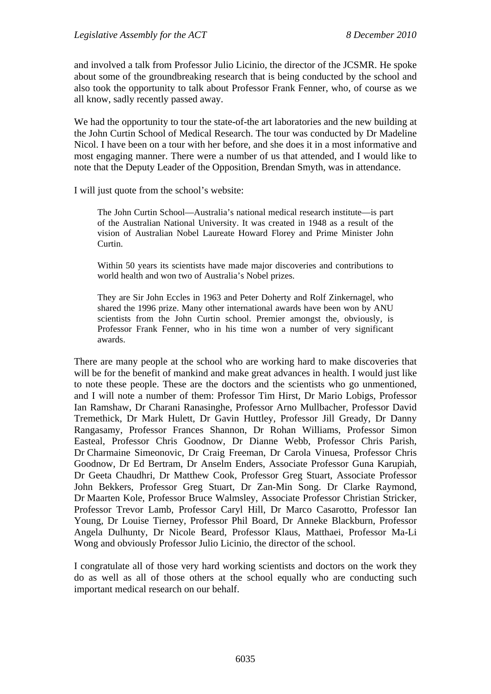and involved a talk from Professor Julio Licinio, the director of the JCSMR. He spoke about some of the groundbreaking research that is being conducted by the school and also took the opportunity to talk about Professor Frank Fenner, who, of course as we all know, sadly recently passed away.

We had the opportunity to tour the state-of-the art laboratories and the new building at the John Curtin School of Medical Research. The tour was conducted by Dr Madeline Nicol. I have been on a tour with her before, and she does it in a most informative and most engaging manner. There were a number of us that attended, and I would like to note that the Deputy Leader of the Opposition, Brendan Smyth, was in attendance.

I will just quote from the school's website:

The John Curtin School—Australia's national medical research institute—is part of the Australian National University. It was created in 1948 as a result of the vision of Australian Nobel Laureate Howard Florey and Prime Minister John Curtin.

Within 50 years its scientists have made major discoveries and contributions to world health and won two of Australia's Nobel prizes.

They are Sir John Eccles in 1963 and Peter Doherty and Rolf Zinkernagel, who shared the 1996 prize. Many other international awards have been won by ANU scientists from the John Curtin school. Premier amongst the, obviously, is Professor Frank Fenner, who in his time won a number of very significant awards.

There are many people at the school who are working hard to make discoveries that will be for the benefit of mankind and make great advances in health. I would just like to note these people. These are the doctors and the scientists who go unmentioned, and I will note a number of them: Professor Tim Hirst, Dr Mario Lobigs, Professor Ian Ramshaw, Dr Charani Ranasinghe, Professor Arno Mullbacher, Professor David Tremethick, Dr Mark Hulett, Dr Gavin Huttley, Professor Jill Gready, Dr Danny Rangasamy, Professor Frances Shannon, Dr Rohan Williams, Professor Simon Easteal, Professor Chris Goodnow, Dr Dianne Webb, Professor Chris Parish, Dr Charmaine Simeonovic, Dr Craig Freeman, Dr Carola Vinuesa, Professor Chris Goodnow, Dr Ed Bertram, Dr Anselm Enders, Associate Professor Guna Karupiah, Dr Geeta Chaudhri, Dr Matthew Cook, Professor Greg Stuart, Associate Professor John Bekkers, Professor Greg Stuart, Dr Zan-Min Song. Dr Clarke Raymond, Dr Maarten Kole, Professor Bruce Walmsley, Associate Professor Christian Stricker, Professor Trevor Lamb, Professor Caryl Hill, Dr Marco Casarotto, Professor Ian Young, Dr Louise Tierney, Professor Phil Board, Dr Anneke Blackburn, Professor Angela Dulhunty, Dr Nicole Beard, Professor Klaus, Matthaei, Professor Ma-Li Wong and obviously Professor Julio Licinio, the director of the school.

I congratulate all of those very hard working scientists and doctors on the work they do as well as all of those others at the school equally who are conducting such important medical research on our behalf.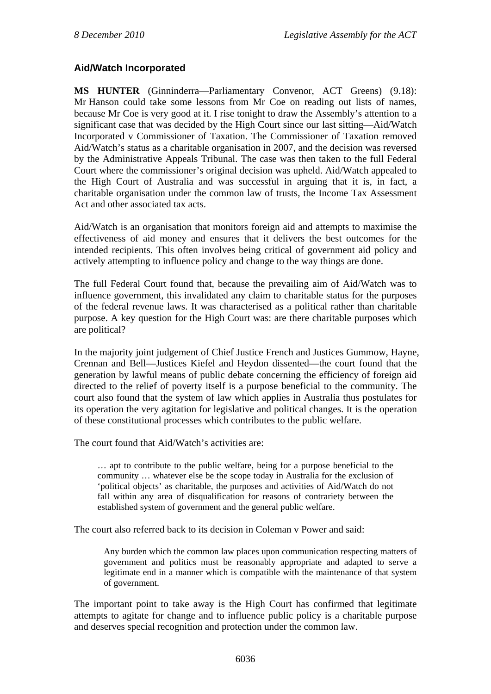# **Aid/Watch Incorporated**

**MS HUNTER** (Ginninderra—Parliamentary Convenor, ACT Greens) (9.18): Mr Hanson could take some lessons from Mr Coe on reading out lists of names, because Mr Coe is very good at it. I rise tonight to draw the Assembly's attention to a significant case that was decided by the High Court since our last sitting—Aid/Watch Incorporated v Commissioner of Taxation. The Commissioner of Taxation removed Aid/Watch's status as a charitable organisation in 2007, and the decision was reversed by the Administrative Appeals Tribunal. The case was then taken to the full Federal Court where the commissioner's original decision was upheld. Aid/Watch appealed to the High Court of Australia and was successful in arguing that it is, in fact, a charitable organisation under the common law of trusts, the Income Tax Assessment Act and other associated tax acts.

Aid/Watch is an organisation that monitors foreign aid and attempts to maximise the effectiveness of aid money and ensures that it delivers the best outcomes for the intended recipients. This often involves being critical of government aid policy and actively attempting to influence policy and change to the way things are done.

The full Federal Court found that, because the prevailing aim of Aid/Watch was to influence government, this invalidated any claim to charitable status for the purposes of the federal revenue laws. It was characterised as a political rather than charitable purpose. A key question for the High Court was: are there charitable purposes which are political?

In the majority joint judgement of Chief Justice French and Justices Gummow, Hayne, Crennan and Bell—Justices Kiefel and Heydon dissented—the court found that the generation by lawful means of public debate concerning the efficiency of foreign aid directed to the relief of poverty itself is a purpose beneficial to the community. The court also found that the system of law which applies in Australia thus postulates for its operation the very agitation for legislative and political changes. It is the operation of these constitutional processes which contributes to the public welfare.

The court found that Aid/Watch's activities are:

… apt to contribute to the public welfare, being for a purpose beneficial to the community … whatever else be the scope today in Australia for the exclusion of 'political objects' as charitable, the purposes and activities of Aid/Watch do not fall within any area of disqualification for reasons of contrariety between the established system of government and the general public welfare.

The court also referred back to its decision in Coleman v Power and said:

Any burden which the common law places upon communication respecting matters of government and politics must be reasonably appropriate and adapted to serve a legitimate end in a manner which is compatible with the maintenance of that system of government.

The important point to take away is the High Court has confirmed that legitimate attempts to agitate for change and to influence public policy is a charitable purpose and deserves special recognition and protection under the common law.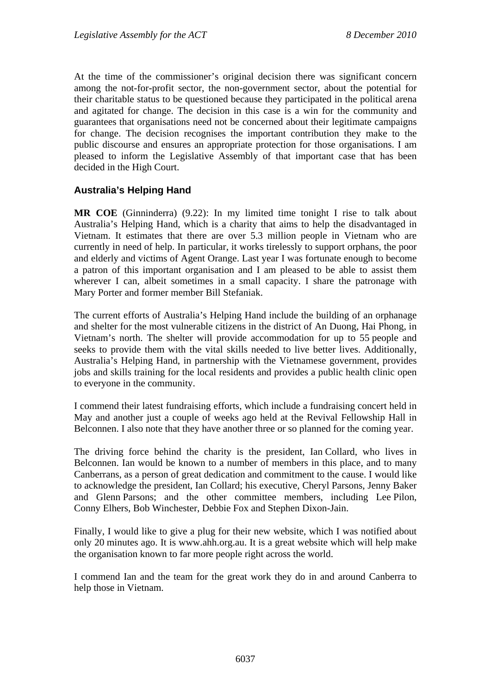At the time of the commissioner's original decision there was significant concern among the not-for-profit sector, the non-government sector, about the potential for their charitable status to be questioned because they participated in the political arena and agitated for change. The decision in this case is a win for the community and guarantees that organisations need not be concerned about their legitimate campaigns for change. The decision recognises the important contribution they make to the public discourse and ensures an appropriate protection for those organisations. I am pleased to inform the Legislative Assembly of that important case that has been decided in the High Court.

## **Australia's Helping Hand**

**MR COE** (Ginninderra) (9.22): In my limited time tonight I rise to talk about Australia's Helping Hand, which is a charity that aims to help the disadvantaged in Vietnam. It estimates that there are over 5.3 million people in Vietnam who are currently in need of help. In particular, it works tirelessly to support orphans, the poor and elderly and victims of Agent Orange. Last year I was fortunate enough to become a patron of this important organisation and I am pleased to be able to assist them wherever I can, albeit sometimes in a small capacity. I share the patronage with Mary Porter and former member Bill Stefaniak.

The current efforts of Australia's Helping Hand include the building of an orphanage and shelter for the most vulnerable citizens in the district of An Duong, Hai Phong, in Vietnam's north. The shelter will provide accommodation for up to 55 people and seeks to provide them with the vital skills needed to live better lives. Additionally, Australia's Helping Hand, in partnership with the Vietnamese government, provides jobs and skills training for the local residents and provides a public health clinic open to everyone in the community.

I commend their latest fundraising efforts, which include a fundraising concert held in May and another just a couple of weeks ago held at the Revival Fellowship Hall in Belconnen. I also note that they have another three or so planned for the coming year.

The driving force behind the charity is the president, Ian Collard, who lives in Belconnen. Ian would be known to a number of members in this place, and to many Canberrans, as a person of great dedication and commitment to the cause. I would like to acknowledge the president, Ian Collard; his executive, Cheryl Parsons, Jenny Baker and Glenn Parsons; and the other committee members, including Lee Pilon, Conny Elhers, Bob Winchester, Debbie Fox and Stephen Dixon-Jain.

Finally, I would like to give a plug for their new website, which I was notified about only 20 minutes ago. It is www.ahh.org.au. It is a great website which will help make the organisation known to far more people right across the world.

I commend Ian and the team for the great work they do in and around Canberra to help those in Vietnam.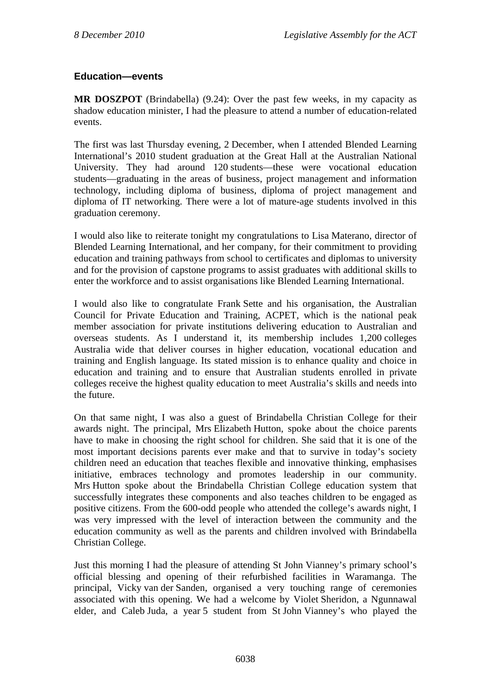# **Education—events**

**MR DOSZPOT** (Brindabella) (9.24): Over the past few weeks, in my capacity as shadow education minister, I had the pleasure to attend a number of education-related events.

The first was last Thursday evening, 2 December, when I attended Blended Learning International's 2010 student graduation at the Great Hall at the Australian National University. They had around 120 students—these were vocational education students—graduating in the areas of business, project management and information technology, including diploma of business, diploma of project management and diploma of IT networking. There were a lot of mature-age students involved in this graduation ceremony.

I would also like to reiterate tonight my congratulations to Lisa Materano, director of Blended Learning International, and her company, for their commitment to providing education and training pathways from school to certificates and diplomas to university and for the provision of capstone programs to assist graduates with additional skills to enter the workforce and to assist organisations like Blended Learning International.

I would also like to congratulate Frank Sette and his organisation, the Australian Council for Private Education and Training, ACPET, which is the national peak member association for private institutions delivering education to Australian and overseas students. As I understand it, its membership includes 1,200 colleges Australia wide that deliver courses in higher education, vocational education and training and English language. Its stated mission is to enhance quality and choice in education and training and to ensure that Australian students enrolled in private colleges receive the highest quality education to meet Australia's skills and needs into the future.

On that same night, I was also a guest of Brindabella Christian College for their awards night. The principal, Mrs Elizabeth Hutton, spoke about the choice parents have to make in choosing the right school for children. She said that it is one of the most important decisions parents ever make and that to survive in today's society children need an education that teaches flexible and innovative thinking, emphasises initiative, embraces technology and promotes leadership in our community. Mrs Hutton spoke about the Brindabella Christian College education system that successfully integrates these components and also teaches children to be engaged as positive citizens. From the 600-odd people who attended the college's awards night, I was very impressed with the level of interaction between the community and the education community as well as the parents and children involved with Brindabella Christian College.

Just this morning I had the pleasure of attending St John Vianney's primary school's official blessing and opening of their refurbished facilities in Waramanga. The principal, Vicky van der Sanden, organised a very touching range of ceremonies associated with this opening. We had a welcome by Violet Sheridon, a Ngunnawal elder, and Caleb Juda, a year 5 student from St John Vianney's who played the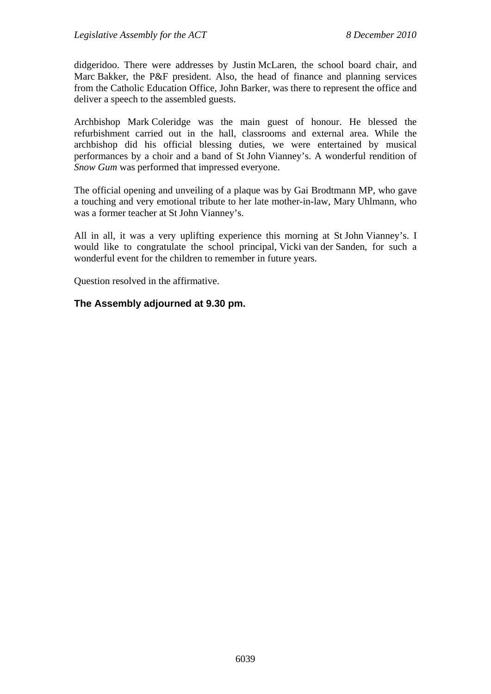didgeridoo. There were addresses by Justin McLaren, the school board chair, and Marc Bakker, the P&F president. Also, the head of finance and planning services from the Catholic Education Office, John Barker, was there to represent the office and deliver a speech to the assembled guests.

Archbishop Mark Coleridge was the main guest of honour. He blessed the refurbishment carried out in the hall, classrooms and external area. While the archbishop did his official blessing duties, we were entertained by musical performances by a choir and a band of St John Vianney's. A wonderful rendition of *Snow Gum* was performed that impressed everyone.

The official opening and unveiling of a plaque was by Gai Brodtmann MP, who gave a touching and very emotional tribute to her late mother-in-law, Mary Uhlmann, who was a former teacher at St John Vianney's.

All in all, it was a very uplifting experience this morning at St John Vianney's. I would like to congratulate the school principal, Vicki van der Sanden, for such a wonderful event for the children to remember in future years.

Question resolved in the affirmative.

### **The Assembly adjourned at 9.30 pm.**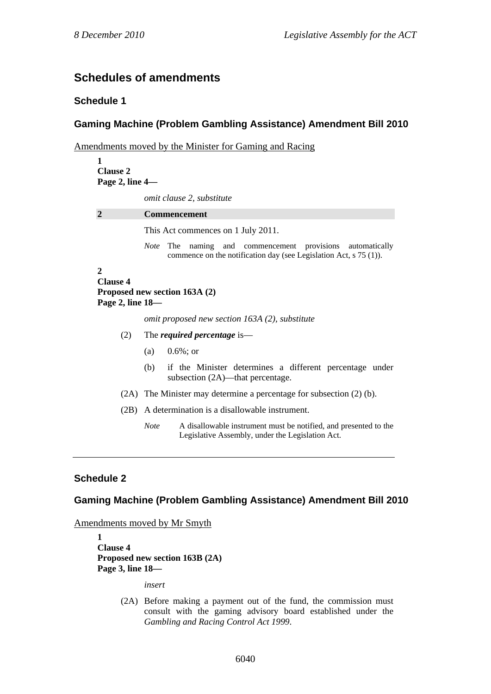# **Schedules of amendments**

#### **Schedule 1**

### **Gaming Machine (Problem Gambling Assistance) Amendment Bill 2010**

Amendments moved by the Minister for Gaming and Racing

| 1                                                                                    |                                                                                                                                               |  |  |  |  |
|--------------------------------------------------------------------------------------|-----------------------------------------------------------------------------------------------------------------------------------------------|--|--|--|--|
| <b>Clause 2</b>                                                                      |                                                                                                                                               |  |  |  |  |
| Page 2, line 4-                                                                      |                                                                                                                                               |  |  |  |  |
|                                                                                      | omit clause 2, substitute                                                                                                                     |  |  |  |  |
| $\overline{2}$                                                                       | <b>Commencement</b>                                                                                                                           |  |  |  |  |
|                                                                                      | This Act commences on 1 July 2011.                                                                                                            |  |  |  |  |
|                                                                                      | The naming and commencement provisions<br><i>Note</i><br>automatically<br>commence on the notification day (see Legislation Act, $s$ 75 (1)). |  |  |  |  |
| $\mathbf{2}$<br><b>Clause 4</b><br>Proposed new section 163A (2)<br>Page 2, line 18- |                                                                                                                                               |  |  |  |  |
|                                                                                      | omit proposed new section 163A (2), substitute                                                                                                |  |  |  |  |
| (2)                                                                                  | The <i>required percentage</i> is—                                                                                                            |  |  |  |  |
|                                                                                      | (a) $0.6\%$ ; or                                                                                                                              |  |  |  |  |
|                                                                                      | (b)<br>if the Minister determines a different percentage under<br>subsection (2A)—that percentage.                                            |  |  |  |  |
|                                                                                      | $(2A)$ The Minister may determine a percentage for subsection $(2)$ (b).                                                                      |  |  |  |  |
| (2B)                                                                                 | A determination is a disallowable instrument.                                                                                                 |  |  |  |  |
|                                                                                      | <b>Note</b><br>A disallowable instrument must be notified, and presented to the<br>Legislative Assembly, under the Legislation Act.           |  |  |  |  |

### **Schedule 2**

#### **Gaming Machine (Problem Gambling Assistance) Amendment Bill 2010**

Amendments moved by Mr Smyth

**1 Clause 4 Proposed new section 163B (2A) Page 3, line 18—** 

*insert* 

(2A) Before making a payment out of the fund, the commission must consult with the gaming advisory board established under the *Gambling and Racing Control Act 1999*.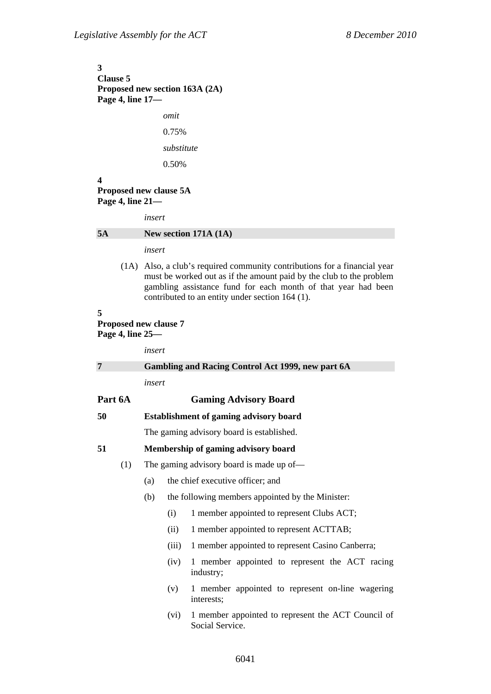**3 Clause 5 Proposed new section 163A (2A) Page 4, line 17**  *omit*  0.75%

*substitute*  0.50%

### **4**

#### **Proposed new clause 5A Page 4, line 21—**

*insert* 

#### **5A New section 171A (1A)**

*insert* 

(1A) Also, a club's required community contributions for a financial year must be worked out as if the amount paid by the club to the problem gambling assistance fund for each month of that year had been contributed to an entity under section 164 (1).

#### **5**

**Proposed new clause 7 Page 4, line 25—** 

|         | insert                                            |                                                  |                                                                       |  |
|---------|---------------------------------------------------|--------------------------------------------------|-----------------------------------------------------------------------|--|
| 7       | Gambling and Racing Control Act 1999, new part 6A |                                                  |                                                                       |  |
|         | insert                                            |                                                  |                                                                       |  |
| Part 6A | <b>Gaming Advisory Board</b>                      |                                                  |                                                                       |  |
| 50      | <b>Establishment of gaming advisory board</b>     |                                                  |                                                                       |  |
|         | The gaming advisory board is established.         |                                                  |                                                                       |  |
| 51      | Membership of gaming advisory board               |                                                  |                                                                       |  |
| (1)     | The gaming advisory board is made up of—          |                                                  |                                                                       |  |
|         | (a)                                               | the chief executive officer; and                 |                                                                       |  |
|         | (b)                                               | the following members appointed by the Minister: |                                                                       |  |
|         |                                                   | (i)                                              | 1 member appointed to represent Clubs ACT;                            |  |
|         |                                                   | (ii)                                             | 1 member appointed to represent ACTTAB;                               |  |
|         |                                                   | (iii)                                            | 1 member appointed to represent Casino Canberra;                      |  |
|         |                                                   | (iv)                                             | 1 member appointed to represent the ACT racing<br>industry;           |  |
|         |                                                   | (v)                                              | 1 member appointed to represent on-line wagering<br>interests:        |  |
|         |                                                   | (vi)                                             | 1 member appointed to represent the ACT Council of<br>Social Service. |  |